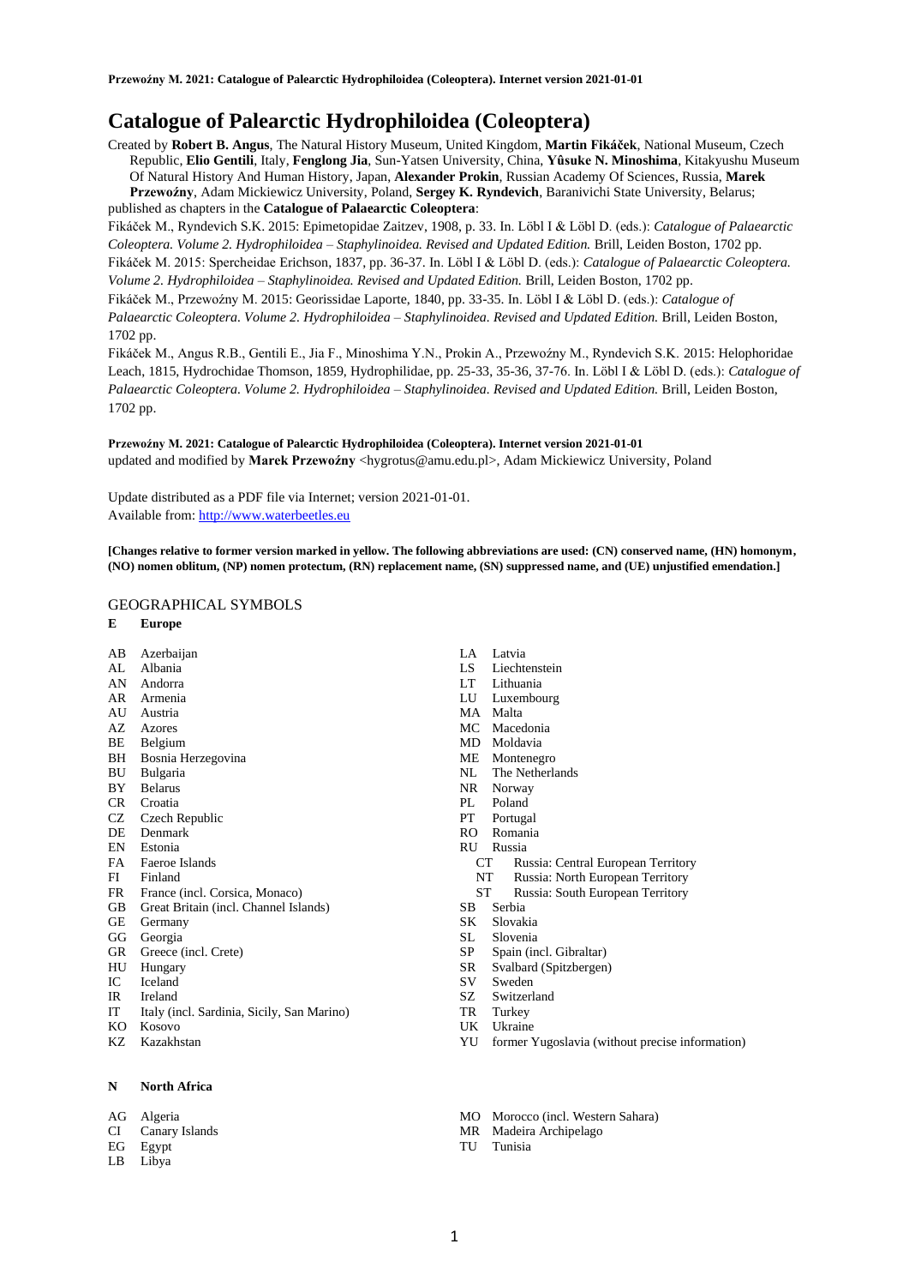# **Catalogue of Palearctic Hydrophiloidea (Coleoptera)**

Created by **Robert B. Angus**, The Natural History Museum, United Kingdom, **Martin Fikáček**, National Museum, Czech Republic, **Elio Gentili**, Italy, **Fenglong Jia**, Sun-Yatsen University, China, **Yûsuke N. Minoshima**, Kitakyushu Museum Of Natural History And Human History, Japan, **Alexander Prokin**, Russian Academy Of Sciences, Russia, **Marek Przewoźny**, Adam Mickiewicz University, Poland, **Sergey K. Ryndevich**, Baranivichi State University, Belarus; published as chapters in the **Catalogue of Palaearctic Coleoptera**:

Fikáček M., Ryndevich S.K. 2015: Epimetopidae Zaitzev, 1908, p. 33. In. Löbl I & Löbl D. (eds.): *Catalogue of Palaearctic Coleoptera. Volume 2. Hydrophiloidea – Staphylinoidea. Revised and Updated Edition.* Brill, Leiden Boston, 1702 pp. Fikáček M. 2015: Spercheidae Erichson, 1837, pp. 36-37. In. Löbl I & Löbl D. (eds.): *Catalogue of Palaearctic Coleoptera. Volume 2. Hydrophiloidea – Staphylinoidea. Revised and Updated Edition.* Brill, Leiden Boston, 1702 pp.

Fikáček M., Przewoźny M. 2015: Georissidae Laporte, 1840, pp. 33-35. In. Löbl I & Löbl D. (eds.): *Catalogue of Palaearctic Coleoptera. Volume 2. Hydrophiloidea – Staphylinoidea. Revised and Updated Edition.* Brill, Leiden Boston, 1702 pp.

Fikáček M., Angus R.B., Gentili E., Jia F., Minoshima Y.N., Prokin A., Przewoźny M., Ryndevich S.K. 2015: Helophoridae Leach, 1815, Hydrochidae Thomson, 1859, Hydrophilidae, pp. 25-33, 35-36, 37-76. In. Löbl I & Löbl D. (eds.): *Catalogue of Palaearctic Coleoptera. Volume 2. Hydrophiloidea – Staphylinoidea. Revised and Updated Edition.* Brill, Leiden Boston, 1702 pp.

**Przewoźny M. 2021: Catalogue of Palearctic Hydrophiloidea (Coleoptera). Internet version 2021-01-01** updated and modified by Marek Przewoźny <hygrotus@amu.edu.pl>, Adam Mickiewicz University, Poland

Update distributed as a PDF file via Internet; version 2021-01-01. Available from[: http://www.waterbeetles.eu](http://www.waterbeetles.eu/)

**[Changes relative to former version marked in yellow. The following abbreviations are used: (CN) conserved name, (HN) homonym, (NO) nomen oblitum, (NP) nomen protectum, (RN) replacement name, (SN) suppressed name, and (UE) unjustified emendation.]** 

## GEOGRAPHICAL SYMBOLS

- **E Europe**
- AB Azerbaijan
- AL Albania AN Andorra
- AR Armenia
- AU Austria
- AZ Azores
- BE Belgium
- BH Bosnia Herzegovina
- BU Bulgaria
- BY Belarus
- CR Croatia
- CZ Czech Republic<br>DE Denmark
- Denmark
- EN Estonia
- FA Faeroe Islands
- FI Finland<br>FR France
- France (incl. Corsica, Monaco)
- GB Great Britain (incl. Channel Islands)
- GE Germany
- GG Georgia
- GR Greece (incl. Crete)
- 
- 
- 
- 
- 
- KZ Kazakhstan

## **N North Africa**

- AG Algeria
- CI Canary Islands
- EG Egypt
- LB Libya
- LA Latvia
- LS Liechtenstein
- LT Lithuania
- LU Luxembourg
- MA Malta
- MC Macedonia
- MD Moldavia
- ME Montenegro
- NL The Netherlands
- NR Norway
- PL Poland
- PT Portugal
- RO Romania
- RU Russia
	- Russia: Central European Territory
	- NT Russia: North European Territory<br>ST Russia: South European Territory
	- Russia: South European Territory
- SB Serbia
- SK Slovakia
- SL Slovenia
- SP Spain (incl. Gibraltar)
- SR Svalbard (Spitzbergen)
- SV Sweden
- SZ Switzerland
- TR Turkey
- UK Ukraine
- YU former Yugoslavia (without precise information)
- MO Morocco (incl. Western Sahara)
- MR Madeira Archipelago
- TU Tunisia
- 
- HU Hungary
- IC Iceland
- IR Ireland
- IT Italy (incl. Sardinia, Sicily, San Marino)
- KO Kosovo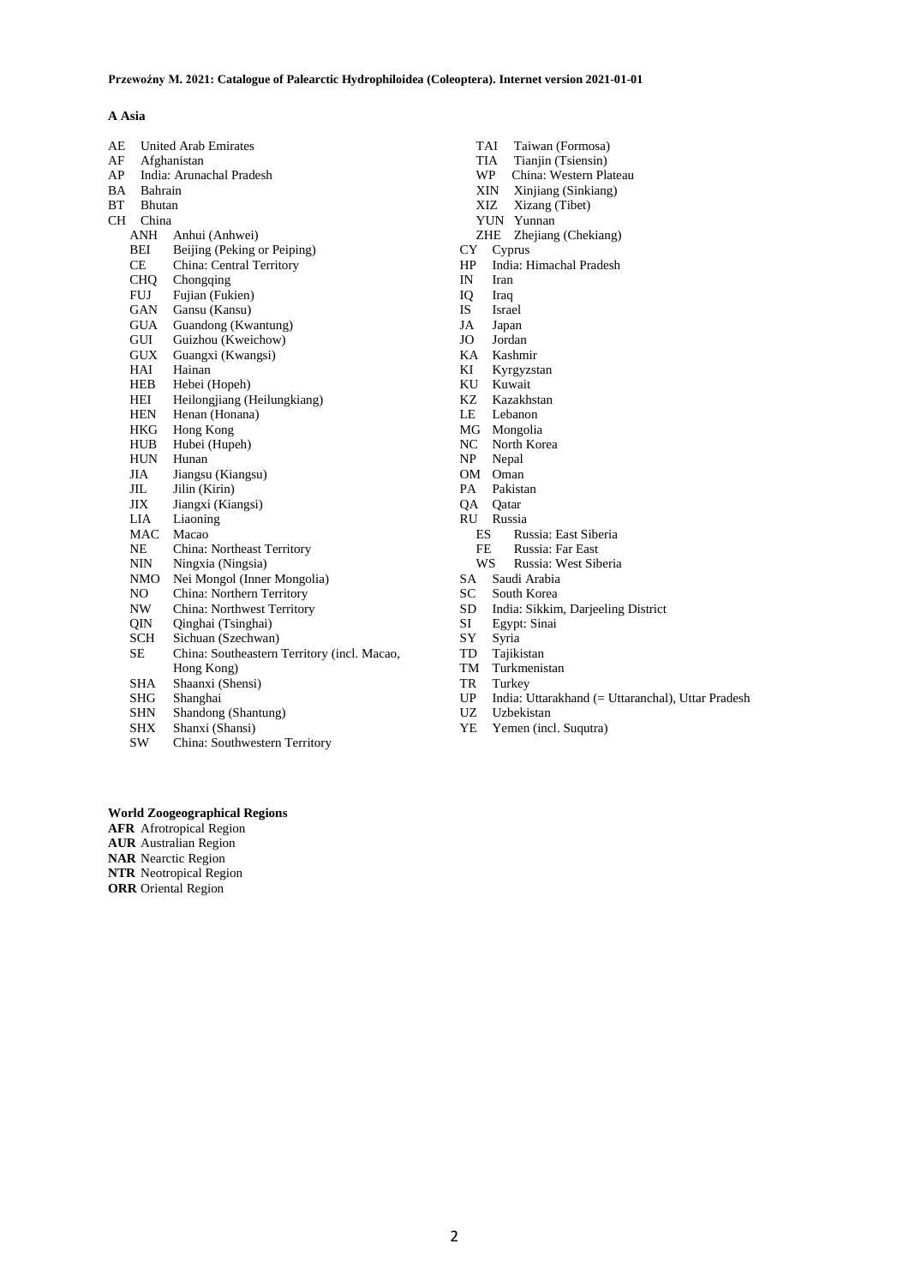## **A Asia**

| AE |            | <b>United Arab Emirates</b>                 |  |
|----|------------|---------------------------------------------|--|
| AF |            | Afghanistan                                 |  |
| AP |            | India: Arunachal Pradesh                    |  |
| BA |            | Bahrain                                     |  |
| ВT |            | <b>Bhutan</b>                               |  |
| CН | China      |                                             |  |
|    | ANH        | Anhui (Anhwei)                              |  |
|    | BEI        | Beijing (Peking or Peiping)                 |  |
|    | CE         | China: Central Territory                    |  |
|    | CHO.       | Chongqing                                   |  |
|    | <b>FUJ</b> | Fujian (Fukien)                             |  |
|    | GAN        | Gansu (Kansu)                               |  |
|    | <b>GUA</b> | Guandong (Kwantung)                         |  |
|    | GUI        | Guizhou (Kweichow)                          |  |
|    | GUX        | Guangxi (Kwangsi)                           |  |
|    | HAI        | Hainan                                      |  |
|    | HEB        | Hebei (Hopeh)                               |  |
|    | HEI        | Heilongjiang (Heilungkiang)                 |  |
|    | HEN        | Henan (Honana)                              |  |
|    | HKG        | Hong Kong                                   |  |
|    | HUB        | Hubei (Hupeh)                               |  |
|    | <b>HUN</b> | Hunan                                       |  |
|    | JIA        | Jiangsu (Kiangsu)                           |  |
|    | JIL.       | Jilin (Kirin)                               |  |
|    | ЛX         | Jiangxi (Kiangsi)                           |  |
|    | LIA        | Liaoning                                    |  |
|    | MAC        | Macao                                       |  |
|    | NΕ         | China: Northeast Territory                  |  |
|    | NIN        | Ningxia (Ningsia)                           |  |
|    | NMO        | Nei Mongol (Inner Mongolia)                 |  |
|    | NO         | China: Northern Territory                   |  |
|    | NW.        | China: Northwest Territory                  |  |
|    | OIN.       | Qinghai (Tsinghai)                          |  |
|    | SCH        | Sichuan (Szechwan)                          |  |
|    | <b>SE</b>  | China: Southeastern Territory (incl. Macao, |  |
|    |            | Hong Kong)                                  |  |
|    | SHA        | Shaanxi (Shensi)                            |  |
|    | SHG        | Shanghai                                    |  |
|    | <b>SHN</b> | Shandong (Shantung)                         |  |
|    | <b>SHX</b> | Shanxi (Shansi)                             |  |

SW China: Southwestern Territory

- TAI Taiwan (Formosa)<br>TIA Tianjin (Tsiensin)
- TIA Tianjin (Tsiensin)<br>WP China: Western Pla
- WP China: Western Plateau<br>XIN Xinjiang (Sinkiang)<br>XIZ Xizang (Tibet)
- Xinjiang (Sinkiang)
- Xizang (Tibet) YUN Yunnan
- ZHE Zhejiang (Chekiang)
- CY Cyprus
- HP India: Himachal Pradesh<br>IN Iran
- Iran
- 
- IQ Iraq IS Israel
- JA Japan
- JO Jordan
- KA Kashmir
- Kyrgyzstan
- KU Kuwait<br>KZ Kazakh
- Kazakhstan
- LE Lebanon
- 
- MG Mongolia<br>NC North Kor NC North Korea<br>NP Nepal
- Nepal
- 
- OM Oman<br>PA Pakist Pakistan
- QA Qatar
- 
- RU Russia
	- ES Russia: East Siberia<br>FE Russia: Far East
	- FE Russia: Far East<br>WS Russia: West Sib Russia: West Siberia
- 
- SA Saudi Arabia<br>SC South Korea
- SC South Korea<br>SD India: Sikkin SD India: Sikkim, Darjeeling District
- Egypt: Sinai
- SY Syria
- TD Tajikistan
- TM Turkmenistan
- TR Turkey
- UP India: Uttarakhand (= Uttaranchal), Uttar Pradesh
- UZ Uzbekistan
- YE Yemen (incl. Suqutra)

## **World Zoogeographical Regions**

**AFR** Afrotropical Region **AUR** Australian Region

- **NAR** Nearctic Region
- **NTR** Neotropical Region
- **ORR** Oriental Region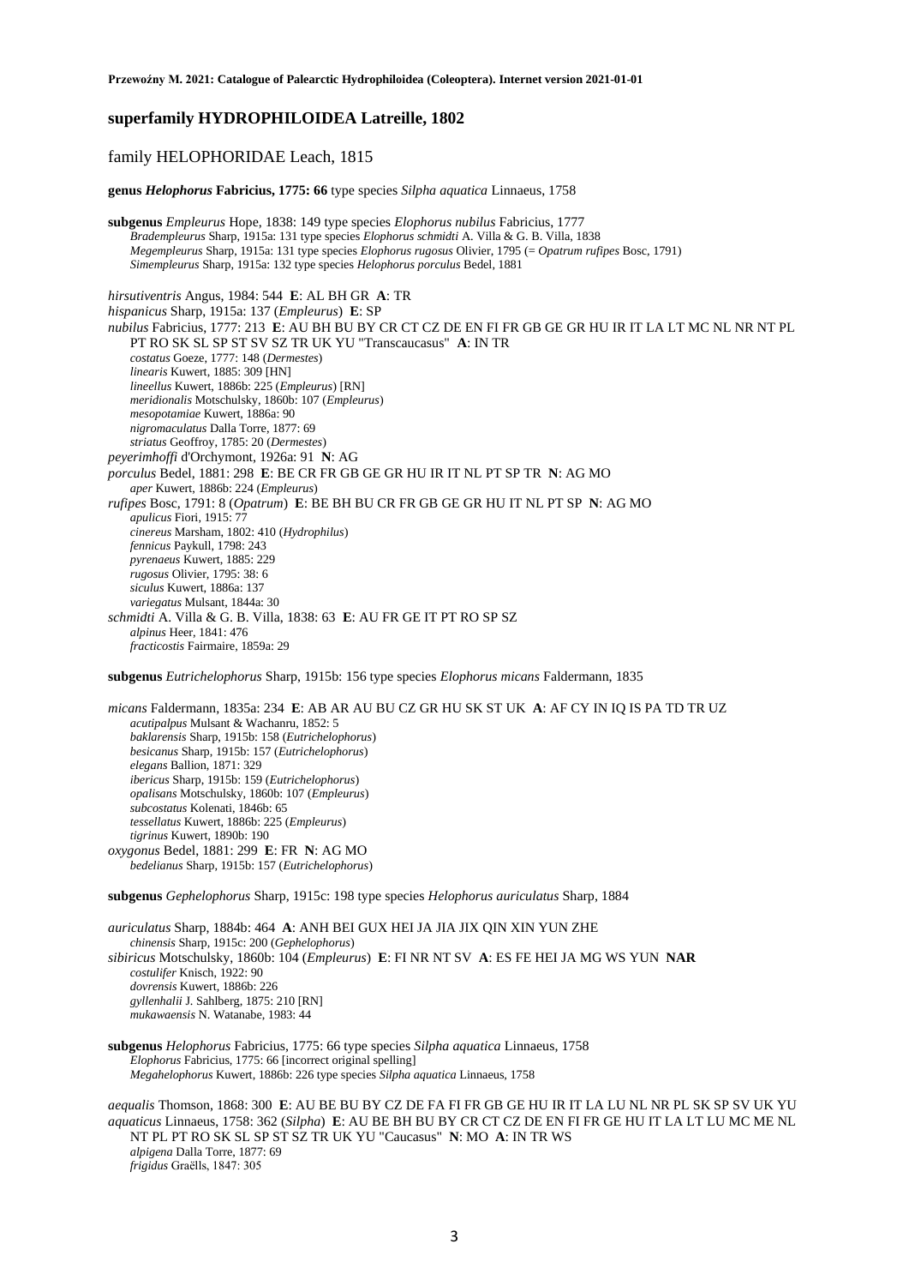## **superfamily HYDROPHILOIDEA Latreille, 1802**

## family HELOPHORIDAE Leach, 1815

**genus** *Helophorus* **Fabricius, 1775: 66** type species *Silpha aquatica* Linnaeus, 1758

**subgenus** *Empleurus* Hope, 1838: 149 type species *Elophorus nubilus* Fabricius, 1777 *Bradempleurus* Sharp, 1915a: 131 type species *Elophorus schmidti* A. Villa & G. B. Villa, 1838 *Megempleurus* Sharp, 1915a: 131 type species *Elophorus rugosus* Olivier, 1795 (= *Opatrum rufipes* Bosc, 1791) *Simempleurus* Sharp, 1915a: 132 type species *Helophorus porculus* Bedel, 1881

*hirsutiventris* Angus, 1984: 544 **E**: AL BH GR **A**: TR *hispanicus* Sharp, 1915a: 137 (*Empleurus*) **E**: SP *nubilus* Fabricius, 1777: 213 **E**: AU BH BU BY CR CT CZ DE EN FI FR GB GE GR HU IR IT LA LT MC NL NR NT PL PT RO SK SL SP ST SV SZ TR UK YU "Transcaucasus" **A**: IN TR *costatus* Goeze, 1777: 148 (*Dermestes*) *linearis* Kuwert, 1885: 309 [HN] *lineellus* Kuwert, 1886b: 225 (*Empleurus*) [RN] *meridionalis* Motschulsky, 1860b: 107 (*Empleurus*) *mesopotamiae* Kuwert, 1886a: 90 *nigromaculatus* Dalla Torre, 1877: 69 *striatus* Geoffroy, 1785: 20 (*Dermestes*) *peyerimhoffi* d'Orchymont, 1926a: 91 **N**: AG *porculus* Bedel, 1881: 298 **E**: BE CR FR GB GE GR HU IR IT NL PT SP TR **N**: AG MO *aper* Kuwert, 1886b: 224 (*Empleurus*) *rufipes* Bosc, 1791: 8 (*Opatrum*) **E**: BE BH BU CR FR GB GE GR HU IT NL PT SP **N**: AG MO *apulicus* Fiori, 1915: 77 *cinereus* Marsham, 1802: 410 (*Hydrophilus*) *fennicus* Paykull, 1798: 243 *pyrenaeus* Kuwert, 1885: 229 *rugosus* Olivier, 1795: 38: 6 *siculus* Kuwert, 1886a: 137 *variegatus* Mulsant, 1844a: 30 *schmidti* A. Villa & G. B. Villa, 1838: 63 **E**: AU FR GE IT PT RO SP SZ *alpinus* Heer, 1841: 476 *fracticostis* Fairmaire, 1859a: 29

**subgenus** *Eutrichelophorus* Sharp, 1915b: 156 type species *Elophorus micans* Faldermann, 1835

*micans* Faldermann, 1835a: 234 **E**: AB AR AU BU CZ GR HU SK ST UK **A**: AF CY IN IQ IS PA TD TR UZ *acutipalpus* Mulsant & Wachanru, 1852: 5 *baklarensis* Sharp, 1915b: 158 (*Eutrichelophorus*) *besicanus* Sharp, 1915b: 157 (*Eutrichelophorus*) *elegans* Ballion, 1871: 329 *ibericus* Sharp, 1915b: 159 (*Eutrichelophorus*) *opalisans* Motschulsky, 1860b: 107 (*Empleurus*) *subcostatus* Kolenati, 1846b: 65 *tessellatus* Kuwert, 1886b: 225 (*Empleurus*) *tigrinus* Kuwert, 1890b: 190 *oxygonus* Bedel, 1881: 299 **E**: FR **N**: AG MO *bedelianus* Sharp, 1915b: 157 (*Eutrichelophorus*)

**subgenus** *Gephelophorus* Sharp, 1915c: 198 type species *Helophorus auriculatus* Sharp, 1884

*auriculatus* Sharp, 1884b: 464 **A**: ANH BEI GUX HEI JA JIA JIX QIN XIN YUN ZHE *chinensis* Sharp, 1915c: 200 (*Gephelophorus*) *sibiricus* Motschulsky, 1860b: 104 (*Empleurus*) **E**: FI NR NT SV **A**: ES FE HEI JA MG WS YUN **NAR** *costulifer* Knisch, 1922: 90 *dovrensis* Kuwert, 1886b: 226 *gyllenhalii* J. Sahlberg, 1875: 210 [RN] *mukawaensis* N. Watanabe, 1983: 44

**subgenus** *Helophorus* Fabricius, 1775: 66 type species *Silpha aquatica* Linnaeus, 1758 *Elophorus* Fabricius, 1775: 66 [incorrect original spelling] *Megahelophorus* Kuwert, 1886b: 226 type species *Silpha aquatica* Linnaeus, 1758

*aequalis* Thomson, 1868: 300 **E**: AU BE BU BY CZ DE FA FI FR GB GE HU IR IT LA LU NL NR PL SK SP SV UK YU *aquaticus* Linnaeus, 1758: 362 (*Silpha*) **E**: AU BE BH BU BY CR CT CZ DE EN FI FR GE HU IT LA LT LU MC ME NL NT PL PT RO SK SL SP ST SZ TR UK YU "Caucasus" **N**: MO **A**: IN TR WS *alpigena* Dalla Torre, 1877: 69 *frigidus* Graëlls, 1847: 305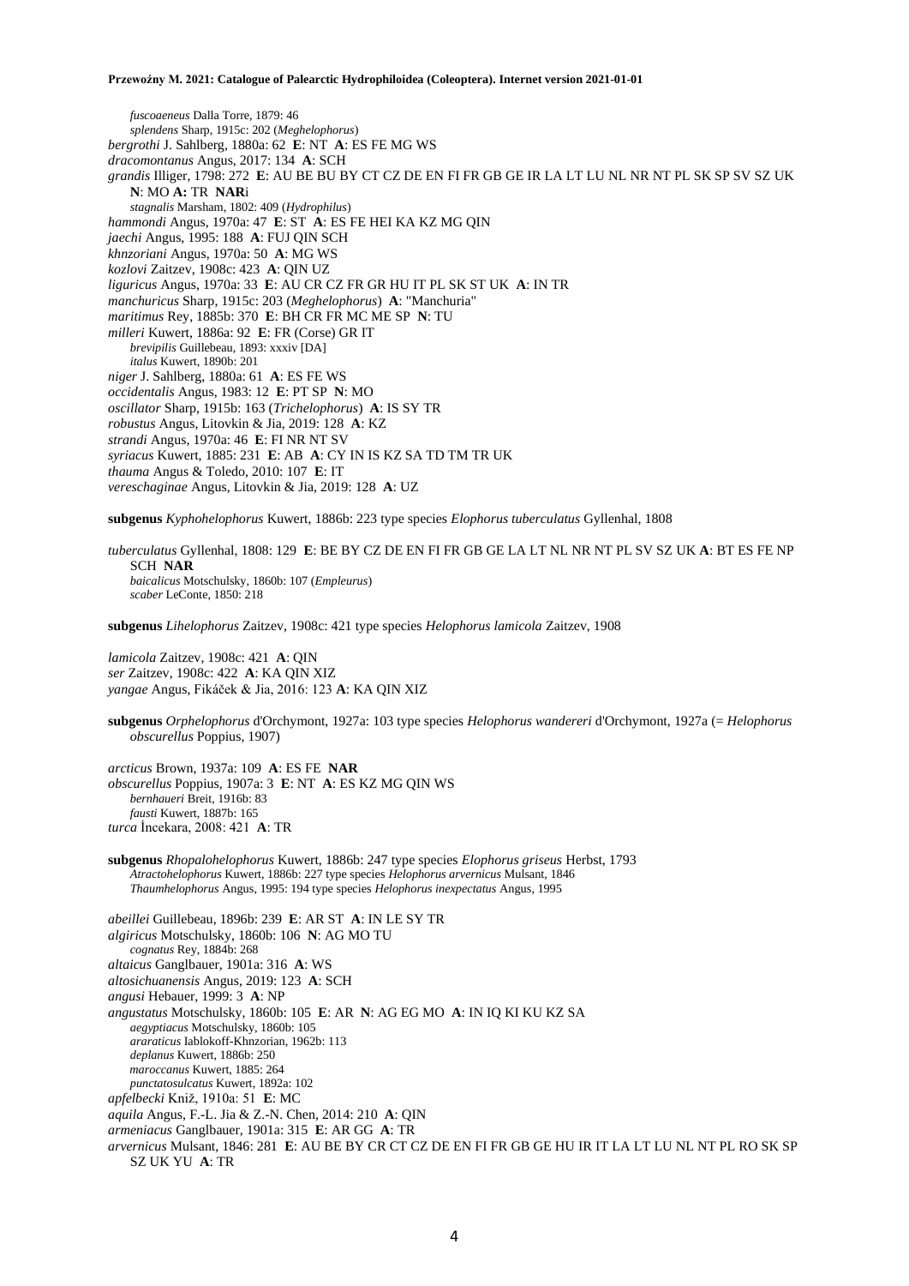*fuscoaeneus* Dalla Torre, 1879: 46 *splendens* Sharp, 1915c: 202 (*Meghelophorus*) *bergrothi* J. Sahlberg, 1880a: 62 **E**: NT **A**: ES FE MG WS *dracomontanus* Angus, 2017: 134 **A**: SCH *grandis* Illiger, 1798: 272 **E**: AU BE BU BY CT CZ DE EN FI FR GB GE IR LA LT LU NL NR NT PL SK SP SV SZ UK **N**: MO **A:** TR **NAR**i *stagnalis* Marsham, 1802: 409 (*Hydrophilus*) *hammondi* Angus, 1970a: 47 **E**: ST **A**: ES FE HEI KA KZ MG QIN *jaechi* Angus, 1995: 188 **A**: FUJ QIN SCH *khnzoriani* Angus, 1970a: 50 **A**: MG WS *kozlovi* Zaitzev, 1908c: 423 **A**: QIN UZ *liguricus* Angus, 1970a: 33 **E**: AU CR CZ FR GR HU IT PL SK ST UK **A**: IN TR *manchuricus* Sharp, 1915c: 203 (*Meghelophorus*) **A**: "Manchuria" *maritimus* Rey, 1885b: 370 **E**: BH CR FR MC ME SP **N**: TU *milleri* Kuwert, 1886a: 92 **E**: FR (Corse) GR IT *brevipilis* Guillebeau, 1893: xxxiv [DA] *italus* Kuwert, 1890b: 201 *niger* J. Sahlberg, 1880a: 61 **A**: ES FE WS *occidentalis* Angus, 1983: 12 **E**: PT SP **N**: MO *oscillator* Sharp, 1915b: 163 (*Trichelophorus*) **A**: IS SY TR *robustus* Angus, Litovkin & Jia, 2019: 128 **A**: KZ *strandi* Angus, 1970a: 46 **E**: FI NR NT SV *syriacus* Kuwert, 1885: 231 **E**: AB **A**: CY IN IS KZ SA TD TM TR UK *thauma* Angus & Toledo, 2010: 107 **E**: IT *vereschaginae* Angus, Litovkin & Jia, 2019: 128 **A**: UZ

**subgenus** *Kyphohelophorus* Kuwert, 1886b: 223 type species *Elophorus tuberculatus* Gyllenhal, 1808

*tuberculatus* Gyllenhal, 1808: 129 **E**: BE BY CZ DE EN FI FR GB GE LA LT NL NR NT PL SV SZ UK **A**: BT ES FE NP SCH **NAR** *baicalicus* Motschulsky, 1860b: 107 (*Empleurus*) *scaber* LeConte, 1850: 218

**subgenus** *Lihelophorus* Zaitzev, 1908c: 421 type species *Helophorus lamicola* Zaitzev, 1908

*lamicola* Zaitzev, 1908c: 421 **A**: QIN *ser* Zaitzev, 1908c: 422 **A**: KA QIN XIZ *yangae* Angus, Fikáček & Jia, 2016: 123 **A**: KA QIN XIZ

**subgenus** *Orphelophorus* d'Orchymont, 1927a: 103 type species *Helophorus wandereri* d'Orchymont, 1927a (= *Helophorus obscurellus* Poppius, 1907)

*arcticus* Brown, 1937a: 109 **A**: ES FE **NAR** *obscurellus* Poppius, 1907a: 3 **E**: NT **A**: ES KZ MG QIN WS *bernhaueri* Breit, 1916b: 83 *fausti* Kuwert, 1887b: 165 *turca* İncekara, 2008: 421 **A**: TR

**subgenus** *Rhopalohelophorus* Kuwert, 1886b: 247 type species *Elophorus griseus* Herbst, 1793 *Atractohelophorus* Kuwert, 1886b: 227 type species *Helophorus arvernicus* Mulsant, 1846 *Thaumhelophorus* Angus, 1995: 194 type species *Helophorus inexpectatus* Angus, 1995

*abeillei* Guillebeau, 1896b: 239 **E**: AR ST **A**: IN LE SY TR *algiricus* Motschulsky, 1860b: 106 **N**: AG MO TU *cognatus* Rey, 1884b: 268 *altaicus* Ganglbauer, 1901a: 316 **A**: WS *altosichuanensis* Angus, 2019: 123 **A**: SCH *angusi* Hebauer, 1999: 3 **A**: NP *angustatus* Motschulsky, 1860b: 105 **E**: AR **N**: AG EG MO **A**: IN IQ KI KU KZ SA *aegyptiacus* Motschulsky, 1860b: 105 *araraticus* Iablokoff-Khnzorian, 1962b: 113 *deplanus* Kuwert, 1886b: 250 *maroccanus* Kuwert, 1885: 264 *punctatosulcatus* Kuwert, 1892a: 102 *apfelbecki* Kniž, 1910a: 51 **E**: MC *aquila* Angus, F.-L. Jia & Z.-N. Chen, 2014: 210 **A**: QIN *armeniacus* Ganglbauer, 1901a: 315 **E**: AR GG **A**: TR *arvernicus* Mulsant, 1846: 281 **E**: AU BE BY CR CT CZ DE EN FI FR GB GE HU IR IT LA LT LU NL NT PL RO SK SP SZ UK YU **A**: TR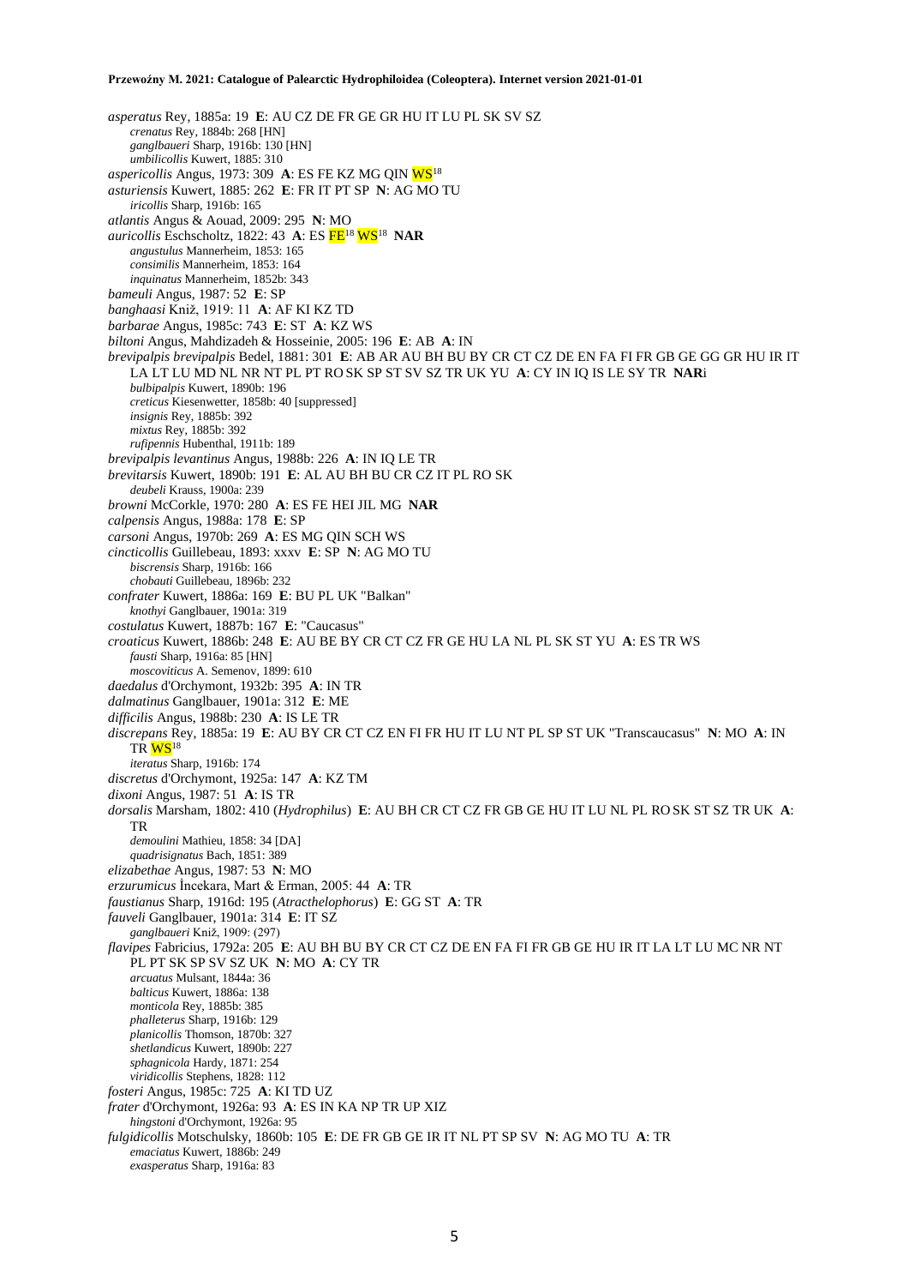*asperatus* Rey, 1885a: 19 **E**: AU CZ DE FR GE GR HU IT LU PL SK SV SZ *crenatus* Rey, 1884b: 268 [HN] *ganglbaueri* Sharp, 1916b: 130 [HN] *umbilicollis* Kuwert, 1885: 310 *aspericollis* Angus, 1973: 309 **A**: ES FE KZ MG QIN WS<sup>18</sup> *asturiensis* Kuwert, 1885: 262 **E**: FR IT PT SP **N**: AG MO TU *iricollis* Sharp, 1916b: 165 *atlantis* Angus & Aouad, 2009: 295 **N**: MO *auricollis* Eschscholtz, 1822: 43 **A**: ES FE<sup>18</sup> WS<sup>18</sup> **NAR** *angustulus* Mannerheim, 1853: 165 *consimilis* Mannerheim, 1853: 164 *inquinatus* Mannerheim, 1852b: 343 *bameuli* Angus, 1987: 52 **E**: SP *banghaasi* Kniž, 1919: 11 **A**: AF KI KZ TD *barbarae* Angus, 1985c: 743 **E**: ST **A**: KZ WS *biltoni* Angus, Mahdizadeh & Hosseinie, 2005: 196 **E**: AB **A**: IN *brevipalpis brevipalpis* Bedel, 1881: 301 **E**: AB AR AU BH BU BY CR CT CZ DE EN FA FI FR GB GE GG GR HU IR IT LA LT LU MD NL NR NT PL PT RO SK SP ST SV SZ TR UK YU **A**: CY IN IQ IS LE SY TR **NAR**i *bulbipalpis* Kuwert, 1890b: 196 *creticus* Kiesenwetter, 1858b: 40 [suppressed] *insignis* Rey, 1885b: 392 *mixtus* Rey, 1885b: 392 *rufipennis* Hubenthal, 1911b: 189 *brevipalpis levantinus* Angus, 1988b: 226 **A**: IN IQ LE TR *brevitarsis* Kuwert, 1890b: 191 **E**: AL AU BH BU CR CZ IT PL RO SK *deubeli* Krauss, 1900a: 239 *browni* McCorkle, 1970: 280 **A**: ES FE HEI JIL MG **NAR** *calpensis* Angus, 1988a: 178 **E**: SP *carsoni* Angus, 1970b: 269 **A**: ES MG QIN SCH WS *cincticollis* Guillebeau, 1893: xxxv **E**: SP **N**: AG MO TU *biscrensis* Sharp, 1916b: 166 *chobauti* Guillebeau, 1896b: 232 *confrater* Kuwert, 1886a: 169 **E**: BU PL UK "Balkan" *knothyi* Ganglbauer, 1901a: 319 *costulatus* Kuwert, 1887b: 167 **E**: "Caucasus" *croaticus* Kuwert, 1886b: 248 **E**: AU BE BY CR CT CZ FR GE HU LA NL PL SK ST YU **A**: ES TR WS *fausti* Sharp, 1916a: 85 [HN] *moscoviticus* A. Semenov, 1899: 610 *daedalus* d'Orchymont, 1932b: 395 **A**: IN TR *dalmatinus* Ganglbauer, 1901a: 312 **E**: ME *difficilis* Angus, 1988b: 230 **A**: IS LE TR *discrepans* Rey, 1885a: 19 **E**: AU BY CR CT CZ EN FI FR HU IT LU NT PL SP ST UK "Transcaucasus" **N**: MO **A**: IN TR WS<sup>18</sup> *iteratus* Sharp, 1916b: 174 *discretus* d'Orchymont, 1925a: 147 **A**: KZ TM *dixoni* Angus, 1987: 51 **A**: IS TR *dorsalis* Marsham, 1802: 410 (*Hydrophilus*) **E**: AU BH CR CT CZ FR GB GE HU IT LU NL PL RO SK ST SZ TR UK **A**: TR *demoulini* Mathieu, 1858: 34 [DA] *quadrisignatus* Bach, 1851: 389 *elizabethae* Angus, 1987: 53 **N**: MO *erzurumicus* İncekara, Mart & Erman, 2005: 44 **A**: TR *faustianus* Sharp, 1916d: 195 (*Atracthelophorus*) **E**: GG ST **A**: TR *fauveli* Ganglbauer, 1901a: 314 **E**: IT SZ *ganglbaueri* Kniž, 1909: (297) *flavipes* Fabricius, 1792a: 205 **E**: AU BH BU BY CR CT CZ DE EN FA FI FR GB GE HU IR IT LA LT LU MC NR NT PL PT SK SP SV SZ UK **N**: MO **A**: CY TR *arcuatus* Mulsant, 1844a: 36 *balticus* Kuwert, 1886a: 138 *monticola* Rey, 1885b: 385 *phalleterus* Sharp, 1916b: 129 *planicollis* Thomson, 1870b: 327 *shetlandicus* Kuwert, 1890b: 227 *sphagnicola* Hardy, 1871: 254 *viridicollis* Stephens, 1828: 112 *fosteri* Angus, 1985c: 725 **A**: KI TD UZ *frater* d'Orchymont, 1926a: 93 **A**: ES IN KA NP TR UP XIZ *hingstoni* d'Orchymont, 1926a: 95 *fulgidicollis* Motschulsky, 1860b: 105 **E**: DE FR GB GE IR IT NL PT SP SV **N**: AG MO TU **A**: TR *emaciatus* Kuwert, 1886b: 249 *exasperatus* Sharp, 1916a: 83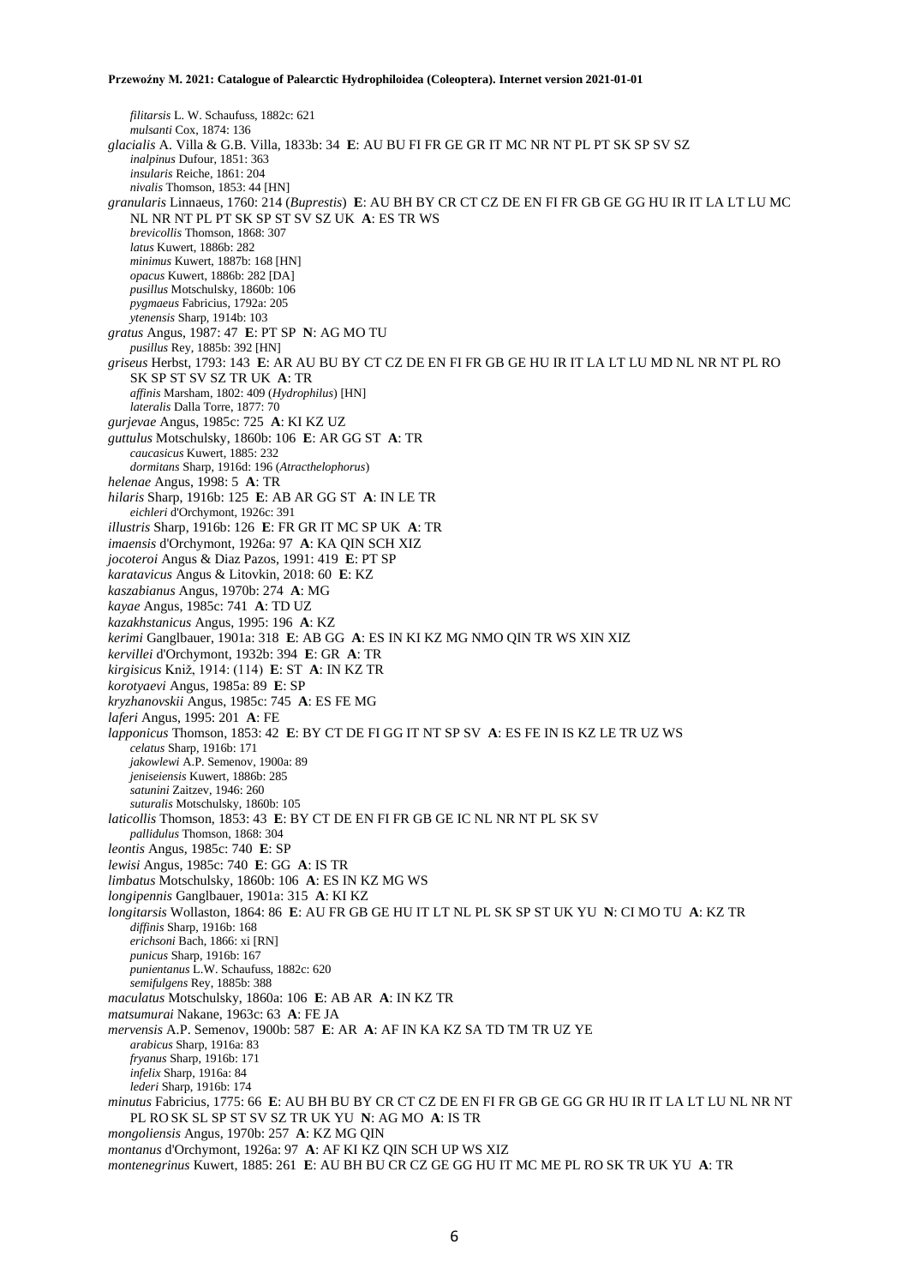*filitarsis* L. W. Schaufuss, 1882c: 621 *mulsanti* Cox, 1874: 136 *glacialis* A. Villa & G.B. Villa, 1833b: 34 **E**: AU BU FI FR GE GR IT MC NR NT PL PT SK SP SV SZ *inalpinus* Dufour, 1851: 363 *insularis* Reiche, 1861: 204 *nivalis* Thomson, 1853: 44 [HN] *granularis* Linnaeus, 1760: 214 (*Buprestis*) **E**: AU BH BY CR CT CZ DE EN FI FR GB GE GG HU IR IT LA LT LU MC NL NR NT PL PT SK SP ST SV SZ UK **A**: ES TR WS *brevicollis* Thomson, 1868: 307 *latus* Kuwert, 1886b: 282 *minimus* Kuwert, 1887b: 168 [HN] *opacus* Kuwert, 1886b: 282 [DA] *pusillus* Motschulsky, 1860b: 106 *pygmaeus* Fabricius, 1792a: 205 *ytenensis* Sharp, 1914b: 103 *gratus* Angus, 1987: 47 **E**: PT SP **N**: AG MO TU *pusillus* Rey, 1885b: 392 [HN] *griseus* Herbst, 1793: 143 **E**: AR AU BU BY CT CZ DE EN FI FR GB GE HU IR IT LA LT LU MD NL NR NT PL RO SK SP ST SV SZ TR UK **A**: TR *affinis* Marsham, 1802: 409 (*Hydrophilus*) [HN] *lateralis* Dalla Torre, 1877: 70 *gurjevae* Angus, 1985c: 725 **A**: KI KZ UZ *guttulus* Motschulsky, 1860b: 106 **E**: AR GG ST **A**: TR *caucasicus* Kuwert, 1885: 232 *dormitans* Sharp, 1916d: 196 (*Atracthelophorus*) *helenae* Angus, 1998: 5 **A**: TR *hilaris* Sharp, 1916b: 125 **E**: AB AR GG ST **A**: IN LE TR *eichleri* d'Orchymont, 1926c: 391 *illustris* Sharp, 1916b: 126 **E**: FR GR IT MC SP UK **A**: TR *imaensis* d'Orchymont, 1926a: 97 **A**: KA QIN SCH XIZ *jocoteroi* Angus & Diaz Pazos, 1991: 419 **E**: PT SP *karatavicus* Angus & Litovkin, 2018: 60 **E**: KZ *kaszabianus* Angus, 1970b: 274 **A**: MG *kayae* Angus, 1985c: 741 **A**: TD UZ *kazakhstanicus* Angus, 1995: 196 **A**: KZ *kerimi* Ganglbauer, 1901a: 318 **E**: AB GG **A**: ES IN KI KZ MG NMO QIN TR WS XIN XIZ *kervillei* d'Orchymont, 1932b: 394 **E**: GR **A**: TR *kirgisicus* Kniž, 1914: (114) **E**: ST **A**: IN KZ TR *korotyaevi* Angus, 1985a: 89 **E**: SP *kryzhanovskii* Angus, 1985c: 745 **A**: ES FE MG *laferi* Angus, 1995: 201 **A**: FE *lapponicus* Thomson, 1853: 42 **E**: BY CT DE FI GG IT NT SP SV **A**: ES FE IN IS KZ LE TR UZ WS *celatus* Sharp, 1916b: 171 *jakowlewi* A.P. Semenov, 1900a: 89 *jeniseiensis* Kuwert, 1886b: 285 *satunini* Zaitzev, 1946: 260 *suturalis* Motschulsky, 1860b: 105 *laticollis* Thomson, 1853: 43 **E**: BY CT DE EN FI FR GB GE IC NL NR NT PL SK SV *pallidulus* Thomson, 1868: 304 *leontis* Angus, 1985c: 740 **E**: SP *lewisi* Angus, 1985c: 740 **E**: GG **A**: IS TR *limbatus* Motschulsky, 1860b: 106 **A**: ES IN KZ MG WS *longipennis* Ganglbauer, 1901a: 315 **A**: KI KZ *longitarsis* Wollaston, 1864: 86 **E**: AU FR GB GE HU IT LT NL PL SK SP ST UK YU **N**: CI MO TU **A**: KZ TR *diffinis* Sharp, 1916b: 168 *erichsoni* Bach, 1866: xi [RN] *punicus* Sharp, 1916b: 167 *punientanus* L.W. Schaufuss, 1882c: 620 *semifulgens* Rey, 1885b: 388 *maculatus* Motschulsky, 1860a: 106 **E**: AB AR **A**: IN KZ TR *matsumurai* Nakane, 1963c: 63 **A**: FE JA *mervensis* A.P. Semenov, 1900b: 587 **E**: AR **A**: AF IN KA KZ SA TD TM TR UZ YE *arabicus* Sharp, 1916a: 83 *fryanus* Sharp, 1916b: 171 *infelix* Sharp, 1916a: 84 *lederi* Sharp, 1916b: 174 *minutus* Fabricius, 1775: 66 **E**: AU BH BU BY CR CT CZ DE EN FI FR GB GE GG GR HU IR IT LA LT LU NL NR NT PL RO SK SL SP ST SV SZ TR UK YU **N**: AG MO **A**: IS TR *mongoliensis* Angus, 1970b: 257 **A**: KZ MG QIN *montanus* d'Orchymont, 1926a: 97 **A**: AF KI KZ QIN SCH UP WS XIZ *montenegrinus* Kuwert, 1885: 261 **E**: AU BH BU CR CZ GE GG HU IT MC ME PL RO SK TR UK YU **A**: TR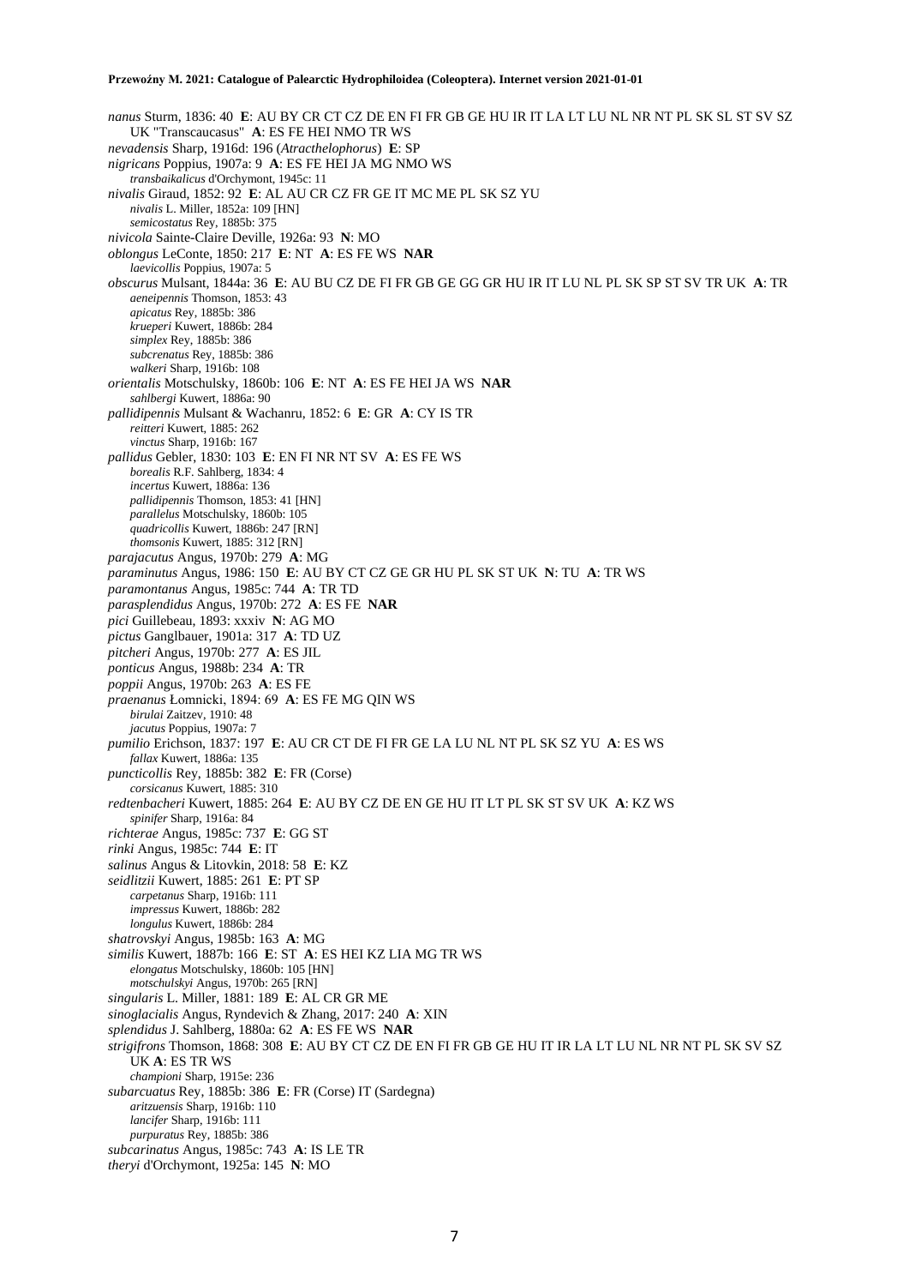*nanus* Sturm, 1836: 40 **E**: AU BY CR CT CZ DE EN FI FR GB GE HU IR IT LA LT LU NL NR NT PL SK SL ST SV SZ UK "Transcaucasus" **A**: ES FE HEI NMO TR WS *nevadensis* Sharp, 1916d: 196 (*Atracthelophorus*) **E**: SP *nigricans* Poppius, 1907a: 9 **A**: ES FE HEI JA MG NMO WS *transbaikalicus* d'Orchymont, 1945c: 11 *nivalis* Giraud, 1852: 92 **E**: AL AU CR CZ FR GE IT MC ME PL SK SZ YU *nivalis* L. Miller, 1852a: 109 [HN] *semicostatus* Rey, 1885b: 375 *nivicola* Sainte-Claire Deville, 1926a: 93 **N**: MO *oblongus* LeConte, 1850: 217 **E**: NT **A**: ES FE WS **NAR** *laevicollis* Poppius, 1907a: 5 *obscurus* Mulsant, 1844a: 36 **E**: AU BU CZ DE FI FR GB GE GG GR HU IR IT LU NL PL SK SP ST SV TR UK **A**: TR *aeneipennis* Thomson, 1853: 43 *apicatus* Rey, 1885b: 386 *krueperi* Kuwert, 1886b: 284 *simplex* Rey, 1885b: 386 *subcrenatus* Rey, 1885b: 386 *walkeri* Sharp, 1916b: 108 *orientalis* Motschulsky, 1860b: 106 **E**: NT **A**: ES FE HEI JA WS **NAR** *sahlbergi* Kuwert, 1886a: 90 *pallidipennis* Mulsant & Wachanru, 1852: 6 **E**: GR **A**: CY IS TR *reitteri* Kuwert, 1885: 262 *vinctus* Sharp, 1916b: 167 *pallidus* Gebler, 1830: 103 **E**: EN FI NR NT SV **A**: ES FE WS *borealis* R.F. Sahlberg, 1834: 4 *incertus* Kuwert, 1886a: 136 *pallidipennis* Thomson, 1853: 41 [HN] *parallelus* Motschulsky, 1860b: 105 *quadricollis* Kuwert, 1886b: 247 [RN] *thomsonis* Kuwert, 1885: 312 [RN] *parajacutus* Angus, 1970b: 279 **A**: MG *paraminutus* Angus, 1986: 150 **E**: AU BY CT CZ GE GR HU PL SK ST UK **N**: TU **A**: TR WS *paramontanus* Angus, 1985c: 744 **A**: TR TD *parasplendidus* Angus, 1970b: 272 **A**: ES FE **NAR** *pici* Guillebeau, 1893: xxxiv **N**: AG MO *pictus* Ganglbauer, 1901a: 317 **A**: TD UZ *pitcheri* Angus, 1970b: 277 **A**: ES JIL *ponticus* Angus, 1988b: 234 **A**: TR *poppii* Angus, 1970b: 263 **A**: ES FE *praenanus* Łomnicki, 1894: 69 **A**: ES FE MG QIN WS *birulai* Zaitzev, 1910: 48 *jacutus* Poppius, 1907a: 7 *pumilio* Erichson, 1837: 197 **E**: AU CR CT DE FI FR GE LA LU NL NT PL SK SZ YU **A**: ES WS *fallax* Kuwert, 1886a: 135 *puncticollis* Rey, 1885b: 382 **E**: FR (Corse) *corsicanus* Kuwert, 1885: 310 *redtenbacheri* Kuwert, 1885: 264 **E**: AU BY CZ DE EN GE HU IT LT PL SK ST SV UK **A**: KZ WS *spinifer* Sharp, 1916a: 84 *richterae* Angus, 1985c: 737 **E**: GG ST *rinki* Angus, 1985c: 744 **E**: IT *salinus* Angus & Litovkin, 2018: 58 **E**: KZ *seidlitzii* Kuwert, 1885: 261 **E**: PT SP *carpetanus* Sharp, 1916b: 111 *impressus* Kuwert, 1886b: 282 *longulus* Kuwert, 1886b: 284 *shatrovskyi* Angus, 1985b: 163 **A**: MG *similis* Kuwert, 1887b: 166 **E**: ST **A**: ES HEI KZ LIA MG TR WS *elongatus* Motschulsky, 1860b: 105 [HN] *motschulskyi* Angus, 1970b: 265 [RN] *singularis* L. Miller, 1881: 189 **E**: AL CR GR ME *sinoglacialis* Angus, Ryndevich & Zhang, 2017: 240 **A**: XIN *splendidus* J. Sahlberg, 1880a: 62 **A**: ES FE WS **NAR** *strigifrons* Thomson, 1868: 308 **E**: AU BY CT CZ DE EN FI FR GB GE HU IT IR LA LT LU NL NR NT PL SK SV SZ UK **A**: ES TR WS *championi* Sharp, 1915e: 236 *subarcuatus* Rey, 1885b: 386 **E**: FR (Corse) IT (Sardegna) *aritzuensis* Sharp, 1916b: 110 *lancifer* Sharp, 1916b: 111 *purpuratus* Rey, 1885b: 386 *subcarinatus* Angus, 1985c: 743 **A**: IS LE TR *theryi* d'Orchymont, 1925a: 145 **N**: MO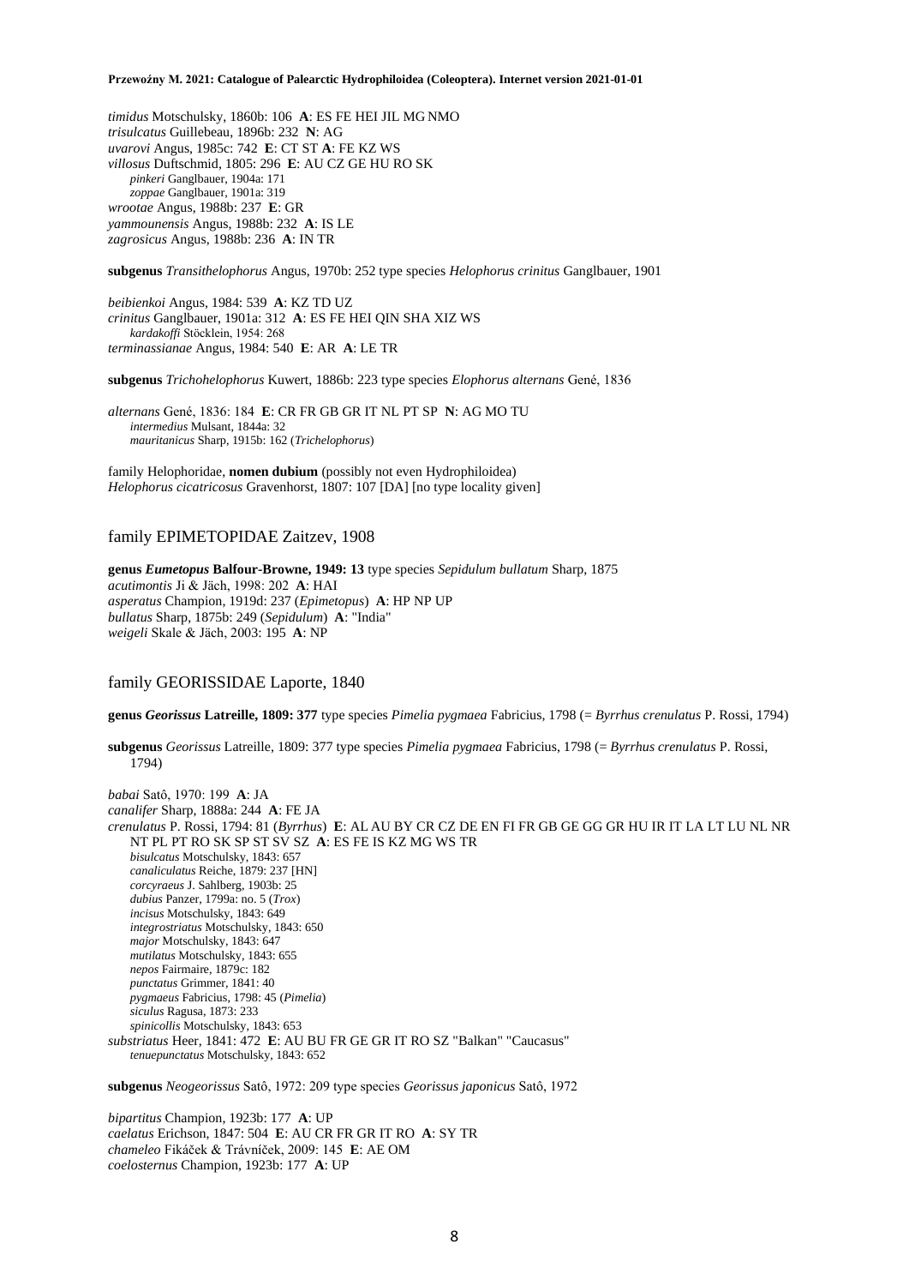*timidus* Motschulsky, 1860b: 106 **A**: ES FE HEI JIL MG NMO *trisulcatus* Guillebeau, 1896b: 232 **N**: AG *uvarovi* Angus, 1985c: 742 **E**: CT ST **A**: FE KZ WS *villosus* Duftschmid, 1805: 296 **E**: AU CZ GE HU RO SK *pinkeri* Ganglbauer, 1904a: 171 *zoppae* Ganglbauer, 1901a: 319 *wrootae* Angus, 1988b: 237 **E**: GR *yammounensis* Angus, 1988b: 232 **A**: IS LE *zagrosicus* Angus, 1988b: 236 **A**: IN TR

**subgenus** *Transithelophorus* Angus, 1970b: 252 type species *Helophorus crinitus* Ganglbauer, 1901

*beibienkoi* Angus, 1984: 539 **A**: KZ TD UZ *crinitus* Ganglbauer, 1901a: 312 **A**: ES FE HEI QIN SHA XIZ WS *kardakoffi* Stöcklein, 1954: 268 *terminassianae* Angus, 1984: 540 **E**: AR **A**: LE TR

**subgenus** *Trichohelophorus* Kuwert, 1886b: 223 type species *Elophorus alternans* Gené, 1836

*alternans* Gené, 1836: 184 **E**: CR FR GB GR IT NL PT SP **N**: AG MO TU *intermedius* Mulsant, 1844a: 32 *mauritanicus* Sharp, 1915b: 162 (*Trichelophorus*)

family Helophoridae, **nomen dubium** (possibly not even Hydrophiloidea) *Helophorus cicatricosus* Gravenhorst, 1807: 107 [DA] [no type locality given]

## family EPIMETOPIDAE Zaitzev, 1908

**genus** *Eumetopus* **Balfour-Browne, 1949: 13** type species *Sepidulum bullatum* Sharp, 1875 *acutimontis* Ji & Jäch, 1998: 202 **A**: HAI *asperatus* Champion, 1919d: 237 (*Epimetopus*) **A**: HP NP UP *bullatus* Sharp, 1875b: 249 (*Sepidulum*) **A**: "India" *weigeli* Skale & Jäch, 2003: 195 **A**: NP

## family GEORISSIDAE Laporte, 1840

**genus** *Georissus* **Latreille, 1809: 377** type species *Pimelia pygmaea* Fabricius, 1798 (= *Byrrhus crenulatus* P. Rossi, 1794)

**subgenus** *Georissus* Latreille, 1809: 377 type species *Pimelia pygmaea* Fabricius, 1798 (= *Byrrhus crenulatus* P. Rossi, 1794)

*babai* Satô, 1970: 199 **A**: JA *canalifer* Sharp, 1888a: 244 **A**: FE JA *crenulatus* P. Rossi, 1794: 81 (*Byrrhus*) **E**: AL AU BY CR CZ DE EN FI FR GB GE GG GR HU IR IT LA LT LU NL NR NT PL PT RO SK SP ST SV SZ **A**: ES FE IS KZ MG WS TR *bisulcatus* Motschulsky, 1843: 657 *canaliculatus* Reiche, 1879: 237 [HN] *corcyraeus* J. Sahlberg, 1903b: 25 *dubius* Panzer, 1799a: no. 5 (*Trox*) *incisus* Motschulsky, 1843: 649 *integrostriatus* Motschulsky, 1843: 650 *major* Motschulsky, 1843: 647 *mutilatus* Motschulsky, 1843: 655 *nepos* Fairmaire, 1879c: 182 *punctatus* Grimmer, 1841: 40 *pygmaeus* Fabricius, 1798: 45 (*Pimelia*) *siculus* Ragusa, 1873: 233 *spinicollis* Motschulsky, 1843: 653 *substriatus* Heer, 1841: 472 **E**: AU BU FR GE GR IT RO SZ "Balkan" "Caucasus" *tenuepunctatus* Motschulsky, 1843: 652

**subgenus** *Neogeorissus* Satô, 1972: 209 type species *Georissus japonicus* Satô, 1972

*bipartitus* Champion, 1923b: 177 **A**: UP *caelatus* Erichson, 1847: 504 **E**: AU CR FR GR IT RO **A**: SY TR *chameleo* Fikáček & Trávníček, 2009: 145 **E**: AE OM *coelosternus* Champion, 1923b: 177 **A**: UP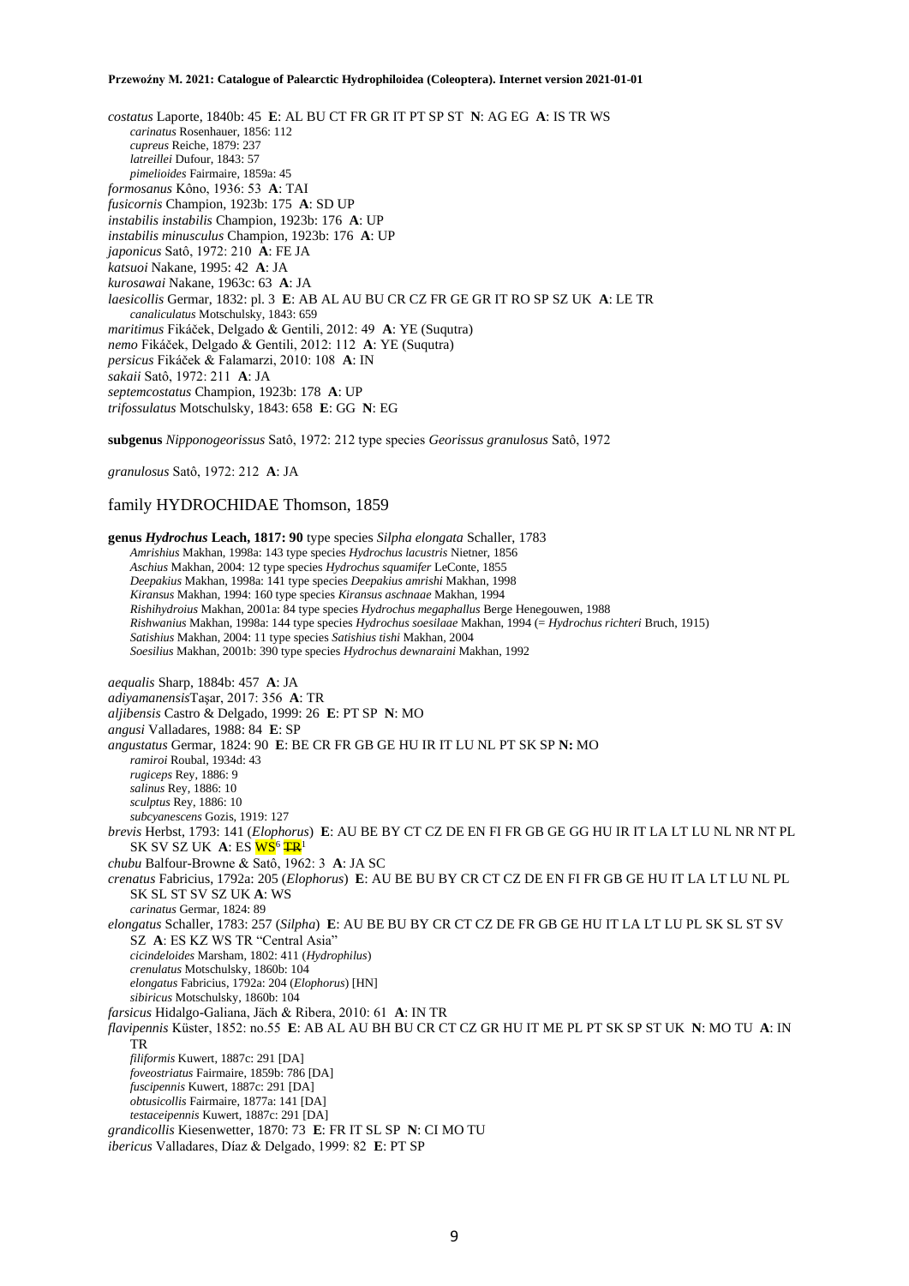*costatus* Laporte, 1840b: 45 **E**: AL BU CT FR GR IT PT SP ST **N**: AG EG **A**: IS TR WS *carinatus* Rosenhauer, 1856: 112 *cupreus* Reiche, 1879: 237 *latreillei* Dufour, 1843: 57 *pimelioides* Fairmaire, 1859a: 45 *formosanus* Kôno, 1936: 53 **A**: TAI *fusicornis* Champion, 1923b: 175 **A**: SD UP *instabilis instabilis* Champion, 1923b: 176 **A**: UP *instabilis minusculus* Champion, 1923b: 176 **A**: UP *japonicus* Satô, 1972: 210 **A**: FE JA *katsuoi* Nakane, 1995: 42 **A**: JA *kurosawai* Nakane, 1963c: 63 **A**: JA *laesicollis* Germar, 1832: pl. 3 **E**: AB AL AU BU CR CZ FR GE GR IT RO SP SZ UK **A**: LE TR *canaliculatus* Motschulsky, 1843: 659 *maritimus* Fikáček, Delgado & Gentili, 2012: 49 **A**: YE (Suqutra) *nemo* Fikáček, Delgado & Gentili, 2012: 112 **A**: YE (Suqutra) *persicus* Fikáček & Falamarzi, 2010: 108 **A**: IN *sakaii* Satô, 1972: 211 **A**: JA *septemcostatus* Champion, 1923b: 178 **A**: UP *trifossulatus* Motschulsky, 1843: 658 **E**: GG **N**: EG

**subgenus** *Nipponogeorissus* Satô, 1972: 212 type species *Georissus granulosus* Satô, 1972

*granulosus* Satô, 1972: 212 **A**: JA

## family HYDROCHIDAE Thomson, 1859

**genus** *Hydrochus* **Leach, 1817: 90** type species *Silpha elongata* Schaller, 1783 *Amrishius* Makhan, 1998a: 143 type species *Hydrochus lacustris* Nietner, 1856 *Aschius* Makhan, 2004: 12 type species *Hydrochus squamifer* LeConte, 1855 *Deepakius* Makhan, 1998a: 141 type species *Deepakius amrishi* Makhan, 1998 *Kiransus* Makhan, 1994: 160 type species *Kiransus aschnaae* Makhan, 1994 *Rishihydroius* Makhan, 2001a: 84 type species *Hydrochus megaphallus* Berge Henegouwen, 1988 *Rishwanius* Makhan, 1998a: 144 type species *Hydrochus soesilaae* Makhan, 1994 (= *Hydrochus richteri* Bruch, 1915) *Satishius* Makhan, 2004: 11 type species *Satishius tishi* Makhan, 2004 *Soesilius* Makhan, 2001b: 390 type species *Hydrochus dewnaraini* Makhan, 1992 *aequalis* Sharp, 1884b: 457 **A**: JA *adiyamanensis*Taşar, 2017: 356 **A**: TR *aljibensis* Castro & Delgado, 1999: 26 **E**: PT SP **N**: MO *angusi* Valladares, 1988: 84 **E**: SP *angustatus* Germar, 1824: 90 **E**: BE CR FR GB GE HU IR IT LU NL PT SK SP **N:** MO *ramiroi* Roubal, 1934d: 43 *rugiceps* Rey, 1886: 9 *salinus* Rey, 1886: 10 *sculptus* Rey, 1886: 10 *subcyanescens* Gozis, 1919: 127 *brevis* Herbst, 1793: 141 (*Elophorus*) **E**: AU BE BY CT CZ DE EN FI FR GB GE GG HU IR IT LA LT LU NL NR NT PL SK SV SZ UK A: ES <mark>WS<sup>6</sup> <del>TR</del></mark> *chubu* Balfour-Browne & Satô, 1962: 3 **A**: JA SC *crenatus* Fabricius, 1792a: 205 (*Elophorus*) **E**: AU BE BU BY CR CT CZ DE EN FI FR GB GE HU IT LA LT LU NL PL SK SL ST SV SZ UK **A**: WS *carinatus* Germar, 1824: 89 *elongatus* Schaller, 1783: 257 (*Silpha*) **E**: AU BE BU BY CR CT CZ DE FR GB GE HU IT LA LT LU PL SK SL ST SV SZ **A**: ES KZ WS TR "Central Asia" *cicindeloides* Marsham, 1802: 411 (*Hydrophilus*) *crenulatus* Motschulsky, 1860b: 104 *elongatus* Fabricius, 1792a: 204 (*Elophorus*) [HN] *sibiricus* Motschulsky, 1860b: 104 *farsicus* Hidalgo-Galiana, Jäch & Ribera, 2010: 61 **A**: IN TR *flavipennis* Küster, 1852: no.55 **E**: AB AL AU BH BU CR CT CZ GR HU IT ME PL PT SK SP ST UK **N**: MO TU **A**: IN TR *filiformis* Kuwert, 1887c: 291 [DA] *foveostriatus* Fairmaire, 1859b: 786 [DA] *fuscipennis* Kuwert, 1887c: 291 [DA] *obtusicollis* Fairmaire, 1877a: 141 [DA] *testaceipennis* Kuwert, 1887c: 291 [DA] *grandicollis* Kiesenwetter, 1870: 73 **E**: FR IT SL SP **N**: CI MO TU *ibericus* Valladares, Díaz & Delgado, 1999: 82 **E**: PT SP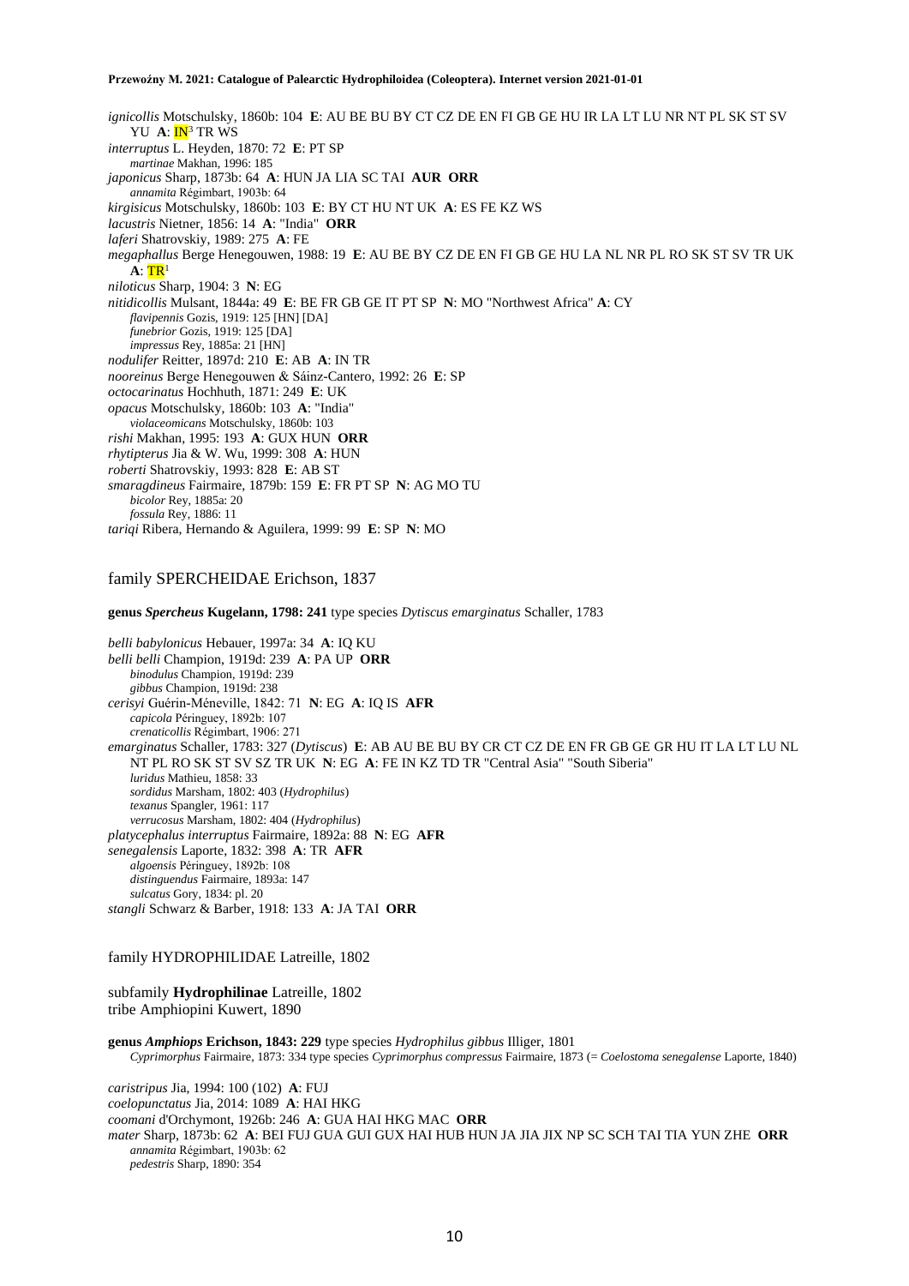*ignicollis* Motschulsky, 1860b: 104 **E**: AU BE BU BY CT CZ DE EN FI GB GE HU IR LA LT LU NR NT PL SK ST SV YU **A**: **IN**<sup>3</sup> TR WS *interruptus* L. Heyden, 1870: 72 **E**: PT SP *martinae* Makhan, 1996: 185 *japonicus* Sharp, 1873b: 64 **A**: HUN JA LIA SC TAI **AUR ORR** *annamita* Régimbart, 1903b: 64 *kirgisicus* Motschulsky, 1860b: 103 **E**: BY CT HU NT UK **A**: ES FE KZ WS *lacustris* Nietner, 1856: 14 **A**: "India" **ORR** *laferi* Shatrovskiy, 1989: 275 **A**: FE *megaphallus* Berge Henegouwen, 1988: 19 **E**: AU BE BY CZ DE EN FI GB GE HU LA NL NR PL RO SK ST SV TR UK  $\mathbf{A}$ :  $\mathbf{TR}^1$ *niloticus* Sharp, 1904: 3 **N**: EG *nitidicollis* Mulsant, 1844a: 49 **E**: BE FR GB GE IT PT SP **N**: MO "Northwest Africa" **A**: CY *flavipennis* Gozis, 1919: 125 [HN] [DA] *funebrior* Gozis, 1919: 125 [DA] *impressus* Rey, 1885a: 21 [HN] *nodulifer* Reitter, 1897d: 210 **E**: AB **A**: IN TR *nooreinus* Berge Henegouwen & Sáinz-Cantero, 1992: 26 **E**: SP *octocarinatus* Hochhuth, 1871: 249 **E**: UK *opacus* Motschulsky, 1860b: 103 **A**: "India" *violaceomicans* Motschulsky, 1860b: 103 *rishi* Makhan, 1995: 193 **A**: GUX HUN **ORR** *rhytipterus* Jia & W. Wu, 1999: 308 **A**: HUN *roberti* Shatrovskiy, 1993: 828 **E**: AB ST *smaragdineus* Fairmaire, 1879b: 159 **E**: FR PT SP **N**: AG MO TU *bicolor* Rey, 1885a: 20 *fossula* Rey, 1886: 11 *tariqi* Ribera, Hernando & Aguilera, 1999: 99 **E**: SP **N**: MO

## family SPERCHEIDAE Erichson, 1837

**genus** *Spercheus* **Kugelann, 1798: 241** type species *Dytiscus emarginatus* Schaller, 1783

*belli babylonicus* Hebauer, 1997a: 34 **A**: IQ KU *belli belli* Champion, 1919d: 239 **A**: PA UP **ORR** *binodulus* Champion, 1919d: 239 *gibbus* Champion, 1919d: 238 *cerisyi* Guérin-Méneville, 1842: 71 **N**: EG **A**: IQ IS **AFR** *capicola* Péringuey, 1892b: 107 *crenaticollis* Régimbart, 1906: 271 *emarginatus* Schaller, 1783: 327 (*Dytiscus*) **E**: AB AU BE BU BY CR CT CZ DE EN FR GB GE GR HU IT LA LT LU NL NT PL RO SK ST SV SZ TR UK **N**: EG **A**: FE IN KZ TD TR "Central Asia" "South Siberia" *luridus* Mathieu, 1858: 33 *sordidus* Marsham, 1802: 403 (*Hydrophilus*) *texanus* Spangler, 1961: 117 *verrucosus* Marsham, 1802: 404 (*Hydrophilus*) *platycephalus interruptus* Fairmaire, 1892a: 88 **N**: EG **AFR** *senegalensis* Laporte, 1832: 398 **A**: TR **AFR** *algoensis* Péringuey, 1892b: 108 *distinguendus* Fairmaire, 1893a: 147 *sulcatus* Gory, 1834: pl. 20 *stangli* Schwarz & Barber, 1918: 133 **A**: JA TAI **ORR**

## family HYDROPHILIDAE Latreille, 1802

subfamily **Hydrophilinae** Latreille, 1802 tribe Amphiopini Kuwert, 1890

## **genus** *Amphiops* **Erichson, 1843: 229** type species *Hydrophilus gibbus* Illiger, 1801 *Cyprimorphus* Fairmaire, 1873: 334 type species *Cyprimorphus compressus* Fairmaire, 1873 (= *Coelostoma senegalense* Laporte, 1840)

*caristripus* Jia, 1994: 100 (102) **A**: FUJ *coelopunctatus* Jia, 2014: 1089 **A**: HAI HKG *coomani* d'Orchymont, 1926b: 246 **A**: GUA HAI HKG MAC **ORR** *mater* Sharp, 1873b: 62 **A**: BEI FUJ GUA GUI GUX HAI HUB HUN JA JIA JIX NP SC SCH TAI TIA YUN ZHE **ORR** *annamita* Régimbart, 1903b: 62 *pedestris* Sharp, 1890: 354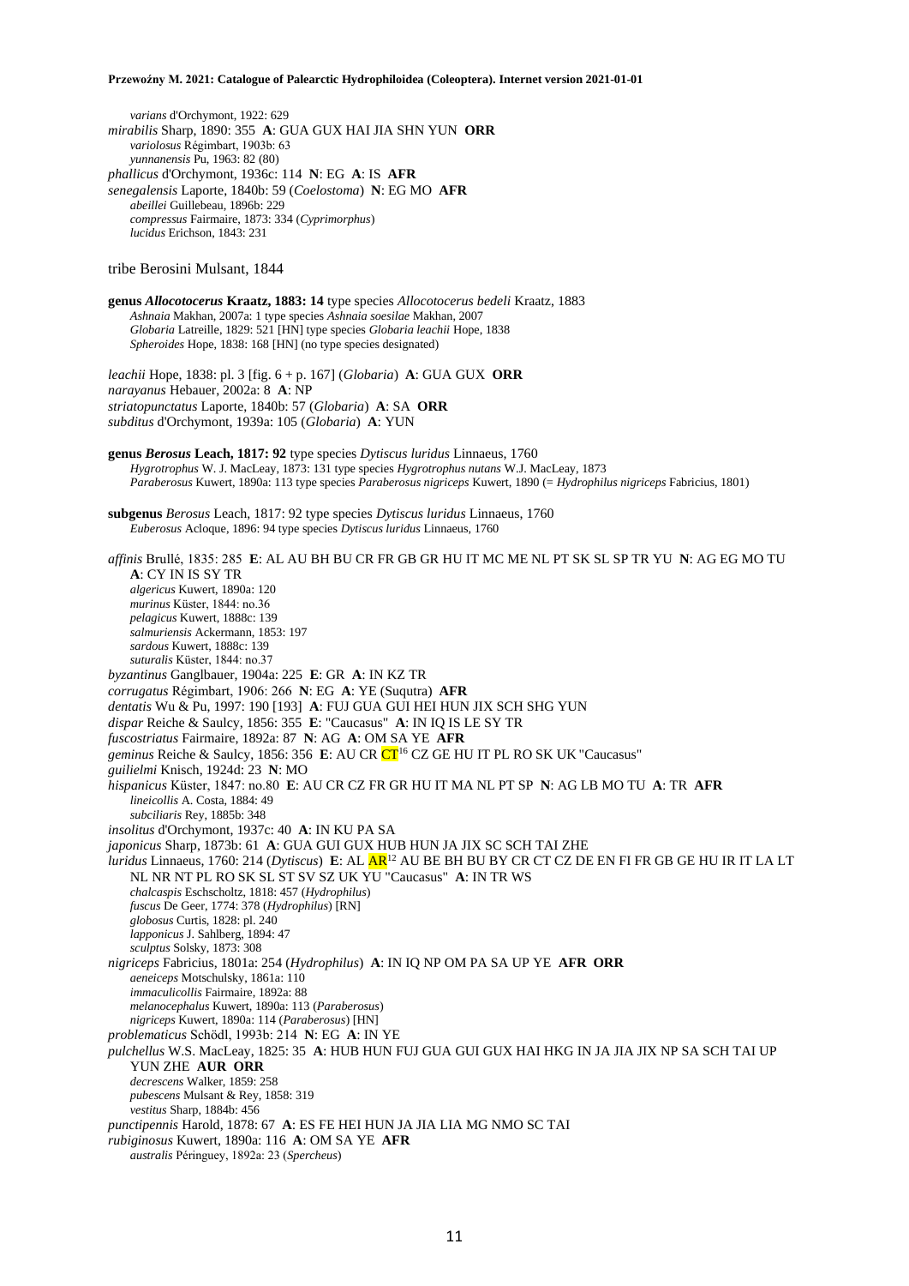*varians* d'Orchymont, 1922: 629

*mirabilis* Sharp, 1890: 355 **A**: GUA GUX HAI JIA SHN YUN **ORR** *variolosus* Régimbart, 1903b: 63 *yunnanensis* Pu, 1963: 82 (80) *phallicus* d'Orchymont, 1936c: 114 **N**: EG **A**: IS **AFR** *senegalensis* Laporte, 1840b: 59 (*Coelostoma*) **N**: EG MO **AFR** *abeillei* Guillebeau, 1896b: 229 *compressus* Fairmaire, 1873: 334 (*Cyprimorphus*) *lucidus* Erichson, 1843: 231 tribe Berosini Mulsant, 1844 **genus** *Allocotocerus* **Kraatz, 1883: 14** type species *Allocotocerus bedeli* Kraatz, 1883 *Ashnaia* Makhan, 2007a: 1 type species *Ashnaia soesilae* Makhan, 2007 *Globaria* Latreille, 1829: 521 [HN] type species *Globaria leachii* Hope, 1838 *Spheroides* Hope, 1838: 168 [HN] (no type species designated) *leachii* Hope, 1838: pl. 3 [fig. 6 + p. 167] (*Globaria*) **A**: GUA GUX **ORR** *narayanus* Hebauer, 2002a: 8 **A**: NP *striatopunctatus* Laporte, 1840b: 57 (*Globaria*) **A**: SA **ORR** *subditus* d'Orchymont, 1939a: 105 (*Globaria*) **A**: YUN **genus** *Berosus* **Leach, 1817: 92** type species *Dytiscus luridus* Linnaeus, 1760 *Hygrotrophus* W. J. MacLeay, 1873: 131 type species *Hygrotrophus nutans* W.J. MacLeay, 1873 *Paraberosus* Kuwert, 1890a: 113 type species *Paraberosus nigriceps* Kuwert, 1890 (= *Hydrophilus nigriceps* Fabricius, 1801) **subgenus** *Berosus* Leach, 1817: 92 type species *Dytiscus luridus* Linnaeus, 1760 *Euberosus* Acloque, 1896: 94 type species *Dytiscus luridus* Linnaeus, 1760 *affinis* Brullé, 1835: 285 **E**: AL AU BH BU CR FR GB GR HU IT MC ME NL PT SK SL SP TR YU **N**: AG EG MO TU **A**: CY IN IS SY TR *algericus* Kuwert, 1890a: 120 *murinus* Küster, 1844: no.36 *pelagicus* Kuwert, 1888c: 139 *salmuriensis* Ackermann, 1853: 197 *sardous* Kuwert, 1888c: 139 *suturalis* Küster, 1844: no.37 *byzantinus* Ganglbauer, 1904a: 225 **E**: GR **A**: IN KZ TR *corrugatus* Régimbart, 1906: 266 **N**: EG **A**: YE (Suqutra) **AFR** *dentatis* Wu & Pu, 1997: 190 [193] **A**: FUJ GUA GUI HEI HUN JIX SCH SHG YUN *dispar* Reiche & Saulcy, 1856: 355 **E**: "Caucasus" **A**: IN IQ IS LE SY TR *fuscostriatus* Fairmaire, 1892a: 87 **N**: AG **A**: OM SA YE **AFR** *geminus* Reiche & Saulcy, 1856: 356 **E**: AU CR CT<sup>16</sup> CZ GE HU IT PL RO SK UK "Caucasus" *guilielmi* Knisch, 1924d: 23 **N**: MO *hispanicus* Küster, 1847: no.80 **E**: AU CR CZ FR GR HU IT MA NL PT SP **N**: AG LB MO TU **A**: TR **AFR** *lineicollis* A. Costa, 1884: 49 *subciliaris* Rey, 1885b: 348 *insolitus* d'Orchymont, 1937c: 40 **A**: IN KU PA SA *japonicus* Sharp, 1873b: 61 **A**: GUA GUI GUX HUB HUN JA JIX SC SCH TAI ZHE *luridus* Linnaeus, 1760: 214 (*Dytiscus*) **E**: AL AR<sup>12</sup> AU BE BH BU BY CR CT CZ DE EN FI FR GB GE HU IR IT LA LT NL NR NT PL RO SK SL ST SV SZ UK YU "Caucasus" **A**: IN TR WS *chalcaspis* Eschscholtz, 1818: 457 (*Hydrophilus*) *fuscus* De Geer, 1774: 378 (*Hydrophilus*) [RN] *globosus* Curtis, 1828: pl. 240 *lapponicus* J. Sahlberg, 1894: 47 *sculptus* Solsky, 1873: 308 *nigriceps* Fabricius, 1801a: 254 (*Hydrophilus*) **A**: IN IQ NP OM PA SA UP YE **AFR ORR** *aeneiceps* Motschulsky, 1861a: 110 *immaculicollis* Fairmaire, 1892a: 88 *melanocephalus* Kuwert, 1890a: 113 (*Paraberosus*) *nigriceps* Kuwert, 1890a: 114 (*Paraberosus*) [HN] *problematicus* Schödl, 1993b: 214 **N**: EG **A**: IN YE *pulchellus* W.S. MacLeay, 1825: 35 **A**: HUB HUN FUJ GUA GUI GUX HAI HKG IN JA JIA JIX NP SA SCH TAI UP YUN ZHE **AUR ORR** *decrescens* Walker, 1859: 258 *pubescens* Mulsant & Rey, 1858: 319 *vestitus* Sharp, 1884b: 456 *punctipennis* Harold, 1878: 67 **A**: ES FE HEI HUN JA JIA LIA MG NMO SC TAI *rubiginosus* Kuwert, 1890a: 116 **A**: OM SA YE **AFR** *australis* Péringuey, 1892a: 23 (*Spercheus*)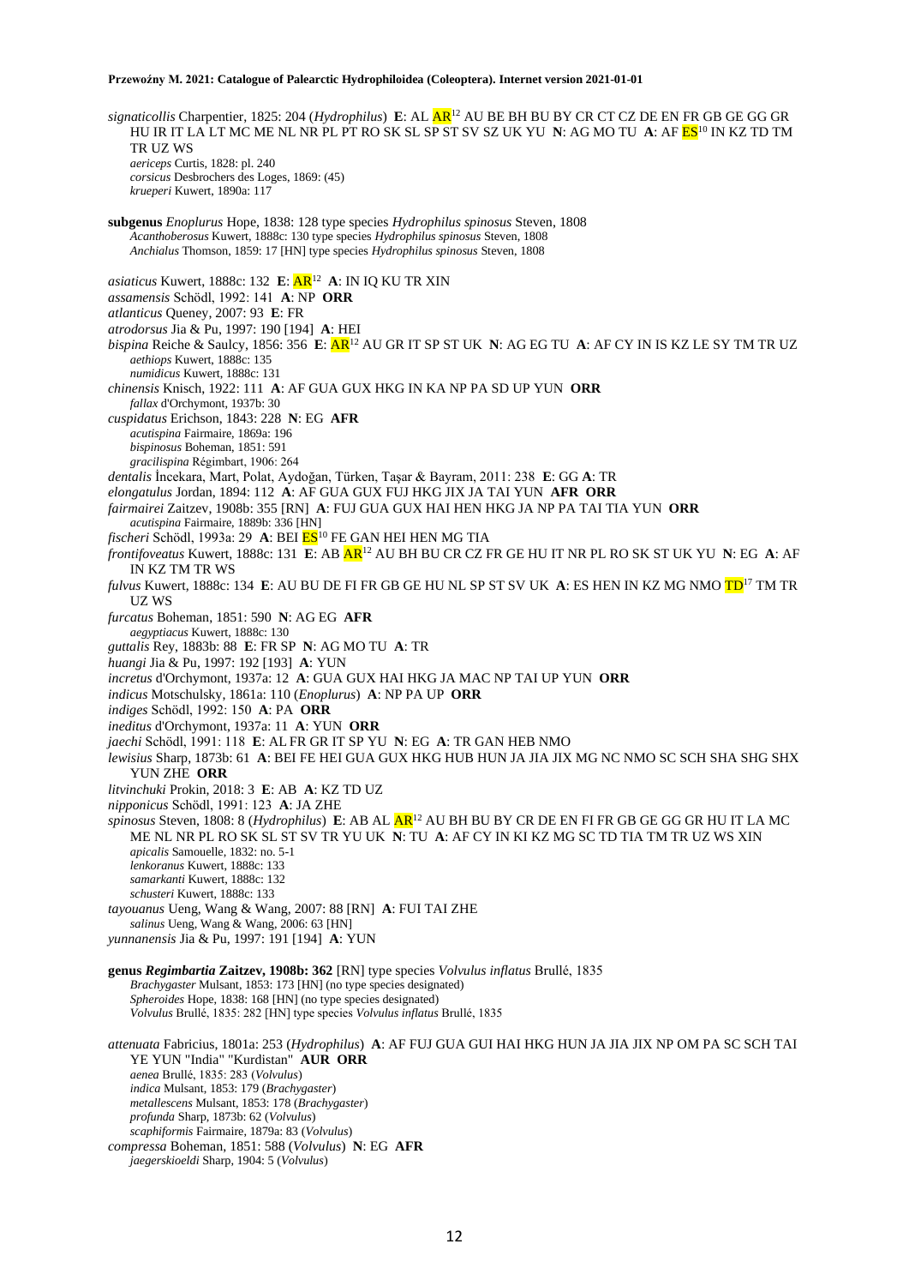*signaticollis* Charpentier, 1825: 204 (*Hydrophilus*) **E**: AL AR<sup>12</sup> AU BE BH BU BY CR CT CZ DE EN FR GB GE GG GR HU IR IT LA LT MC ME NL NR PL PT RO SK SL SP ST SV SZ UK YU **N**: AG MO TU **A**: AF ES<sup>10</sup> IN KZ TD TM TR UZ WS *aericeps* Curtis, 1828: pl. 240 *corsicus* Desbrochers des Loges, 1869: (45) *krueperi* Kuwert, 1890a: 117 **subgenus** *Enoplurus* Hope, 1838: 128 type species *Hydrophilus spinosus* Steven, 1808 *Acanthoberosus* Kuwert, 1888c: 130 type species *Hydrophilus spinosus* Steven, 1808 *Anchialus* Thomson, 1859: 17 [HN] type species *Hydrophilus spinosus* Steven, 1808 *asiaticus* Kuwert, 1888c: 132 **E**: AR<sup>12</sup> **A**: IN IQ KU TR XIN *assamensis* Schödl, 1992: 141 **A**: NP **ORR** *atlanticus* Queney, 2007: 93 **E**: FR *atrodorsus* Jia & Pu, 1997: 190 [194] **A**: HEI *bispina* Reiche & Saulcy, 1856: 356 **E**: AR<sup>12</sup> AU GR IT SP ST UK **N**: AG EG TU **A**: AF CY IN IS KZ LE SY TM TR UZ *aethiops* Kuwert, 1888c: 135 *numidicus* Kuwert, 1888c: 131 *chinensis* Knisch, 1922: 111 **A**: AF GUA GUX HKG IN KA NP PA SD UP YUN **ORR** *fallax* d'Orchymont, 1937b: 30 *cuspidatus* Erichson, 1843: 228 **N**: EG **AFR** *acutispina* Fairmaire, 1869a: 196 *bispinosus* Boheman, 1851: 591 *gracilispina* Régimbart, 1906: 264 *dentalis* İncekara, Mart, Polat, Aydoğan, Türken, Taşar & Bayram, 2011: 238 **E**: GG **A**: TR *elongatulus* Jordan, 1894: 112 **A**: AF GUA GUX FUJ HKG JIX JA TAI YUN **AFR ORR** *fairmairei* Zaitzev, 1908b: 355 [RN] **A**: FUJ GUA GUX HAI HEN HKG JA NP PA TAI TIA YUN **ORR** *acutispina* Fairmaire, 1889b: 336 [HN] *fischeri* Schödl, 1993a: 29 A: BEI ES<sup>10</sup> FE GAN HEI HEN MG TIA *frontifoveatus* Kuwert, 1888c: 131 **E**: AB AR<sup>12</sup> AU BH BU CR CZ FR GE HU IT NR PL RO SK ST UK YU **N**: EG **A**: AF IN KZ TM TR WS *fulvus* Kuwert, 1888c: 134 **E**: AU BU DE FI FR GB GE HU NL SP ST SV UK **A**: ES HEN IN KZ MG NMO TD<sup>17</sup> TM TR UZ WS *furcatus* Boheman, 1851: 590 **N**: AG EG **AFR** *aegyptiacus* Kuwert, 1888c: 130 *guttalis* Rey, 1883b: 88 **E**: FR SP **N**: AG MO TU **A**: TR *huangi* Jia & Pu, 1997: 192 [193] **A**: YUN *incretus* d'Orchymont, 1937a: 12 **A**: GUA GUX HAI HKG JA MAC NP TAI UP YUN **ORR** *indicus* Motschulsky, 1861a: 110 (*Enoplurus*) **A**: NP PA UP **ORR** *indiges* Schödl, 1992: 150 **A**: PA **ORR** *ineditus* d'Orchymont, 1937a: 11 **A**: YUN **ORR** *jaechi* Schödl, 1991: 118 **E**: AL FR GR IT SP YU **N**: EG **A**: TR GAN HEB NMO *lewisius* Sharp, 1873b: 61 **A**: BEI FE HEI GUA GUX HKG HUB HUN JA JIA JIX MG NC NMO SC SCH SHA SHG SHX YUN ZHE **ORR** *litvinchuki* Prokin, 2018: 3 **E**: AB **A**: KZ TD UZ *nipponicus* Schödl, 1991: 123 **A**: JA ZHE *spinosus* Steven, 1808: 8 (*Hydrophilus*) **E**: AB AL AR<sup>12</sup> AU BH BU BY CR DE EN FI FR GB GE GG GR HU IT LA MC ME NL NR PL RO SK SL ST SV TR YU UK **N**: TU **A**: AF CY IN KI KZ MG SC TD TIA TM TR UZ WS XIN *apicalis* Samouelle, 1832: no. 5-1 *lenkoranus* Kuwert, 1888c: 133 *samarkanti* Kuwert, 1888c: 132 *schusteri* Kuwert, 1888c: 133 *tayouanus* Ueng, Wang & Wang, 2007: 88 [RN] **A**: FUI TAI ZHE *salinus* Ueng, Wang & Wang, 2006: 63 [HN] *yunnanensis* Jia & Pu, 1997: 191 [194] **A**: YUN **genus** *Regimbartia* **Zaitzev, 1908b: 362** [RN] type species *Volvulus inflatus* Brullé, 1835 *Brachygaster* Mulsant, 1853: 173 [HN] (no type species designated) *Spheroides* Hope, 1838: 168 [HN] (no type species designated) *Volvulus* Brullé, 1835: 282 [HN] type species *Volvulus inflatus* Brullé, 1835 *attenuata* Fabricius, 1801a: 253 (*Hydrophilus*) **A**: AF FUJ GUA GUI HAI HKG HUN JA JIA JIX NP OM PA SC SCH TAI YE YUN "India" "Kurdistan" **AUR ORR** *aenea* Brullé, 1835: 283 (*Volvulus*) *indica* Mulsant, 1853: 179 (*Brachygaster*) *metallescens* Mulsant, 1853: 178 (*Brachygaster*) *profunda* Sharp, 1873b: 62 (*Volvulus*) *scaphiformis* Fairmaire, 1879a: 83 (*Volvulus*) *compressa* Boheman, 1851: 588 (*Volvulus*) **N**: EG **AFR** *jaegerskioeldi* Sharp, 1904: 5 (*Volvulus*)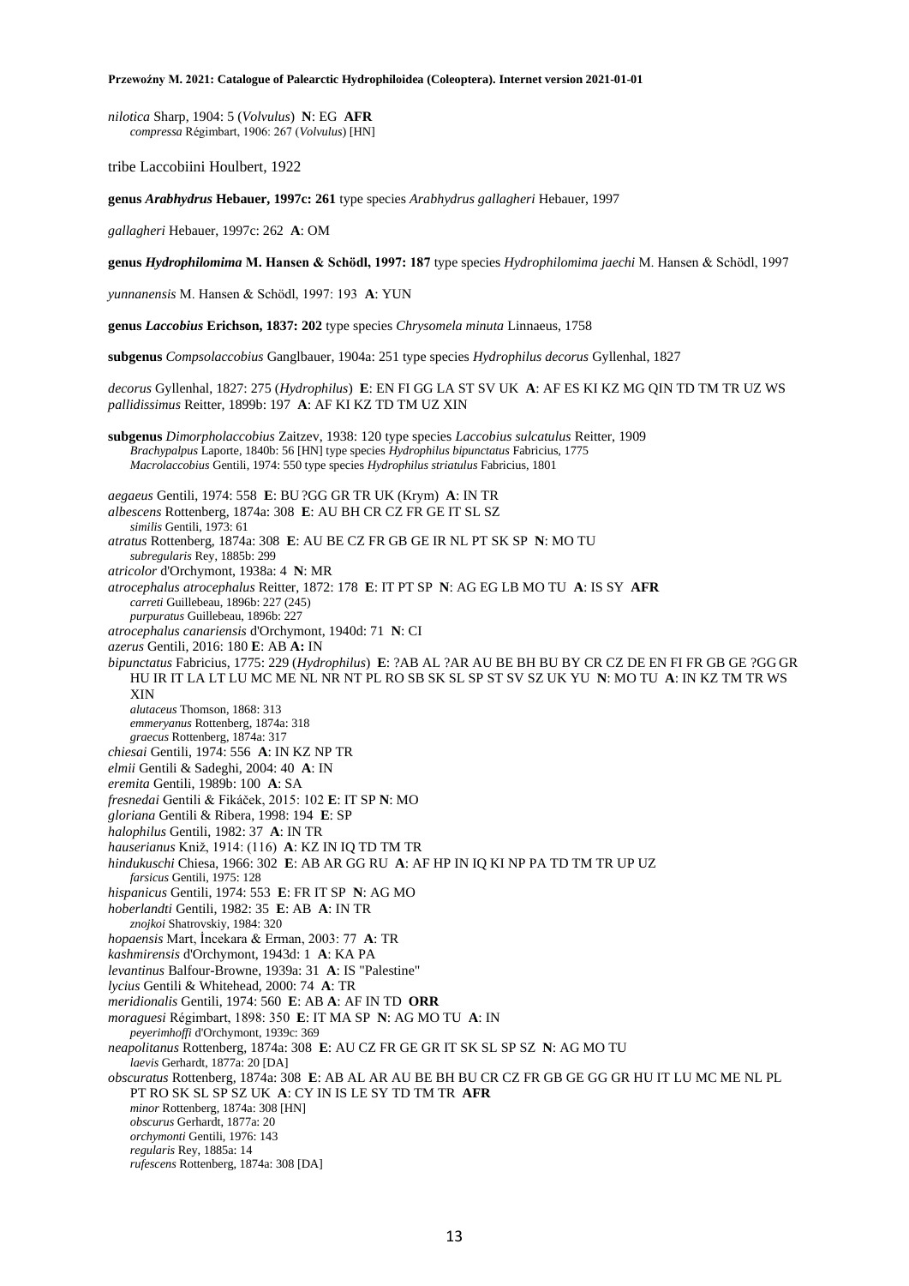*nilotica* Sharp, 1904: 5 (*Volvulus*) **N**: EG **AFR** *compressa* Régimbart, 1906: 267 (*Volvulus*) [HN]

tribe Laccobiini Houlbert, 1922

**genus** *Arabhydrus* **Hebauer, 1997c: 261** type species *Arabhydrus gallagheri* Hebauer, 1997

*gallagheri* Hebauer, 1997c: 262 **A**: OM

**genus** *Hydrophilomima* **M. Hansen & Schödl, 1997: 187** type species *Hydrophilomima jaechi* M. Hansen & Schödl, 1997

*yunnanensis* M. Hansen & Schödl, 1997: 193 **A**: YUN

**genus** *Laccobius* **Erichson, 1837: 202** type species *Chrysomela minuta* Linnaeus, 1758

**subgenus** *Compsolaccobius* Ganglbauer, 1904a: 251 type species *Hydrophilus decorus* Gyllenhal, 1827

*decorus* Gyllenhal, 1827: 275 (*Hydrophilus*) **E**: EN FI GG LA ST SV UK **A**: AF ES KI KZ MG QIN TD TM TR UZ WS *pallidissimus* Reitter, 1899b: 197 **A**: AF KI KZ TD TM UZ XIN

**subgenus** *Dimorpholaccobius* Zaitzev, 1938: 120 type species *Laccobius sulcatulus* Reitter, 1909 *Brachypalpus* Laporte, 1840b: 56 [HN] type species *Hydrophilus bipunctatus* Fabricius, 1775 *Macrolaccobius* Gentili, 1974: 550 type species *Hydrophilus striatulus* Fabricius, 1801

*aegaeus* Gentili, 1974: 558 **E**: BU ?GG GR TR UK (Krym) **A**: IN TR

*albescens* Rottenberg, 1874a: 308 **E**: AU BH CR CZ FR GE IT SL SZ

*similis* Gentili, 1973: 61

*atratus* Rottenberg, 1874a: 308 **E**: AU BE CZ FR GB GE IR NL PT SK SP **N**: MO TU *subregularis* Rey, 1885b: 299

*atricolor* d'Orchymont, 1938a: 4 **N**: MR

*atrocephalus atrocephalus* Reitter, 1872: 178 **E**: IT PT SP **N**: AG EG LB MO TU **A**: IS SY **AFR**

*carreti* Guillebeau, 1896b: 227 (245)

*purpuratus* Guillebeau, 1896b: 227 *atrocephalus canariensis* d'Orchymont, 1940d: 71 **N**: CI

*azerus* Gentili, 2016: 180 **E**: AB **A:** IN

*bipunctatus* Fabricius, 1775: 229 (*Hydrophilus*) **E**: ?AB AL ?AR AU BE BH BU BY CR CZ DE EN FI FR GB GE ?GG GR HU IR IT LA LT LU MC ME NL NR NT PL RO SB SK SL SP ST SV SZ UK YU **N**: MO TU **A**: IN KZ TM TR WS XIN

*alutaceus* Thomson, 1868: 313

*emmeryanus* Rottenberg, 1874a: 318

*graecus* Rottenberg, 1874a: 317

*chiesai* Gentili, 1974: 556 **A**: IN KZ NP TR

*elmii* Gentili & Sadeghi, 2004: 40 **A**: IN

*eremita* Gentili, 1989b: 100 **A**: SA

*fresnedai* Gentili & Fikáček, 2015: 102 **E**: IT SP **N**: MO

*gloriana* Gentili & Ribera, 1998: 194 **E**: SP

*halophilus* Gentili, 1982: 37 **A**: IN TR

*hauserianus* Kniž, 1914: (116) **A**: KZ IN IQ TD TM TR

*hindukuschi* Chiesa, 1966: 302 **E**: AB AR GG RU **A**: AF HP IN IQ KI NP PA TD TM TR UP UZ *farsicus* Gentili, 1975: 128

*hispanicus* Gentili, 1974: 553 **E**: FR IT SP **N**: AG MO

*hoberlandti* Gentili, 1982: 35 **E**: AB **A**: IN TR

*znojkoi* Shatrovskiy, 1984: 320

*hopaensis* Mart, İncekara & Erman, 2003: 77 **A**: TR

*kashmirensis* d'Orchymont, 1943d: 1 **A**: KA PA

*levantinus* Balfour-Browne, 1939a: 31 **A**: IS "Palestine"

*lycius* Gentili & Whitehead, 2000: 74 **A**: TR

*meridionalis* Gentili, 1974: 560 **E**: AB **A**: AF IN TD **ORR**

*moraguesi* Régimbart, 1898: 350 **E**: IT MA SP **N**: AG MO TU **A**: IN *peyerimhoffi* d'Orchymont, 1939c: 369

*neapolitanus* Rottenberg, 1874a: 308 **E**: AU CZ FR GE GR IT SK SL SP SZ **N**: AG MO TU

*laevis* Gerhardt, 1877a: 20 [DA]

*obscuratus* Rottenberg, 1874a: 308 **E**: AB AL AR AU BE BH BU CR CZ FR GB GE GG GR HU IT LU MC ME NL PL PT RO SK SL SP SZ UK **A**: CY IN IS LE SY TD TM TR **AFR**

*minor* Rottenberg, 1874a: 308 [HN]

*obscurus* Gerhardt, 1877a: 20

*orchymonti* Gentili, 1976: 143 *regularis* Rey, 1885a: 14

*rufescens* Rottenberg, 1874a: 308 [DA]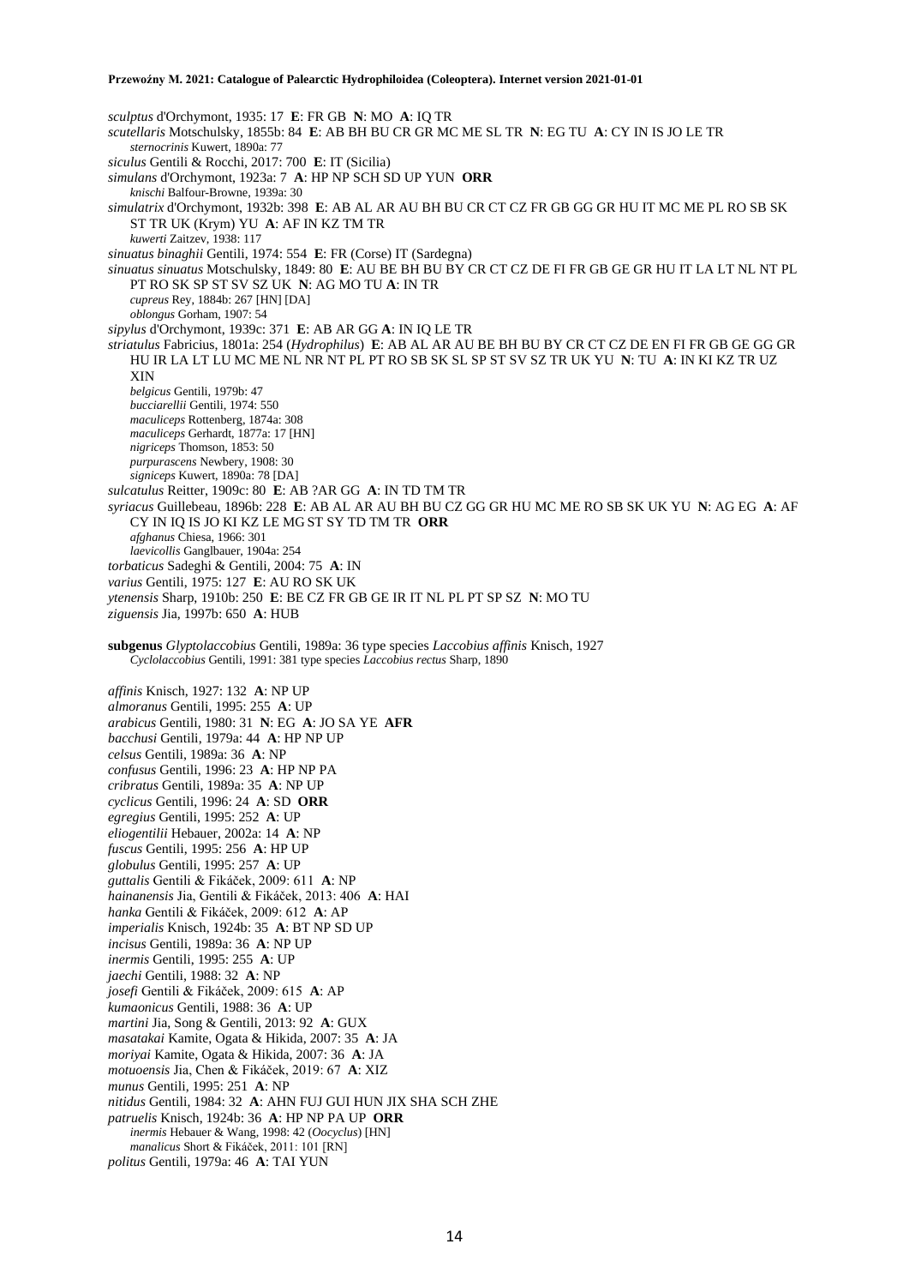*sculptus* d'Orchymont, 1935: 17 **E**: FR GB **N**: MO **A**: IQ TR *scutellaris* Motschulsky, 1855b: 84 **E**: AB BH BU CR GR MC ME SL TR **N**: EG TU **A**: CY IN IS JO LE TR *sternocrinis* Kuwert, 1890a: 77 *siculus* Gentili & Rocchi, 2017: 700 **E**: IT (Sicilia) *simulans* d'Orchymont, 1923a: 7 **A**: HP NP SCH SD UP YUN **ORR** *knischi* Balfour-Browne, 1939a: 30 *simulatrix* d'Orchymont, 1932b: 398 **E**: AB AL AR AU BH BU CR CT CZ FR GB GG GR HU IT MC ME PL RO SB SK ST TR UK (Krym) YU **A**: AF IN KZ TM TR *kuwerti* Zaitzev, 1938: 117 *sinuatus binaghii* Gentili, 1974: 554 **E**: FR (Corse) IT (Sardegna) *sinuatus sinuatus* Motschulsky, 1849: 80 **E**: AU BE BH BU BY CR CT CZ DE FI FR GB GE GR HU IT LA LT NL NT PL PT RO SK SP ST SV SZ UK **N**: AG MO TU **A**: IN TR *cupreus* Rey, 1884b: 267 [HN] [DA] *oblongus* Gorham, 1907: 54 *sipylus* d'Orchymont, 1939c: 371 **E**: AB AR GG **A**: IN IQ LE TR *striatulus* Fabricius, 1801a: 254 (*Hydrophilus*) **E**: AB AL AR AU BE BH BU BY CR CT CZ DE EN FI FR GB GE GG GR HU IR LA LT LU MC ME NL NR NT PL PT RO SB SK SL SP ST SV SZ TR UK YU **N**: TU **A**: IN KI KZ TR UZ XIN *belgicus* Gentili, 1979b: 47 *bucciarellii* Gentili, 1974: 550 *maculiceps* Rottenberg, 1874a: 308 *maculiceps* Gerhardt, 1877a: 17 [HN] *nigriceps* Thomson, 1853: 50 *purpurascens* Newbery, 1908: 30 *signiceps* Kuwert, 1890a: 78 [DA] *sulcatulus* Reitter, 1909c: 80 **E**: AB ?AR GG **A**: IN TD TM TR *syriacus* Guillebeau, 1896b: 228 **E**: AB AL AR AU BH BU CZ GG GR HU MC ME RO SB SK UK YU **N**: AG EG **A**: AF CY IN IQ IS JO KI KZ LE MG ST SY TD TM TR **ORR** *afghanus* Chiesa, 1966: 301 *laevicollis* Ganglbauer, 1904a: 254 *torbaticus* Sadeghi & Gentili, 2004: 75 **A**: IN *varius* Gentili, 1975: 127 **E**: AU RO SK UK *ytenensis* Sharp, 1910b: 250 **E**: BE CZ FR GB GE IR IT NL PL PT SP SZ **N**: MO TU *ziguensis* Jia, 1997b: 650 **A**: HUB **subgenus** *Glyptolaccobius* Gentili, 1989a: 36 type species *Laccobius affinis* Knisch, 1927 *Cyclolaccobius* Gentili, 1991: 381 type species *Laccobius rectus* Sharp, 1890 *affinis* Knisch, 1927: 132 **A**: NP UP *almoranus* Gentili, 1995: 255 **A**: UP *arabicus* Gentili, 1980: 31 **N**: EG **A**: JO SA YE **AFR** *bacchusi* Gentili, 1979a: 44 **A**: HP NP UP *celsus* Gentili, 1989a: 36 **A**: NP *confusus* Gentili, 1996: 23 **A**: HP NP PA *cribratus* Gentili, 1989a: 35 **A**: NP UP *cyclicus* Gentili, 1996: 24 **A**: SD **ORR** *egregius* Gentili, 1995: 252 **A**: UP *eliogentilii* Hebauer, 2002a: 14 **A**: NP *fuscus* Gentili, 1995: 256 **A**: HP UP *globulus* Gentili, 1995: 257 **A**: UP *guttalis* Gentili & Fikáček, 2009: 611 **A**: NP *hainanensis* Jia, Gentili & Fikáček, 2013: 406 **A**: HAI *hanka* Gentili & Fikáček, 2009: 612 **A**: AP *imperialis* Knisch, 1924b: 35 **A**: BT NP SD UP *incisus* Gentili, 1989a: 36 **A**: NP UP *inermis* Gentili, 1995: 255 **A**: UP *jaechi* Gentili, 1988: 32 **A**: NP *josefi* Gentili & Fikáček, 2009: 615 **A**: AP *kumaonicus* Gentili, 1988: 36 **A**: UP *martini* Jia, Song & Gentili, 2013: 92 **A**: GUX *masatakai* Kamite, Ogata & Hikida, 2007: 35 **A**: JA *moriyai* Kamite, Ogata & Hikida, 2007: 36 **A**: JA *motuoensis* Jia, Chen & Fikáček, 2019: 67 **A**: XIZ

- *munus* Gentili, 1995: 251 **A**: NP
- *nitidus* Gentili, 1984: 32 **A**: AHN FUJ GUI HUN JIX SHA SCH ZHE
- *patruelis* Knisch, 1924b: 36 **A**: HP NP PA UP **ORR**
- *inermis* Hebauer & Wang, 1998: 42 (*Oocyclus*) [HN]
- *manalicus* Short & Fikáček, 2011: 101 [RN]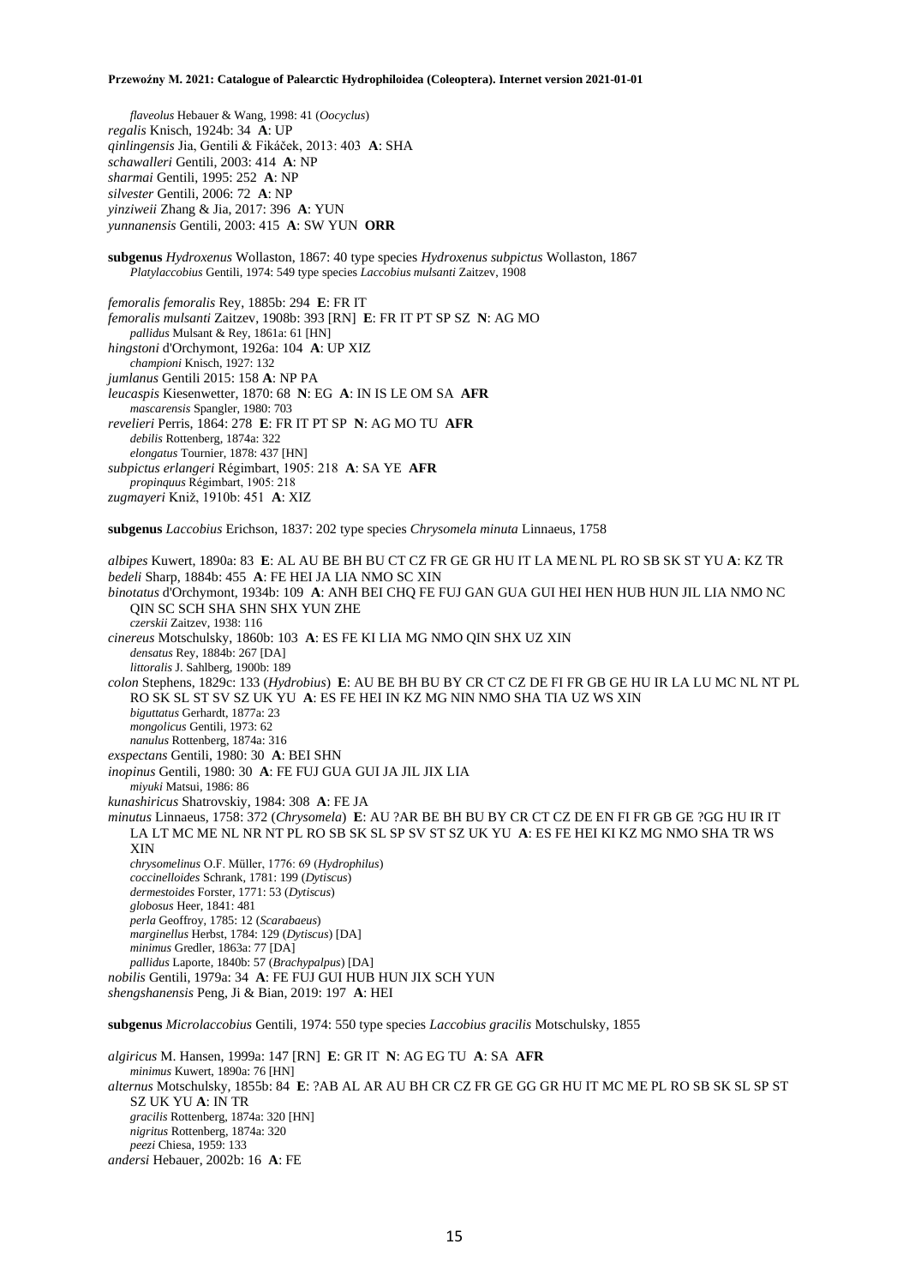*flaveolus* Hebauer & Wang, 1998: 41 (*Oocyclus*) *regalis* Knisch, 1924b: 34 **A**: UP *qinlingensis* Jia, Gentili & Fikáček, 2013: 403 **A**: SHA *schawalleri* Gentili, 2003: 414 **A**: NP *sharmai* Gentili, 1995: 252 **A**: NP *silvester* Gentili, 2006: 72 **A**: NP *yinziweii* Zhang & Jia, 2017: 396 **A**: YUN *yunnanensis* Gentili, 2003: 415 **A**: SW YUN **ORR subgenus** *Hydroxenus* Wollaston, 1867: 40 type species *Hydroxenus subpictus* Wollaston, 1867 *Platylaccobius* Gentili, 1974: 549 type species *Laccobius mulsanti* Zaitzev, 1908 *femoralis femoralis* Rey, 1885b: 294 **E**: FR IT *femoralis mulsanti* Zaitzev, 1908b: 393 [RN] **E**: FR IT PT SP SZ **N**: AG MO *pallidus* Mulsant & Rey, 1861a: 61 [HN] *hingstoni* d'Orchymont, 1926a: 104 **A**: UP XIZ *championi* Knisch, 1927: 132 *jumlanus* Gentili 2015: 158 **A**: NP PA *leucaspis* Kiesenwetter, 1870: 68 **N**: EG **A**: IN IS LE OM SA **AFR** *mascarensis* Spangler, 1980: 703 *revelieri* Perris, 1864: 278 **E**: FR IT PT SP **N**: AG MO TU **AFR** *debilis* Rottenberg, 1874a: 322 *elongatus* Tournier, 1878: 437 [HN] *subpictus erlangeri* Régimbart, 1905: 218 **A**: SA YE **AFR** *propinquus* Régimbart, 1905: 218 *zugmayeri* Kniž, 1910b: 451 **A**: XIZ **subgenus** *Laccobius* Erichson, 1837: 202 type species *Chrysomela minuta* Linnaeus, 1758 *albipes* Kuwert, 1890a: 83 **E**: AL AU BE BH BU CT CZ FR GE GR HU IT LA ME NL PL RO SB SK ST YU **A**: KZ TR *bedeli* Sharp, 1884b: 455 **A**: FE HEI JA LIA NMO SC XIN *binotatus* d'Orchymont, 1934b: 109 **A**: ANH BEI CHQ FE FUJ GAN GUA GUI HEI HEN HUB HUN JIL LIA NMO NC QIN SC SCH SHA SHN SHX YUN ZHE *czerskii* Zaitzev, 1938: 116 *cinereus* Motschulsky, 1860b: 103 **A**: ES FE KI LIA MG NMO QIN SHX UZ XIN *densatus* Rey, 1884b: 267 [DA] *littoralis* J. Sahlberg, 1900b: 189 *colon* Stephens, 1829c: 133 (*Hydrobius*) **E**: AU BE BH BU BY CR CT CZ DE FI FR GB GE HU IR LA LU MC NL NT PL RO SK SL ST SV SZ UK YU **A**: ES FE HEI IN KZ MG NIN NMO SHA TIA UZ WS XIN *biguttatus* Gerhardt, 1877a: 23 *mongolicus* Gentili, 1973: 62 *nanulus* Rottenberg, 1874a: 316 *exspectans* Gentili, 1980: 30 **A**: BEI SHN *inopinus* Gentili, 1980: 30 **A**: FE FUJ GUA GUI JA JIL JIX LIA *miyuki* Matsui, 1986: 86 *kunashiricus* Shatrovskiy, 1984: 308 **A**: FE JA *minutus* Linnaeus, 1758: 372 (*Chrysomela*) **E**: AU ?AR BE BH BU BY CR CT CZ DE EN FI FR GB GE ?GG HU IR IT LA LT MC ME NL NR NT PL RO SB SK SL SP SV ST SZ UK YU **A**: ES FE HEI KI KZ MG NMO SHA TR WS XIN *chrysomelinus* O.F. Müller, 1776: 69 (*Hydrophilus*) *coccinelloides* Schrank, 1781: 199 (*Dytiscus*) *dermestoides* Forster, 1771: 53 (*Dytiscus*) *globosus* Heer, 1841: 481 *perla* Geoffroy, 1785: 12 (*Scarabaeus*) *marginellus* Herbst, 1784: 129 (*Dytiscus*) [DA] *minimus* Gredler, 1863a: 77 [DA] *pallidus* Laporte, 1840b: 57 (*Brachypalpus*) [DA] *nobilis* Gentili, 1979a: 34 **A**: FE FUJ GUI HUB HUN JIX SCH YUN *shengshanensis* Peng, Ji & Bian, 2019: 197 **A**: HEI **subgenus** *Microlaccobius* Gentili, 1974: 550 type species *Laccobius gracilis* Motschulsky, 1855 *algiricus* M. Hansen, 1999a: 147 [RN] **E**: GR IT **N**: AG EG TU **A**: SA **AFR** *minimus* Kuwert, 1890a: 76 [HN] *alternus* Motschulsky, 1855b: 84 **E**: ?AB AL AR AU BH CR CZ FR GE GG GR HU IT MC ME PL RO SB SK SL SP ST SZ UK YU **A**: IN TR

*gracilis* Rottenberg, 1874a: 320 [HN] *nigritus* Rottenberg, 1874a: 320

*peezi* Chiesa, 1959: 133

*andersi* Hebauer, 2002b: 16 **A**: FE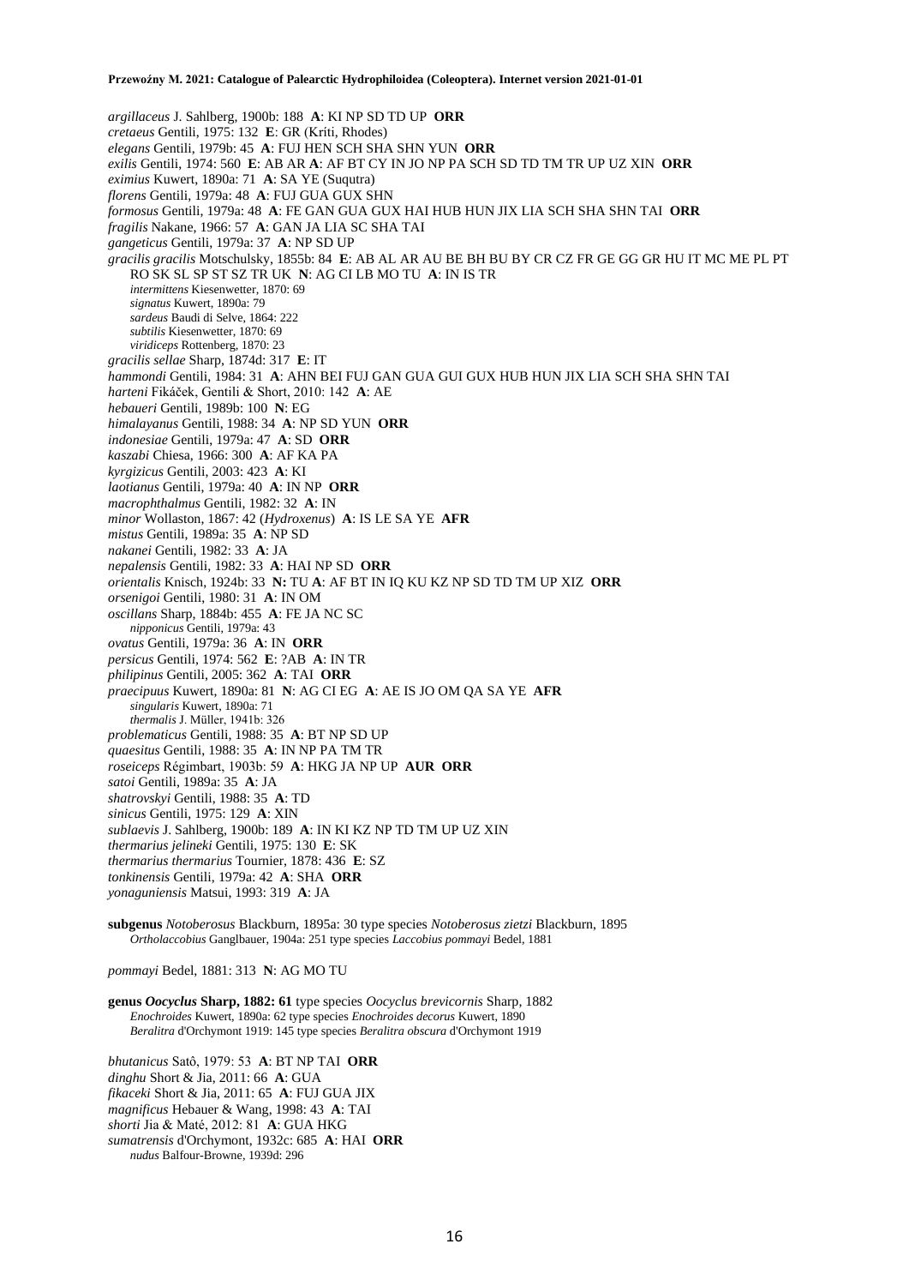*argillaceus* J. Sahlberg, 1900b: 188 **A**: KI NP SD TD UP **ORR** *cretaeus* Gentili, 1975: 132 **E**: GR (Kríti, Rhodes) *elegans* Gentili, 1979b: 45 **A**: FUJ HEN SCH SHA SHN YUN **ORR** *exilis* Gentili, 1974: 560 **E**: AB AR **A**: AF BT CY IN JO NP PA SCH SD TD TM TR UP UZ XIN **ORR** *eximius* Kuwert, 1890a: 71 **A**: SA YE (Suqutra) *florens* Gentili, 1979a: 48 **A**: FUJ GUA GUX SHN *formosus* Gentili, 1979a: 48 **A**: FE GAN GUA GUX HAI HUB HUN JIX LIA SCH SHA SHN TAI **ORR** *fragilis* Nakane, 1966: 57 **A**: GAN JA LIA SC SHA TAI *gangeticus* Gentili, 1979a: 37 **A**: NP SD UP *gracilis gracilis* Motschulsky, 1855b: 84 **E**: AB AL AR AU BE BH BU BY CR CZ FR GE GG GR HU IT MC ME PL PT RO SK SL SP ST SZ TR UK **N**: AG CI LB MO TU **A**: IN IS TR *intermittens* Kiesenwetter, 1870: 69 *signatus* Kuwert, 1890a: 79 *sardeus* Baudi di Selve, 1864: 222 *subtilis* Kiesenwetter, 1870: 69 *viridiceps* Rottenberg, 1870: 23 *gracilis sellae* Sharp, 1874d: 317 **E**: IT *hammondi* Gentili, 1984: 31 **A**: AHN BEI FUJ GAN GUA GUI GUX HUB HUN JIX LIA SCH SHA SHN TAI *harteni* Fikáček, Gentili & Short, 2010: 142 **A**: AE *hebaueri* Gentili, 1989b: 100 **N**: EG *himalayanus* Gentili, 1988: 34 **A**: NP SD YUN **ORR** *indonesiae* Gentili, 1979a: 47 **A**: SD **ORR** *kaszabi* Chiesa, 1966: 300 **A**: AF KA PA *kyrgizicus* Gentili, 2003: 423 **A**: KI *laotianus* Gentili, 1979a: 40 **A**: IN NP **ORR** *macrophthalmus* Gentili, 1982: 32 **A**: IN *minor* Wollaston, 1867: 42 (*Hydroxenus*) **A**: IS LE SA YE **AFR** *mistus* Gentili, 1989a: 35 **A**: NP SD *nakanei* Gentili, 1982: 33 **A**: JA *nepalensis* Gentili, 1982: 33 **A**: HAI NP SD **ORR** *orientalis* Knisch, 1924b: 33 **N:** TU **A**: AF BT IN IQ KU KZ NP SD TD TM UP XIZ **ORR** *orsenigoi* Gentili, 1980: 31 **A**: IN OM *oscillans* Sharp, 1884b: 455 **A**: FE JA NC SC *nipponicus* Gentili, 1979a: 43 *ovatus* Gentili, 1979a: 36 **A**: IN **ORR** *persicus* Gentili, 1974: 562 **E**: ?AB **A**: IN TR *philipinus* Gentili, 2005: 362 **A**: TAI **ORR** *praecipuus* Kuwert, 1890a: 81 **N**: AG CI EG **A**: AE IS JO OM QA SA YE **AFR** *singularis* Kuwert, 1890a: 71 *thermalis* J. Müller, 1941b: 326 *problematicus* Gentili, 1988: 35 **A**: BT NP SD UP *quaesitus* Gentili, 1988: 35 **A**: IN NP PA TM TR *roseiceps* Régimbart, 1903b: 59 **A**: HKG JA NP UP **AUR ORR** *satoi* Gentili, 1989a: 35 **A**: JA *shatrovskyi* Gentili, 1988: 35 **A**: TD *sinicus* Gentili, 1975: 129 **A**: XIN *sublaevis* J. Sahlberg, 1900b: 189 **A**: IN KI KZ NP TD TM UP UZ XIN *thermarius jelineki* Gentili, 1975: 130 **E**: SK *thermarius thermarius* Tournier, 1878: 436 **E**: SZ *tonkinensis* Gentili, 1979a: 42 **A**: SHA **ORR** *yonaguniensis* Matsui, 1993: 319 **A**: JA **subgenus** *Notoberosus* Blackburn, 1895a: 30 type species *Notoberosus zietzi* Blackburn, 1895 *Ortholaccobius* Ganglbauer, 1904a: 251 type species *Laccobius pommayi* Bedel, 1881

*pommayi* Bedel, 1881: 313 **N**: AG MO TU

**genus** *Oocyclus* **Sharp, 1882: 61** type species *Oocyclus brevicornis* Sharp, 1882 *Enochroides* Kuwert, 1890a: 62 type species *Enochroides decorus* Kuwert, 1890 *Beralitra* d'Orchymont 1919: 145 type species *Beralitra obscura* d'Orchymont 1919

*bhutanicus* Satô, 1979: 53 **A**: BT NP TAI **ORR** *dinghu* Short & Jia, 2011: 66 **A**: GUA *fikaceki* Short & Jia, 2011: 65 **A**: FUJ GUA JIX *magnificus* Hebauer & Wang, 1998: 43 **A**: TAI *shorti* Jia & Maté, 2012: 81 **A**: GUA HKG *sumatrensis* d'Orchymont, 1932c: 685 **A**: HAI **ORR** *nudus* Balfour-Browne, 1939d: 296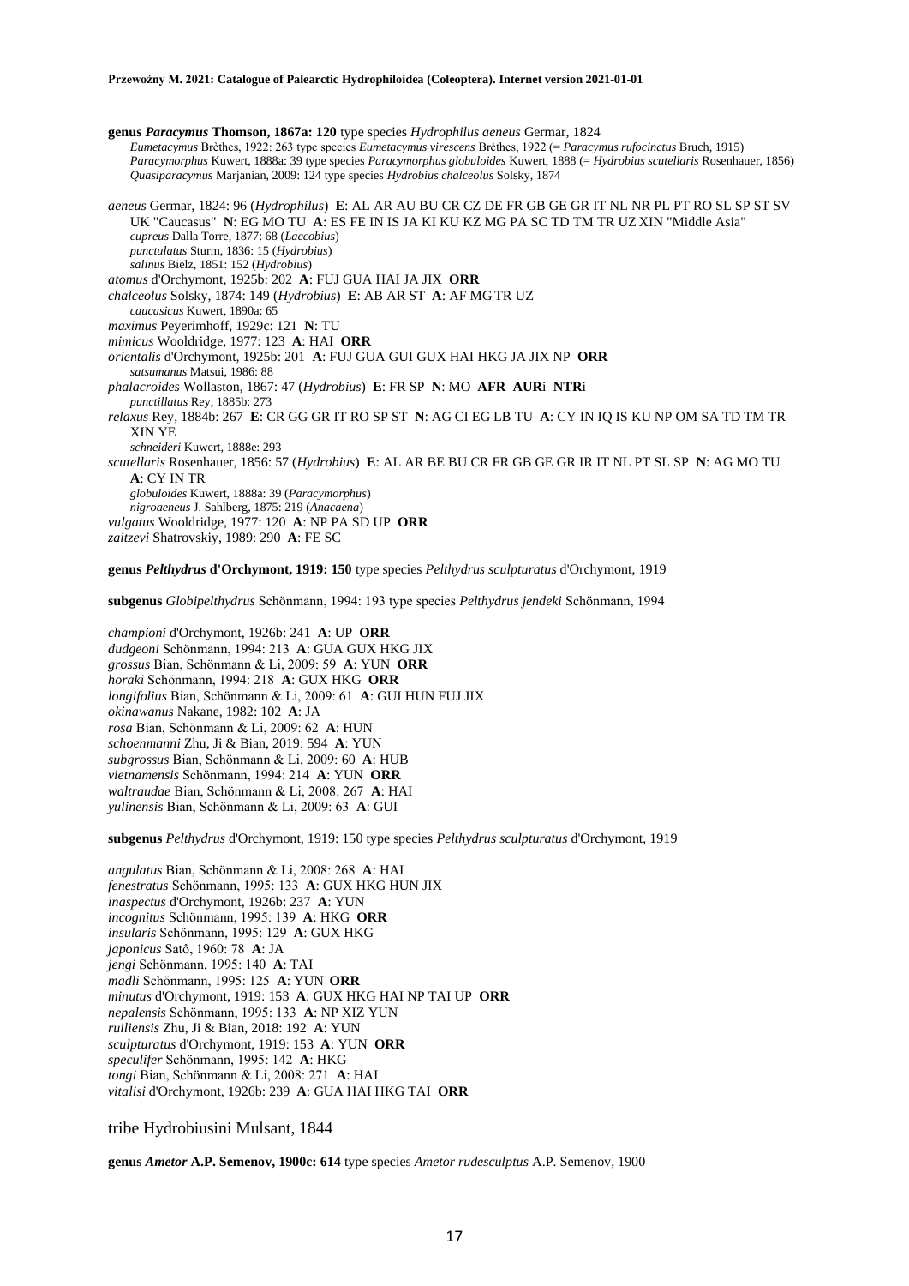**genus** *Paracymus* **Thomson, 1867a: 120** type species *Hydrophilus aeneus* Germar, 1824 *Eumetacymus* Brèthes, 1922: 263 type species *Eumetacymus virescens* Brèthes, 1922 (= *Paracymus rufocinctus* Bruch, 1915) *Paracymorphus* Kuwert, 1888a: 39 type species *Paracymorphus globuloides* Kuwert, 1888 (= *Hydrobius scutellaris* Rosenhauer, 1856) *Quasiparacymus* Marjanian, 2009: 124 type species *Hydrobius chalceolus* Solsky, 1874

*aeneus* Germar, 1824: 96 (*Hydrophilus*) **E**: AL AR AU BU CR CZ DE FR GB GE GR IT NL NR PL PT RO SL SP ST SV UK "Caucasus" **N**: EG MO TU **A**: ES FE IN IS JA KI KU KZ MG PA SC TD TM TR UZ XIN "Middle Asia" *cupreus* Dalla Torre, 1877: 68 (*Laccobius*) *punctulatus* Sturm, 1836: 15 (*Hydrobius*) *salinus* Bielz, 1851: 152 (*Hydrobius*) *atomus* d'Orchymont, 1925b: 202 **A**: FUJ GUA HAI JA JIX **ORR** *chalceolus* Solsky, 1874: 149 (*Hydrobius*) **E**: AB AR ST **A**: AF MG TR UZ *caucasicus* Kuwert, 1890a: 65 *maximus* Peyerimhoff, 1929c: 121 **N**: TU *mimicus* Wooldridge, 1977: 123 **A**: HAI **ORR** *orientalis* d'Orchymont, 1925b: 201 **A**: FUJ GUA GUI GUX HAI HKG JA JIX NP **ORR** *satsumanus* Matsui, 1986: 88 *phalacroides* Wollaston, 1867: 47 (*Hydrobius*) **E**: FR SP **N**: MO **AFR AUR**i **NTR**i *punctillatus* Rey, 1885b: 273 *relaxus* Rey, 1884b: 267 **E**: CR GG GR IT RO SP ST **N**: AG CI EG LB TU **A**: CY IN IQ IS KU NP OM SA TD TM TR XIN YE *schneideri* Kuwert, 1888e: 293 *scutellaris* Rosenhauer, 1856: 57 (*Hydrobius*) **E**: AL AR BE BU CR FR GB GE GR IR IT NL PT SL SP **N**: AG MO TU **A**: CY IN TR *globuloides* Kuwert, 1888a: 39 (*Paracymorphus*) *nigroaeneus* J. Sahlberg, 1875: 219 (*Anacaena*) *vulgatus* Wooldridge, 1977: 120 **A**: NP PA SD UP **ORR** *zaitzevi* Shatrovskiy, 1989: 290 **A**: FE SC

**genus** *Pelthydrus* **d'Orchymont, 1919: 150** type species *Pelthydrus sculpturatus* d'Orchymont, 1919

**subgenus** *Globipelthydrus* Schönmann, 1994: 193 type species *Pelthydrus jendeki* Schönmann, 1994

*championi* d'Orchymont, 1926b: 241 **A**: UP **ORR** *dudgeoni* Schönmann, 1994: 213 **A**: GUA GUX HKG JIX *grossus* Bian, Schönmann & Li, 2009: 59 **A**: YUN **ORR** *horaki* Schönmann, 1994: 218 **A**: GUX HKG **ORR** *longifolius* Bian, Schönmann & Li, 2009: 61 **A**: GUI HUN FUJ JIX *okinawanus* Nakane, 1982: 102 **A**: JA *rosa* Bian, Schönmann & Li, 2009: 62 **A**: HUN *schoenmanni* Zhu, Ji & Bian, 2019: 594 **A**: YUN *subgrossus* Bian, Schönmann & Li, 2009: 60 **A**: HUB *vietnamensis* Schönmann, 1994: 214 **A**: YUN **ORR** *waltraudae* Bian, Schönmann & Li, 2008: 267 **A**: HAI *yulinensis* Bian, Schönmann & Li, 2009: 63 **A**: GUI

**subgenus** *Pelthydrus* d'Orchymont, 1919: 150 type species *Pelthydrus sculpturatus* d'Orchymont, 1919

*angulatus* Bian, Schönmann & Li, 2008: 268 **A**: HAI *fenestratus* Schönmann, 1995: 133 **A**: GUX HKG HUN JIX *inaspectus* d'Orchymont, 1926b: 237 **A**: YUN *incognitus* Schönmann, 1995: 139 **A**: HKG **ORR** *insularis* Schönmann, 1995: 129 **A**: GUX HKG *japonicus* Satô, 1960: 78 **A**: JA *jengi* Schönmann, 1995: 140 **A**: TAI *madli* Schönmann, 1995: 125 **A**: YUN **ORR** *minutus* d'Orchymont, 1919: 153 **A**: GUX HKG HAI NP TAI UP **ORR** *nepalensis* Schönmann, 1995: 133 **A**: NP XIZ YUN *ruiliensis* Zhu, Ji & Bian, 2018: 192 **A**: YUN *sculpturatus* d'Orchymont, 1919: 153 **A**: YUN **ORR** *speculifer* Schönmann, 1995: 142 **A**: HKG *tongi* Bian, Schönmann & Li, 2008: 271 **A**: HAI *vitalisi* d'Orchymont, 1926b: 239 **A**: GUA HAI HKG TAI **ORR**

## tribe Hydrobiusini Mulsant, 1844

**genus** *Ametor* **A.P. Semenov, 1900c: 614** type species *Ametor rudesculptus* A.P. Semenov, 1900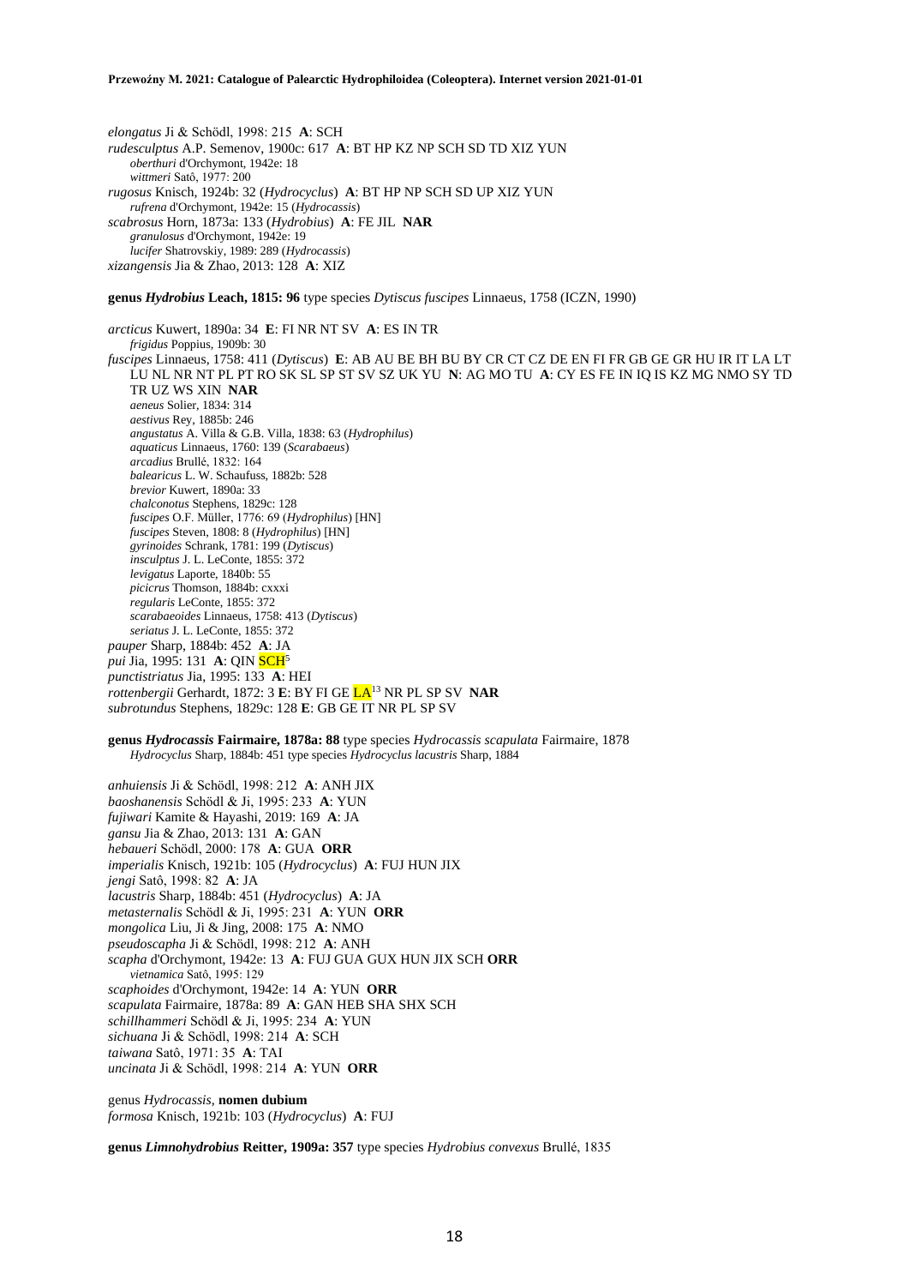*elongatus* Ji & Schödl, 1998: 215 **A**: SCH *rudesculptus* A.P. Semenov, 1900c: 617 **A**: BT HP KZ NP SCH SD TD XIZ YUN *oberthuri* d'Orchymont, 1942e: 18 *wittmeri* Satô, 1977: 200 *rugosus* Knisch, 1924b: 32 (*Hydrocyclus*) **A**: BT HP NP SCH SD UP XIZ YUN *rufrena* d'Orchymont, 1942e: 15 (*Hydrocassis*) *scabrosus* Horn, 1873a: 133 (*Hydrobius*) **A**: FE JIL **NAR** *granulosus* d'Orchymont, 1942e: 19 *lucifer* Shatrovskiy, 1989: 289 (*Hydrocassis*) *xizangensis* Jia & Zhao, 2013: 128 **A**: XIZ

## **genus** *Hydrobius* **Leach, 1815: 96** type species *Dytiscus fuscipes* Linnaeus, 1758 (ICZN, 1990)

*arcticus* Kuwert, 1890a: 34 **E**: FI NR NT SV **A**: ES IN TR *frigidus* Poppius, 1909b: 30 *fuscipes* Linnaeus, 1758: 411 (*Dytiscus*) **E**: AB AU BE BH BU BY CR CT CZ DE EN FI FR GB GE GR HU IR IT LA LT LU NL NR NT PL PT RO SK SL SP ST SV SZ UK YU **N**: AG MO TU **A**: CY ES FE IN IQ IS KZ MG NMO SY TD TR UZ WS XIN **NAR** *aeneus* Solier, 1834: 314 *aestivus* Rey, 1885b: 246 *angustatus* A. Villa & G.B. Villa, 1838: 63 (*Hydrophilus*) *aquaticus* Linnaeus, 1760: 139 (*Scarabaeus*) *arcadius* Brullé, 1832: 164 *balearicus* L. W. Schaufuss, 1882b: 528 *brevior* Kuwert, 1890a: 33 *chalconotus* Stephens, 1829c: 128 *fuscipes* O.F. Müller, 1776: 69 (*Hydrophilus*) [HN] *fuscipes* Steven, 1808: 8 (*Hydrophilus*) [HN] *gyrinoides* Schrank, 1781: 199 (*Dytiscus*) *insculptus* J. L. LeConte, 1855: 372 *levigatus* Laporte, 1840b: 55 *picicrus* Thomson, 1884b: cxxxi *regularis* LeConte, 1855: 372 *scarabaeoides* Linnaeus, 1758: 413 (*Dytiscus*) *seriatus* J. L. LeConte, 1855: 372 *pauper* Sharp, 1884b: 452 **A**: JA *pui* Jia, 1995: 131 **A**: QIN **SCH**<sup>5</sup> *punctistriatus* Jia, 1995: 133 **A**: HEI *rottenbergii* Gerhardt, 1872: 3 **E**: BY FI GE LA<sup>13</sup> NR PL SP SV **NAR** *subrotundus* Stephens, 1829c: 128 **E**: GB GE IT NR PL SP SV

## **genus** *Hydrocassis* **Fairmaire, 1878a: 88** type species *Hydrocassis scapulata* Fairmaire, 1878 *Hydrocyclus* Sharp, 1884b: 451 type species *Hydrocyclus lacustris* Sharp, 1884

*anhuiensis* Ji & Schödl, 1998: 212 **A**: ANH JIX *baoshanensis* Schödl & Ji, 1995: 233 **A**: YUN *fujiwari* Kamite & Hayashi, 2019: 169 **A**: JA *gansu* Jia & Zhao, 2013: 131 **A**: GAN *hebaueri* Schödl, 2000: 178 **A**: GUA **ORR** *imperialis* Knisch, 1921b: 105 (*Hydrocyclus*) **A**: FUJ HUN JIX *jengi* Satô, 1998: 82 **A**: JA *lacustris* Sharp, 1884b: 451 (*Hydrocyclus*) **A**: JA *metasternalis* Schödl & Ji, 1995: 231 **A**: YUN **ORR** *mongolica* Liu, Ji & Jing, 2008: 175 **A**: NMO *pseudoscapha* Ji & Schödl, 1998: 212 **A**: ANH *scapha* d'Orchymont, 1942e: 13 **A**: FUJ GUA GUX HUN JIX SCH **ORR** *vietnamica* Satô, 1995: 129 *scaphoides* d'Orchymont, 1942e: 14 **A**: YUN **ORR** *scapulata* Fairmaire, 1878a: 89 **A**: GAN HEB SHA SHX SCH *schillhammeri* Schödl & Ji, 1995: 234 **A**: YUN *sichuana* Ji & Schödl, 1998: 214 **A**: SCH *taiwana* Satô, 1971: 35 **A**: TAI *uncinata* Ji & Schödl, 1998: 214 **A**: YUN **ORR**

genus *Hydrocassis,* **nomen dubium** *formosa* Knisch, 1921b: 103 (*Hydrocyclus*) **A**: FUJ

**genus** *Limnohydrobius* **Reitter, 1909a: 357** type species *Hydrobius convexus* Brullé, 1835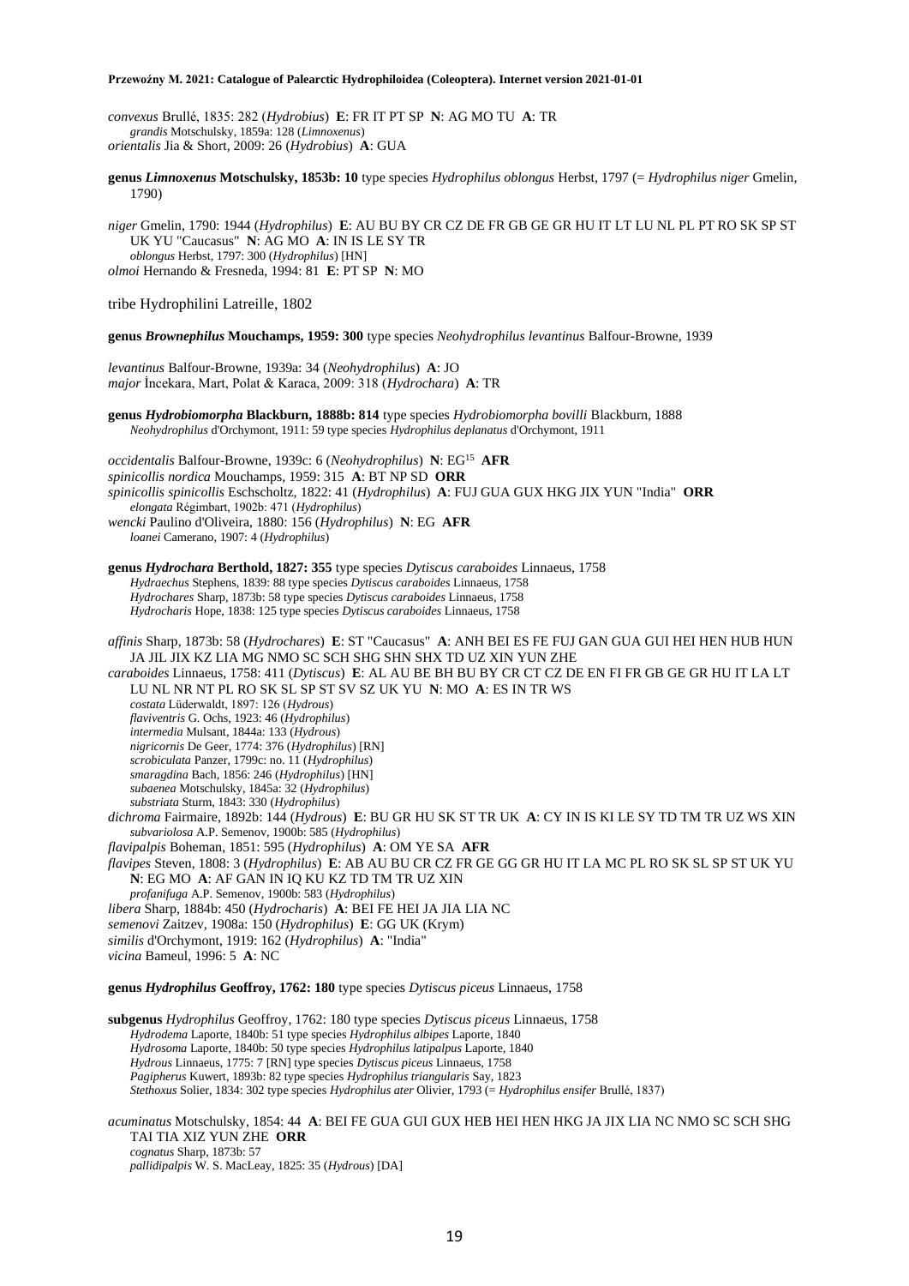*convexus* Brullé, 1835: 282 (*Hydrobius*) **E**: FR IT PT SP **N**: AG MO TU **A**: TR *grandis* Motschulsky, 1859a: 128 (*Limnoxenus*) *orientalis* Jia & Short, 2009: 26 (*Hydrobius*) **A**: GUA

**genus** *Limnoxenus* **Motschulsky, 1853b: 10** type species *Hydrophilus oblongus* Herbst, 1797 (= *Hydrophilus niger* Gmelin, 1790)

*niger* Gmelin, 1790: 1944 (*Hydrophilus*) **E**: AU BU BY CR CZ DE FR GB GE GR HU IT LT LU NL PL PT RO SK SP ST UK YU "Caucasus" **N**: AG MO **A**: IN IS LE SY TR *oblongus* Herbst, 1797: 300 (*Hydrophilus*) [HN] *olmoi* Hernando & Fresneda, 1994: 81 **E**: PT SP **N**: MO

tribe Hydrophilini Latreille, 1802

**genus** *Brownephilus* **Mouchamps, 1959: 300** type species *Neohydrophilus levantinus* Balfour-Browne, 1939

*levantinus* Balfour-Browne, 1939a: 34 (*Neohydrophilus*) **A**: JO *major* İncekara, Mart, Polat & Karaca, 2009: 318 (*Hydrochara*) **A**: TR

**genus** *Hydrobiomorpha* **Blackburn, 1888b: 814** type species *Hydrobiomorpha bovilli* Blackburn, 1888 *Neohydrophilus* d'Orchymont, 1911: 59 type species *Hydrophilus deplanatus* d'Orchymont, 1911

*occidentalis* Balfour-Browne, 1939c: 6 (*Neohydrophilus*) **N**: EG<sup>15</sup> **AFR** *spinicollis nordica* Mouchamps, 1959: 315 **A**: BT NP SD **ORR** *spinicollis spinicollis* Eschscholtz, 1822: 41 (*Hydrophilus*) **A**: FUJ GUA GUX HKG JIX YUN "India" **ORR** *elongata* Régimbart, 1902b: 471 (*Hydrophilus*) *wencki* Paulino d'Oliveira, 1880: 156 (*Hydrophilus*) **N**: EG **AFR** *loanei* Camerano, 1907: 4 (*Hydrophilus*)

**genus** *Hydrochara* **Berthold, 1827: 355** type species *Dytiscus caraboides* Linnaeus, 1758 *Hydraechus* Stephens, 1839: 88 type species *Dytiscus caraboides* Linnaeus, 1758 *Hydrochares* Sharp, 1873b: 58 type species *Dytiscus caraboides* Linnaeus, 1758 *Hydrocharis* Hope, 1838: 125 type species *Dytiscus caraboides* Linnaeus, 1758

*affinis* Sharp, 1873b: 58 (*Hydrochares*) **E**: ST "Caucasus" **A**: ANH BEI ES FE FUJ GAN GUA GUI HEI HEN HUB HUN JA JIL JIX KZ LIA MG NMO SC SCH SHG SHN SHX TD UZ XIN YUN ZHE *caraboides* Linnaeus, 1758: 411 (*Dytiscus*) **E**: AL AU BE BH BU BY CR CT CZ DE EN FI FR GB GE GR HU IT LA LT

LU NL NR NT PL RO SK SL SP ST SV SZ UK YU **N**: MO **A**: ES IN TR WS *costata* Lüderwaldt, 1897: 126 (*Hydrous*)

*flaviventris* G. Ochs, 1923: 46 (*Hydrophilus*) *intermedia* Mulsant, 1844a: 133 (*Hydrous*) *nigricornis* De Geer, 1774: 376 (*Hydrophilus*) [RN] *scrobiculata* Panzer, 1799c: no. 11 (*Hydrophilus*) *smaragdina* Bach, 1856: 246 (*Hydrophilus*) [HN] *subaenea* Motschulsky, 1845a: 32 (*Hydrophilus*) *substriata* Sturm, 1843: 330 (*Hydrophilus*)

*dichroma* Fairmaire, 1892b: 144 (*Hydrous*) **E**: BU GR HU SK ST TR UK **A**: CY IN IS KI LE SY TD TM TR UZ WS XIN *subvariolosa* A.P. Semenov, 1900b: 585 (*Hydrophilus*)

*flavipalpis* Boheman, 1851: 595 (*Hydrophilus*) **A**: OM YE SA **AFR**

*flavipes* Steven, 1808: 3 (*Hydrophilus*) **E**: AB AU BU CR CZ FR GE GG GR HU IT LA MC PL RO SK SL SP ST UK YU **N**: EG MO **A**: AF GAN IN IQ KU KZ TD TM TR UZ XIN

*profanifuga* A.P. Semenov, 1900b: 583 (*Hydrophilus*)

*libera* Sharp, 1884b: 450 (*Hydrocharis*) **A**: BEI FE HEI JA JIA LIA NC

*semenovi* Zaitzev, 1908a: 150 (*Hydrophilus*) **E**: GG UK (Krym)

*similis* d'Orchymont, 1919: 162 (*Hydrophilus*) **A**: "India"

*vicina* Bameul, 1996: 5 **A**: NC

**genus** *Hydrophilus* **Geoffroy, 1762: 180** type species *Dytiscus piceus* Linnaeus, 1758

**subgenus** *Hydrophilus* Geoffroy, 1762: 180 type species *Dytiscus piceus* Linnaeus, 1758 *Hydrodema* Laporte, 1840b: 51 type species *Hydrophilus albipes* Laporte, 1840 *Hydrosoma* Laporte, 1840b: 50 type species *Hydrophilus latipalpus* Laporte, 1840 *Hydrous* Linnaeus, 1775: 7 [RN] type species *Dytiscus piceus* Linnaeus, 1758 *Pagipherus* Kuwert, 1893b: 82 type species *Hydrophilus triangularis* Say, 1823 *Stethoxus* Solier, 1834: 302 type species *Hydrophilus ater* Olivier, 1793 (= *Hydrophilus ensifer* Brullé, 1837)

*acuminatus* Motschulsky, 1854: 44 **A**: BEI FE GUA GUI GUX HEB HEI HEN HKG JA JIX LIA NC NMO SC SCH SHG TAI TIA XIZ YUN ZHE **ORR** *cognatus* Sharp, 1873b: 57

*pallidipalpis* W. S. MacLeay, 1825: 35 (*Hydrous*) [DA]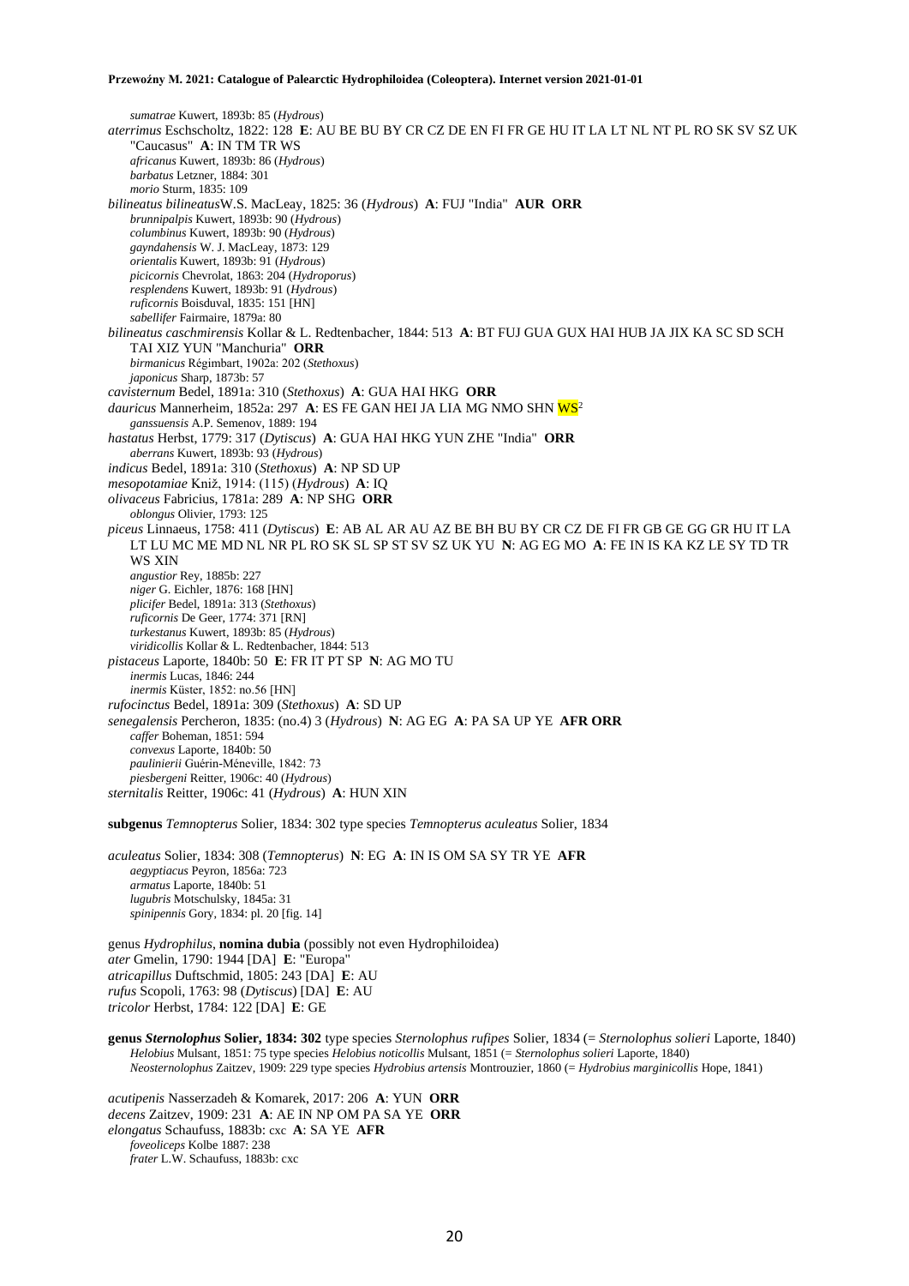*sumatrae* Kuwert, 1893b: 85 (*Hydrous*) *aterrimus* Eschscholtz, 1822: 128 **E**: AU BE BU BY CR CZ DE EN FI FR GE HU IT LA LT NL NT PL RO SK SV SZ UK "Caucasus" **A**: IN TM TR WS *africanus* Kuwert, 1893b: 86 (*Hydrous*) *barbatus* Letzner, 1884: 301 *morio* Sturm, 1835: 109 *bilineatus bilineatus*W.S. MacLeay, 1825: 36 (*Hydrous*) **A**: FUJ "India" **AUR ORR** *brunnipalpis* Kuwert, 1893b: 90 (*Hydrous*) *columbinus* Kuwert, 1893b: 90 (*Hydrous*) *gayndahensis* W. J. MacLeay, 1873: 129 *orientalis* Kuwert, 1893b: 91 (*Hydrous*) *picicornis* Chevrolat, 1863: 204 (*Hydroporus*) *resplendens* Kuwert, 1893b: 91 (*Hydrous*) *ruficornis* Boisduval, 1835: 151 [HN] *sabellifer* Fairmaire, 1879a: 80 *bilineatus caschmirensis* Kollar & L. Redtenbacher, 1844: 513 **A**: BT FUJ GUA GUX HAI HUB JA JIX KA SC SD SCH TAI XIZ YUN "Manchuria" **ORR** *birmanicus* Régimbart, 1902a: 202 (*Stethoxus*) *japonicus* Sharp, 1873b: 57 *cavisternum* Bedel, 1891a: 310 (*Stethoxus*) **A**: GUA HAI HKG **ORR** dauricus Mannerheim, 1852a: 297 A: ES FE GAN HEI JA LIA MG NMO SHN WS<sup>2</sup> *ganssuensis* A.P. Semenov, 1889: 194 *hastatus* Herbst, 1779: 317 (*Dytiscus*) **A**: GUA HAI HKG YUN ZHE "India" **ORR** *aberrans* Kuwert, 1893b: 93 (*Hydrous*) *indicus* Bedel, 1891a: 310 (*Stethoxus*) **A**: NP SD UP *mesopotamiae* Kniž, 1914: (115) (*Hydrous*) **A**: IQ *olivaceus* Fabricius, 1781a: 289 **A**: NP SHG **ORR** *oblongus* Olivier, 1793: 125 *piceus* Linnaeus, 1758: 411 (*Dytiscus*) **E**: AB AL AR AU AZ BE BH BU BY CR CZ DE FI FR GB GE GG GR HU IT LA LT LU MC ME MD NL NR PL RO SK SL SP ST SV SZ UK YU **N**: AG EG MO **A**: FE IN IS KA KZ LE SY TD TR WS XIN *angustior* Rey, 1885b: 227 *niger* G. Eichler, 1876: 168 [HN] *plicifer* Bedel, 1891a: 313 (*Stethoxus*) *ruficornis* De Geer, 1774: 371 [RN] *turkestanus* Kuwert, 1893b: 85 (*Hydrous*) *viridicollis* Kollar & L. Redtenbacher, 1844: 513 *pistaceus* Laporte, 1840b: 50 **E**: FR IT PT SP **N**: AG MO TU *inermis* Lucas, 1846: 244 *inermis* Küster, 1852: no.56 [HN] *rufocinctus* Bedel, 1891a: 309 (*Stethoxus*) **A**: SD UP *senegalensis* Percheron, 1835: (no.4) 3 (*Hydrous*) **N**: AG EG **A**: PA SA UP YE **AFR ORR** *caffer* Boheman, 1851: 594 *convexus* Laporte, 1840b: 50 *paulinierii* Guérin-Méneville, 1842: 73 *piesbergeni* Reitter, 1906c: 40 (*Hydrous*) *sternitalis* Reitter, 1906c: 41 (*Hydrous*) **A**: HUN XIN

**subgenus** *Temnopterus* Solier, 1834: 302 type species *Temnopterus aculeatus* Solier, 1834

*aculeatus* Solier, 1834: 308 (*Temnopterus*) **N**: EG **A**: IN IS OM SA SY TR YE **AFR** *aegyptiacus* Peyron, 1856a: 723 *armatus* Laporte, 1840b: 51 *lugubris* Motschulsky, 1845a: 31 *spinipennis* Gory, 1834: pl. 20 [fig. 14]

genus *Hydrophilus*, **nomina dubia** (possibly not even Hydrophiloidea) *ater* Gmelin, 1790: 1944 [DA] **E**: "Europa" *atricapillus* Duftschmid, 1805: 243 [DA] **E**: AU *rufus* Scopoli, 1763: 98 (*Dytiscus*) [DA] **E**: AU *tricolor* Herbst, 1784: 122 [DA] **E**: GE

**genus** *Sternolophus* **Solier, 1834: 302** type species *Sternolophus rufipes* Solier, 1834 (= *Sternolophus solieri* Laporte, 1840) *Helobius* Mulsant, 1851: 75 type species *Helobius noticollis* Mulsant, 1851 (= *Sternolophus solieri* Laporte, 1840) *Neosternolophus* Zaitzev, 1909: 229 type species *Hydrobius artensis* Montrouzier, 1860 (= *Hydrobius marginicollis* Hope, 1841)

*acutipenis* Nasserzadeh & Komarek, 2017: 206 **A**: YUN **ORR** *decens* Zaitzev, 1909: 231 **A**: AE IN NP OM PA SA YE **ORR** *elongatus* Schaufuss, 1883b: cxc **A**: SA YE **AFR** *foveoliceps* Kolbe 1887: 238 *frater* L.W. Schaufuss, 1883b: cxc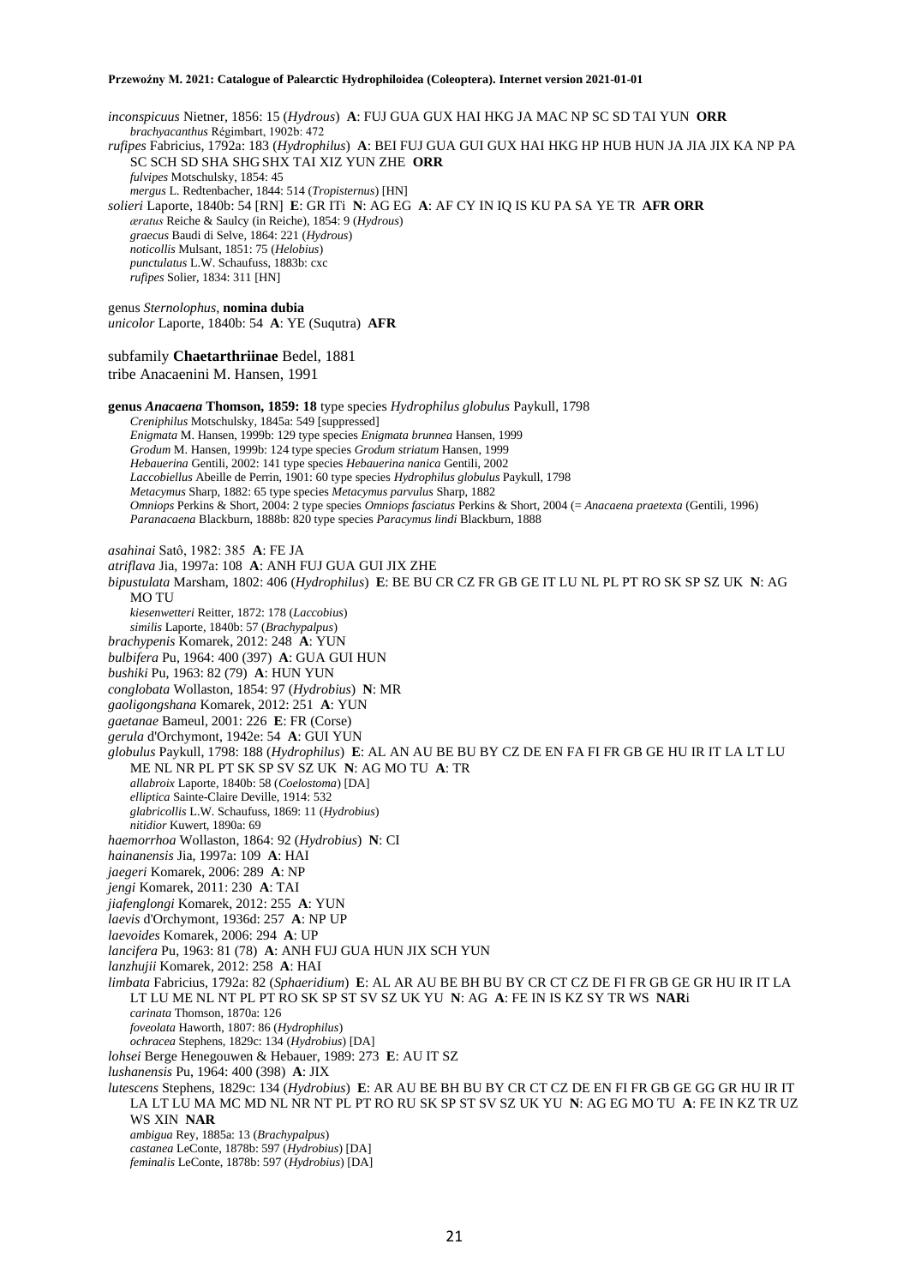*inconspicuus* Nietner, 1856: 15 (*Hydrous*) **A**: FUJ GUA GUX HAI HKG JA MAC NP SC SD TAI YUN **ORR** *brachyacanthus* Régimbart, 1902b: 472 *rufipes* Fabricius, 1792a: 183 (*Hydrophilus*) **A**: BEI FUJ GUA GUI GUX HAI HKG HP HUB HUN JA JIA JIX KA NP PA SC SCH SD SHA SHG SHX TAI XIZ YUN ZHE **ORR** *fulvipes* Motschulsky, 1854: 45 *mergus* L. Redtenbacher, 1844: 514 (*Tropisternus*) [HN] *solieri* Laporte, 1840b: 54 [RN] **E**: GR ITi **N**: AG EG **A**: AF CY IN IQ IS KU PA SA YE TR **AFR ORR** *æratus* Reiche & Saulcy (in Reiche), 1854: 9 (*Hydrous*) *graecus* Baudi di Selve, 1864: 221 (*Hydrous*) *noticollis* Mulsant, 1851: 75 (*Helobius*) *punctulatus* L.W. Schaufuss, 1883b: cxc *rufipes* Solier, 1834: 311 [HN] genus *Sternolophus*, **nomina dubia** *unicolor* Laporte, 1840b: 54 **A**: YE (Suqutra) **AFR** subfamily **Chaetarthriinae** Bedel, 1881 tribe Anacaenini M. Hansen, 1991 **genus** *Anacaena* **Thomson, 1859: 18** type species *Hydrophilus globulus* Paykull, 1798 *Creniphilus* Motschulsky, 1845a: 549 [suppressed] *Enigmata* M. Hansen, 1999b: 129 type species *Enigmata brunnea* Hansen, 1999 *Grodum* M. Hansen, 1999b: 124 type species *Grodum striatum* Hansen, 1999 *Hebauerina* Gentili, 2002: 141 type species *Hebauerina nanica* Gentili, 2002 *Laccobiellus* Abeille de Perrin, 1901: 60 type species *Hydrophilus globulus* Paykull, 1798 *Metacymus* Sharp, 1882: 65 type species *Metacymus parvulus* Sharp, 1882 *Omniops* Perkins & Short, 2004: 2 type species *Omniops fasciatus* Perkins & Short, 2004 (= *Anacaena praetexta* (Gentili, 1996) *Paranacaena* Blackburn, 1888b: 820 type species *Paracymus lindi* Blackburn, 1888 *asahinai* Satô, 1982: 385 **A**: FE JA *atriflava* Jia, 1997a: 108 **A**: ANH FUJ GUA GUI JIX ZHE *bipustulata* Marsham, 1802: 406 (*Hydrophilus*) **E**: BE BU CR CZ FR GB GE IT LU NL PL PT RO SK SP SZ UK **N**: AG MO TU *kiesenwetteri* Reitter, 1872: 178 (*Laccobius*) *similis* Laporte, 1840b: 57 (*Brachypalpus*) *brachypenis* Komarek, 2012: 248 **A**: YUN *bulbifera* Pu, 1964: 400 (397) **A**: GUA GUI HUN *bushiki* Pu, 1963: 82 (79) **A**: HUN YUN *conglobata* Wollaston, 1854: 97 (*Hydrobius*) **N**: MR *gaoligongshana* Komarek, 2012: 251 **A**: YUN *gaetanae* Bameul, 2001: 226 **E**: FR (Corse) *gerula* d'Orchymont, 1942e: 54 **A**: GUI YUN *globulus* Paykull, 1798: 188 (*Hydrophilus*) **E**: AL AN AU BE BU BY CZ DE EN FA FI FR GB GE HU IR IT LA LT LU ME NL NR PL PT SK SP SV SZ UK **N**: AG MO TU **A**: TR *allabroix* Laporte, 1840b: 58 (*Coelostoma*) [DA] *elliptica* Sainte-Claire Deville, 1914: 532 *glabricollis* L.W. Schaufuss, 1869: 11 (*Hydrobius*) *nitidior* Kuwert, 1890a: 69 *haemorrhoa* Wollaston, 1864: 92 (*Hydrobius*) **N**: CI *hainanensis* Jia, 1997a: 109 **A**: HAI *jaegeri* Komarek, 2006: 289 **A**: NP *jengi* Komarek, 2011: 230 **A**: TAI *jiafenglongi* Komarek, 2012: 255 **A**: YUN *laevis* d'Orchymont, 1936d: 257 **A**: NP UP *laevoides* Komarek, 2006: 294 **A**: UP *lancifera* Pu, 1963: 81 (78) **A**: ANH FUJ GUA HUN JIX SCH YUN *lanzhujii* Komarek, 2012: 258 **A**: HAI *limbata* Fabricius, 1792a: 82 (*Sphaeridium*) **E**: AL AR AU BE BH BU BY CR CT CZ DE FI FR GB GE GR HU IR IT LA LT LU ME NL NT PL PT RO SK SP ST SV SZ UK YU **N**: AG **A**: FE IN IS KZ SY TR WS **NAR**i *carinata* Thomson, 1870a: 126 *foveolata* Haworth, 1807: 86 (*Hydrophilus*) *ochracea* Stephens, 1829c: 134 (*Hydrobius*) [DA] *lohsei* Berge Henegouwen & Hebauer, 1989: 273 **E**: AU IT SZ *lushanensis* Pu, 1964: 400 (398) **A**: JIX *lutescens* Stephens, 1829c: 134 (*Hydrobius*) **E**: AR AU BE BH BU BY CR CT CZ DE EN FI FR GB GE GG GR HU IR IT LA LT LU MA MC MD NL NR NT PL PT RO RU SK SP ST SV SZ UK YU **N**: AG EG MO TU **A**: FE IN KZ TR UZ WS XIN **NAR** *ambigua* Rey, 1885a: 13 (*Brachypalpus*) *castanea* LeConte, 1878b: 597 (*Hydrobius*) [DA] *feminalis* LeConte, 1878b: 597 (*Hydrobius*) [DA]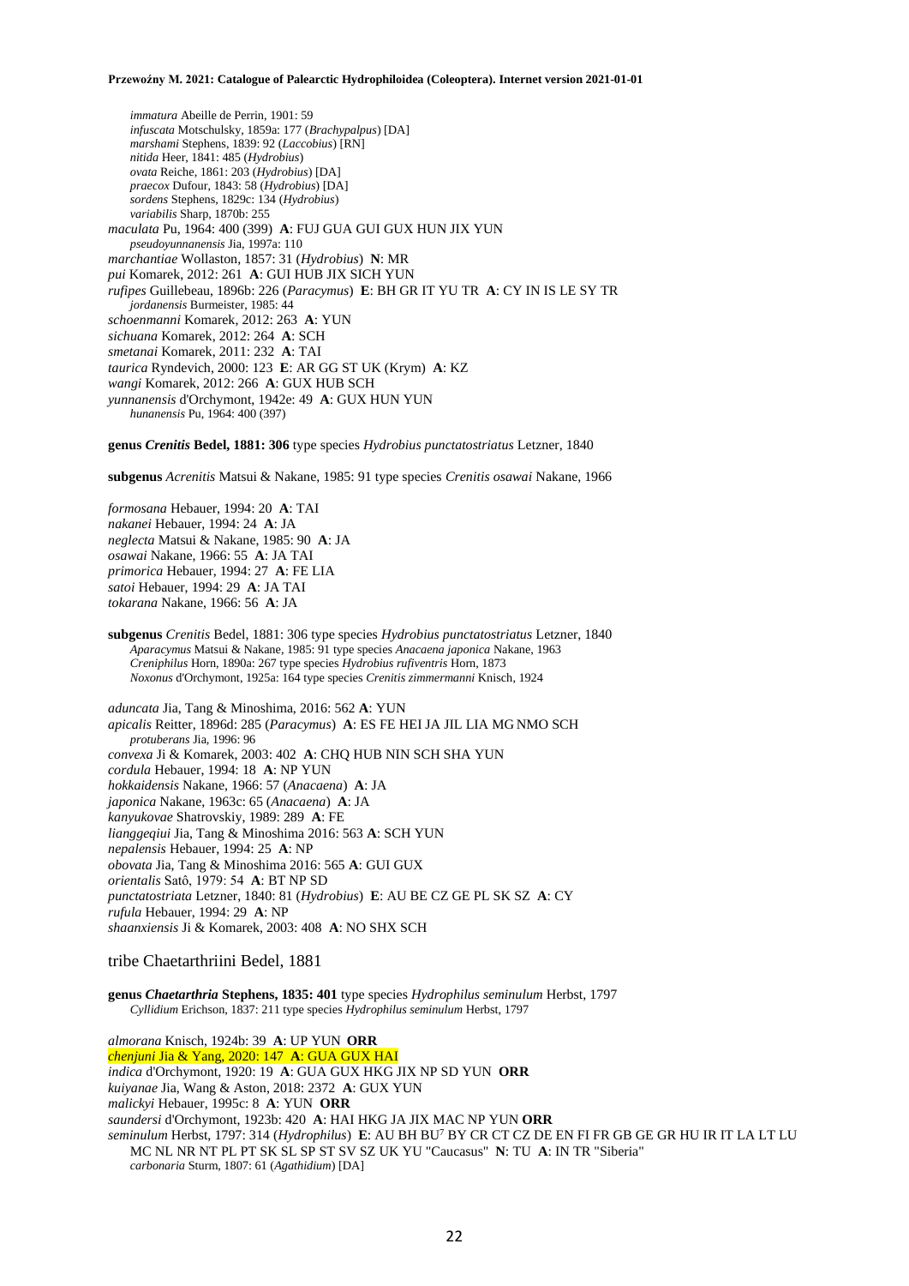*immatura* Abeille de Perrin, 1901: 59 *infuscata* Motschulsky, 1859a: 177 (*Brachypalpus*) [DA] *marshami* Stephens, 1839: 92 (*Laccobius*) [RN] *nitida* Heer, 1841: 485 (*Hydrobius*) *ovata* Reiche, 1861: 203 (*Hydrobius*) [DA] *praecox* Dufour, 1843: 58 (*Hydrobius*) [DA] *sordens* Stephens, 1829c: 134 (*Hydrobius*) *variabilis* Sharp, 1870b: 255 *maculata* Pu, 1964: 400 (399) **A**: FUJ GUA GUI GUX HUN JIX YUN *pseudoyunnanensis* Jia, 1997a: 110 *marchantiae* Wollaston, 1857: 31 (*Hydrobius*) **N**: MR *pui* Komarek, 2012: 261 **A**: GUI HUB JIX SICH YUN *rufipes* Guillebeau, 1896b: 226 (*Paracymus*) **E**: BH GR IT YU TR **A**: CY IN IS LE SY TR *jordanensis* Burmeister, 1985: 44 *schoenmanni* Komarek, 2012: 263 **A**: YUN *sichuana* Komarek, 2012: 264 **A**: SCH *smetanai* Komarek, 2011: 232 **A**: TAI *taurica* Ryndevich, 2000: 123 **E**: AR GG ST UK (Krym) **A**: KZ *wangi* Komarek, 2012: 266 **A**: GUX HUB SCH *yunnanensis* d'Orchymont, 1942e: 49 **A**: GUX HUN YUN *hunanensis* Pu, 1964: 400 (397)

**genus** *Crenitis* **Bedel, 1881: 306** type species *Hydrobius punctatostriatus* Letzner, 1840

**subgenus** *Acrenitis* Matsui & Nakane, 1985: 91 type species *Crenitis osawai* Nakane, 1966

*formosana* Hebauer, 1994: 20 **A**: TAI *nakanei* Hebauer, 1994: 24 **A**: JA *neglecta* Matsui & Nakane, 1985: 90 **A**: JA *osawai* Nakane, 1966: 55 **A**: JA TAI *primorica* Hebauer, 1994: 27 **A**: FE LIA *satoi* Hebauer, 1994: 29 **A**: JA TAI *tokarana* Nakane, 1966: 56 **A**: JA

**subgenus** *Crenitis* Bedel, 1881: 306 type species *Hydrobius punctatostriatus* Letzner, 1840 *Aparacymus* Matsui & Nakane, 1985: 91 type species *Anacaena japonica* Nakane, 1963 *Creniphilus* Horn, 1890a: 267 type species *Hydrobius rufiventris* Horn, 1873 *Noxonus* d'Orchymont, 1925a: 164 type species *Crenitis zimmermanni* Knisch, 1924

*aduncata* Jia, Tang & Minoshima, 2016: 562 **A**: YUN *apicalis* Reitter, 1896d: 285 (*Paracymus*) **A**: ES FE HEI JA JIL LIA MG NMO SCH *protuberans* Jia, 1996: 96 *convexa* Ji & Komarek, 2003: 402 **A**: CHQ HUB NIN SCH SHA YUN *cordula* Hebauer, 1994: 18 **A**: NP YUN *hokkaidensis* Nakane, 1966: 57 (*Anacaena*) **A**: JA *japonica* Nakane, 1963c: 65 (*Anacaena*) **A**: JA *kanyukovae* Shatrovskiy, 1989: 289 **A**: FE *lianggeqiui* Jia, Tang & Minoshima 2016: 563 **A**: SCH YUN *nepalensis* Hebauer, 1994: 25 **A**: NP *obovata* Jia, Tang & Minoshima 2016: 565 **A**: GUI GUX *orientalis* Satô, 1979: 54 **A**: BT NP SD *punctatostriata* Letzner, 1840: 81 (*Hydrobius*) **E**: AU BE CZ GE PL SK SZ **A**: CY *rufula* Hebauer, 1994: 29 **A**: NP *shaanxiensis* Ji & Komarek, 2003: 408 **A**: NO SHX SCH

tribe Chaetarthriini Bedel, 1881

**genus** *Chaetarthria* **Stephens, 1835: 401** type species *Hydrophilus seminulum* Herbst, 1797 *Cyllidium* Erichson, 1837: 211 type species *Hydrophilus seminulum* Herbst, 1797

*almorana* Knisch, 1924b: 39 **A**: UP YUN **ORR** *chenjuni* Jia & Yang, 2020: 147 **A**: GUA GUX HAI *indica* d'Orchymont, 1920: 19 **A**: GUA GUX HKG JIX NP SD YUN **ORR** *kuiyanae* Jia, Wang & Aston, 2018: 2372 **A**: GUX YUN *malickyi* Hebauer, 1995c: 8 **A**: YUN **ORR** *saundersi* d'Orchymont, 1923b: 420 **A**: HAI HKG JA JIX MAC NP YUN **ORR** *seminulum* Herbst, 1797: 314 (*Hydrophilus*) **E**: AU BH BU<sup>7</sup> BY CR CT CZ DE EN FI FR GB GE GR HU IR IT LA LT LU MC NL NR NT PL PT SK SL SP ST SV SZ UK YU "Caucasus" **N**: TU **A**: IN TR "Siberia" *carbonaria* Sturm, 1807: 61 (*Agathidium*) [DA]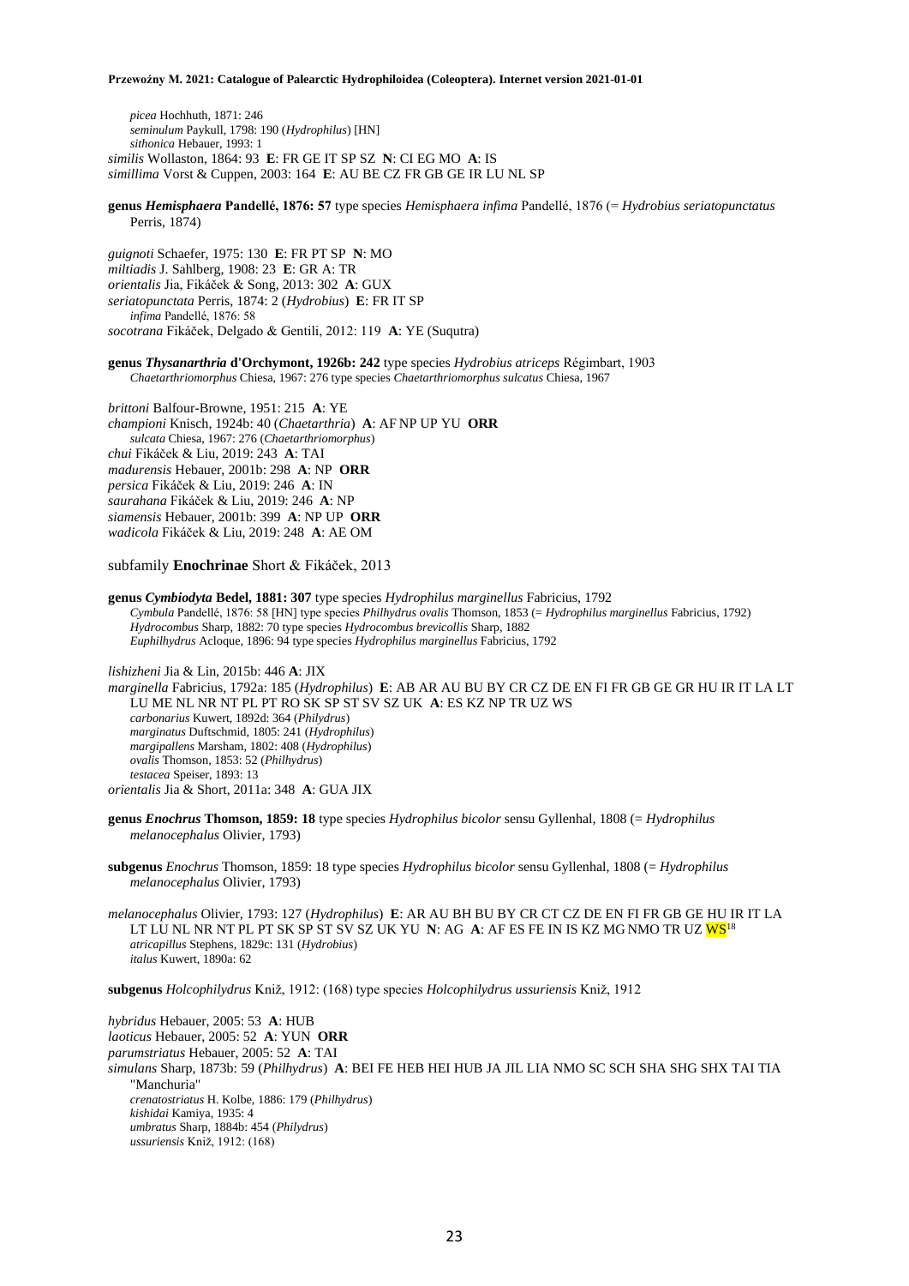*picea* Hochhuth, 1871: 246 *seminulum* Paykull, 1798: 190 (*Hydrophilus*) [HN] *sithonica* Hebauer, 1993: 1 *similis* Wollaston, 1864: 93 **E**: FR GE IT SP SZ **N**: CI EG MO **A**: IS *simillima* Vorst & Cuppen, 2003: 164 **E**: AU BE CZ FR GB GE IR LU NL SP

**genus** *Hemisphaera* **Pandellé, 1876: 57** type species *Hemisphaera infima* Pandellé, 1876 (= *Hydrobius seriatopunctatus* Perris, 1874)

*guignoti* Schaefer, 1975: 130 **E**: FR PT SP **N**: MO *miltiadis* J. Sahlberg, 1908: 23 **E**: GR A: TR *orientalis* Jia, Fikáček & Song, 2013: 302 **A**: GUX *seriatopunctata* Perris, 1874: 2 (*Hydrobius*) **E**: FR IT SP *infima* Pandellé, 1876: 58 *socotrana* Fikáček, Delgado & Gentili, 2012: 119 **A**: YE (Suqutra)

**genus** *Thysanarthria* **d'Orchymont, 1926b: 242** type species *Hydrobius atriceps* Régimbart, 1903 *Chaetarthriomorphus* Chiesa, 1967: 276 type species *Chaetarthriomorphus sulcatus* Chiesa, 1967

*brittoni* Balfour-Browne, 1951: 215 **A**: YE *championi* Knisch, 1924b: 40 (*Chaetarthria*) **A**: AF NP UP YU **ORR** *sulcata* Chiesa, 1967: 276 (*Chaetarthriomorphus*) *chui* Fikáček & Liu, 2019: 243 **A**: TAI *madurensis* Hebauer, 2001b: 298 **A**: NP **ORR** *persica* Fikáček & Liu, 2019: 246 **A**: IN *saurahana* Fikáček & Liu, 2019: 246 **A**: NP *siamensis* Hebauer, 2001b: 399 **A**: NP UP **ORR** *wadicola* Fikáček & Liu, 2019: 248 **A**: AE OM

subfamily **Enochrinae** Short & Fikáček, 2013

**genus** *Cymbiodyta* **Bedel, 1881: 307** type species *Hydrophilus marginellus* Fabricius, 1792 *Cymbula* Pandellé, 1876: 58 [HN] type species *Philhydrus ovalis* Thomson, 1853 (= *Hydrophilus marginellus* Fabricius, 1792) *Hydrocombus* Sharp, 1882: 70 type species *Hydrocombus brevicollis* Sharp, 1882 *Euphilhydrus* Acloque, 1896: 94 type species *Hydrophilus marginellus* Fabricius, 1792

*lishizheni* Jia & Lin, 2015b: 446 **A**: JIX

*marginella* Fabricius, 1792a: 185 (*Hydrophilus*) **E**: AB AR AU BU BY CR CZ DE EN FI FR GB GE GR HU IR IT LA LT LU ME NL NR NT PL PT RO SK SP ST SV SZ UK **A**: ES KZ NP TR UZ WS *carbonarius* Kuwert, 1892d: 364 (*Philydrus*) *marginatus* Duftschmid, 1805: 241 (*Hydrophilus*) *margipallens* Marsham, 1802: 408 (*Hydrophilus*) *ovalis* Thomson, 1853: 52 (*Philhydrus*) *testacea* Speiser, 1893: 13 *orientalis* Jia & Short, 2011a: 348 **A**: GUA JIX

**genus** *Enochrus* **Thomson, 1859: 18** type species *Hydrophilus bicolor* sensu Gyllenhal, 1808 (= *Hydrophilus melanocephalus* Olivier, 1793)

**subgenus** *Enochrus* Thomson, 1859: 18 type species *Hydrophilus bicolor* sensu Gyllenhal, 1808 (= *Hydrophilus melanocephalus* Olivier, 1793)

*melanocephalus* Olivier, 1793: 127 (*Hydrophilus*) **E**: AR AU BH BU BY CR CT CZ DE EN FI FR GB GE HU IR IT LA LT LU NL NR NT PL PT SK SP ST SV SZ UK YU **N**: AG **A**: AF ES FE IN IS KZ MG NMO TR UZ WS<sup>18</sup> *atricapillus* Stephens, 1829c: 131 (*Hydrobius*) *italus* Kuwert, 1890a: 62

**subgenus** *Holcophilydrus* Kniž, 1912: (168) type species *Holcophilydrus ussuriensis* Kniž, 1912

*hybridus* Hebauer, 2005: 53 **A**: HUB *laoticus* Hebauer, 2005: 52 **A**: YUN **ORR** *parumstriatus* Hebauer, 2005: 52 **A**: TAI *simulans* Sharp, 1873b: 59 (*Philhydrus*) **A**: BEI FE HEB HEI HUB JA JIL LIA NMO SC SCH SHA SHG SHX TAI TIA "Manchuria" *crenatostriatus* H. Kolbe, 1886: 179 (*Philhydrus*) *kishidai* Kamiya, 1935: 4 *umbratus* Sharp, 1884b: 454 (*Philydrus*) *ussuriensis* Kniž, 1912: (168)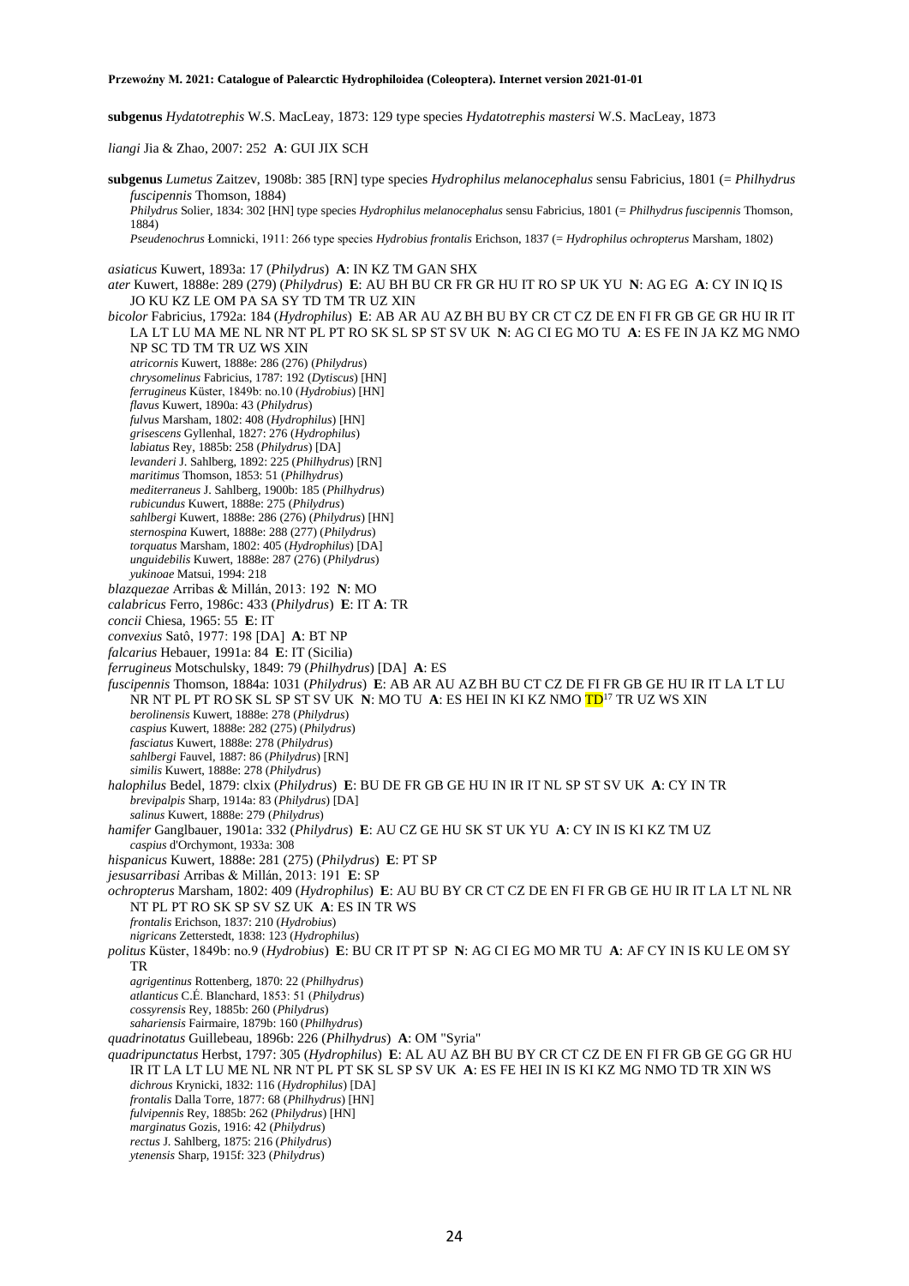**subgenus** *Hydatotrephis* W.S. MacLeay, 1873: 129 type species *Hydatotrephis mastersi* W.S. MacLeay, 1873

*liangi* Jia & Zhao, 2007: 252 **A**: GUI JIX SCH

**subgenus** *Lumetus* Zaitzev, 1908b: 385 [RN] type species *Hydrophilus melanocephalus* sensu Fabricius, 1801 (= *Philhydrus fuscipennis* Thomson, 1884) *Philydrus* Solier, 1834: 302 [HN] type species *Hydrophilus melanocephalus* sensu Fabricius, 1801 (= *Philhydrus fuscipennis* Thomson, 1884) *Pseudenochrus* Łomnicki, 1911: 266 type species *Hydrobius frontalis* Erichson, 1837 (= *Hydrophilus ochropterus* Marsham, 1802) *asiaticus* Kuwert, 1893a: 17 (*Philydrus*) **A**: IN KZ TM GAN SHX *ater* Kuwert, 1888e: 289 (279) (*Philydrus*) **E**: AU BH BU CR FR GR HU IT RO SP UK YU **N**: AG EG **A**: CY IN IQ IS JO KU KZ LE OM PA SA SY TD TM TR UZ XIN *bicolor* Fabricius, 1792a: 184 (*Hydrophilus*) **E**: AB AR AU AZBH BU BY CR CT CZ DE EN FI FR GB GE GR HU IR IT LA LT LU MA ME NL NR NT PL PT RO SK SL SP ST SV UK **N**: AG CI EG MO TU **A**: ES FE IN JA KZ MG NMO NP SC TD TM TR UZ WS XIN *atricornis* Kuwert, 1888e: 286 (276) (*Philydrus*) *chrysomelinus* Fabricius, 1787: 192 (*Dytiscus*) [HN] *ferrugineus* Küster, 1849b: no.10 (*Hydrobius*) [HN] *flavus* Kuwert, 1890a: 43 (*Philydrus*) *fulvus* Marsham, 1802: 408 (*Hydrophilus*) [HN] *grisescens* Gyllenhal, 1827: 276 (*Hydrophilus*) *labiatus* Rey, 1885b: 258 (*Philydrus*) [DA] *levanderi* J. Sahlberg, 1892: 225 (*Philhydrus*) [RN] *maritimus* Thomson, 1853: 51 (*Philhydrus*) *mediterraneus* J. Sahlberg, 1900b: 185 (*Philhydrus*) *rubicundus* Kuwert, 1888e: 275 (*Philydrus*) *sahlbergi* Kuwert, 1888e: 286 (276) (*Philydrus*) [HN] *sternospina* Kuwert, 1888e: 288 (277) (*Philydrus*) *torquatus* Marsham, 1802: 405 (*Hydrophilus*) [DA] *unguidebilis* Kuwert, 1888e: 287 (276) (*Philydrus*) *yukinoae* Matsui, 1994: 218 *blazquezae* Arribas & Millán, 2013: 192 **N**: MO *calabricus* Ferro, 1986c: 433 (*Philydrus*) **E**: IT **A**: TR *concii* Chiesa, 1965: 55 **E**: IT *convexius* Satô, 1977: 198 [DA] **A**: BT NP *falcarius* Hebauer, 1991a: 84 **E**: IT (Sicilia) *ferrugineus* Motschulsky, 1849: 79 (*Philhydrus*) [DA] **A**: ES *fuscipennis* Thomson, 1884a: 1031 (*Philydrus*) **E**: AB AR AU AZBH BU CT CZ DE FI FR GB GE HU IR IT LA LT LU NR NT PL PT RO SK SL SP ST SV UK **N**: MO TU **A**: ES HEI IN KI KZ NMO TD<sup>17</sup> TR UZ WS XIN *berolinensis* Kuwert, 1888e: 278 (*Philydrus*) *caspius* Kuwert, 1888e: 282 (275) (*Philydrus*) *fasciatus* Kuwert, 1888e: 278 (*Philydrus*) *sahlbergi* Fauvel, 1887: 86 (*Philydrus*) [RN] *similis* Kuwert, 1888e: 278 (*Philydrus*) *halophilus* Bedel, 1879: clxix (*Philydrus*) **E**: BU DE FR GB GE HU IN IR IT NL SP ST SV UK **A**: CY IN TR *brevipalpis* Sharp, 1914a: 83 (*Philydrus*) [DA] *salinus* Kuwert, 1888e: 279 (*Philydrus*) *hamifer* Ganglbauer, 1901a: 332 (*Philydrus*) **E**: AU CZ GE HU SK ST UK YU **A**: CY IN IS KI KZ TM UZ *caspius* d'Orchymont, 1933a: 308 *hispanicus* Kuwert, 1888e: 281 (275) (*Philydrus*) **E**: PT SP *jesusarribasi* Arribas & Millán, 2013: 191 **E**: SP *ochropterus* Marsham, 1802: 409 (*Hydrophilus*) **E**: AU BU BY CR CT CZ DE EN FI FR GB GE HU IR IT LA LT NL NR NT PL PT RO SK SP SV SZ UK **A**: ES IN TR WS *frontalis* Erichson, 1837: 210 (*Hydrobius*) *nigricans* Zetterstedt, 1838: 123 (*Hydrophilus*) *politus* Küster, 1849b: no.9 (*Hydrobius*) **E**: BU CR IT PT SP **N**: AG CI EG MO MR TU **A**: AF CY IN IS KU LE OM SY TR *agrigentinus* Rottenberg, 1870: 22 (*Philhydrus*) *atlanticus* C.É. Blanchard, 1853: 51 (*Philydrus*) *cossyrensis* Rey, 1885b: 260 (*Philydrus*) *sahariensis* Fairmaire, 1879b: 160 (*Philhydrus*) *quadrinotatus* Guillebeau, 1896b: 226 (*Philhydrus*) **A**: OM "Syria" *quadripunctatus* Herbst, 1797: 305 (*Hydrophilus*) **E**: AL AU AZ BH BU BY CR CT CZ DE EN FI FR GB GE GG GR HU IR IT LA LT LU ME NL NR NT PL PT SK SL SP SV UK **A**: ES FE HEI IN IS KI KZ MG NMO TD TR XIN WS *dichrous* Krynicki, 1832: 116 (*Hydrophilus*) [DA] *frontalis* Dalla Torre, 1877: 68 (*Philhydrus*) [HN] *fulvipennis* Rey, 1885b: 262 (*Philydrus*) [HN] *marginatus* Gozis, 1916: 42 (*Philydrus*) *rectus* J. Sahlberg, 1875: 216 (*Philydrus*) *ytenensis* Sharp, 1915f: 323 (*Philydrus*)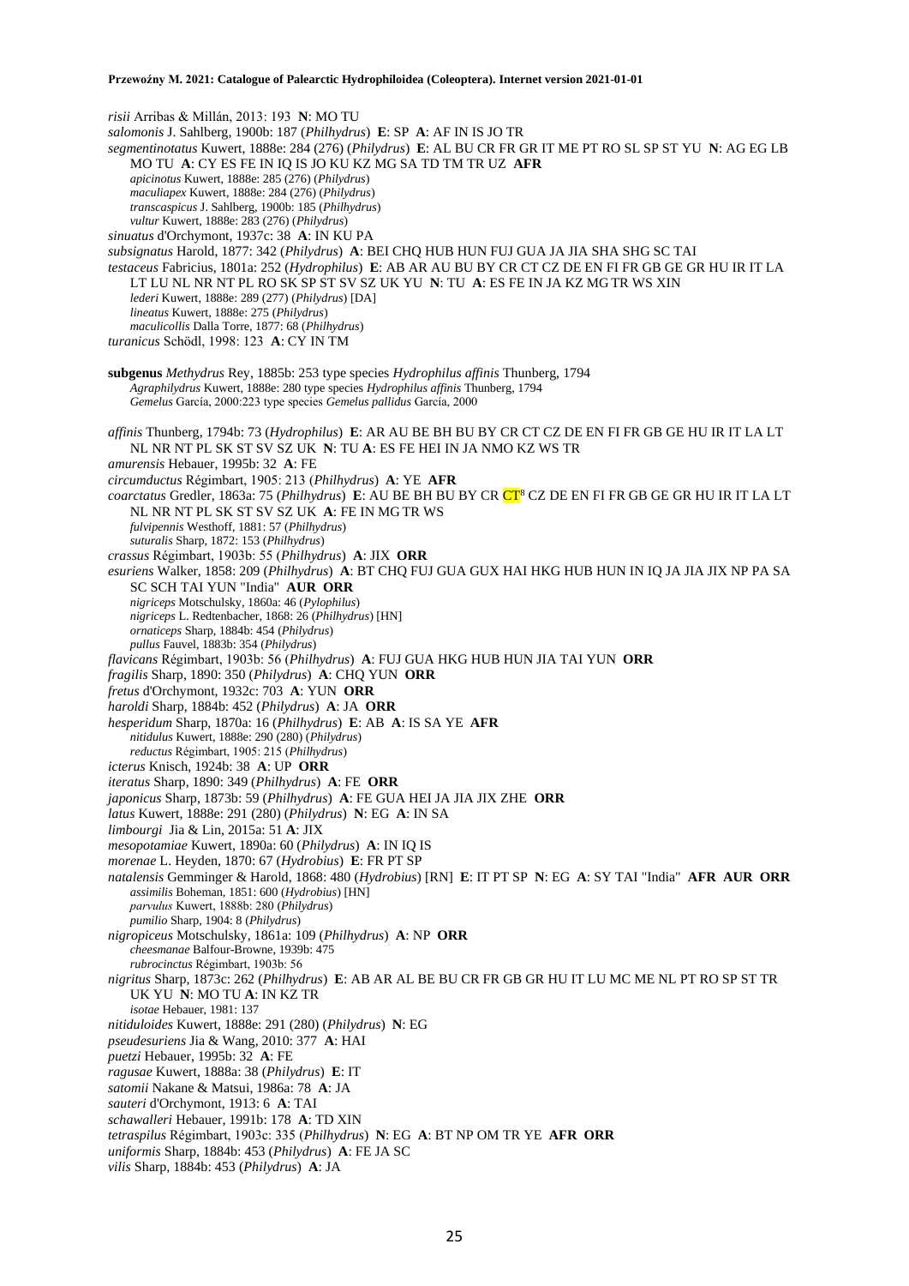*risii* Arribas & Millán, 2013: 193 **N**: MO TU *salomonis* J. Sahlberg, 1900b: 187 (*Philhydrus*) **E**: SP **A**: AF IN IS JO TR *segmentinotatus* Kuwert, 1888e: 284 (276) (*Philydrus*) **E**: AL BU CR FR GR IT ME PT RO SL SP ST YU **N**: AG EG LB MO TU **A**: CY ES FE IN IQ IS JO KU KZ MG SA TD TM TR UZ **AFR** *apicinotus* Kuwert, 1888e: 285 (276) (*Philydrus*) *maculiapex* Kuwert, 1888e: 284 (276) (*Philydrus*) *transcaspicus* J. Sahlberg, 1900b: 185 (*Philhydrus*) *vultur* Kuwert, 1888e: 283 (276) (*Philydrus*) *sinuatus* d'Orchymont, 1937c: 38 **A**: IN KU PA *subsignatus* Harold, 1877: 342 (*Philydrus*) **A**: BEI CHQ HUB HUN FUJ GUA JA JIA SHA SHG SC TAI *testaceus* Fabricius, 1801a: 252 (*Hydrophilus*) **E**: AB AR AU BU BY CR CT CZ DE EN FI FR GB GE GR HU IR IT LA LT LU NL NR NT PL RO SK SP ST SV SZ UK YU **N**: TU **A**: ES FE IN JA KZ MG TR WS XIN *lederi* Kuwert, 1888e: 289 (277) (*Philydrus*) [DA] *lineatus* Kuwert, 1888e: 275 (*Philydrus*) *maculicollis* Dalla Torre, 1877: 68 (*Philhydrus*) *turanicus* Schödl, 1998: 123 **A**: CY IN TM **subgenus** *Methydrus* Rey, 1885b: 253 type species *Hydrophilus affinis* Thunberg, 1794 *Agraphilydrus* Kuwert, 1888e: 280 type species *Hydrophilus affinis* Thunberg, 1794 *Gemelus* García, 2000:223 type species *Gemelus pallidus* García, 2000 *affinis* Thunberg, 1794b: 73 (*Hydrophilus*) **E**: AR AU BE BH BU BY CR CT CZ DE EN FI FR GB GE HU IR IT LA LT NL NR NT PL SK ST SV SZ UK **N**: TU **A**: ES FE HEI IN JA NMO KZ WS TR *amurensis* Hebauer, 1995b: 32 **A**: FE *circumductus* Régimbart, 1905: 213 (*Philhydrus*) **A**: YE **AFR** *coarctatus* Gredler, 1863a: 75 (*Philhydrus*) **E**: AU BE BH BU BY CR CT<sup>8</sup> CZ DE EN FI FR GB GE GR HU IR IT LA LT NL NR NT PL SK ST SV SZ UK **A**: FE IN MG TR WS *fulvipennis* Westhoff, 1881: 57 (*Philhydrus*) *suturalis* Sharp, 1872: 153 (*Philhydrus*) *crassus* Régimbart, 1903b: 55 (*Philhydrus*) **A**: JIX **ORR** *esuriens* Walker, 1858: 209 (*Philhydrus*) **A**: BT CHQ FUJ GUA GUX HAI HKG HUB HUN IN IQ JA JIA JIX NP PA SA SC SCH TAI YUN "India" **AUR ORR** *nigriceps* Motschulsky, 1860a: 46 (*Pylophilus*) *nigriceps* L. Redtenbacher, 1868: 26 (*Philhydrus*) [HN] *ornaticeps* Sharp, 1884b: 454 (*Philydrus*) *pullus* Fauvel, 1883b: 354 (*Philydrus*) *flavicans* Régimbart, 1903b: 56 (*Philhydrus*) **A**: FUJ GUA HKG HUB HUN JIA TAI YUN **ORR** *fragilis* Sharp, 1890: 350 (*Philydrus*) **A**: CHQ YUN **ORR** *fretus* d'Orchymont, 1932c: 703 **A**: YUN **ORR** *haroldi* Sharp, 1884b: 452 (*Philydrus*) **A**: JA **ORR** *hesperidum* Sharp, 1870a: 16 (*Philhydrus*) **E**: AB **A**: IS SA YE **AFR** *nitidulus* Kuwert, 1888e: 290 (280) (*Philydrus*) *reductus* Régimbart, 1905: 215 (*Philhydrus*) *icterus* Knisch, 1924b: 38 **A**: UP **ORR** *iteratus* Sharp, 1890: 349 (*Philhydrus*) **A**: FE **ORR** *japonicus* Sharp, 1873b: 59 (*Philhydrus*) **A**: FE GUA HEI JA JIA JIX ZHE **ORR** *latus* Kuwert, 1888e: 291 (280) (*Philydrus*) **N**: EG **A**: IN SA *limbourgi* Jia & Lin, 2015a: 51 **A**: JIX *mesopotamiae* Kuwert, 1890a: 60 (*Philydrus*) **A**: IN IQ IS *morenae* L. Heyden, 1870: 67 (*Hydrobius*) **E**: FR PT SP *natalensis* Gemminger & Harold, 1868: 480 (*Hydrobius*) [RN] **E**: IT PT SP **N**: EG **A**: SY TAI "India" **AFR AUR ORR** *assimilis* Boheman, 1851: 600 (*Hydrobius*) [HN] *parvulus* Kuwert, 1888b: 280 (*Philydrus*) *pumilio* Sharp, 1904: 8 (*Philydrus*) *nigropiceus* Motschulsky, 1861a: 109 (*Philhydrus*) **A**: NP **ORR** *cheesmanae* Balfour-Browne, 1939b: 475 *rubrocinctus* Régimbart, 1903b: 56 *nigritus* Sharp, 1873c: 262 (*Philhydrus*) **E**: AB AR AL BE BU CR FR GB GR HU IT LU MC ME NL PT RO SP ST TR UK YU **N**: MO TU **A**: IN KZ TR *isotae* Hebauer, 1981: 137 *nitiduloides* Kuwert, 1888e: 291 (280) (*Philydrus*) **N**: EG *pseudesuriens* Jia & Wang, 2010: 377 **A**: HAI *puetzi* Hebauer, 1995b: 32 **A**: FE *ragusae* Kuwert, 1888a: 38 (*Philydrus*) **E**: IT *satomii* Nakane & Matsui, 1986a: 78 **A**: JA *sauteri* d'Orchymont, 1913: 6 **A**: TAI *schawalleri* Hebauer, 1991b: 178 **A**: TD XIN *tetraspilus* Régimbart, 1903c: 335 (*Philhydrus*) **N**: EG **A**: BT NP OM TR YE **AFR ORR** *uniformis* Sharp, 1884b: 453 (*Philydrus*) **A**: FE JA SC *vilis* Sharp, 1884b: 453 (*Philydrus*) **A**: JA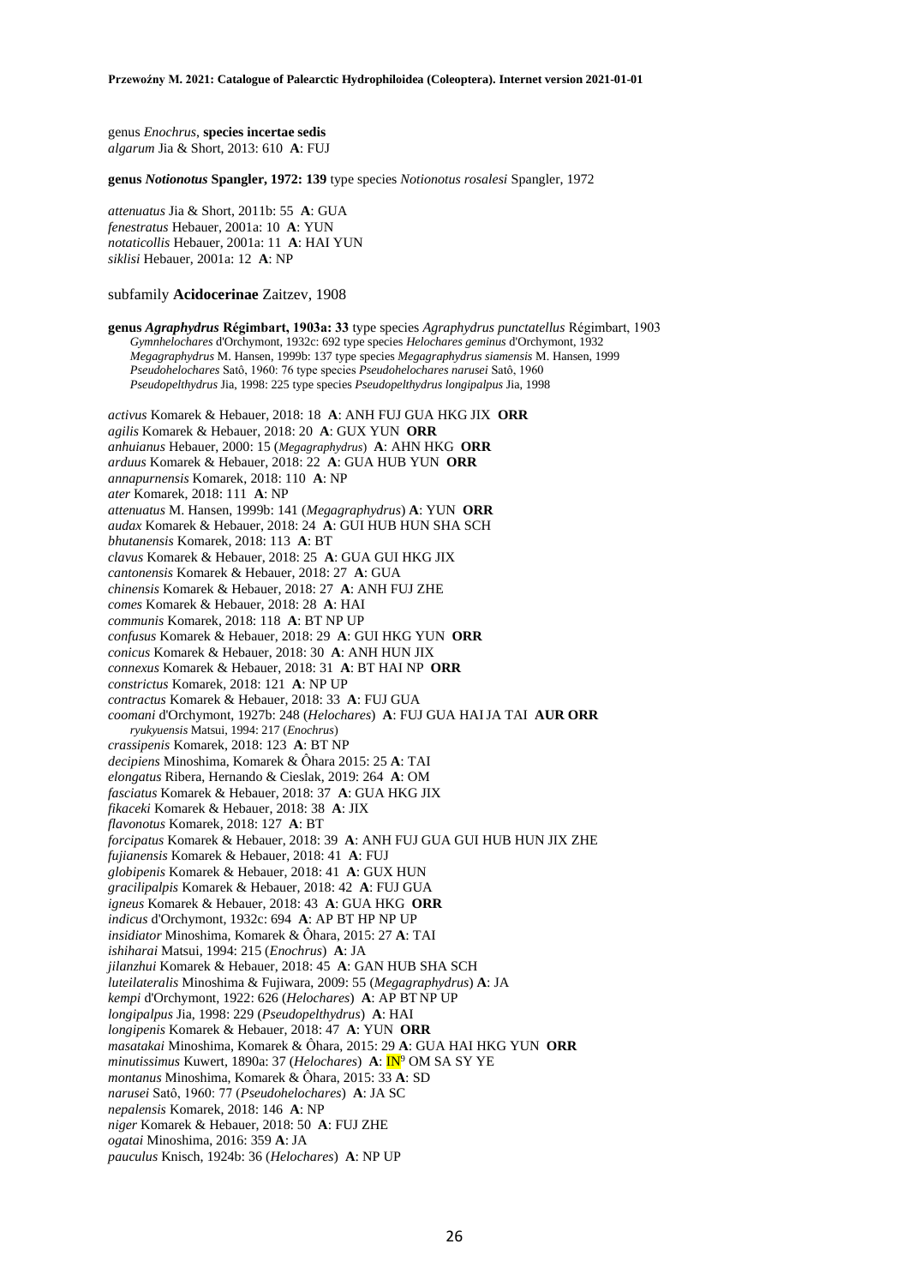genus *Enochrus*, **species incertae sedis** *algarum* Jia & Short, 2013: 610 **A**: FUJ

**genus** *Notionotus* **Spangler, 1972: 139** type species *Notionotus rosalesi* Spangler, 1972

*attenuatus* Jia & Short, 2011b: 55 **A**: GUA *fenestratus* Hebauer, 2001a: 10 **A**: YUN *notaticollis* Hebauer, 2001a: 11 **A**: HAI YUN *siklisi* Hebauer, 2001a: 12 **A**: NP

## subfamily **Acidocerinae** Zaitzev, 1908

**genus** *Agraphydrus* **Régimbart, 1903a: 33** type species *Agraphydrus punctatellus* Régimbart, 1903 *Gymnhelochares* d'Orchymont, 1932c: 692 type species *Helochares geminus* d'Orchymont, 1932 *Megagraphydrus* M. Hansen, 1999b: 137 type species *Megagraphydrus siamensis* M. Hansen, 1999 *Pseudohelochares* Satô, 1960: 76 type species *Pseudohelochares narusei* Satô, 1960 *Pseudopelthydrus* Jia, 1998: 225 type species *Pseudopelthydrus longipalpus* Jia, 1998 *activus* Komarek & Hebauer, 2018: 18 **A**: ANH FUJ GUA HKG JIX **ORR** *agilis* Komarek & Hebauer, 2018: 20 **A**: GUX YUN **ORR** *anhuianus* Hebauer, 2000: 15 (*Megagraphydrus*) **A**: AHN HKG **ORR** *arduus* Komarek & Hebauer, 2018: 22 **A**: GUA HUB YUN **ORR** *annapurnensis* Komarek, 2018: 110 **A**: NP *ater* Komarek, 2018: 111 **A**: NP *attenuatus* M. Hansen, 1999b: 141 (*Megagraphydrus*) **A**: YUN **ORR** *audax* Komarek & Hebauer, 2018: 24 **A**: GUI HUB HUN SHA SCH *bhutanensis* Komarek, 2018: 113 **A**: BT *clavus* Komarek & Hebauer, 2018: 25 **A**: GUA GUI HKG JIX *cantonensis* Komarek & Hebauer, 2018: 27 **A**: GUA *chinensis* Komarek & Hebauer, 2018: 27 **A**: ANH FUJ ZHE *comes* Komarek & Hebauer, 2018: 28 **A**: HAI *communis* Komarek, 2018: 118 **A**: BT NP UP *confusus* Komarek & Hebauer, 2018: 29 **A**: GUI HKG YUN **ORR** *conicus* Komarek & Hebauer, 2018: 30 **A**: ANH HUN JIX *connexus* Komarek & Hebauer, 2018: 31 **A**: BT HAI NP **ORR** *constrictus* Komarek, 2018: 121 **A**: NP UP *contractus* Komarek & Hebauer, 2018: 33 **A**: FUJ GUA *coomani* d'Orchymont, 1927b: 248 (*Helochares*) **A**: FUJ GUA HAIJA TAI **AUR ORR** *ryukyuensis* Matsui, 1994: 217 (*Enochrus*) *crassipenis* Komarek, 2018: 123 **A**: BT NP *decipiens* Minoshima, Komarek & Ôhara 2015: 25 **A**: TAI *elongatus* Ribera, Hernando & Cieslak, 2019: 264 **A**: OM *fasciatus* Komarek & Hebauer, 2018: 37 **A**: GUA HKG JIX *fikaceki* Komarek & Hebauer, 2018: 38 **A**: JIX *flavonotus* Komarek, 2018: 127 **A**: BT *forcipatus* Komarek & Hebauer, 2018: 39 **A**: ANH FUJ GUA GUI HUB HUN JIX ZHE *fujianensis* Komarek & Hebauer, 2018: 41 **A**: FUJ *globipenis* Komarek & Hebauer, 2018: 41 **A**: GUX HUN *gracilipalpis* Komarek & Hebauer, 2018: 42 **A**: FUJ GUA *igneus* Komarek & Hebauer, 2018: 43 **A**: GUA HKG **ORR** *indicus* d'Orchymont, 1932c: 694 **A**: AP BT HP NP UP *insidiator* Minoshima, Komarek & Ôhara, 2015: 27 **A**: TAI *ishiharai* Matsui, 1994: 215 (*Enochrus*) **A**: JA *jilanzhui* Komarek & Hebauer, 2018: 45 **A**: GAN HUB SHA SCH *luteilateralis* Minoshima & Fujiwara, 2009: 55 (*Megagraphydrus*) **A**: JA *kempi* d'Orchymont, 1922: 626 (*Helochares*) **A**: AP BT NP UP *longipalpus* Jia, 1998: 229 (*Pseudopelthydrus*) **A**: HAI *longipenis* Komarek & Hebauer, 2018: 47 **A**: YUN **ORR** *masatakai* Minoshima, Komarek & Ôhara, 2015: 29 **A**: GUA HAI HKG YUN **ORR** *minutissimus* Kuwert, 1890a: 37 (*Helochares*) **A**: IN<sup>9</sup> OM SA SY YE *montanus* Minoshima, Komarek & Ôhara, 2015: 33 **A**: SD *narusei* Satô, 1960: 77 (*Pseudohelochares*) **A**: JA SC *nepalensis* Komarek, 2018: 146 **A**: NP *niger* Komarek & Hebauer, 2018: 50 **A**: FUJ ZHE *ogatai* Minoshima, 2016: 359 **A**: JA *pauculus* Knisch, 1924b: 36 (*Helochares*) **A**: NP UP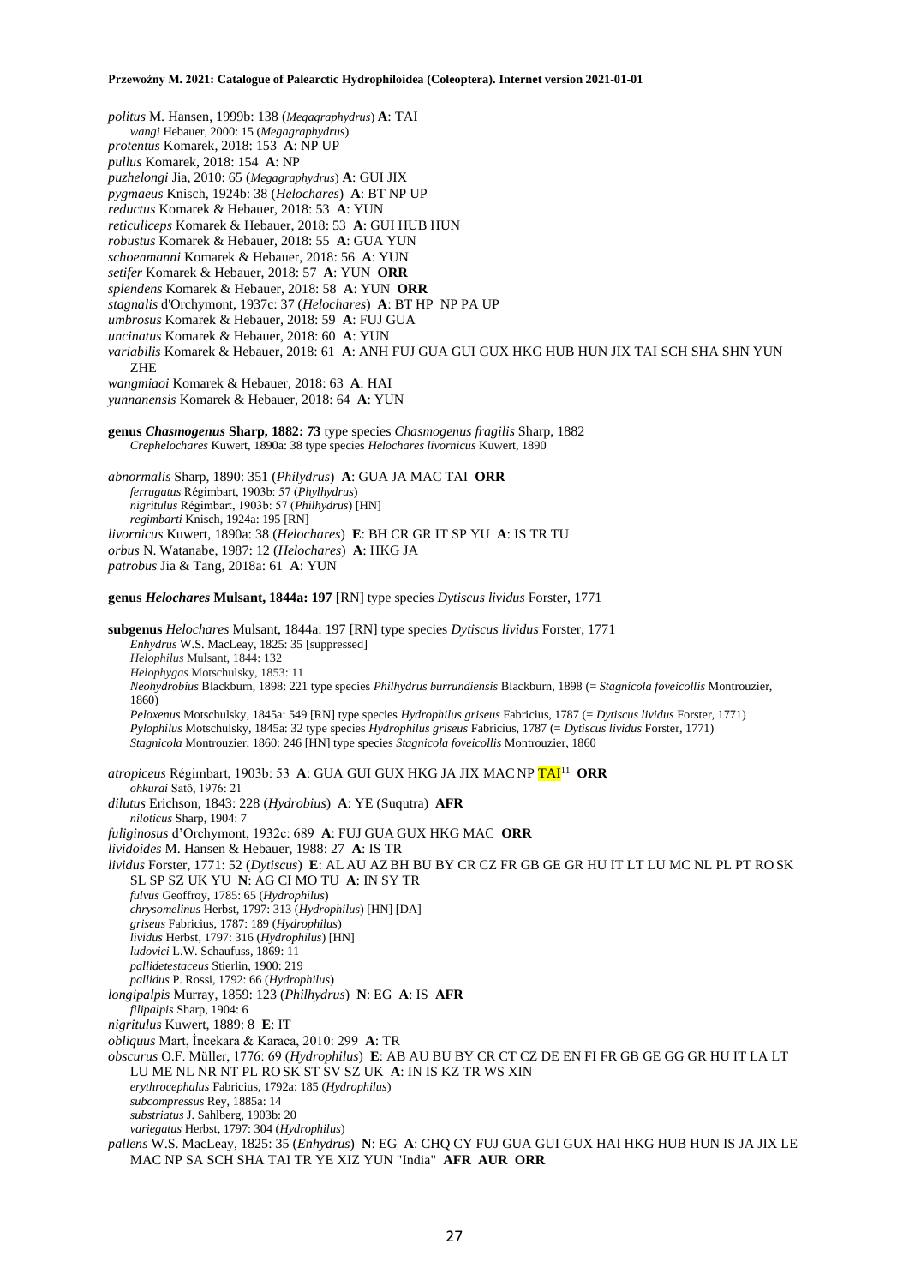*politus* M. Hansen, 1999b: 138 (*Megagraphydrus*) **A**: TAI *wangi* Hebauer, 2000: 15 (*Megagraphydrus*) *protentus* Komarek, 2018: 153 **A**: NP UP *pullus* Komarek, 2018: 154 **A**: NP *puzhelongi* Jia, 2010: 65 (*Megagraphydrus*) **A**: GUI JIX *pygmaeus* Knisch, 1924b: 38 (*Helochares*) **A**: BT NP UP *reductus* Komarek & Hebauer, 2018: 53 **A**: YUN *reticuliceps* Komarek & Hebauer, 2018: 53 **A**: GUI HUB HUN *robustus* Komarek & Hebauer, 2018: 55 **A**: GUA YUN *schoenmanni* Komarek & Hebauer, 2018: 56 **A**: YUN *setifer* Komarek & Hebauer, 2018: 57 **A**: YUN **ORR** *splendens* Komarek & Hebauer, 2018: 58 **A**: YUN **ORR** *stagnalis* d'Orchymont, 1937c: 37 (*Helochares*) **A**: BT HP NP PA UP *umbrosus* Komarek & Hebauer, 2018: 59 **A**: FUJ GUA *uncinatus* Komarek & Hebauer, 2018: 60 **A**: YUN *variabilis* Komarek & Hebauer, 2018: 61 **A**: ANH FUJ GUA GUI GUX HKG HUB HUN JIX TAI SCH SHA SHN YUN ZHE *wangmiaoi* Komarek & Hebauer, 2018: 63 **A**: HAI *yunnanensis* Komarek & Hebauer, 2018: 64 **A**: YUN **genus** *Chasmogenus* **Sharp, 1882: 73** type species *Chasmogenus fragilis* Sharp, 1882 *Crephelochares* Kuwert, 1890a: 38 type species *Helochares livornicus* Kuwert, 1890 *abnormalis* Sharp, 1890: 351 (*Philydrus*) **A**: GUA JA MAC TAI **ORR** *ferrugatus* Régimbart, 1903b: 57 (*Phylhydrus*) *nigritulus* Régimbart, 1903b: 57 (*Philhydrus*) [HN] *regimbarti* Knisch, 1924a: 195 [RN] *livornicus* Kuwert, 1890a: 38 (*Helochares*) **E**: BH CR GR IT SP YU **A**: IS TR TU *orbus* N. Watanabe, 1987: 12 (*Helochares*) **A**: HKG JA *patrobus* Jia & Tang, 2018a: 61 **A**: YUN **genus** *Helochares* **Mulsant, 1844a: 197** [RN] type species *Dytiscus lividus* Forster, 1771 **subgenus** *Helochares* Mulsant, 1844a: 197 [RN] type species *Dytiscus lividus* Forster, 1771 *Enhydrus* W.S. MacLeay, 1825: 35 [suppressed] *Helophilus* Mulsant, 1844: 132 *Helophygas* Motschulsky, 1853: 11 *Neohydrobius* Blackburn, 1898: 221 type species *Philhydrus burrundiensis* Blackburn, 1898 (= *Stagnicola foveicollis* Montrouzier, 1860) *Peloxenus* Motschulsky, 1845a: 549 [RN] type species *Hydrophilus griseus* Fabricius, 1787 (= *Dytiscus lividus* Forster, 1771) *Pylophilus* Motschulsky, 1845a: 32 type species *Hydrophilus griseus* Fabricius, 1787 (= *Dytiscus lividus* Forster, 1771) *Stagnicola* Montrouzier, 1860: 246 [HN] type species *Stagnicola foveicollis* Montrouzier, 1860 atropiceus Régimbart, 1903b: 53 A: GUA GUI GUX HKG JA JIX MAC NP <mark>TAI</mark><sup>11</sup> ORR *ohkurai* Satô, 1976: 21 *dilutus* Erichson, 1843: 228 (*Hydrobius*) **A**: YE (Suqutra) **AFR** *niloticus* Sharp, 1904: 7 *fuliginosus* d'Orchymont, 1932c: 689 **A**: FUJ GUA GUX HKG MAC **ORR** *lividoides* M. Hansen & Hebauer, 1988: 27 **A**: IS TR *lividus* Forster, 1771: 52 (*Dytiscus*) **E**: AL AU AZBH BU BY CR CZ FR GB GE GR HU IT LT LU MC NL PL PT RO SK SL SP SZ UK YU **N**: AG CI MO TU **A**: IN SY TR *fulvus* Geoffroy, 1785: 65 (*Hydrophilus*) *chrysomelinus* Herbst, 1797: 313 (*Hydrophilus*) [HN] [DA] *griseus* Fabricius, 1787: 189 (*Hydrophilus*) *lividus* Herbst, 1797: 316 (*Hydrophilus*) [HN] *ludovici* L.W. Schaufuss, 1869: 11 *pallidetestaceus* Stierlin, 1900: 219 *pallidus* P. Rossi, 1792: 66 (*Hydrophilus*) *longipalpis* Murray, 1859: 123 (*Philhydrus*) **N**: EG **A**: IS **AFR** *filipalpis* Sharp, 1904: 6 *nigritulus* Kuwert, 1889: 8 **E**: IT

*obliquus* Mart, İncekara & Karaca, 2010: 299 **A**: TR

*obscurus* O.F. Müller, 1776: 69 (*Hydrophilus*) **E**: AB AU BU BY CR CT CZ DE EN FI FR GB GE GG GR HU IT LA LT LU ME NL NR NT PL RO SK ST SV SZ UK **A**: IN IS KZ TR WS XIN

*erythrocephalus* Fabricius, 1792a: 185 (*Hydrophilus*)

*subcompressus* Rey, 1885a: 14

*substriatus* J. Sahlberg, 1903b: 20

*variegatus* Herbst, 1797: 304 (*Hydrophilus*)

*pallens* W.S. MacLeay, 1825: 35 (*Enhydrus*) **N**: EG **A**: CHQ CY FUJ GUA GUI GUX HAI HKG HUB HUN IS JA JIX LE MAC NP SA SCH SHA TAI TR YE XIZ YUN "India" **AFR AUR ORR**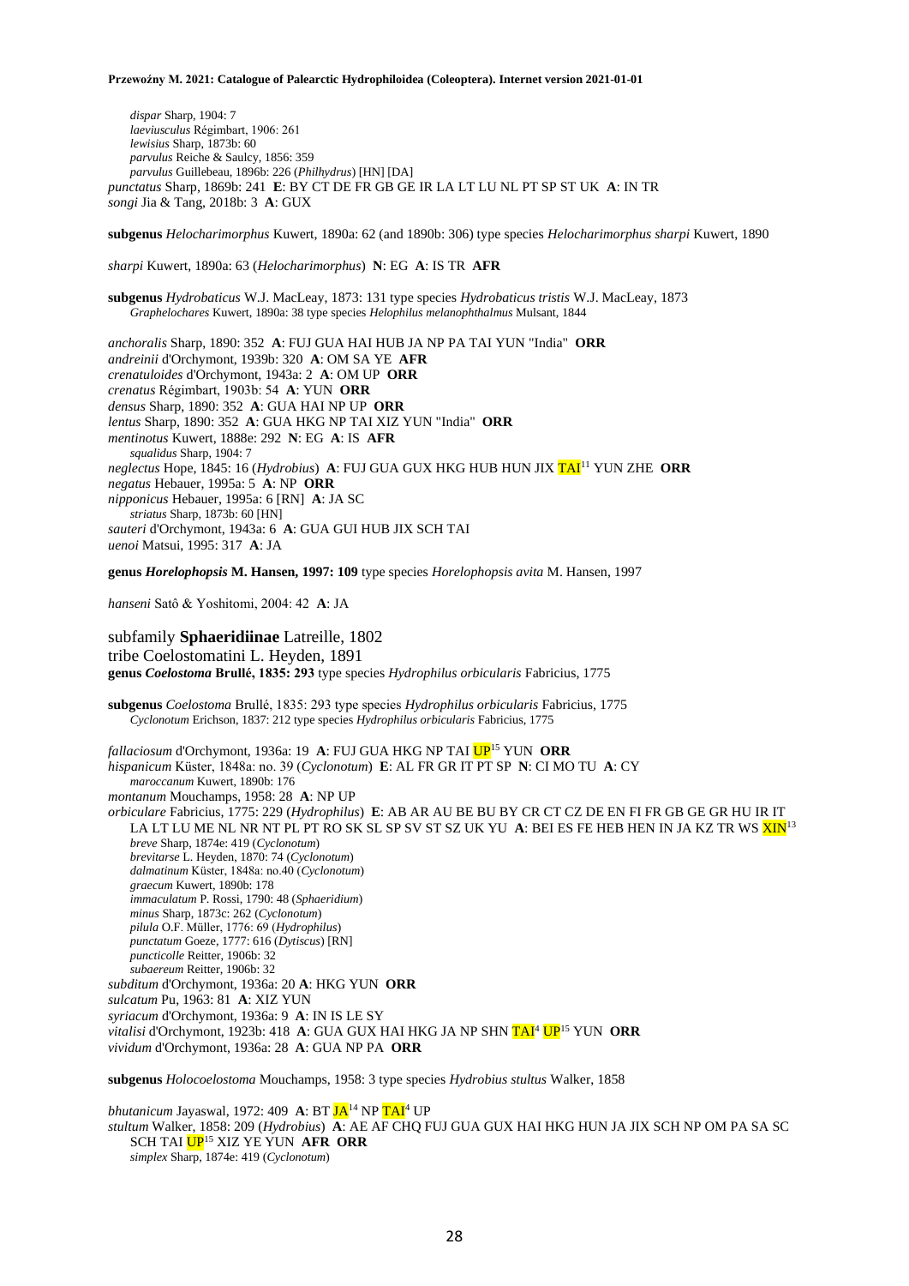*dispar* Sharp, 1904: 7 *laeviusculus* Régimbart, 1906: 261 *lewisius* Sharp, 1873b: 60 *parvulus* Reiche & Saulcy, 1856: 359 *parvulus* Guillebeau, 1896b: 226 (*Philhydrus*) [HN] [DA] *punctatus* Sharp, 1869b: 241 **E**: BY CT DE FR GB GE IR LA LT LU NL PT SP ST UK **A**: IN TR *songi* Jia & Tang, 2018b: 3 **A**: GUX

**subgenus** *Helocharimorphus* Kuwert, 1890a: 62 (and 1890b: 306) type species *Helocharimorphus sharpi* Kuwert, 1890

*sharpi* Kuwert, 1890a: 63 (*Helocharimorphus*) **N**: EG **A**: IS TR **AFR**

**subgenus** *Hydrobaticus* W.J. MacLeay, 1873: 131 type species *Hydrobaticus tristis* W.J. MacLeay, 1873 *Graphelochares* Kuwert, 1890a: 38 type species *Helophilus melanophthalmus* Mulsant, 1844

*anchoralis* Sharp, 1890: 352 **A**: FUJ GUA HAI HUB JA NP PA TAI YUN "India" **ORR** *andreinii* d'Orchymont, 1939b: 320 **A**: OM SA YE **AFR** *crenatuloides* d'Orchymont, 1943a: 2 **A**: OM UP **ORR** *crenatus* Régimbart, 1903b: 54 **A**: YUN **ORR** *densus* Sharp, 1890: 352 **A**: GUA HAI NP UP **ORR** *lentus* Sharp, 1890: 352 **A**: GUA HKG NP TAI XIZ YUN "India" **ORR** *mentinotus* Kuwert, 1888e: 292 **N**: EG **A**: IS **AFR** *squalidus* Sharp, 1904: 7 *neglectus* Hope, 1845: 16 (*Hydrobius*) **A**: FUJ GUA GUX HKG HUB HUN JIX TAI<sup>11</sup> YUN ZHE **ORR** *negatus* Hebauer, 1995a: 5 **A**: NP **ORR** *nipponicus* Hebauer, 1995a: 6 [RN] **A**: JA SC *striatus* Sharp, 1873b: 60 [HN] *sauteri* d'Orchymont, 1943a: 6 **A**: GUA GUI HUB JIX SCH TAI *uenoi* Matsui, 1995: 317 **A**: JA

**genus** *Horelophopsis* **M. Hansen, 1997: 109** type species *Horelophopsis avita* M. Hansen, 1997

*hanseni* Satô & Yoshitomi, 2004: 42 **A**: JA

subfamily **Sphaeridiinae** Latreille, 1802 tribe Coelostomatini L. Heyden, 1891 **genus** *Coelostoma* **Brullé, 1835: 293** type species *Hydrophilus orbicularis* Fabricius, 1775

**subgenus** *Coelostoma* Brullé, 1835: 293 type species *Hydrophilus orbicularis* Fabricius, 1775 *Cyclonotum* Erichson, 1837: 212 type species *Hydrophilus orbicularis* Fabricius, 1775

*fallaciosum* d'Orchymont, 1936a: 19 **A**: FUJ GUA HKG NP TAI UP<sup>15</sup> YUN **ORR** *hispanicum* Küster, 1848a: no. 39 (*Cyclonotum*) **E**: AL FR GR IT PT SP **N**: CI MO TU **A**: CY *maroccanum* Kuwert, 1890b: 176 *montanum* Mouchamps, 1958: 28 **A**: NP UP *orbiculare* Fabricius, 1775: 229 (*Hydrophilus*) **E**: AB AR AU BE BU BY CR CT CZ DE EN FI FR GB GE GR HU IR IT LA LT LU ME NL NR NT PL PT RO SK SL SP SV ST SZ UK YU **A**: BEI ES FE HEB HEN IN JA KZ TR WS XIN<sup>13</sup> *breve* Sharp, 1874e: 419 (*Cyclonotum*) *brevitarse* L. Heyden, 1870: 74 (*Cyclonotum*) *dalmatinum* Küster, 1848a: no.40 (*Cyclonotum*) *graecum* Kuwert, 1890b: 178 *immaculatum* P. Rossi, 1790: 48 (*Sphaeridium*) *minus* Sharp, 1873c: 262 (*Cyclonotum*) *pilula* O.F. Müller, 1776: 69 (*Hydrophilus*) *punctatum* Goeze, 1777: 616 (*Dytiscus*) [RN] *puncticolle* Reitter, 1906b: 32 *subaereum* Reitter, 1906b: 32 *subditum* d'Orchymont, 1936a: 20 **A**: HKG YUN **ORR** *sulcatum* Pu, 1963: 81 **A**: XIZ YUN *syriacum* d'Orchymont, 1936a: 9 **A**: IN IS LE SY *vitalisi* d'Orchymont, 1923b: 418 **A**: GUA GUX HAI HKG JA NP SHN TAI<sup>4</sup> UP<sup>15</sup> YUN **ORR** *vividum* d'Orchymont, 1936a: 28 **A**: GUA NP PA **ORR**

**subgenus** *Holocoelostoma* Mouchamps, 1958: 3 type species *Hydrobius stultus* Walker, 1858

*bhutanicum* Jayaswal, 1972: 409 **A**: BT JA<sup>14</sup> NP TAI<sup>4</sup> UP *stultum* Walker, 1858: 209 (*Hydrobius*) **A**: AE AF CHQ FUJ GUA GUX HAI HKG HUN JA JIX SCH NP OM PA SA SC SCH TAI UP<sup>15</sup> XIZ YE YUN **AFR ORR** *simplex* Sharp, 1874e: 419 (*Cyclonotum*)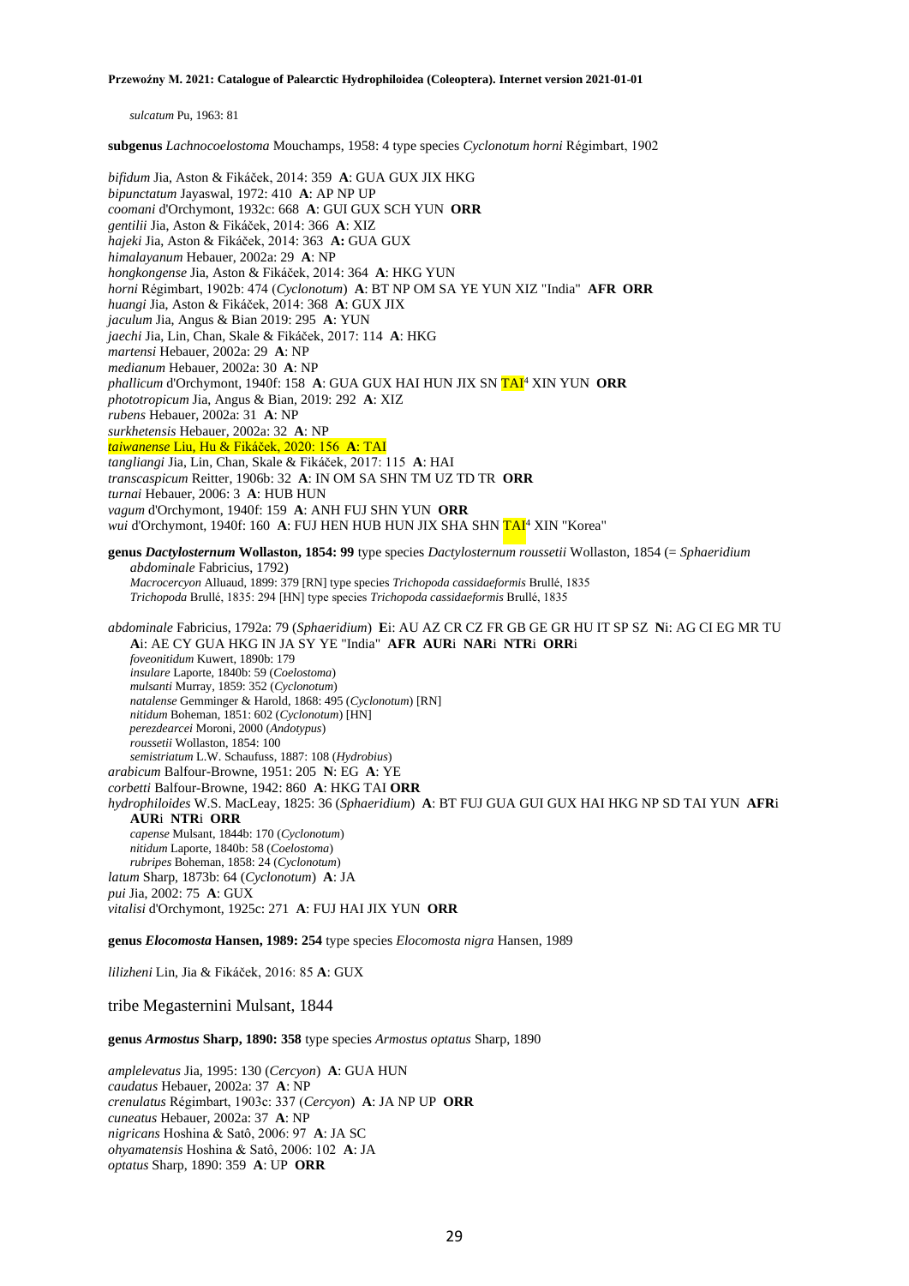*sulcatum* Pu, 1963: 81

**subgenus** *Lachnocoelostoma* Mouchamps, 1958: 4 type species *Cyclonotum horni* Régimbart, 1902

*bifidum* Jia, Aston & Fikáček, 2014: 359 **A**: GUA GUX JIX HKG *bipunctatum* Jayaswal, 1972: 410 **A**: AP NP UP *coomani* d'Orchymont, 1932c: 668 **A**: GUI GUX SCH YUN **ORR** *gentilii* Jia, Aston & Fikáček, 2014: 366 **A**: XIZ *hajeki* Jia, Aston & Fikáček, 2014: 363 **A:** GUA GUX *himalayanum* Hebauer, 2002a: 29 **A**: NP *hongkongense* Jia, Aston & Fikáček, 2014: 364 **A**: HKG YUN *horni* Régimbart, 1902b: 474 (*Cyclonotum*) **A**: BT NP OM SA YE YUN XIZ "India" **AFR ORR** *huangi* Jia, Aston & Fikáček, 2014: 368 **A**: GUX JIX *jaculum* Jia, Angus & Bian 2019: 295 **A**: YUN *jaechi* Jia, Lin, Chan, Skale & Fikáček, 2017: 114 **A**: HKG *martensi* Hebauer, 2002a: 29 **A**: NP *medianum* Hebauer, 2002a: 30 **A**: NP *phallicum* d'Orchymont, 1940f: 158 **A**: GUA GUX HAI HUN JIX SN TAI<sup>4</sup> XIN YUN **ORR** *phototropicum* Jia, Angus & Bian, 2019: 292 **A**: XIZ *rubens* Hebauer, 2002a: 31 **A**: NP *surkhetensis* Hebauer, 2002a: 32 **A**: NP *taiwanense* Liu, Hu & Fikáček, 2020: 156 **A**: TAI *tangliangi* Jia, Lin, Chan, Skale & Fikáček, 2017: 115 **A**: HAI *transcaspicum* Reitter, 1906b: 32 **A**: IN OM SA SHN TM UZ TD TR **ORR** *turnai* Hebauer, 2006: 3 **A**: HUB HUN *vagum* d'Orchymont, 1940f: 159 **A**: ANH FUJ SHN YUN **ORR** *wui* d'Orchymont, 1940f: 160 A: FUJ HEN HUB HUN JIX SHA SHN TAI<sup>4</sup> XIN "Korea" **genus** *Dactylosternum* **Wollaston, 1854: 99** type species *Dactylosternum roussetii* Wollaston, 1854 (= *Sphaeridium abdominale* Fabricius, 1792) *Macrocercyon* Alluaud, 1899: 379 [RN] type species *Trichopoda cassidaeformis* Brullé, 1835 *Trichopoda* Brullé, 1835: 294 [HN] type species *Trichopoda cassidaeformis* Brullé, 1835 *abdominale* Fabricius, 1792a: 79 (*Sphaeridium*) **E**i: AU AZ CR CZ FR GB GE GR HU IT SP SZ **N**i: AG CI EG MR TU **A**i: AE CY GUA HKG IN JA SY YE "India" **AFR AUR**i **NAR**i **NTR**i **ORR**i *foveonitidum* Kuwert, 1890b: 179 *insulare* Laporte, 1840b: 59 (*Coelostoma*) *mulsanti* Murray, 1859: 352 (*Cyclonotum*) *natalense* Gemminger & Harold, 1868: 495 (*Cyclonotum*) [RN] *nitidum* Boheman, 1851: 602 (*Cyclonotum*) [HN] *perezdearcei* Moroni, 2000 (*Andotypus*) *roussetii* Wollaston, 1854: 100 *semistriatum* L.W. Schaufuss, 1887: 108 (*Hydrobius*) *arabicum* Balfour-Browne, 1951: 205 **N**: EG **A**: YE *corbetti* Balfour-Browne, 1942: 860 **A**: HKG TAI **ORR** *hydrophiloides* W.S. MacLeay, 1825: 36 (*Sphaeridium*) **A**: BT FUJ GUA GUI GUX HAI HKG NP SD TAI YUN **AFR**i **AUR**i **NTR**i **ORR** *capense* Mulsant, 1844b: 170 (*Cyclonotum*) *nitidum* Laporte, 1840b: 58 (*Coelostoma*) *rubripes* Boheman, 1858: 24 (*Cyclonotum*) *latum* Sharp, 1873b: 64 (*Cyclonotum*) **A**: JA *pui* Jia, 2002: 75 **A**: GUX *vitalisi* d'Orchymont, 1925c: 271 **A**: FUJ HAI JIX YUN **ORR genus** *Elocomosta* **Hansen, 1989: 254** type species *Elocomosta nigra* Hansen, 1989

*lilizheni* Lin, Jia & Fikáček, 2016: 85 **A**: GUX

tribe Megasternini Mulsant, 1844

**genus** *Armostus* **Sharp, 1890: 358** type species *Armostus optatus* Sharp, 1890

*amplelevatus* Jia, 1995: 130 (*Cercyon*) **A**: GUA HUN *caudatus* Hebauer, 2002a: 37 **A**: NP *crenulatus* Régimbart, 1903c: 337 (*Cercyon*) **A**: JA NP UP **ORR** *cuneatus* Hebauer, 2002a: 37 **A**: NP *nigricans* Hoshina & Satô, 2006: 97 **A**: JA SC *ohyamatensis* Hoshina & Satô, 2006: 102 **A**: JA *optatus* Sharp, 1890: 359 **A**: UP **ORR**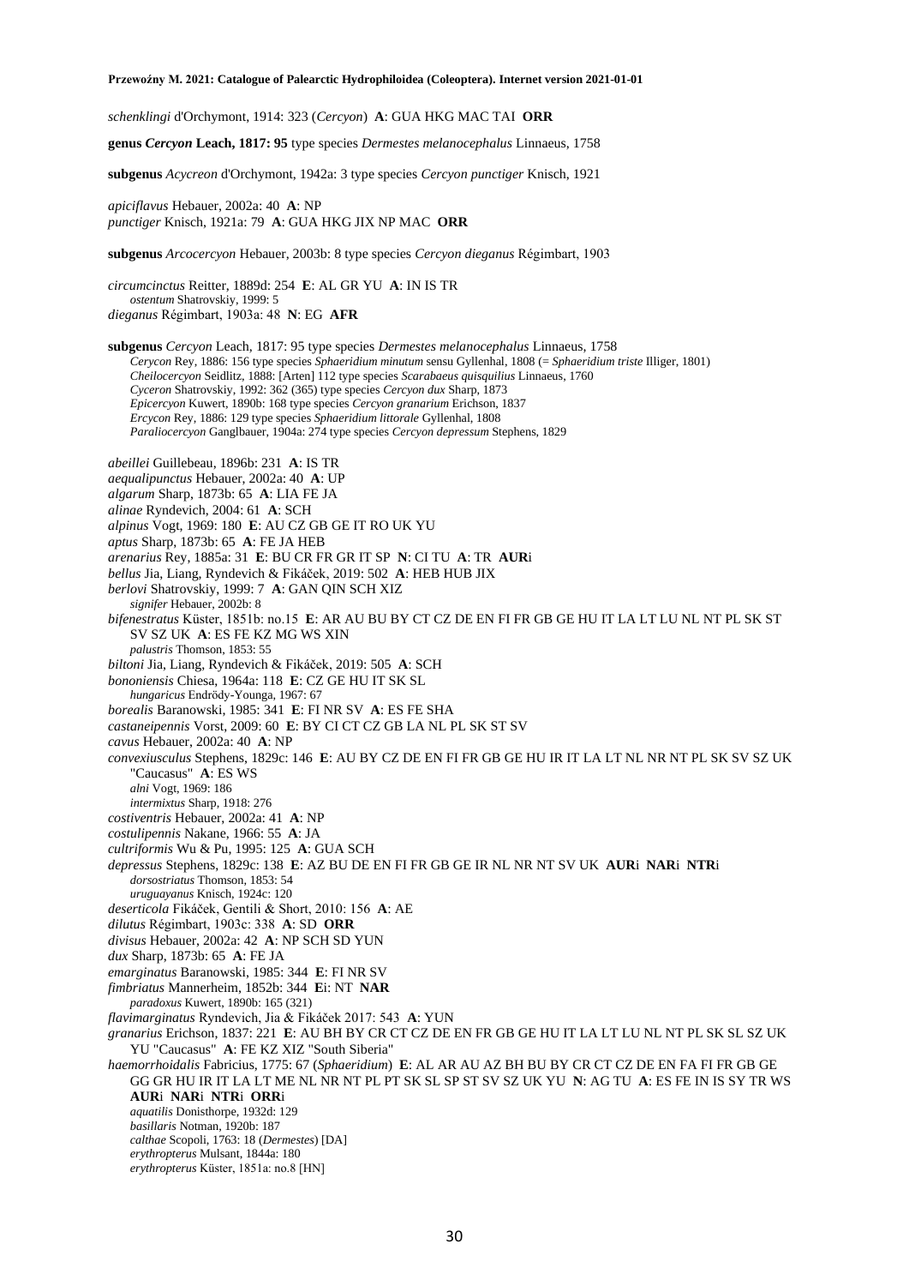*schenklingi* d'Orchymont, 1914: 323 (*Cercyon*) **A**: GUA HKG MAC TAI **ORR**

**genus** *Cercyon* **Leach, 1817: 95** type species *Dermestes melanocephalus* Linnaeus, 1758

**subgenus** *Acycreon* d'Orchymont, 1942a: 3 type species *Cercyon punctiger* Knisch, 1921

*apiciflavus* Hebauer, 2002a: 40 **A**: NP *punctiger* Knisch, 1921a: 79 **A**: GUA HKG JIX NP MAC **ORR**

**subgenus** *Arcocercyon* Hebauer, 2003b: 8 type species *Cercyon dieganus* Régimbart, 1903

*circumcinctus* Reitter, 1889d: 254 **E**: AL GR YU **A**: IN IS TR *ostentum* Shatrovskiy, 1999: 5 *dieganus* Régimbart, 1903a: 48 **N**: EG **AFR**

**subgenus** *Cercyon* Leach, 1817: 95 type species *Dermestes melanocephalus* Linnaeus, 1758 *Cerycon* Rey, 1886: 156 type species *Sphaeridium minutum* sensu Gyllenhal, 1808 (= *Sphaeridium triste* Illiger, 1801) *Cheilocercyon* Seidlitz, 1888: [Arten] 112 type species *Scarabaeus quisquilius* Linnaeus, 1760 *Cyceron* Shatrovskiy, 1992: 362 (365) type species *Cercyon dux* Sharp, 1873 *Epicercyon* Kuwert, 1890b: 168 type species *Cercyon granarium* Erichson, 1837 *Ercycon* Rey, 1886: 129 type species *Sphaeridium littorale* Gyllenhal, 1808 *Paraliocercyon* Ganglbauer, 1904a: 274 type species *Cercyon depressum* Stephens, 1829

*abeillei* Guillebeau, 1896b: 231 **A**: IS TR

*aequalipunctus* Hebauer, 2002a: 40 **A**: UP

*algarum* Sharp, 1873b: 65 **A**: LIA FE JA

*alinae* Ryndevich, 2004: 61 **A**: SCH

*alpinus* Vogt, 1969: 180 **E**: AU CZ GB GE IT RO UK YU

*aptus* Sharp, 1873b: 65 **A**: FE JA HEB

*arenarius* Rey, 1885a: 31 **E**: BU CR FR GR IT SP **N**: CI TU **A**: TR **AUR**i

*bellus* Jia, Liang, Ryndevich & Fikáček, 2019: 502 **A**: HEB HUB JIX

*berlovi* Shatrovskiy, 1999: 7 **A**: GAN QIN SCH XIZ

*signifer* Hebauer, 2002b: 8

*bifenestratus* Küster, 1851b: no.15 **E**: AR AU BU BY CT CZ DE EN FI FR GB GE HU IT LA LT LU NL NT PL SK ST SV SZ UK **A**: ES FE KZ MG WS XIN

*palustris* Thomson, 1853: 55

*biltoni* Jia, Liang, Ryndevich & Fikáček, 2019: 505 **A**: SCH

*bononiensis* Chiesa, 1964a: 118 **E**: CZ GE HU IT SK SL

*hungaricus* Endrödy-Younga, 1967: 67

*borealis* Baranowski, 1985: 341 **E**: FI NR SV **A**: ES FE SHA

*castaneipennis* Vorst, 2009: 60 **E**: BY CI CT CZ GB LA NL PL SK ST SV

*cavus* Hebauer, 2002a: 40 **A**: NP

*convexiusculus* Stephens, 1829c: 146 **E**: AU BY CZ DE EN FI FR GB GE HU IR IT LA LT NL NR NT PL SK SV SZ UK "Caucasus" **A**: ES WS

*alni* Vogt, 1969: 186

*intermixtus* Sharp, 1918: 276

*costiventris* Hebauer, 2002a: 41 **A**: NP

*costulipennis* Nakane, 1966: 55 **A**: JA

*cultriformis* Wu & Pu, 1995: 125 **A**: GUA SCH

*depressus* Stephens, 1829c: 138 **E**: AZ BU DE EN FI FR GB GE IR NL NR NT SV UK **AUR**i **NAR**i **NTR**i *dorsostriatus* Thomson, 1853: 54

*uruguayanus* Knisch, 1924c: 120

*deserticola* Fikáček, Gentili & Short, 2010: 156 **A**: AE

*dilutus* Régimbart, 1903c: 338 **A**: SD **ORR**

*divisus* Hebauer, 2002a: 42 **A**: NP SCH SD YUN

*dux* Sharp, 1873b: 65 **A**: FE JA

*emarginatus* Baranowski, 1985: 344 **E**: FI NR SV

*fimbriatus* Mannerheim, 1852b: 344 **E**i: NT **NAR**

*paradoxus* Kuwert, 1890b: 165 (321)

*flavimarginatus* Ryndevich, Jia & Fikáček 2017: 543 **A**: YUN

*granarius* Erichson, 1837: 221 **E**: AU BH BY CR CT CZ DE EN FR GB GE HU IT LA LT LU NL NT PL SK SL SZ UK YU "Caucasus" **A**: FE KZ XIZ "South Siberia"

*haemorrhoidalis* Fabricius, 1775: 67 (*Sphaeridium*) **E**: AL AR AU AZ BH BU BY CR CT CZ DE EN FA FI FR GB GE GG GR HU IR IT LA LT ME NL NR NT PL PT SK SL SP ST SV SZ UK YU **N**: AG TU **A**: ES FE IN IS SY TR WS

**AUR**i **NAR**i **NTR**i **ORR**i

*aquatilis* Donisthorpe, 1932d: 129

*basillaris* Notman, 1920b: 187

*calthae* Scopoli, 1763: 18 (*Dermestes*) [DA] *erythropterus* Mulsant, 1844a: 180

*erythropterus* Küster, 1851a: no.8 [HN]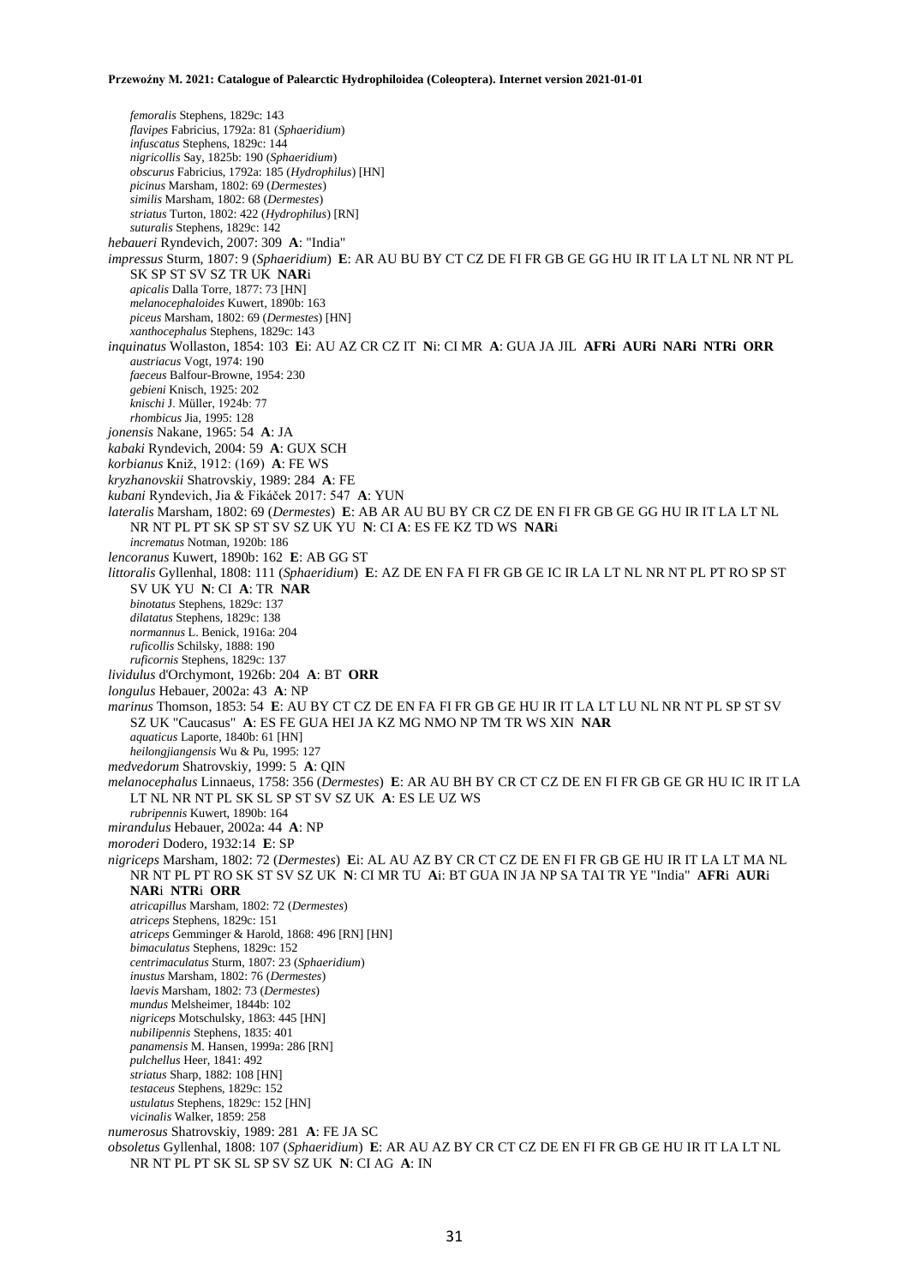*femoralis* Stephens, 1829c: 143 *flavipes* Fabricius, 1792a: 81 (*Sphaeridium*) *infuscatus* Stephens, 1829c: 144 *nigricollis* Say, 1825b: 190 (*Sphaeridium*) *obscurus* Fabricius, 1792a: 185 (*Hydrophilus*) [HN] *picinus* Marsham, 1802: 69 (*Dermestes*) *similis* Marsham, 1802: 68 (*Dermestes*) *striatus* Turton, 1802: 422 (*Hydrophilus*) [RN] *suturalis* Stephens, 1829c: 142 *hebaueri* Ryndevich, 2007: 309 **A**: "India" *impressus* Sturm, 1807: 9 (*Sphaeridium*) **E**: AR AU BU BY CT CZ DE FI FR GB GE GG HU IR IT LA LT NL NR NT PL SK SP ST SV SZ TR UK **NAR**i *apicalis* Dalla Torre, 1877: 73 [HN] *melanocephaloides* Kuwert, 1890b: 163 *piceus* Marsham, 1802: 69 (*Dermestes*) [HN] *xanthocephalus* Stephens, 1829c: 143 *inquinatus* Wollaston, 1854: 103 **E**i: AU AZ CR CZ IT **N**i: CI MR **A**: GUA JA JIL **AFRi AURi NARi NTRi ORR** *austriacus* Vogt, 1974: 190 *faeceus* Balfour-Browne, 1954: 230 *gebieni* Knisch, 1925: 202 *knischi* J. Müller, 1924b: 77 *rhombicus* Jia, 1995: 128 *jonensis* Nakane, 1965: 54 **A**: JA *kabaki* Ryndevich, 2004: 59 **A**: GUX SCH *korbianus* Kniž, 1912: (169) **A**: FE WS *kryzhanovskii* Shatrovskiy, 1989: 284 **A**: FE *kubani* Ryndevich, Jia & Fikáček 2017: 547 **A**: YUN *lateralis* Marsham, 1802: 69 (*Dermestes*) **E**: AB AR AU BU BY CR CZ DE EN FI FR GB GE GG HU IR IT LA LT NL NR NT PL PT SK SP ST SV SZ UK YU **N**: CI **A**: ES FE KZ TD WS **NAR**i *incrematus* Notman, 1920b: 186 *lencoranus* Kuwert, 1890b: 162 **E**: AB GG ST *littoralis* Gyllenhal, 1808: 111 (*Sphaeridium*) **E**: AZ DE EN FA FI FR GB GE IC IR LA LT NL NR NT PL PT RO SP ST SV UK YU **N**: CI **A**: TR **NAR** *binotatus* Stephens, 1829c: 137 *dilatatus* Stephens, 1829c: 138 *normannus* L. Benick, 1916a: 204 *ruficollis* Schilsky, 1888: 190 *ruficornis* Stephens, 1829c: 137 *lividulus* d'Orchymont, 1926b: 204 **A**: BT **ORR** *longulus* Hebauer, 2002a: 43 **A**: NP *marinus* Thomson, 1853: 54 **E**: AU BY CT CZ DE EN FA FI FR GB GE HU IR IT LA LT LU NL NR NT PL SP ST SV SZ UK "Caucasus" **A**: ES FE GUA HEI JA KZ MG NMO NP TM TR WS XIN **NAR** *aquaticus* Laporte, 1840b: 61 [HN] *heilongjiangensis* Wu & Pu, 1995: 127 *medvedorum* Shatrovskiy, 1999: 5 **A**: QIN *melanocephalus* Linnaeus, 1758: 356 (*Dermestes*) **E**: AR AU BH BY CR CT CZ DE EN FI FR GB GE GR HU IC IR IT LA LT NL NR NT PL SK SL SP ST SV SZ UK **A**: ES LE UZ WS *rubripennis* Kuwert, 1890b: 164 *mirandulus* Hebauer, 2002a: 44 **A**: NP *moroderi* Dodero, 1932:14 **E**: SP *nigriceps* Marsham, 1802: 72 (*Dermestes*) **E**i: AL AU AZ BY CR CT CZ DE EN FI FR GB GE HU IR IT LA LT MA NL NR NT PL PT RO SK ST SV SZ UK **N**: CI MR TU **A**i: BT GUA IN JA NP SA TAI TR YE "India" **AFR**i **AUR**i **NAR**i **NTR**i **ORR** *atricapillus* Marsham, 1802: 72 (*Dermestes*) *atriceps* Stephens, 1829c: 151 *atriceps* Gemminger & Harold, 1868: 496 [RN] [HN] *bimaculatus* Stephens, 1829c: 152 *centrimaculatus* Sturm, 1807: 23 (*Sphaeridium*) *inustus* Marsham, 1802: 76 (*Dermestes*) *laevis* Marsham, 1802: 73 (*Dermestes*) *mundus* Melsheimer, 1844b: 102 *nigriceps* Motschulsky, 1863: 445 [HN] *nubilipennis* Stephens, 1835: 401 *panamensis* M. Hansen, 1999a: 286 [RN] *pulchellus* Heer, 1841: 492 *striatus* Sharp, 1882: 108 [HN] *testaceus* Stephens, 1829c: 152 *ustulatus* Stephens, 1829c: 152 [HN] *vicinalis* Walker, 1859: 258 *numerosus* Shatrovskiy, 1989: 281 **A**: FE JA SC *obsoletus* Gyllenhal, 1808: 107 (*Sphaeridium*) **E**: AR AU AZ BY CR CT CZ DE EN FI FR GB GE HU IR IT LA LT NL NR NT PL PT SK SL SP SV SZ UK **N**: CI AG **A**: IN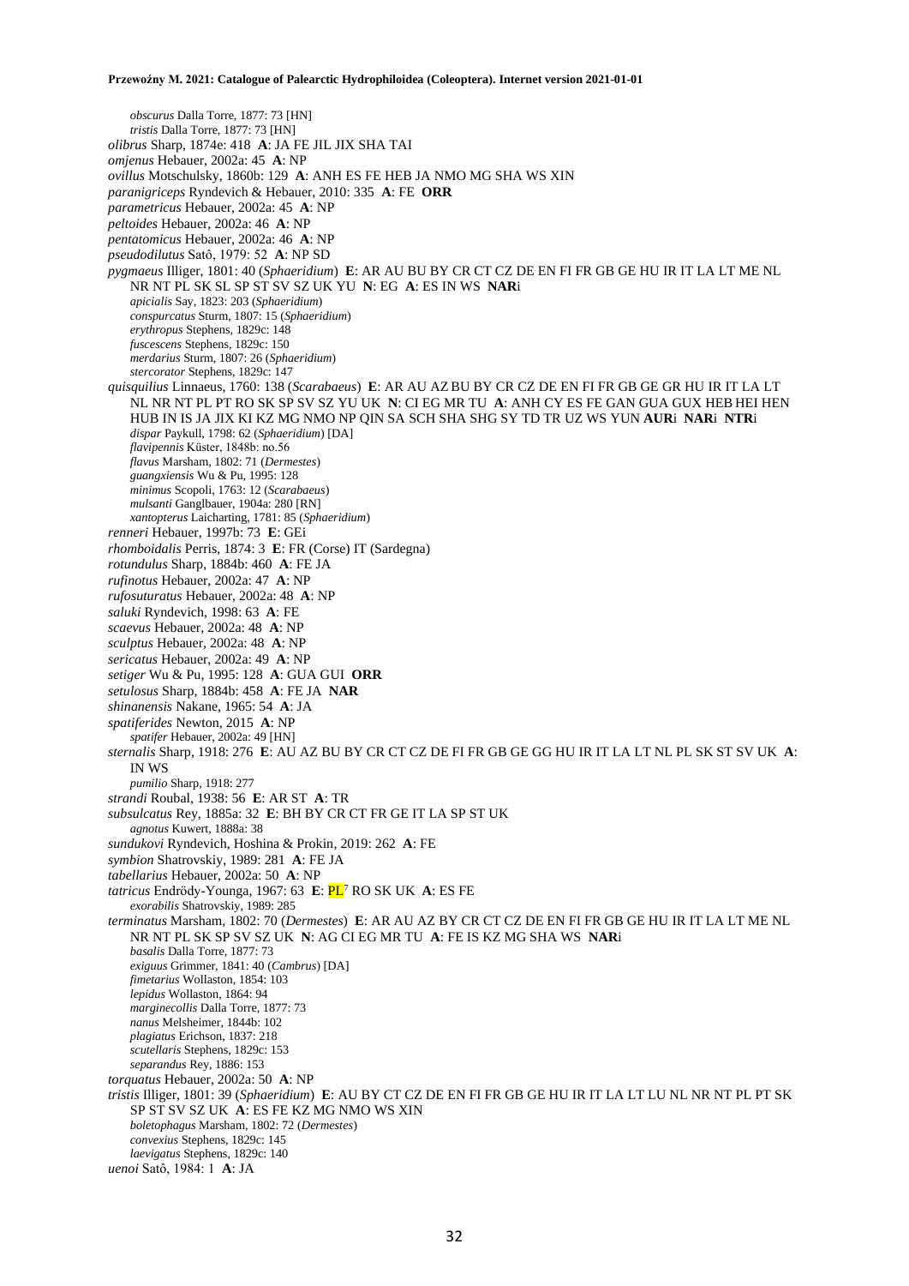*obscurus* Dalla Torre, 1877: 73 [HN] *tristis* Dalla Torre, 1877: 73 [HN] *olibrus* Sharp, 1874e: 418 **A**: JA FE JIL JIX SHA TAI *omjenus* Hebauer, 2002a: 45 **A**: NP *ovillus* Motschulsky, 1860b: 129 **A**: ANH ES FE HEB JA NMO MG SHA WS XIN *paranigriceps* Ryndevich & Hebauer, 2010: 335 **A**: FE **ORR** *parametricus* Hebauer, 2002a: 45 **A**: NP *peltoides* Hebauer, 2002a: 46 **A**: NP *pentatomicus* Hebauer, 2002a: 46 **A**: NP *pseudodilutus* Satô, 1979: 52 **A**: NP SD *pygmaeus* Illiger, 1801: 40 (*Sphaeridium*) **E**: AR AU BU BY CR CT CZ DE EN FI FR GB GE HU IR IT LA LT ME NL NR NT PL SK SL SP ST SV SZ UK YU **N**: EG **A**: ES IN WS **NAR**i *apicialis* Say, 1823: 203 (*Sphaeridium*) *conspurcatus* Sturm, 1807: 15 (*Sphaeridium*) *erythropus* Stephens, 1829c: 148 *fuscescens* Stephens, 1829c: 150 *merdarius* Sturm, 1807: 26 (*Sphaeridium*) *stercorator* Stephens, 1829c: 147 *quisquilius* Linnaeus, 1760: 138 (*Scarabaeus*) **E**: AR AU AZ BU BY CR CZ DE EN FI FR GB GE GR HU IR IT LA LT NL NR NT PL PT RO SK SP SV SZ YU UK **N**: CI EG MR TU **A**: ANH CY ES FE GAN GUA GUX HEB HEI HEN HUB IN IS JA JIX KI KZ MG NMO NP QIN SA SCH SHA SHG SY TD TR UZ WS YUN **AUR**i **NAR**i **NTR**i *dispar* Paykull, 1798: 62 (*Sphaeridium*) [DA] *flavipennis* Küster, 1848b: no.56 *flavus* Marsham, 1802: 71 (*Dermestes*) *guangxiensis* Wu & Pu, 1995: 128 *minimus* Scopoli, 1763: 12 (*Scarabaeus*) *mulsanti* Ganglbauer, 1904a: 280 [RN] *xantopterus* Laicharting, 1781: 85 (*Sphaeridium*) *renneri* Hebauer, 1997b: 73 **E**: GEi *rhomboidalis* Perris, 1874: 3 **E**: FR (Corse) IT (Sardegna) *rotundulus* Sharp, 1884b: 460 **A**: FE JA *rufinotus* Hebauer, 2002a: 47 **A**: NP *rufosuturatus* Hebauer, 2002a: 48 **A**: NP *saluki* Ryndevich, 1998: 63 **A**: FE *scaevus* Hebauer, 2002a: 48 **A**: NP *sculptus* Hebauer, 2002a: 48 **A**: NP *sericatus* Hebauer, 2002a: 49 **A**: NP *setiger* Wu & Pu, 1995: 128 **A**: GUA GUI **ORR** *setulosus* Sharp, 1884b: 458 **A**: FE JA **NAR** *shinanensis* Nakane, 1965: 54 **A**: JA *spatiferides* Newton, 2015 **A**: NP *spatifer* Hebauer, 2002a: 49 [HN] *sternalis* Sharp, 1918: 276 **E**: AU AZ BU BY CR CT CZ DE FI FR GB GE GG HU IR IT LA LT NL PL SK ST SV UK **A**: IN WS *pumilio* Sharp, 1918: 277 *strandi* Roubal, 1938: 56 **E**: AR ST **A**: TR *subsulcatus* Rey, 1885a: 32 **E**: BH BY CR CT FR GE IT LA SP ST UK *agnotus* Kuwert, 1888a: 38 *sundukovi* Ryndevich, Hoshina & Prokin, 2019: 262 **A**: FE *symbion* Shatrovskiy, 1989: 281 **A**: FE JA *tabellarius* Hebauer, 2002a: 50 **A**: NP *tatricus* Endrödy-Younga, 1967: 63 **E**: PL<sup>7</sup> RO SK UK **A**: ES FE *exorabilis* Shatrovskiy, 1989: 285 *terminatus* Marsham, 1802: 70 (*Dermestes*) **E**: AR AU AZ BY CR CT CZ DE EN FI FR GB GE HU IR IT LA LT ME NL NR NT PL SK SP SV SZ UK **N**: AG CI EG MR TU **A**: FE IS KZ MG SHA WS **NAR**i *basalis* Dalla Torre, 1877: 73 *exiguus* Grimmer, 1841: 40 (*Cambrus*) [DA] *fimetarius* Wollaston, 1854: 103 *lepidus* Wollaston, 1864: 94 *marginecollis* Dalla Torre, 1877: 73 *nanus* Melsheimer, 1844b: 102 *plagiatus* Erichson, 1837: 218 *scutellaris* Stephens, 1829c: 153 *separandus* Rey, 1886: 153 *torquatus* Hebauer, 2002a: 50 **A**: NP *tristis* Illiger, 1801: 39 (*Sphaeridium*) **E**: AU BY CT CZ DE EN FI FR GB GE HU IR IT LA LT LU NL NR NT PL PT SK SP ST SV SZ UK **A**: ES FE KZ MG NMO WS XIN *boletophagus* Marsham, 1802: 72 (*Dermestes*) *convexius* Stephens, 1829c: 145 *laevigatus* Stephens, 1829c: 140 *uenoi* Satô, 1984: 1 **A**: JA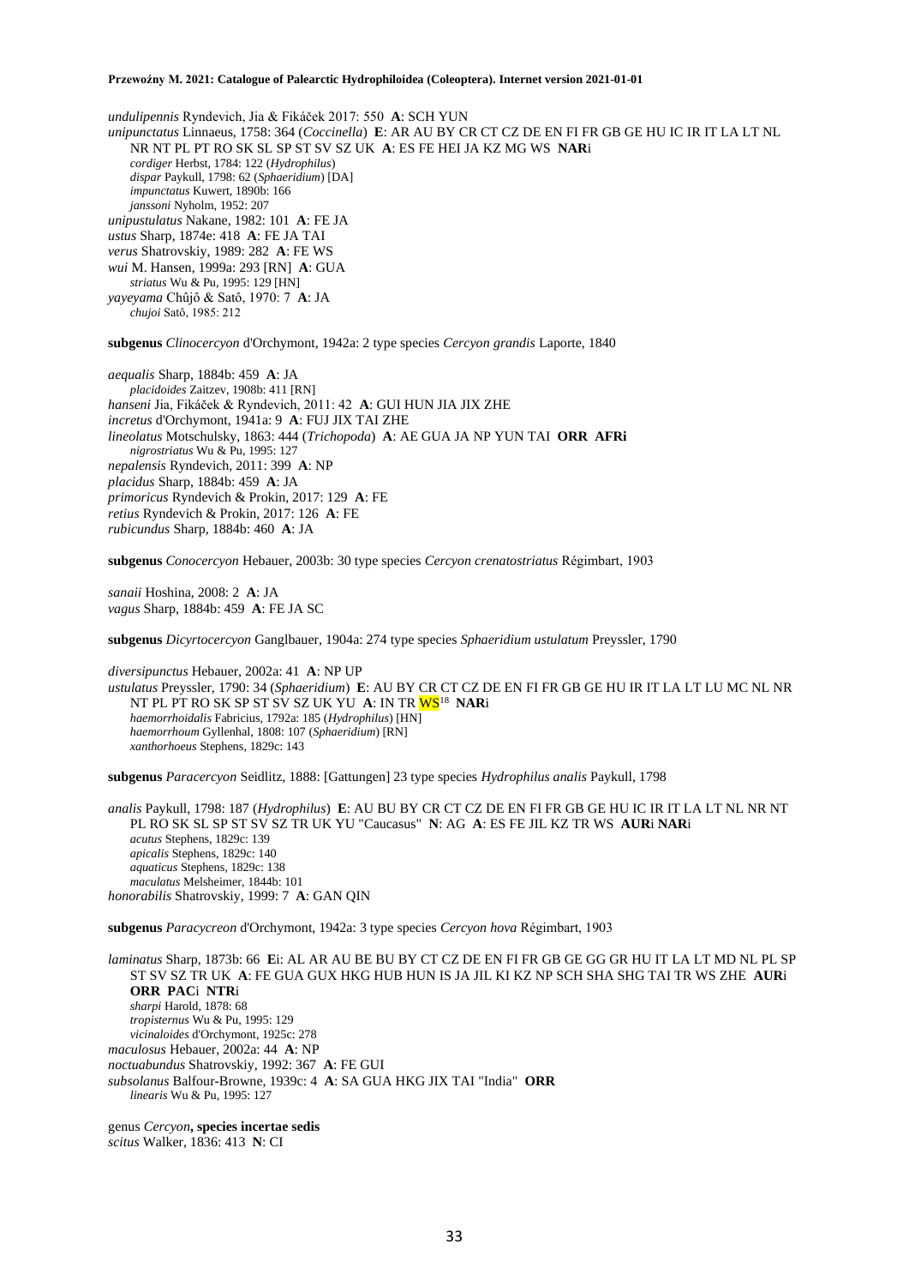*undulipennis* Ryndevich, Jia & Fikáček 2017: 550 **A**: SCH YUN *unipunctatus* Linnaeus, 1758: 364 (*Coccinella*) **E**: AR AU BY CR CT CZ DE EN FI FR GB GE HU IC IR IT LA LT NL NR NT PL PT RO SK SL SP ST SV SZ UK **A**: ES FE HEI JA KZ MG WS **NAR**i *cordiger* Herbst, 1784: 122 (*Hydrophilus*) *dispar* Paykull, 1798: 62 (*Sphaeridium*) [DA] *impunctatus* Kuwert, 1890b: 166 *janssoni* Nyholm, 1952: 207 *unipustulatus* Nakane, 1982: 101 **A**: FE JA *ustus* Sharp, 1874e: 418 **A**: FE JA TAI *verus* Shatrovskiy, 1989: 282 **A**: FE WS *wui* M. Hansen, 1999a: 293 [RN] **A**: GUA *striatus* Wu & Pu, 1995: 129 [HN] *yayeyama* Chûjô & Satô, 1970: 7 **A**: JA *chujoi* Satô, 1985: 212

**subgenus** *Clinocercyon* d'Orchymont, 1942a: 2 type species *Cercyon grandis* Laporte, 1840

*aequalis* Sharp, 1884b: 459 **A**: JA *placidoides* Zaitzev, 1908b: 411 [RN] *hanseni* Jia, Fikáček & Ryndevich, 2011: 42 **A**: GUI HUN JIA JIX ZHE *incretus* d'Orchymont, 1941a: 9 **A**: FUJ JIX TAI ZHE *lineolatus* Motschulsky, 1863: 444 (*Trichopoda*) **A**: AE GUA JA NP YUN TAI **ORR AFRi**  *nigrostriatus* Wu & Pu, 1995: 127 *nepalensis* Ryndevich, 2011: 399 **A**: NP *placidus* Sharp, 1884b: 459 **A**: JA *primoricus* Ryndevich & Prokin, 2017: 129 **A**: FE *retius* Ryndevich & Prokin, 2017: 126 **A**: FE *rubicundus* Sharp, 1884b: 460 **A**: JA

**subgenus** *Conocercyon* Hebauer, 2003b: 30 type species *Cercyon crenatostriatus* Régimbart, 1903

*sanaii* Hoshina, 2008: 2 **A**: JA *vagus* Sharp, 1884b: 459 **A**: FE JA SC

**subgenus** *Dicyrtocercyon* Ganglbauer, 1904a: 274 type species *Sphaeridium ustulatum* Preyssler, 1790

*diversipunctus* Hebauer, 2002a: 41 **A**: NP UP *ustulatus* Preyssler, 1790: 34 (*Sphaeridium*) **E**: AU BY CR CT CZ DE EN FI FR GB GE HU IR IT LA LT LU MC NL NR NT PL PT RO SK SP ST SV SZ UK YU **A**: IN TR WS<sup>18</sup> **NAR**i *haemorrhoidalis* Fabricius, 1792a: 185 (*Hydrophilus*) [HN] *haemorrhoum* Gyllenhal, 1808: 107 (*Sphaeridium*) [RN] *xanthorhoeus* Stephens, 1829c: 143

**subgenus** *Paracercyon* Seidlitz, 1888: [Gattungen] 23 type species *Hydrophilus analis* Paykull, 1798

*analis* Paykull, 1798: 187 (*Hydrophilus*) **E**: AU BU BY CR CT CZ DE EN FI FR GB GE HU IC IR IT LA LT NL NR NT PL RO SK SL SP ST SV SZ TR UK YU "Caucasus" **N**: AG **A**: ES FE JIL KZ TR WS **AUR**i **NAR**i *acutus* Stephens, 1829c: 139 *apicalis* Stephens, 1829c: 140 *aquaticus* Stephens, 1829c: 138 *maculatus* Melsheimer, 1844b: 101 *honorabilis* Shatrovskiy, 1999: 7 **A**: GAN QIN

**subgenus** *Paracycreon* d'Orchymont, 1942a: 3 type species *Cercyon hova* Régimbart, 1903

*laminatus* Sharp, 1873b: 66 **E**i: AL AR AU BE BU BY CT CZ DE EN FI FR GB GE GG GR HU IT LA LT MD NL PL SP ST SV SZ TR UK **A**: FE GUA GUX HKG HUB HUN IS JA JIL KI KZ NP SCH SHA SHG TAI TR WS ZHE **AUR**i **ORR PAC**i **NTR**i *sharpi* Harold, 1878: 68 *tropisternus* Wu & Pu, 1995: 129 *vicinaloides* d'Orchymont, 1925c: 278 *maculosus* Hebauer, 2002a: 44 **A**: NP *noctuabundus* Shatrovskiy, 1992: 367 **A**: FE GUI *subsolanus* Balfour-Browne, 1939c: 4 **A**: SA GUA HKG JIX TAI "India" **ORR** *linearis* Wu & Pu, 1995: 127

genus *Cercyon***, species incertae sedis** *scitus* Walker, 1836: 413 **N**: CI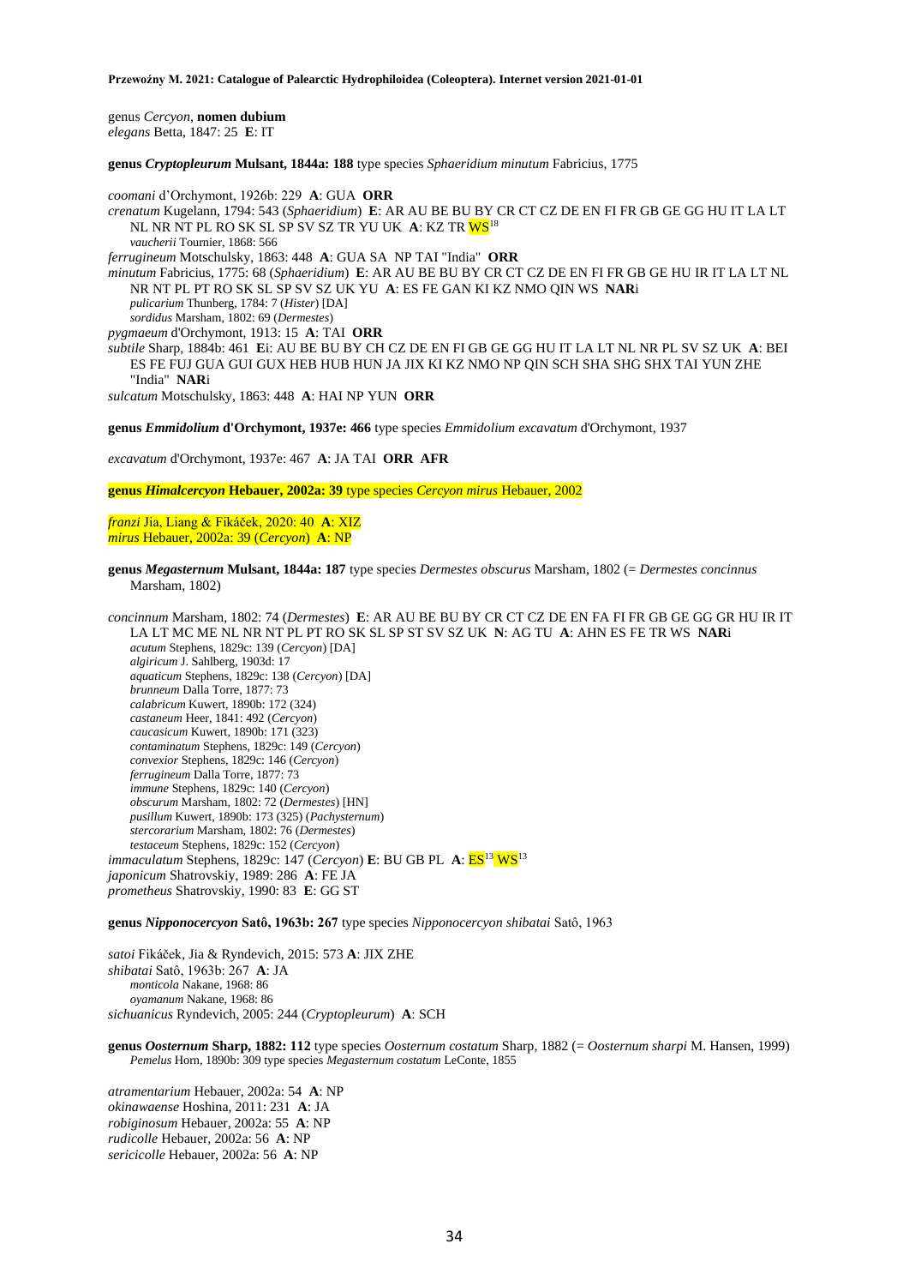genus *Cercyon*, **nomen dubium** *elegans* Betta, 1847: 25 **E**: IT

**genus** *Cryptopleurum* **Mulsant, 1844a: 188** type species *Sphaeridium minutum* Fabricius, 1775

*coomani* d'Orchymont, 1926b: 229 **A**: GUA **ORR** *crenatum* Kugelann, 1794: 543 (*Sphaeridium*) **E**: AR AU BE BU BY CR CT CZ DE EN FI FR GB GE GG HU IT LA LT NL NR NT PL RO SK SL SP SV SZ TR YU UK **A**: KZ TR WS<sup>18</sup> *vaucherii* Tournier, 1868: 566 *ferrugineum* Motschulsky, 1863: 448 **A**: GUA SA NP TAI "India" **ORR** *minutum* Fabricius, 1775: 68 (*Sphaeridium*) **E**: AR AU BE BU BY CR CT CZ DE EN FI FR GB GE HU IR IT LA LT NL NR NT PL PT RO SK SL SP SV SZ UK YU **A**: ES FE GAN KI KZ NMO QIN WS **NAR**i *pulicarium* Thunberg, 1784: 7 (*Hister*) [DA] *sordidus* Marsham, 1802: 69 (*Dermestes*) *pygmaeum* d'Orchymont, 1913: 15 **A**: TAI **ORR** *subtile* Sharp, 1884b: 461 **E**i: AU BE BU BY CH CZ DE EN FI GB GE GG HU IT LA LT NL NR PL SV SZ UK **A**: BEI ES FE FUJ GUA GUI GUX HEB HUB HUN JA JIX KI KZ NMO NP QIN SCH SHA SHG SHX TAI YUN ZHE "India" **NAR**i *sulcatum* Motschulsky, 1863: 448 **A**: HAI NP YUN **ORR**

**genus** *Emmidolium* **d'Orchymont, 1937e: 466** type species *Emmidolium excavatum* d'Orchymont, 1937

*excavatum* d'Orchymont, 1937e: 467 **A**: JA TAI **ORR AFR**

**genus** *Himalcercyon* **Hebauer, 2002a: 39** type species *Cercyon mirus* Hebauer, 2002

*franzi* Jia, Liang & Fikáček, 2020: 40 **A**: XIZ *mirus* Hebauer, 2002a: 39 (*Cercyon*) **A**: NP

**genus** *Megasternum* **Mulsant, 1844a: 187** type species *Dermestes obscurus* Marsham, 1802 (= *Dermestes concinnus* Marsham, 1802)

*concinnum* Marsham, 1802: 74 (*Dermestes*) **E**: AR AU BE BU BY CR CT CZ DE EN FA FI FR GB GE GG GR HU IR IT LA LT MC ME NL NR NT PL PT RO SK SL SP ST SV SZ UK **N**: AG TU **A**: AHN ES FE TR WS **NAR**i *acutum* Stephens, 1829c: 139 (*Cercyon*) [DA] *algiricum* J. Sahlberg, 1903d: 17 *aquaticum* Stephens, 1829c: 138 (*Cercyon*) [DA] *brunneum* Dalla Torre, 1877: 73 *calabricum* Kuwert, 1890b: 172 (324) *castaneum* Heer, 1841: 492 (*Cercyon*) *caucasicum* Kuwert, 1890b: 171 (323) *contaminatum* Stephens, 1829c: 149 (*Cercyon*) *convexior* Stephens, 1829c: 146 (*Cercyon*) *ferrugineum* Dalla Torre, 1877: 73 *immune* Stephens, 1829c: 140 (*Cercyon*) *obscurum* Marsham, 1802: 72 (*Dermestes*) [HN] *pusillum* Kuwert, 1890b: 173 (325) (*Pachysternum*) *stercorarium* Marsham, 1802: 76 (*Dermestes*) *testaceum* Stephens, 1829c: 152 (*Cercyon*) *immaculatum* Stephens, 1829c: 147 (*Cercyon*) **E**: BU GB PL **A**: ES<sup>13</sup> WS<sup>13</sup> *japonicum* Shatrovskiy, 1989: 286 **A**: FE JA *prometheus* Shatrovskiy, 1990: 83 **E**: GG ST

**genus** *Nipponocercyon* **Satô, 1963b: 267** type species *Nipponocercyon shibatai* Satô, 1963

*satoi* Fikáček, Jia & Ryndevich, 2015: 573 **A**: JIX ZHE *shibatai* Satô, 1963b: 267 **A**: JA *monticola* Nakane, 1968: 86 *oyamanum* Nakane, 1968: 86 *sichuanicus* Ryndevich, 2005: 244 (*Cryptopleurum*) **A**: SCH

**genus** *Oosternum* **Sharp, 1882: 112** type species *Oosternum costatum* Sharp, 1882 (= *Oosternum sharpi* M. Hansen, 1999) *Pemelus* Horn, 1890b: 309 type species *Megasternum costatum* LeConte, 1855

*atramentarium* Hebauer, 2002a: 54 **A**: NP *okinawaense* Hoshina, 2011: 231 **A**: JA *robiginosum* Hebauer, 2002a: 55 **A**: NP *rudicolle* Hebauer, 2002a: 56 **A**: NP *sericicolle* Hebauer, 2002a: 56 **A**: NP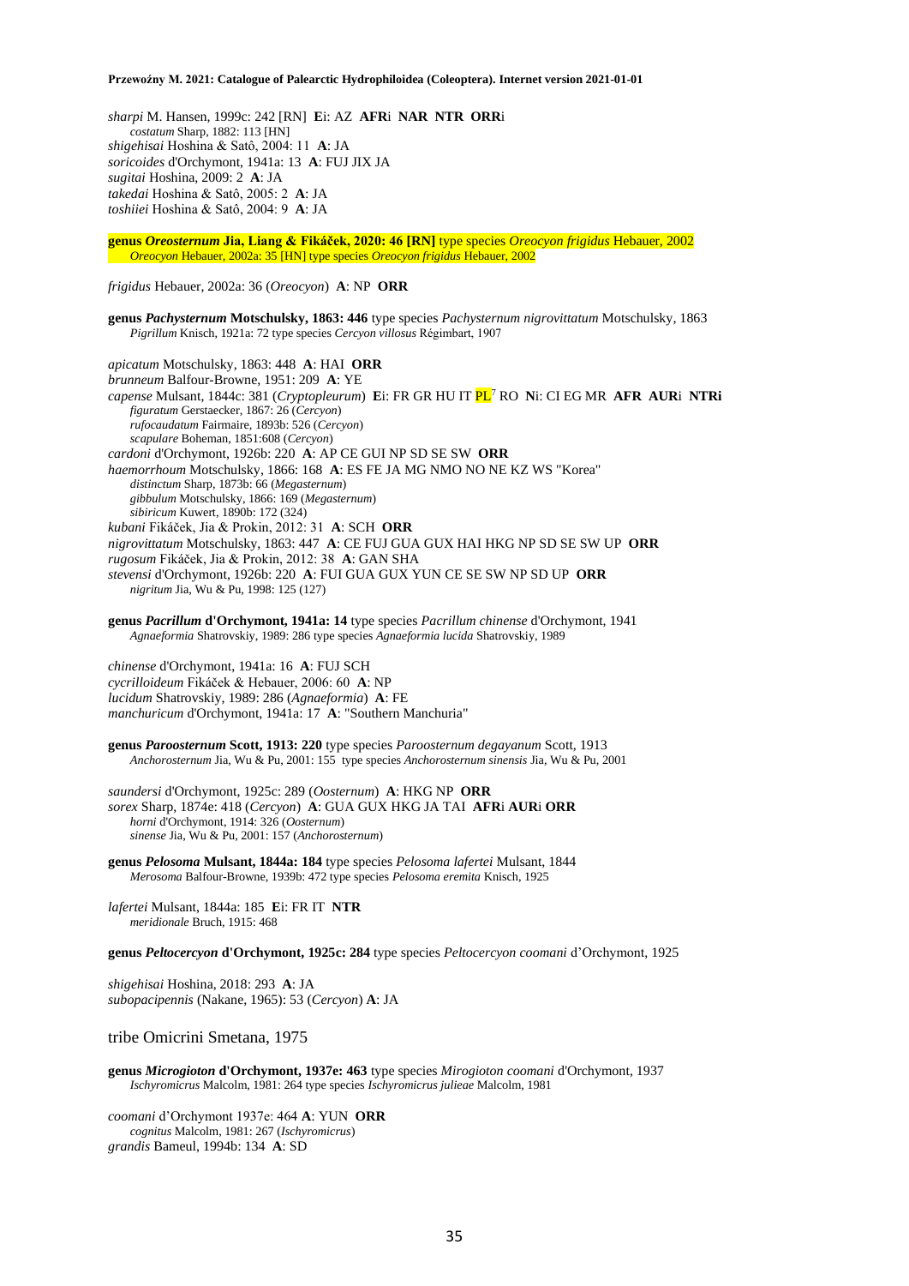*sharpi* M. Hansen, 1999c: 242 [RN] **E**i: AZ **AFR**i **NAR NTR ORR**i *costatum* Sharp, 1882: 113 [HN] *shigehisai* Hoshina & Satô, 2004: 11 **A**: JA *soricoides* d'Orchymont, 1941a: 13 **A**: FUJ JIX JA *sugitai* Hoshina, 2009: 2 **A**: JA *takedai* Hoshina & Satô, 2005: 2 **A**: JA *toshiiei* Hoshina & Satô, 2004: 9 **A**: JA

**genus** *Oreosternum* **Jia, Liang & Fikáček, 2020: 46 [RN]** type species *Oreocyon frigidus* Hebauer, 2002 *Oreocyon* Hebauer, 2002a: 35 [HN] type species *Oreocyon frigidus* Hebauer, 2002

*frigidus* Hebauer, 2002a: 36 (*Oreocyon*) **A**: NP **ORR**

**genus** *Pachysternum* **Motschulsky, 1863: 446** type species *Pachysternum nigrovittatum* Motschulsky, 1863 *Pigrillum* Knisch, 1921a: 72 type species *Cercyon villosus* Régimbart, 1907

*apicatum* Motschulsky, 1863: 448 **A**: HAI **ORR** *brunneum* Balfour-Browne, 1951: 209 **A**: YE *capense* Mulsant, 1844c: 381 (*Cryptopleurum*) **E**i: FR GR HU IT PL<sup>7</sup> RO **N**i: CI EG MR **AFR AUR**i **NTRi** *figuratum* Gerstaecker, 1867: 26 (*Cercyon*) *rufocaudatum* Fairmaire, 1893b: 526 (*Cercyon*) *scapulare* Boheman, 1851:608 (*Cercyon*) *cardoni* d'Orchymont, 1926b: 220 **A**: AP CE GUI NP SD SE SW **ORR** *haemorrhoum* Motschulsky, 1866: 168 **A**: ES FE JA MG NMO NO NE KZ WS "Korea" *distinctum* Sharp, 1873b: 66 (*Megasternum*) *gibbulum* Motschulsky, 1866: 169 (*Megasternum*) *sibiricum* Kuwert, 1890b: 172 (324) *kubani* Fikáček, Jia & Prokin, 2012: 31 **A**: SCH **ORR**  *nigrovittatum* Motschulsky, 1863: 447 **A**: CE FUJ GUA GUX HAI HKG NP SD SE SW UP **ORR** *rugosum* Fikáček, Jia & Prokin, 2012: 38 **A**: GAN SHA *stevensi* d'Orchymont, 1926b: 220 **A**: FUI GUA GUX YUN CE SE SW NP SD UP **ORR** *nigritum* Jia, Wu & Pu, 1998: 125 (127)

**genus** *Pacrillum* **d'Orchymont, 1941a: 14** type species *Pacrillum chinense* d'Orchymont, 1941 *Agnaeformia* Shatrovskiy, 1989: 286 type species *Agnaeformia lucida* Shatrovskiy, 1989

*chinense* d'Orchymont, 1941a: 16 **A**: FUJ SCH *cycrilloideum* Fikáček & Hebauer, 2006: 60 **A**: NP *lucidum* Shatrovskiy, 1989: 286 (*Agnaeformia*) **A**: FE *manchuricum* d'Orchymont, 1941a: 17 **A**: "Southern Manchuria"

**genus** *Paroosternum* **Scott, 1913: 220** type species *Paroosternum degayanum* Scott, 1913 *Anchorosternum* Jia, Wu & Pu, 2001: 155type species *Anchorosternum sinensis* Jia, Wu & Pu, 2001

*saundersi* d'Orchymont, 1925c: 289 (*Oosternum*) **A**: HKG NP **ORR** *sorex* Sharp, 1874e: 418 (*Cercyon*) **A**: GUA GUX HKG JA TAI **AFR**i **AUR**i **ORR** *horni* d'Orchymont, 1914: 326 (*Oosternum*) *sinense* Jia, Wu & Pu, 2001: 157 (*Anchorosternum*)

**genus** *Pelosoma* **Mulsant, 1844a: 184** type species *Pelosoma lafertei* Mulsant, 1844 *Merosoma* Balfour-Browne, 1939b: 472 type species *Pelosoma eremita* Knisch, 1925

*lafertei* Mulsant, 1844a: 185 **E**i: FR IT **NTR** *meridionale* Bruch, 1915: 468

**genus** *Peltocercyon* **d'Orchymont, 1925c: 284** type species *Peltocercyon coomani* d'Orchymont, 1925

*shigehisai* Hoshina, 2018: 293 **A**: JA *subopacipennis* (Nakane, 1965): 53 (*Cercyon*) **A**: JA

tribe Omicrini Smetana, 1975

**genus** *Microgioton* **d'Orchymont, 1937e: 463** type species *Mirogioton coomani* d'Orchymont, 1937 *Ischyromicrus* Malcolm, 1981: 264 type species *Ischyromicrus julieae* Malcolm, 1981

*coomani* d'Orchymont 1937e: 464 **A**: YUN **ORR** *cognitus* Malcolm, 1981: 267 (*Ischyromicrus*) *grandis* Bameul, 1994b: 134 **A**: SD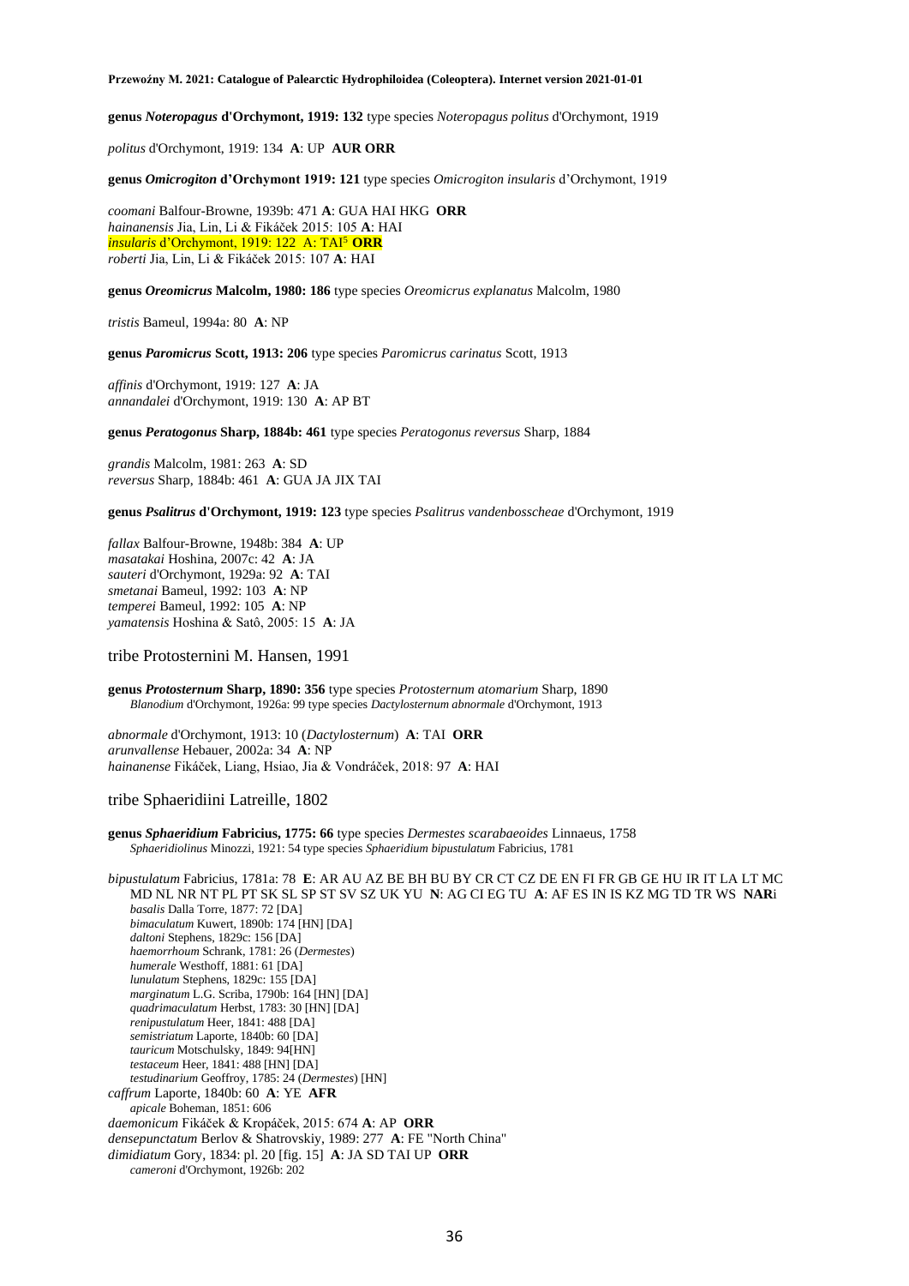**genus** *Noteropagus* **d'Orchymont, 1919: 132** type species *Noteropagus politus* d'Orchymont, 1919

*politus* d'Orchymont, 1919: 134 **A**: UP **AUR ORR**

**genus** *Omicrogiton* **d'Orchymont 1919: 121** type species *Omicrogiton insularis* d'Orchymont, 1919

*coomani* Balfour-Browne, 1939b: 471 **A**: GUA HAI HKG **ORR** *hainanensis* Jia, Lin, Li & Fikáček 2015: 105 **A**: HAI *insularis* d'Orchymont, 1919: 122 A: TAI<sup>5</sup>**ORR** *roberti* Jia, Lin, Li & Fikáček 2015: 107 **A**: HAI

**genus** *Oreomicrus* **Malcolm, 1980: 186** type species *Oreomicrus explanatus* Malcolm, 1980

*tristis* Bameul, 1994a: 80 **A**: NP

**genus** *Paromicrus* **Scott, 1913: 206** type species *Paromicrus carinatus* Scott, 1913

*affinis* d'Orchymont, 1919: 127 **A**: JA *annandalei* d'Orchymont, 1919: 130 **A**: AP BT

**genus** *Peratogonus* **Sharp, 1884b: 461** type species *Peratogonus reversus* Sharp, 1884

*grandis* Malcolm, 1981: 263 **A**: SD *reversus* Sharp, 1884b: 461 **A**: GUA JA JIX TAI

**genus** *Psalitrus* **d'Orchymont, 1919: 123** type species *Psalitrus vandenbosscheae* d'Orchymont, 1919

*fallax* Balfour-Browne, 1948b: 384 **A**: UP *masatakai* Hoshina, 2007c: 42 **A**: JA *sauteri* d'Orchymont, 1929a: 92 **A**: TAI *smetanai* Bameul, 1992: 103 **A**: NP *temperei* Bameul, 1992: 105 **A**: NP *yamatensis* Hoshina & Satô, 2005: 15 **A**: JA

tribe Protosternini M. Hansen, 1991

**genus** *Protosternum* **Sharp, 1890: 356** type species *Protosternum atomarium* Sharp, 1890 *Blanodium* d'Orchymont, 1926a: 99 type species *Dactylosternum abnormale* d'Orchymont, 1913

*abnormale* d'Orchymont, 1913: 10 (*Dactylosternum*) **A**: TAI **ORR** *arunvallense* Hebauer, 2002a: 34 **A**: NP *hainanense* Fikáček, Liang, Hsiao, Jia & Vondráček, 2018: 97 **A**: HAI

tribe Sphaeridiini Latreille, 1802

**genus** *Sphaeridium* **Fabricius, 1775: 66** type species *Dermestes scarabaeoides* Linnaeus, 1758 *Sphaeridiolinus* Minozzi, 1921: 54 type species *Sphaeridium bipustulatum* Fabricius, 1781

*bipustulatum* Fabricius, 1781a: 78 **E**: AR AU AZ BE BH BU BY CR CT CZ DE EN FI FR GB GE HU IR IT LA LT MC MD NL NR NT PL PT SK SL SP ST SV SZ UK YU **N**: AG CI EG TU **A**: AF ES IN IS KZ MG TD TR WS **NAR**i *basalis* Dalla Torre, 1877: 72 [DA] *bimaculatum* Kuwert, 1890b: 174 [HN] [DA] *daltoni* Stephens, 1829c: 156 [DA] *haemorrhoum* Schrank, 1781: 26 (*Dermestes*) *humerale* Westhoff, 1881: 61 [DA] *lunulatum* Stephens, 1829c: 155 [DA] *marginatum* L.G. Scriba, 1790b: 164 [HN] [DA] *quadrimaculatum* Herbst, 1783: 30 [HN] [DA] *renipustulatum* Heer, 1841: 488 [DA] *semistriatum* Laporte, 1840b: 60 [DA] *tauricum* Motschulsky, 1849: 94[HN] *testaceum* Heer, 1841: 488 [HN] [DA] *testudinarium* Geoffroy, 1785: 24 (*Dermestes*) [HN] *caffrum* Laporte, 1840b: 60 **A**: YE **AFR** *apicale* Boheman, 1851: 606 *daemonicum* Fikáček & Kropáček, 2015: 674 **A**: AP **ORR** *densepunctatum* Berlov & Shatrovskiy, 1989: 277 **A**: FE "North China" *dimidiatum* Gory, 1834: pl. 20 [fig. 15] **A**: JA SD TAI UP **ORR** *cameroni* d'Orchymont, 1926b: 202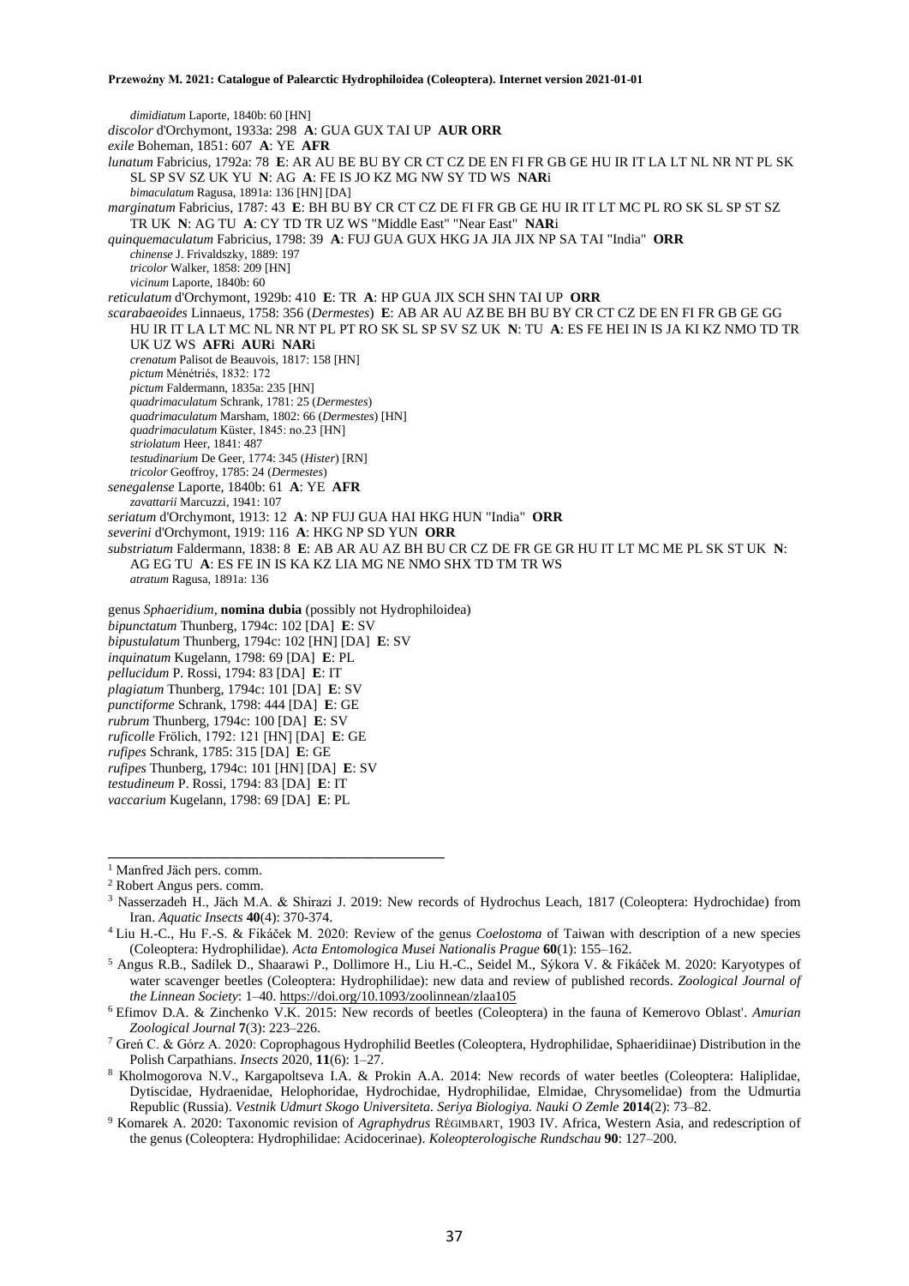*dimidiatum* Laporte, 1840b: 60 [HN] *discolor* d'Orchymont, 1933a: 298 **A**: GUA GUX TAI UP **AUR ORR** *exile* Boheman, 1851: 607 **A**: YE **AFR** *lunatum* Fabricius, 1792a: 78 **E**: AR AU BE BU BY CR CT CZ DE EN FI FR GB GE HU IR IT LA LT NL NR NT PL SK SL SP SV SZ UK YU **N**: AG **A**: FE IS JO KZ MG NW SY TD WS **NAR**i *bimaculatum* Ragusa, 1891a: 136 [HN] [DA] *marginatum* Fabricius, 1787: 43 **E**: BH BU BY CR CT CZ DE FI FR GB GE HU IR IT LT MC PL RO SK SL SP ST SZ TR UK **N**: AG TU **A**: CY TD TR UZ WS "Middle East" "Near East" **NAR**i *quinquemaculatum* Fabricius, 1798: 39 **A**: FUJ GUA GUX HKG JA JIA JIX NP SA TAI "India" **ORR** *chinense* J. Frivaldszky, 1889: 197 *tricolor* Walker, 1858: 209 [HN] *vicinum* Laporte, 1840b: 60 *reticulatum* d'Orchymont, 1929b: 410 **E**: TR **A**: HP GUA JIX SCH SHN TAI UP **ORR** *scarabaeoides* Linnaeus, 1758: 356 (*Dermestes*) **E**: AB AR AU AZ BE BH BU BY CR CT CZ DE EN FI FR GB GE GG HU IR IT LA LT MC NL NR NT PL PT RO SK SL SP SV SZ UK **N**: TU **A**: ES FE HEI IN IS JA KI KZ NMO TD TR UK UZ WS **AFR**i **AUR**i **NAR**i *crenatum* Palisot de Beauvois, 1817: 158 [HN] *pictum* Ménétriés, 1832: 172 *pictum* Faldermann, 1835a: 235 [HN] *quadrimaculatum* Schrank, 1781: 25 (*Dermestes*) *quadrimaculatum* Marsham, 1802: 66 (*Dermestes*) [HN] *quadrimaculatum* Küster, 1845: no.23 [HN] *striolatum* Heer, 1841: 487 *testudinarium* De Geer, 1774: 345 (*Hister*) [RN] *tricolor* Geoffroy, 1785: 24 (*Dermestes*) *senegalense* Laporte, 1840b: 61 **A**: YE **AFR** *zavattarii* Marcuzzi, 1941: 107 *seriatum* d'Orchymont, 1913: 12 **A**: NP FUJ GUA HAI HKG HUN "India" **ORR** *severini* d'Orchymont, 1919: 116 **A**: HKG NP SD YUN **ORR** *substriatum* Faldermann, 1838: 8 **E**: AB AR AU AZ BH BU CR CZ DE FR GE GR HU IT LT MC ME PL SK ST UK **N**: AG EG TU **A**: ES FE IN IS KA KZ LIA MG NE NMO SHX TD TM TR WS *atratum* Ragusa, 1891a: 136 genus *Sphaeridium*, **nomina dubia** (possibly not Hydrophiloidea) *bipunctatum* Thunberg, 1794c: 102 [DA] **E**: SV *bipustulatum* Thunberg, 1794c: 102 [HN] [DA] **E**: SV *inquinatum* Kugelann, 1798: 69 [DA] **E**: PL *pellucidum* P. Rossi, 1794: 83 [DA] **E**: IT *plagiatum* Thunberg, 1794c: 101 [DA] **E**: SV *punctiforme* Schrank, 1798: 444 [DA] **E**: GE

- *rubrum* Thunberg, 1794c: 100 [DA] **E**: SV
- *ruficolle* Frölich, 1792: 121 [HN] [DA] **E**: GE
- *rufipes* Schrank, 1785: 315 [DA] **E**: GE
- *rufipes* Thunberg, 1794c: 101 [HN] [DA] **E**: SV

**\_\_\_\_\_\_\_\_\_\_\_\_\_\_\_\_\_\_\_\_\_\_\_\_\_\_\_\_\_\_\_\_\_\_\_\_\_\_\_\_\_\_\_\_\_\_\_\_\_**

- *testudineum* P. Rossi, 1794: 83 [DA] **E**: IT
- *vaccarium* Kugelann, 1798: 69 [DA] **E**: PL

<sup>&</sup>lt;sup>1</sup> Manfred Jäch pers. comm.

<sup>2</sup> Robert Angus pers. comm.

<sup>3</sup> Nasserzadeh H., Jäch M.A. & Shirazi J. 2019: New records of Hydrochus Leach, 1817 (Coleoptera: Hydrochidae) from Iran. *Aquatic Insects* **40**(4): 370-374.

<sup>4</sup>Liu H.-C., Hu F.-S. & Fikáček M. 2020: Review of the genus *Coelostoma* of Taiwan with description of a new species (Coleoptera: Hydrophilidae). *Acta Entomologica Musei Nationalis Prague* **60**(1): 155–162.

<sup>5</sup> Angus R.B., Sadílek D., Shaarawi P., Dollimore H., Liu H.-C., Seidel M., Sýkora V. & Fikáček M. 2020: Karyotypes of water scavenger beetles (Coleoptera: Hydrophilidae): new data and review of published records. *Zoological Journal of the Linnean Society*: 1–40. <https://doi.org/10.1093/zoolinnean/zlaa105>

<sup>6</sup>Efimov D.A. & Zinchenko V.K. 2015: New records of beetles (Coleoptera) in the fauna of Kemerovo Oblast'. *Amurian Zoological Journal* **7**(3): 223–226.

<sup>7</sup> Greń C. & Górz A. 2020: Coprophagous Hydrophilid Beetles (Coleoptera, Hydrophilidae, Sphaeridiinae) Distribution in the Polish Carpathians. *Insects* 2020, **11**(6): 1–27.

<sup>8</sup> Kholmogorova N.V., Kargapoltseva I.A. & Prokin A.A. 2014: New records of water beetles (Coleoptera: Haliplidae, Dytiscidae, Hydraenidae, Helophoridae, Hydrochidae, Hydrophilidae, Elmidae, Chrysomelidae) from the Udmurtia Republic (Russia). *Vestnik Udmurt Skogo Universiteta. Seriya Biologiya. Nauki O Zemle* **2014**(2): 73–82.

<sup>9</sup> Komarek A. 2020: Taxonomic revision of *Agraphydrus* RÉGIMBART, 1903 IV. Africa, Western Asia, and redescription of the genus (Coleoptera: Hydrophilidae: Acidocerinae). *Koleopterologische Rundschau* **90**: 127–200.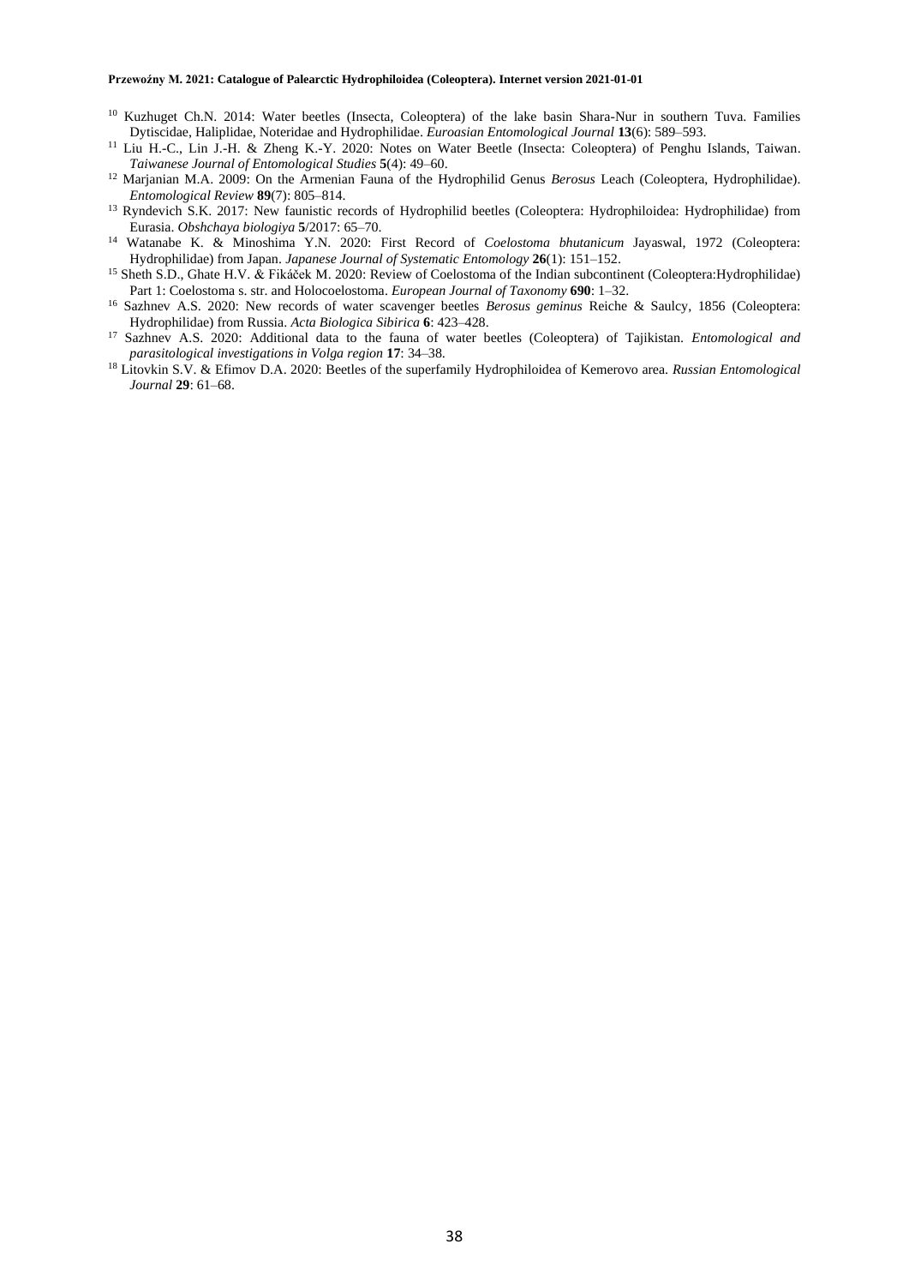- <sup>10</sup> Kuzhuget Ch.N. 2014: Water beetles (Insecta, Coleoptera) of the lake basin Shara-Nur in southern Tuva. Families Dytiscidae, Haliplidae, Noteridae and Hydrophilidae. *Euroasian Entomological Journal* **13**(6): 589–593.
- <sup>11</sup> Liu H.-C., Lin J.-H. & Zheng K.-Y. 2020: Notes on Water Beetle (Insecta: Coleoptera) of Penghu Islands, Taiwan. *Taiwanese Journal of Entomological Studies* **5**(4): 49–60.
- <sup>12</sup> Marjanian M.A. 2009: On the Armenian Fauna of the Hydrophilid Genus *Berosus* Leach (Coleoptera, Hydrophilidae). *Entomological Review* **89**(7): 805–814.
- <sup>13</sup> Ryndevich S.K. 2017: New faunistic records of Hydrophilid beetles (Coleoptera: Hydrophiloidea: Hydrophilidae) from Eurasia. *Obshchaya biologiya* **5**/2017: 65–70.
- <sup>14</sup> Watanabe K. & Minoshima Y.N. 2020: First Record of *Coelostoma bhutanicum* Jayaswal, 1972 (Coleoptera: Hydrophilidae) from Japan. *Japanese Journal of Systematic Entomology* **26**(1): 151–152.
- <sup>15</sup> Sheth S.D., Ghate H.V. & Fikáček M. 2020: Review of Coelostoma of the Indian subcontinent (Coleoptera:Hydrophilidae) Part 1: Coelostoma s. str. and Holocoelostoma. *European Journal of Taxonomy* **690**: 1–32.
- <sup>16</sup> Sazhnev A.S. 2020: New records of water scavenger beetles *Berosus geminus* Reiche & Saulcy, 1856 (Coleoptera: Hydrophilidae) from Russia. *Acta Biologica Sibirica* **6**: 423–428.
- <sup>17</sup> Sazhnev A.S. 2020: Additional data to the fauna of water beetles (Coleoptera) of Tajikistan. *Entomological and parasitological investigations in Volga region* **17**: 34–38.
- <sup>18</sup> Litovkin S.V. & Efimov D.A. 2020: Beetles of the superfamily Hydrophiloidea of Kemerovo area. *Russian Entomological Journal* **29**: 61–68.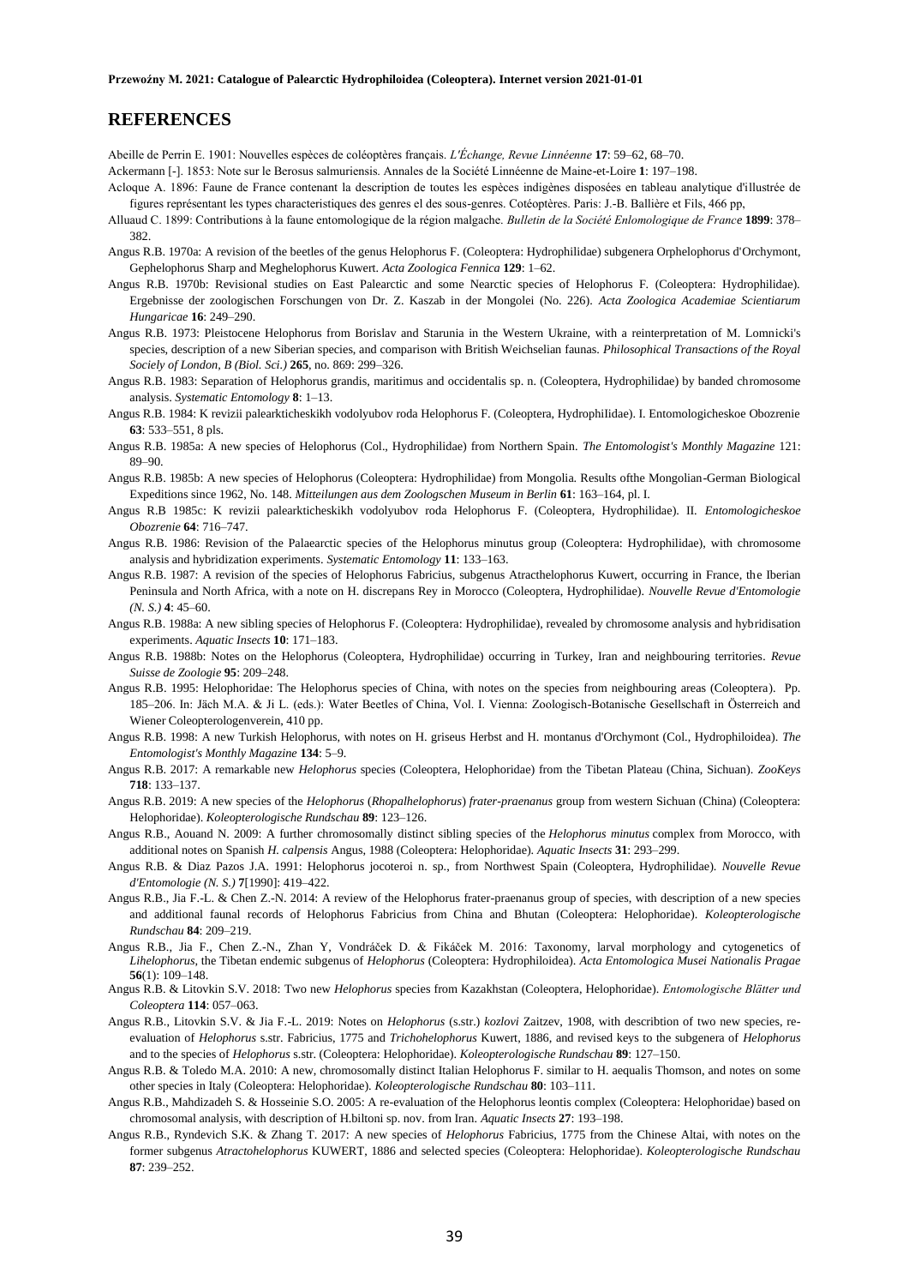## **REFERENCES**

Abeille de Perrin E. 1901: Nouvelles espèces de coléoptères français. *L'Échange, Revue Linnéenne* **17**: 59–62, 68–70.

Ackermann [-]. 1853: Note sur le Berosus salmuriensis. Annales de la Société Linnéenne de Maine-et-Loire **1**: 197–198.

- Acloque A. 1896: Faune de France contenant la description de toutes les espèces indigènes disposées en tableau analytique d'illustrée de figures représentant les types characteristiques des genres el des sous-genres. Cotéoptères. Paris: J.-B. Ballière et Fils, 466 pp,
- Alluaud C. 1899: Contributions à la faune entomologique de la région malgache. *Bulletin de la Société Enlomologique de France* **1899**: 378– 382.
- Angus R.B. 1970a: A revision of the beetles of the genus Helophorus F. (Coleoptera: Hydrophilidae) subgenera Orphelophorus d'Orchymont, Gephelophorus Sharp and Meghelophorus Kuwert. *Acta Zoologica Fennica* **129**: 1–62.
- Angus R.B. 1970b: Revisional studies on East Palearctic and some Nearctic species of Helophorus F. (Coleoptera: Hydrophilidae). Ergebnisse der zoologischen Forschungen von Dr. Z. Kaszab in der Mongolei (No. 226). *Acta Zoologica Academiae Scientiarum Hungaricae* **16**: 249–290.
- Angus R.B. 1973: Pleistocene Helophorus from Borislav and Starunia in the Western Ukraine, with a reinterpretation of M. Lomnicki's species, description of a new Siberian species, and comparison with British Weichselian faunas. *Philosophical Transactions of the Royal Sociely of London, B (Biol. Sci.)* **265**, no. 869: 299–326.
- Angus R.B. 1983: Separation of Helophorus grandis, maritimus and occidentalis sp. n. (Coleoptera, Hydrophilidae) by banded chromosome analysis. *Systematic Entomology* **8**: 1–13.
- Angus R.B. 1984: K revizii palearkticheskikh vodolyubov roda Helophorus F. (Coleoptera, HydrophiIidae). I. Entomologicheskoe Obozrenie **63**: 533–551, 8 pls.
- Angus R.B. 1985a: A new species of Helophorus (Col., Hydrophilidae) from Northern Spain. *The Entomologist's Monthly Magazine* 121: 89–90.
- Angus R.B. 1985b: A new species of Helophorus (Coleoptera: Hydrophilidae) from Mongolia. Results ofthe Mongolian-German Biological Expeditions since 1962, No. 148. *Mitteilungen aus dem Zoologschen Museum in Berlin* **61**: 163–164, pl. I.
- Angus R.B 1985c: K revizii palearkticheskikh vodolyubov roda Helophorus F. (Coleoptera, Hydrophilidae). II. *Entomologicheskoe Obozrenie* **64**: 716–747.
- Angus R.B. 1986: Revision of the Palaearctic species of the Helophorus minutus group (Coleoptera: Hydrophilidae), with chromosome analysis and hybridization experiments. *Systematic Entomology* **11**: 133–163.
- Angus R.B. 1987: A revision of the species of Helophorus Fabricius, subgenus Atracthelophorus Kuwert, occurring in France, the Iberian Peninsula and North Africa, with a note on H. discrepans Rey in Morocco (Coleoptera, Hydrophilidae). *Nouvelle Revue d'Entomologie (N. S.)* **4**: 45–60.
- Angus R.B. 1988a: A new sibling species of Helophorus F. (Coleoptera: Hydrophilidae), revealed by chromosome analysis and hybridisation experiments. *Aquatic Insects* **10**: 171–183.
- Angus R.B. 1988b: Notes on the Helophorus (Coleoptera, Hydrophilidae) occurring in Turkey, Iran and neighbouring territories*. Revue Suisse de Zoologie* **95**: 209–248.
- Angus R.B. 1995: Helophoridae: The Helophorus species of China, with notes on the species from neighbouring areas (Coleoptera). Pp. 185–206. In: Jäch M.A. & Ji L. (eds.): Water Beetles of China, Vol. I. Vienna: Zoologisch-Botanische Gesellschaft in Österreich and Wiener Coleopterologenverein, 410 pp.
- Angus R.B. 1998: A new Turkish Helophorus, with notes on H. griseus Herbst and H. montanus d'Orchymont (Col., Hydrophiloidea). *The Entomologist's Monthly Magazine* **134**: 5–9.
- Angus R.B. 2017: A remarkable new *Helophorus* species (Coleoptera, Helophoridae) from the Tibetan Plateau (China, Sichuan). *ZooKeys*  **718**: 133–137.
- Angus R.B. 2019: A new species of the *Helophorus* (*Rhopalhelophorus*) *frater*-*praenanus* group from western Sichuan (China) (Coleoptera: Helophoridae). *Koleopterologische Rundschau* **89**: 123–126.
- Angus R.B., Aouand N. 2009: A further chromosomally distinct sibling species of the *Helophorus minutus* complex from Morocco, with additional notes on Spanish *H. calpensis* Angus, 1988 (Coleoptera: Helophoridae). *Aquatic Insects* **31**: 293–299.
- Angus R.B. & Diaz Pazos J.A. 1991: Helophorus jocoteroi n. sp., from Northwest Spain (Coleoptera, Hydrophilidae). *Nouvelle Revue d'Entomologie (N. S.)* **7**[1990]: 419–422.
- Angus R.B., Jia F.-L. & Chen Z.-N. 2014: A review of the Helophorus frater-praenanus group of species, with description of a new species and additional faunal records of Helophorus Fabricius from China and Bhutan (Coleoptera: Helophoridae). *Koleopterologische Rundschau* **84**: 209–219.
- Angus R.B., Jia F., Chen Z.-N., Zhan Y, Vondráček D. & Fikáček M. 2016: Taxonomy, larval morphology and cytogenetics of *Lihelophorus*, the Tibetan endemic subgenus of *Helophorus* (Coleoptera: Hydrophiloidea). *Acta Entomologica Musei Nationalis Pragae* **56**(1): 109–148.
- Angus R.B. & Litovkin S.V. 2018: Two new *Helophorus* species from Kazakhstan (Coleoptera, Helophoridae). *Entomologische Blätter und Coleoptera* **114**: 057–063.
- Angus R.B., Litovkin S.V. & Jia F.-L. 2019: Notes on *Helophorus* (s.str.) *kozlovi* Zaitzev, 1908, with describtion of two new species, reevaluation of *Helophorus* s.str. Fabricius, 1775 and *Trichohelophorus* Kuwert, 1886, and revised keys to the subgenera of *Helophorus* and to the species of *Helophorus* s.str. (Coleoptera: Helophoridae). *Koleopterologische Rundschau* **89**: 127–150.
- Angus R.B. & Toledo M.A. 2010: A new, chromosomally distinct Italian Helophorus F. similar to H. aequalis Thomson, and notes on some other species in Italy (Coleoptera: Helophoridae). *Koleopterologische Rundschau* **80**: 103–111.
- Angus R.B., Mahdizadeh S. & Hosseinie S.O. 2005: A re-evaluation of the Helophorus leontis complex (Coleoptera: Helophoridae) based on chromosomal analysis, with description of H.biltoni sp. nov. from Iran. *Aquatic Insects* **27**: 193–198.
- Angus R.B., Ryndevich S.K. & Zhang T. 2017: A new species of *Helophorus* Fabricius, 1775 from the Chinese Altai, with notes on the former subgenus *Atractohelophorus* KUWERT, 1886 and selected species (Coleoptera: Helophoridae). *Koleopterologische Rundschau*  **87**: 239–252.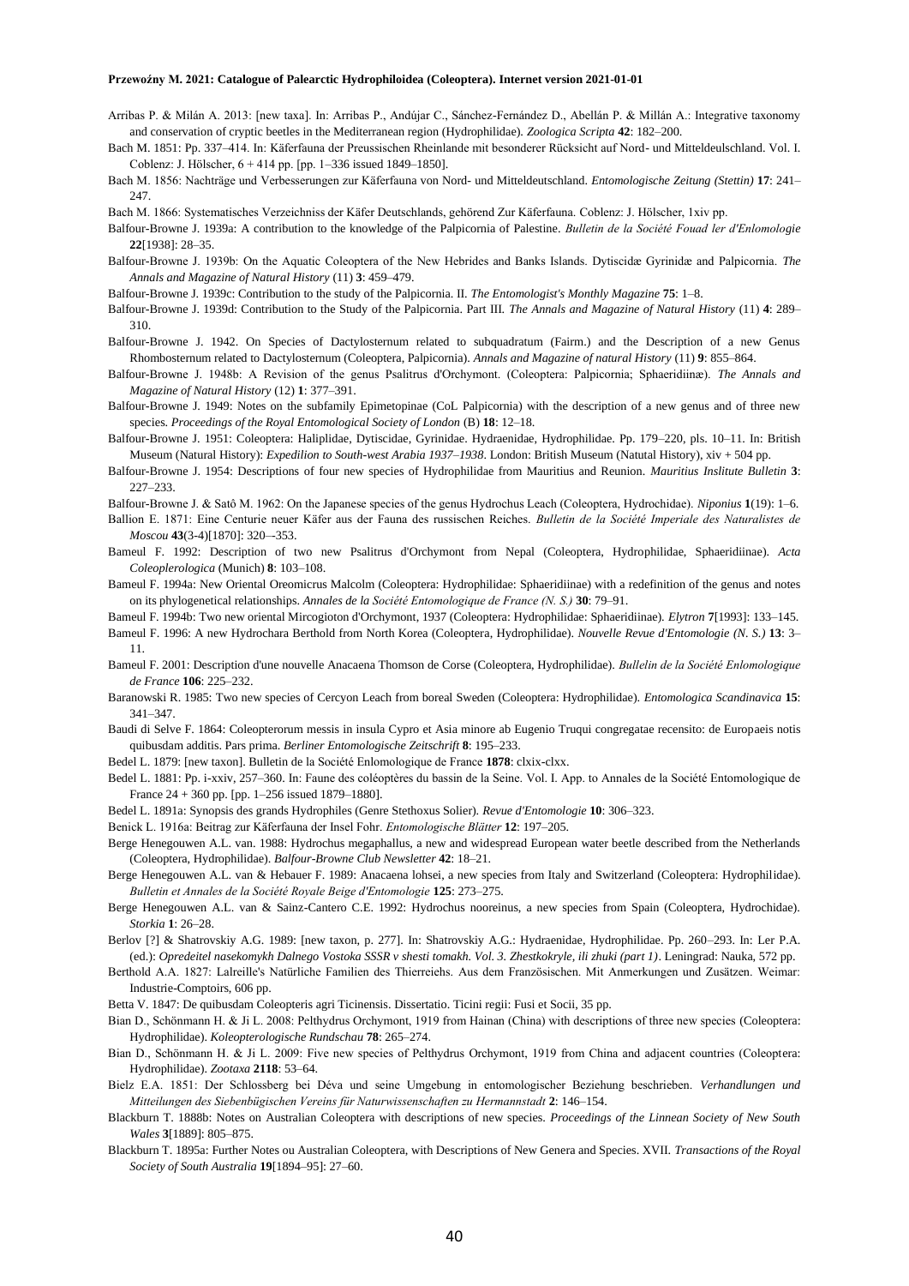- Arribas P. & Milán A. 2013: [new taxa]. In: Arribas P., Andújar C., Sánchez-Fernández D., Abellán P. & Millán A.: Integrative taxonomy and conservation of cryptic beetles in the Mediterranean region (Hydrophilidae). *Zoologica Scripta* **42**: 182–200.
- Bach M. 1851: Pp. 337–414. In: Käferfauna der Preussischen Rheinlande mit besonderer Rücksicht auf Nord- und Mitteldeulschland. Vol. I. Coblenz: J. Hölscher, 6 + 414 pp. [pp. 1–336 issued 1849–1850].
- Bach M. 1856: Nachträge und Verbesserungen zur Käferfauna von Nord- und Mitteldeutschland. *Entomologische Zeitung (Stettin)* **17**: 241– 247.
- Bach M. 1866: Systematisches Verzeichniss der Käfer Deutschlands, gehörend Zur Käferfauna. Coblenz: J. Hölscher, 1xiv pp.
- Balfour-Browne J. 1939a: A contribution to the knowledge of the Palpicornia of Palestine. *Bulletin de la Société Fouad ler d'Enlomologie* **22**[1938]: 28–35.
- Balfour-Browne J. 1939b: On the Aquatic Coleoptera of the New Hebrides and Banks Islands. Dytiscidæ Gyrinidæ and Palpicornia. *The Annals and Magazine of Natural History* (11) **3**: 459–479.
- Balfour-Browne J. 1939c: Contribution to the study of the Palpicornia. II. *The Entomologist's Monthly Magazine* **75**: 1–8.
- Balfour-Browne J. 1939d: Contribution to the Study of the Palpicornia. Part III. *The Annals and Magazine of Natural History* (11) **4**: 289– 310.
- Balfour-Browne J. 1942. On Species of Dactylosternum related to subquadratum (Fairm.) and the Description of a new Genus Rhombosternum related to Dactylosternum (Coleoptera, Palpicornia). *Annals and Magazine of natural History* (11) **9**: 855–864.
- Balfour-Browne J. 1948b: A Revision of the genus Psalitrus d'Orchymont. (Coleoptera: Palpicornia; Sphaeridiinæ). *The Annals and Magazine of Natural History* (12) **1**: 377–391.
- Balfour-Browne J. 1949: Notes on the subfamily Epimetopinae (CoL Palpicornia) with the description of a new genus and of three new species. *Proceedings of the Royal Entomological Society of London* (B) **18**: 12–18.
- Balfour-Browne J. 1951: Coleoptera: Haliplidae, Dytiscidae, Gyrinidae. Hydraenidae, Hydrophilidae. Pp. 179–220, pls. 10–11. In: British Museum (Natural History): *Expedilion to South-west Arabia 1937–1938*. London: British Museum (Natutal History), xiv + 504 pp.
- Balfour-Browne J. 1954: Descriptions of four new species of Hydrophilidae from Mauritius and Reunion. *Mauritius Inslitute Bulletin* **3**: 227–233.
- Balfour-Browne J. & Satô M. 1962: On the Japanese species of the genus Hydrochus Leach (Coleoptera, Hydrochidae). *Niponius* **1**(19): 1–6.
- Ballion E. 1871: Eine Centurie neuer Käfer aus der Fauna des russischen Reiches. *Bulletin de la Société Imperiale des Naturalistes de Moscou* **43**(3-4)[1870]: 320–-353.
- Bameul F. 1992: Description of two new Psalitrus d'Orchymont from Nepal (Coleoptera, Hydrophilidae, Sphaeridiinae). *Acta Coleoplerologica* (Munich) **8**: 103–108.
- Bameul F. 1994a: New Oriental Oreomicrus Malcolm (Coleoptera: Hydrophilidae: Sphaeridiinae) with a redefinition of the genus and notes on its phylogenetical relationships. *Annales de la Société Entomologique de France (N. S.)* **30**: 79–91.

Bameul F. 1994b: Two new oriental Mircogioton d'Orchymont, 1937 (Coleoptera: Hydrophilidae: Sphaeridiinae). *Elytron* **7**[1993]: 133–145.

- Bameul F. 1996: A new Hydrochara Berthold from North Korea (Coleoptera, Hydrophilidae). *Nouvelle Revue d'Entomologie (N. S.)* **13**: 3– 11.
- Bameul F. 2001: Description d'une nouvelle Anacaena Thomson de Corse (Coleoptera, Hydrophilidae). *Bullelin de la Société Enlomologique de France* **106**: 225–232.
- Baranowski R. 1985: Two new species of Cercyon Leach from boreal Sweden (Coleoptera: Hydrophilidae). *Entomologica Scandinavica* **15**: 341–347.
- Baudi di Selve F. 1864: Coleopterorum messis in insula Cypro et Asia minore ab Eugenio Truqui congregatae recensito: de Europaeis notis quibusdam additis. Pars prima. *Berliner Entomologische Zeitschrift* **8**: 195–233.
- Bedel L. 1879: [new taxon]. Bulletin de la Société Enlomologique de France **1878**: clxix-clxx.
- Bedel L. 1881: Pp. i-xxiv, 257–360. In: Faune des coléoptères du bassin de la Seine. Vol. I. App. to Annales de la Société Entomologique de France 24 + 360 pp. [pp. 1–256 issued 1879–1880].
- Bedel L. 1891a: Synopsis des grands Hydrophiles (Genre Stethoxus Solier). *Revue d'Entomologie* **10**: 306–323.
- Benick L. 1916a: Beitrag zur Käferfauna der Insel Fohr. *Entomologische Blätter* **12**: 197–205.
- Berge Henegouwen A.L. van. 1988: Hydrochus megaphallus, a new and widespread European water beetle described from the Netherlands (Coleoptera, Hydrophilidae). *Balfour-Browne Club Newsletter* **42**: 18–21.
- Berge Henegouwen A.L. van & Hebauer F. 1989: Anacaena lohsei, a new species from Italy and Switzerland (Coleoptera: Hydrophilidae). *Bulletin et Annales de la Société Royale Beige d'Entomologie* **125**: 273–275.
- Berge Henegouwen A.L. van & Sainz-Cantero C.E. 1992: Hydrochus nooreinus, a new species from Spain (Coleoptera, Hydrochidae). *Storkia* **1**: 26–28.
- Berlov [?] & Shatrovskiy A.G. 1989: [new taxon, p. 277]. In: Shatrovskiy A.G.: Hydraenidae, Hydrophilidae. Pp. 260–293. In: Ler P.A. (ed.): *Opredeitel nasekomykh Dalnego Vostoka SSSR v shesti tomakh. Vol. 3. Zhestkokryle, ili zhuki (part 1)*. Leningrad: Nauka, 572 pp.
- Berthold A.A. 1827: Lalreille's Natürliche Familien des Thierreiehs. Aus dem Französischen. Mit Anmerkungen und Zusätzen. Weimar: Industrie-Comptoirs, 606 pp.
- Betta V. 1847: De quibusdam Coleopteris agri Ticinensis. Dissertatio. Ticini regii: Fusi et Socii, 35 pp.
- Bian D., Schönmann H. & Ji L. 2008: Pelthydrus Orchymont, 1919 from Hainan (China) with descriptions of three new species (Coleoptera: Hydrophilidae). *Koleopterologische Rundschau* **78**: 265–274.
- Bian D., Schönmann H. & Ji L. 2009: Five new species of Pelthydrus Orchymont, 1919 from China and adjacent countries (Coleoptera: Hydrophilidae). *Zootaxa* **2118**: 53–64.
- Bielz E.A. 1851: Der Schlossberg bei Déva und seine Umgebung in entomologischer Beziehung beschrieben. *Verhandlungen und Mitteilungen des Siebenbügischen Vereins für Naturwissenschaften zu Hermannstadt* **2**: 146–154.
- Blackburn T. 1888b: Notes on Australian Coleoptera with descriptions of new species. *Proceedings of the Linnean Society of New South Wales* **3**[1889]: 805–875.
- Blackburn T. 1895a: Further Notes ou Australian Coleoptera, with Descriptions of New Genera and Species. XVII. *Transactions of the Royal Society of South Australia* **19**[1894–95]: 27–60.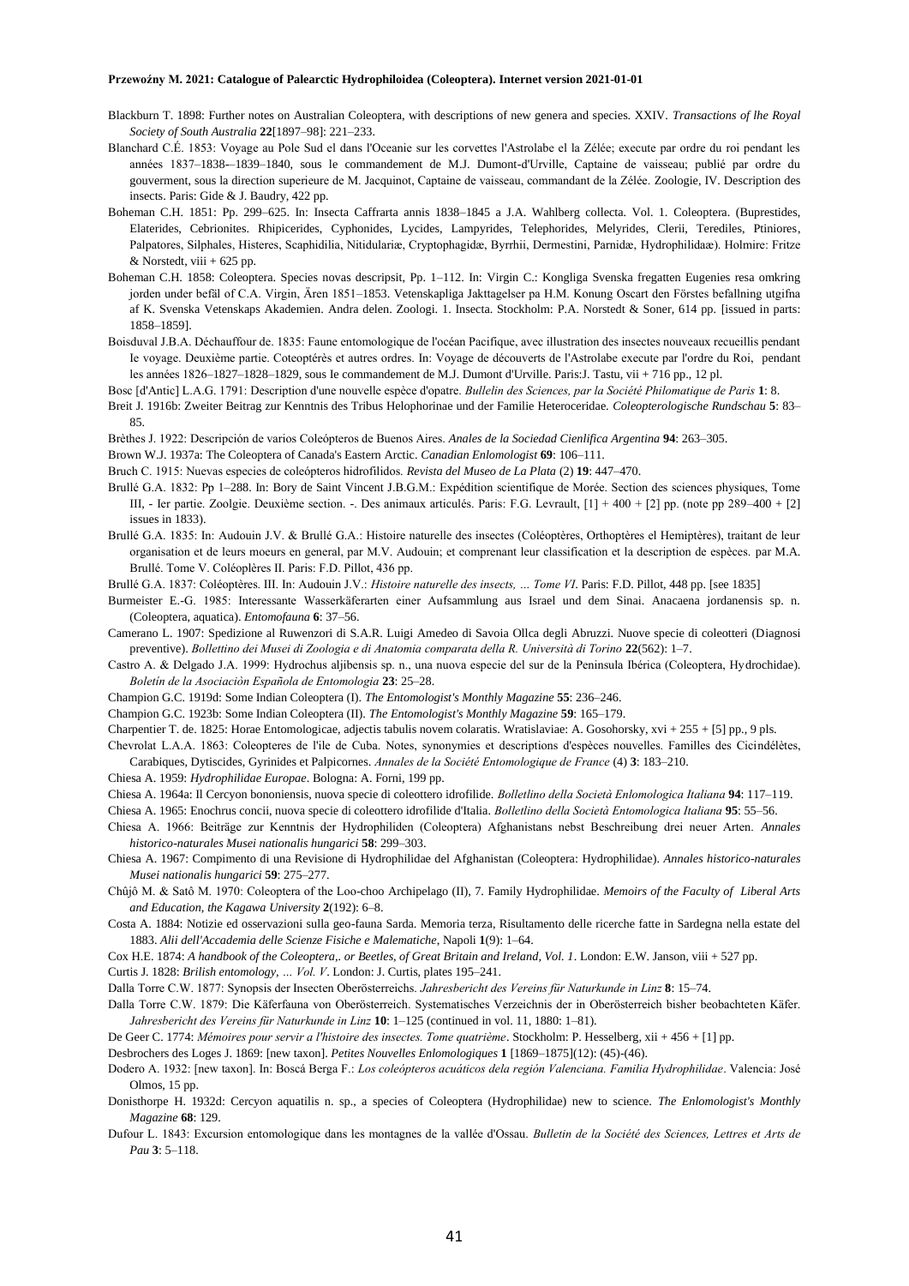- Blackburn T. 1898: Further notes on Australian Coleoptera, with descriptions of new genera and species. XXIV. *Transactions of lhe Royal Society of South Australia* **22**[1897–98]: 221–233.
- Blanchard C.É. 1853: Voyage au Pole Sud el dans l'Oceanie sur les corvettes l'Astrolabe el la Zélée; execute par ordre du roi pendant les années 1837–1838-–1839–1840, sous le commandement de M.J. Dumont-d'Urville, Captaine de vaisseau; publié par ordre du gouverment, sous la direction superieure de M. Jacquinot, Captaine de vaisseau, commandant de la Zélée. Zoologie, IV. Description des insects. Paris: Gide & J. Baudry, 422 pp.
- Boheman C.H. 1851: Pp. 299–625. In: Insecta Caffrarta annis 1838–1845 a J.A. Wahlberg collecta. Vol. 1. Coleoptera. (Buprestides, Elaterides, Cebrionites. Rhipicerides, Cyphonides, Lycides, Lampyrides, Telephorides, Melyrides, Clerii, Terediles, Ptiniores, Palpatores, Silphales, Histeres, Scaphidilia, Nitidulariæ, Cryptophagidæ, Byrrhii, Dermestini, Parnidæ, Hydrophilidaæ). Holmire: Fritze  $&$  Norstedt, viii + 625 pp.
- Boheman C.H. 1858: Coleoptera. Species novas descripsit, Pp. 1–112. In: Virgin C.: Kongliga Svenska fregatten Eugenies resa omkring jorden under befäl of C.A. Virgin, Ären 1851–1853. Vetenskapliga Jakttagelser pa H.M. Konung Oscart den Förstes befallning utgifna af K. Svenska Vetenskaps Akademien. Andra delen. Zoologi. 1. Insecta. Stockholm: P.A. Norstedt & Soner, 614 pp. [issued in parts: 1858–1859].
- Boisduval J.B.A. Déchauffour de. 1835: Faune entomologique de l'océan Pacifique, avec illustration des insectes nouveaux recueillis pendant Ie voyage. Deuxième partie. Coteoptérès et autres ordres. In: Voyage de découverts de l'Astrolabe execute par l'ordre du Roi, pendant les années 1826–1827–1828–1829, sous Ie commandement de M.J. Dumont d'Urville. Paris:J. Tastu, vii + 716 pp., 12 pl.
- Bosc [d'Antic] L.A.G. 1791: Description d'une nouvelle espèce d'opatre. *Bullelin des Sciences, par la Société Philomatique de Paris* **1**: 8.
- Breit J. 1916b: Zweiter Beitrag zur Kenntnis des Tribus Helophorinae und der Familie Heteroceridae. *Coleopterologische Rundschau* **5**: 83– 85.
- Brèthes J. 1922: Descripción de varios Coleópteros de Buenos Aires. *Anales de la Sociedad Cienlifica Argentina* **94**: 263–305.
- Brown W.J. 1937a: The Coleoptera of Canada's Eastern Arctic. *Canadian Enlomologist* **69**: 106–111.
- Bruch C. 1915: Nuevas especies de coleópteros hidrofilidos. *Revista del Museo de La Plata* (2) **19**: 447–470.
- Brullé G.A. 1832: Pp 1–288. In: Bory de Saint Vincent J.B.G.M.: Expédition scientifique de Morée. Section des sciences physiques, Tome III, - Ier partie. Zoolgie. Deuxième section. -. Des animaux articulés. Paris: F.G. Levrault, [1] + 400 + [2] pp. (note pp 289–400 + [2] issues in 1833).
- Brullé G.A. 1835: In: Audouin J.V. & Brullé G.A.: Histoire naturelle des insectes (Coléoptères, Orthoptères el Hemiptères), traitant de leur organisation et de leurs moeurs en general, par M.V. Audouin; et comprenant leur classification et la description de espèces. par M.A. Brullé. Tome V. Coléoplères II. Paris: F.D. Pillot, 436 pp.
- Brullé G.A. 1837: Coléoptères. III. In: Audouin J.V.: *Histoire naturelle des insects, … Tome VI*. Paris: F.D. Pillot, 448 pp. [see 1835]
- Burmeister E.-G. 1985: Interessante Wasserkäferarten einer Aufsammlung aus Israel und dem Sinai. Anacaena jordanensis sp. n. (Coleoptera, aquatica). *Entomofauna* **6**: 37–56.
- Camerano L. 1907: Spedizione al Ruwenzori di S.A.R. Luigi Amedeo di Savoia Ollca degli Abruzzi. Nuove specie di coleotteri (Diagnosi preventive). *Bollettino dei Musei di Zoologia e di Anatomia comparata della R. Università di Torino* **22**(562): 1–7.
- Castro A. & Delgado J.A. 1999: Hydrochus aljibensis sp. n., una nuova especie del sur de la Peninsula Ibérica (Coleoptera, Hydrochidae). *Boletín de la Asociaciòn Española de Entomologia* **23**: 25–28.
- Champion G.C. 1919d: Some Indian Coleoptera (I). *The Entomologist's Monthly Magazine* **55**: 236–246.
- Champion G.C. 1923b: Some Indian Coleoptera (II). *The Entomologist's Monthly Magazine* **59**: 165–179.
- Charpentier T. de. 1825: Horae Entomologicae, adjectis tabulis novem colaratis. Wratislaviae: A. Gosohorsky, xvi + 255 + [5] pp., 9 pls.

Chevrolat L.A.A. 1863: Coleopteres de l'ile de Cuba. Notes, synonymies et descriptions d'espèces nouvelles. Familles des Cicindélètes, Carabiques, Dytiscides, Gyrinides et Palpicornes. *Annales de la Société Entomologique de France* (4) **3**: 183–210.

- Chiesa A. 1959: *Hydrophilidae Europae*. Bologna: A. Forni, 199 pp.
- Chiesa A. 1964a: Il Cercyon bononiensis, nuova specie di coleottero idrofilide. *Bolletlino della Società Enlomologica Italiana* **94**: 117–119.
- Chiesa A. 1965: Enochrus concii, nuova specie di coleottero idrofilide d'Italia. *Bolletlino della Società Entomologica Italiana* **95**: 55–56.
- Chiesa A. 1966: Beiträge zur Kenntnis der Hydrophiliden (Coleoptera) Afghanistans nebst Beschreibung drei neuer Arten. *Annales historico-naturales Musei nationalis hungarici* **58**: 299–303.
- Chiesa A. 1967: Compimento di una Revisione di Hydrophilidae del Afghanistan (Coleoptera: Hydrophilidae). *Annales historico-naturales Musei nationalis hungarici* **59**: 275–277.
- Chûjô M. & Satô M. 1970: Coleoptera of the Loo-choo Archipelago (II), 7. Family Hydrophilidae. *Memoirs of the Faculty of Liberal Arts and Education, the Kagawa University* **2**(192): 6–8.
- Costa A. 1884: Notizie ed osservazioni sulla geo-fauna Sarda. Memoria terza, Risultamento delle ricerche fatte in Sardegna nella estate del 1883. *Alii dell'Accademia delle Scienze Fisiche e Malematiche*, Napoli **1**(9): 1–64.
- Cox H.E. 1874: *A handbook of the Coleoptera,. or Beetles, of Great Britain and Ireland, Vol. 1*. London: E.W. Janson, viii + 527 pp.
- Curtis J. 1828: *Brilish entomology, … Vol. V*. London: J. Curtis, plates 195–241.
- Dalla Torre C.W. 1877: Synopsis der Insecten Oberösterreichs. *Jahresbericht des Vereins für Naturkunde in Linz* **8**: 15–74.
- Dalla Torre C.W. 1879: Die Käferfauna von Oberösterreich. Systematisches Verzeichnis der in Oberösterreich bisher beobachteten Käfer. *Jahresbericht des Vereins für Naturkunde in Linz* **10**: 1–125 (continued in vol. 11, 1880: 1–81).
- De Geer C. 1774: *Mémoires pour servir a l'histoire des insectes. Tome quatrième*. Stockholm: P. Hesselberg, xii + 456 + [1] pp.

Desbrochers des Loges J. 1869: [new taxon]. *Petites Nouvelles Enlomologiques* **1** [1869–1875](12): (45)-(46).

Dodero A. 1932: [new taxon]. In: Boscá Berga F.: *Los coleópteros acuáticos dela región Valenciana. Familia Hydrophilidae*. Valencia: José Olmos, 15 pp.

- Donisthorpe H. 1932d: Cercyon aquatilis n. sp., a species of Coleoptera (Hydrophilidae) new to science. *The Enlomologist's Monthly Magazine* **68**: 129.
- Dufour L. 1843: Excursion entomologique dans les montagnes de la vallée d'Ossau. *Bulletin de la Société des Sciences, Lettres et Arts de Pau* **3**: 5–118.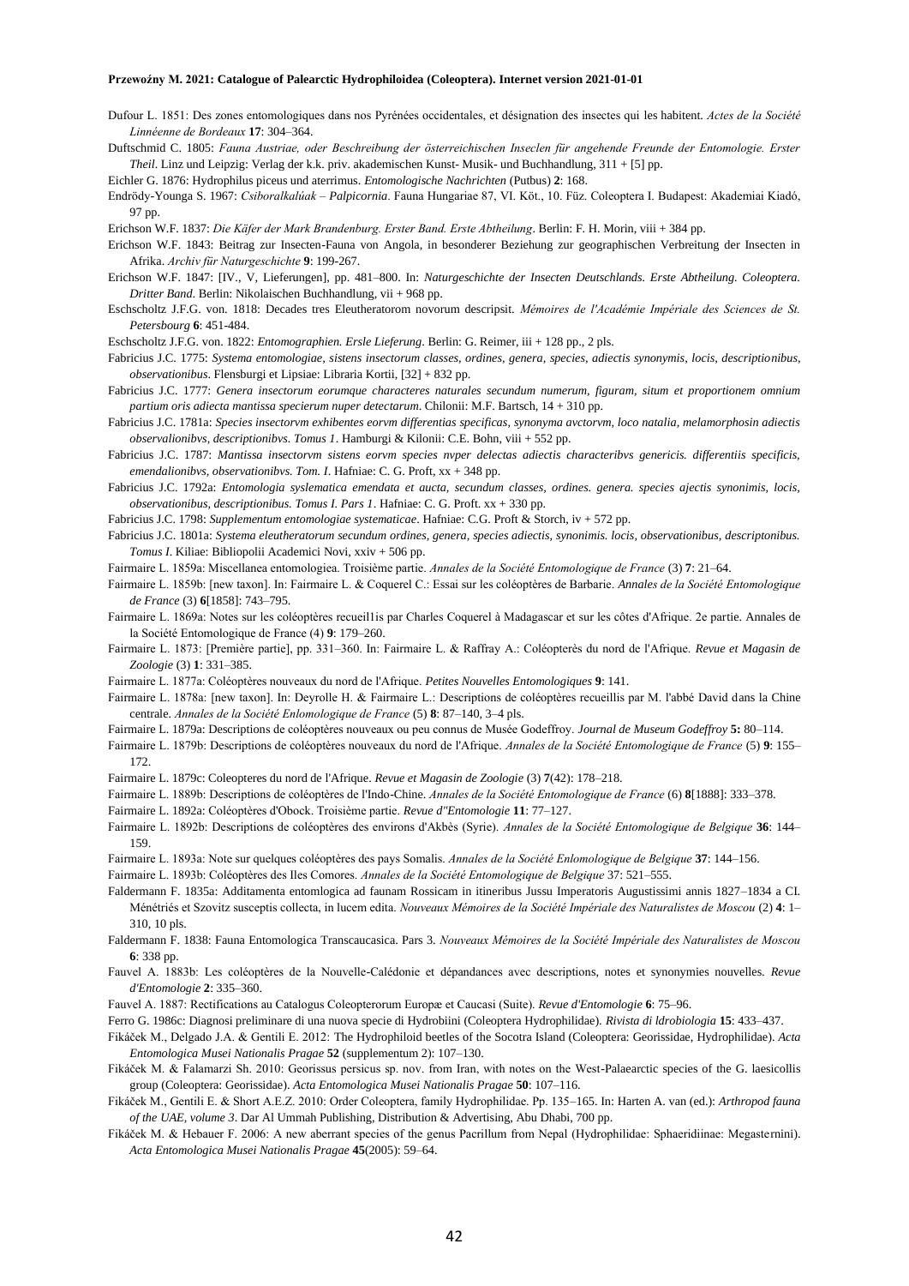Dufour L. 1851: Des zones entomologiques dans nos Pyrénées occidentales, et désignation des insectes qui les habitent. *Actes de la Société Linnéenne de Bordeaux* **17**: 304–364.

Duftschmid C. 1805: *Fauna Austriae, oder Beschreibung der österreichischen Inseclen für angehende Freunde der Entomologie. Erster Theil*. Linz und Leipzig: Verlag der k.k. priv. akademischen Kunst- Musik- und Buchhandlung, 311 + [5] pp.

Eichler G. 1876: Hydrophilus piceus und aterrimus. *Entomologische Nachrichten* (Putbus) **2**: 168.

Endrödy-Younga S. 1967: *Csiboralkalúak – Palpicornia*. Fauna Hungariae 87, VI. Köt., 10. Füz. Coleoptera I. Budapest: Akademiai Kiadó, 97 pp.

Erichson W.F. 1837: *Die Käfer der Mark Brandenburg. Erster Band. Erste Abtheilung*. Berlin: F. H. Morin, viii + 384 pp.

- Erichson W.F. 1843: Beitrag zur Insecten-Fauna von Angola, in besonderer Beziehung zur geographischen Verbreitung der Insecten in Afrika. *Archiv für Naturgeschichte* **9**: 199-267.
- Erichson W.F. 1847: [IV., V, Lieferungen], pp. 481–800. In: *Naturgeschichte der Insecten Deutschlands. Erste Abtheilung. Coleoptera. Dritter Band*. Berlin: Nikolaischen Buchhandlung, vii + 968 pp.
- Eschscholtz J.F.G. von. 1818: Decades tres Eleutheratorom novorum descripsit. *Mémoires de l'Académie Impériale des Sciences de St. Petersbourg* **6**: 451-484.

Eschscholtz J.F.G. von. 1822: *Entomographien. Ersle Lieferung*. Berlin: G. Reimer, iii + 128 pp., 2 pls.

- Fabricius J.C. 1775: *Systema entomologiae, sistens insectorum classes, ordines, genera, species, adiectis synonymis, locis, descriptionibus, observationibus*. Flensburgi et Lipsiae: Libraria Kortii, [32] + 832 pp.
- Fabricius J.C. 1777: *Genera insectorum eorumque characteres naturales secundum numerum, figuram, situm et proportionem omnium partium oris adiecta mantissa specierum nuper detectarum*. Chilonii: M.F. Bartsch, 14 + 310 pp.
- Fabricius J.C. 1781a: *Species insectorvm exhibentes eorvm differentias specificas, synonyma avctorvm, loco natalia, melamorphosin adiectis observalionibvs, descriptionibvs. Tomus 1*. Hamburgi & Kilonii: C.E. Bohn, viii + 552 pp.
- Fabricius J.C. 1787: *Mantissa insectorvm sistens eorvm species nvper delectas adiectis characteribvs genericis. differentiis specificis, emendalionibvs, observationibvs. Tom. I*. Hafniae: C. G. Proft, xx + 348 pp.
- Fabricius J.C. 1792a: *Entomologia syslematica emendata et aucta, secundum classes, ordines. genera. species ajectis synonimis, locis, observationibus, descriptionibus. Tomus I. Pars 1*. Hafniae: C. G. Proft. xx + 330 pp.
- Fabricius J.C. 1798: *Supplementum entomologiae systematicae*. Hafniae: C.G. Proft & Storch, iv + 572 pp.
- Fabricius J.C. 1801a: *Systema eleutheratorum secundum ordines, genera, species adiectis, synonimis. locis, observationibus, descriptonibus. Tomus I*. Kiliae: Bibliopolii Academici Novi, xxiv + 506 pp.
- Fairmaire L. 1859a: Miscellanea entomologiea. Troisième partie. *Annales de la Société Entomologique de France* (3) **7**: 21–64.
- Fairmaire L. 1859b: [new taxon]. In: Fairmaire L. & Coquerel C.: Essai sur les coléoptères de Barbarie. *Annales de la Société Entomologique de France* (3) **6**[1858]: 743–795.
- Fairmaire L. 1869a: Notes sur les coléoptères recueil1is par Charles Coquerel à Madagascar et sur les côtes d'Afrique. 2e partie. Annales de la Société Entomologique de France (4) **9**: 179–260.
- Fairmaire L. 1873: [Première partie], pp. 331–360. In: Fairmaire L. & Raffray A.: Coléopterès du nord de l'Afrique. *Revue et Magasin de Zoologie* (3) **1**: 331–385.
- Fairmaire L. 1877a: Coléoptères nouveaux du nord de l'Afrique. *Petites Nouvelles Entomologiques* **9**: 141.
- Fairmaire L. 1878a: [new taxon]. In: Deyrolle H. & Fairmaire L.: Descriptions de coléoptères recueillis par M. l'abbé David dans la Chine centrale. *Annales de la Société Enlomologique de France* (5) **8**: 87–140, 3–4 pls.
- Fairmaire L. 1879a: Descriptions de coléoptères nouveaux ou peu connus de Musée Godeffroy. *Journal de Museum Godeffroy* **5:** 80–114.
- Fairmaire L. 1879b: Descriptions de coléoptères nouveaux du nord de l'Afrique. *Annales de la Société Entomologique de France* (5) **9**: 155– 172.
- Fairmaire L. 1879c: Coleopteres du nord de l'Afrique. *Revue et Magasin de Zoologie* (3) **7**(42): 178–218.
- Fairmaire L. 1889b: Descriptions de coléoptères de l'Indo-Chine. *Annales de la Société Entomologique de France* (6) **8**[1888]: 333–378.
- Fairmaire L. 1892a: Coléoptères d'Obock. Troisième partie. *Revue d"Entomologie* **11**: 77–127.
- Fairmaire L. 1892b: Descriptions de coléoptères des environs d'Akbès (Syrie). *Annales de la Société Entomologique de Belgique* **36**: 144– 159.
- Fairmaire L. 1893a: Note sur quelques coléoptères des pays Somalis. *Annales de la Société Enlomologique de Belgique* **37**: 144–156.
- Fairmaire L. 1893b: Coléoptères des Iles Comores. *Annales de la Société Entomologique de Belgique* 37: 521–555.
- Faldermann F. 1835a: Additamenta entomlogica ad faunam Rossicam in itineribus Jussu Imperatoris Augustissimi annis 1827–1834 a CI. Ménétriés et Szovitz susceptis collecta, in lucem edita. *Nouveaux Mémoires de la Société Impériale des Naturalistes de Moscou* (2) **4**: 1– 310, 10 pls.
- Faldermann F. 1838: Fauna Entomologica Transcaucasica. Pars 3. *Nouveaux Mémoires de la Société Impériale des Naturalistes de Moscou* **6**: 338 pp.
- Fauvel A. 1883b: Les coléoptères de la Nouvelle-Calédonie et dépandances avec descriptions, notes et synonymies nouvelles. *Revue d'Entomologie* **2**: 335–360.
- Fauvel A. 1887: Rectifications au Catalogus Coleopterorum Europæ et Caucasi (Suite). *Revue d'Entomologie* **6**: 75–96.
- Ferro G. 1986c: Diagnosi preliminare di una nuova specie di Hydrobiini (Coleoptera Hydrophilidae). *Rivista di ldrobiologia* **15**: 433–437.
- Fikáček M., Delgado J.A. & Gentili E. 2012: The Hydrophiloid beetles of the Socotra Island (Coleoptera: Georissidae, Hydrophilidae). *Acta Entomologica Musei Nationalis Pragae* **52** (supplementum 2): 107–130.
- Fikáček M. & Falamarzi Sh. 2010: Georissus persicus sp. nov. from Iran, with notes on the West-Palaearctic species of the G. laesicollis group (Coleoptera: Georissidae). *Acta Entomologica Musei Nationalis Pragae* **50**: 107–116.
- Fikáček M., Gentili E. & Short A.E.Z. 2010: Order Coleoptera, family Hydrophilidae. Pp. 135–165. In: Harten A. van (ed.): *Arthropod fauna of the UAE, volume 3*. Dar Al Ummah Publishing, Distribution & Advertising, Abu Dhabi, 700 pp.
- Fikáček M. & Hebauer F. 2006: A new aberrant species of the genus Pacrillum from Nepal (Hydrophilidae: Sphaeridiinae: Megasternini). *Acta Entomologica Musei Nationalis Pragae* **45**(2005): 59–64.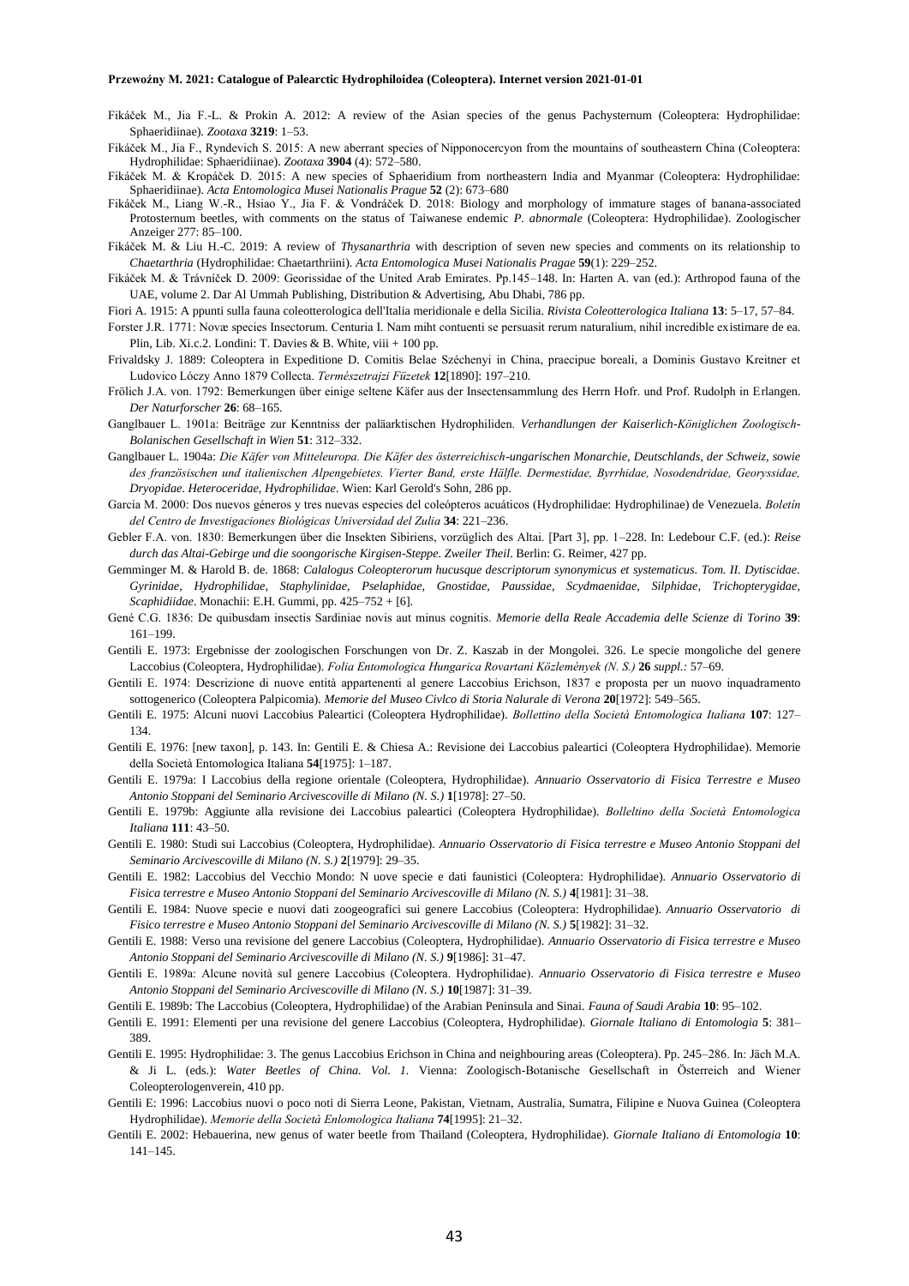- Fikáček M., Jia F.-L. & Prokin A. 2012: A review of the Asian species of the genus Pachysternum (Coleoptera: Hydrophilidae: Sphaeridiinae). *Zootaxa* **3219**: 1–53.
- Fikáček M., Jia F., Ryndevich S. 2015: A new aberrant species of Nipponocercyon from the mountains of southeastern China (Coleoptera: Hydrophilidae: Sphaeridiinae). *Zootaxa* **3904** (4): 572–580.
- Fikáček M. & Kropáček D. 2015: A new species of Sphaeridium from northeastern India and Myanmar (Coleoptera: Hydrophilidae: Sphaeridiinae). *Acta Entomologica Musei Nationalis Prague* **52** (2): 673–680
- Fikáček M., Liang W.-R., Hsiao Y., Jia F. & Vondráček D. 2018: Biology and morphology of immature stages of banana-associated Protosternum beetles, with comments on the status of Taiwanese endemic *P. abnormale* (Coleoptera: Hydrophilidae). Zoologischer Anzeiger 277: 85–100.
- Fikáček M. & Liu H.-C. 2019: A review of *Thysanarthria* with description of seven new species and comments on its relationship to *Chaetarthria* (Hydrophilidae: Chaetarthriini). *Acta Entomologica Musei Nationalis Pragae* **59**(1): 229–252.
- Fikáček M. & Trávníček D. 2009: Georissidae of the United Arab Emirates. Pp.145–148. In: Harten A. van (ed.): Arthropod fauna of the UAE, volume 2. Dar Al Ummah Publishing, Distribution & Advertising, Abu Dhabi, 786 pp.
- Fiori A. 1915: A ppunti sulla fauna coleotterologica dell'Italia meridionale e della Sicilia. *Rivista Coleotterologica Italiana* **13**: 5–17, 57–84.
- Forster J.R. 1771: Novæ species Insectorum. Centuria I. Nam miht contuenti se persuasit rerum naturalium, nihil incredible existimare de ea. Plin, Lib. Xi.c.2. Londini: T. Davies & B. White, viii + 100 pp.
- Frivaldsky J. 1889: Coleoptera in Expeditione D. Comitis Belae Széchenyi in China, praecipue boreali, a Dominis Gustavo Kreitner et Ludovico Lóczy Anno 1879 Collecta. *Természetrajzi Füzetek* **12**[1890]: 197–210.
- Frölich J.A. von. 1792: Bemerkungen über einige seltene Käfer aus der Insectensammlung des Herrn Hofr. und Prof. Rudolph in Erlangen. *Der Naturforscher* **26**: 68–165.
- Ganglbauer L. 1901a: Beiträge zur Kenntniss der paläarktischen Hydrophiliden. *Verhandlungen der Kaiserlich-Königlichen Zoologisch-Bolanischen Gesellschaft in Wien* **51**: 312–332.
- Ganglbauer L. 1904a: *Die Käfer von Mitteleuropa. Die Käfer des österreichisch-ungarischen Monarchie, Deutschlands, der Schweiz, sowie des französischen und italienischen Alpengebietes. Vierter Band, erste Hälfle. Dermestidae, Byrrhidae, Nosodendridae, Georyssidae, Dryopidae. Heteroceridae, Hydrophilidae*. Wien: Karl Gerold's Sohn, 286 pp.
- García M. 2000: Dos nuevos géneros y tres nuevas especies del coleópteros acuáticos (Hydrophilidae: Hydrophilinae) de Venezuela. *Boletín del Centro de Investigaciones Biológicas Universidad del Zulia* **34**: 221–236.
- Gebler F.A. von. 1830: Bemerkungen über die Insekten Sibiriens, vorzüglich des Altai. [Part 3], pp. 1–228. In: Ledebour C.F. (ed.): *Reise durch das Altai-Gebirge und die soongorische Kirgisen-Steppe. Zweiler Theil*. Berlin: G. Reimer, 427 pp.
- Gemminger M. & Harold B. de. 1868: *Calalogus Coleopterorum hucusque descriptorum synonymicus et systematicus. Tom. II. Dytiscidae. Gyrinidae, Hydrophilidae, Staphylinidae, Pselaphidae, Gnostidae, Paussidae, Scydmaenidae, Silphidae, Trichopterygidae, Scaphidiidae*. Monachii: E.H. Gummi, pp. 425–752 + [6].
- Gené C.G. 1836: De quibusdam insectis Sardiniae novis aut minus cognitis. *Memorie della Reale Accademia delle Scienze di Torino* **39**: 161–199.
- Gentili E. 1973: Ergebnisse der zoologischen Forschungen von Dr. Z. Kaszab in der Mongolei. 326. Le specie mongoliche del genere Laccobius (Coleoptera, Hydrophilidae). *Folia Entomologica Hungarica Rovartani Közlemények (N. S.)* **26** *suppl.:* 57–69.
- Gentili E. 1974: Descrizione di nuove entità appartenenti al genere Laccobius Erichson, 1837 e proposta per un nuovo inquadramento sottogenerico (Coleoptera Palpicomia). *Memorie del Museo Civlco di Storia Nalurale di Verona* **20**[1972]: 549–565.
- Gentili E. 1975: Alcuni nuovi Laccobius Paleartici (Coleoptera Hydrophilidae). *Bollettino della Società Entomologica Italiana* **107**: 127– 134.
- Gentili E. 1976: [new taxon], p. 143. In: Gentili E. & Chiesa A.: Revisione dei Laccobius paleartici (Coleoptera Hydrophilidae). Memorie della Società Entomologica Italiana **54**[1975]: 1–187.
- Gentili E. 1979a: I Laccobius della regione orientale (Coleoptera, Hydrophilidae). *Annuario Osservatorio di Fisica Terrestre e Museo Antonio Stoppani del Seminario Arcivescoville di Milano (N. S.)* **1**[1978]: 27–50.
- Gentili E. 1979b: Aggiunte alla revisione dei Laccobius paleartici (Coleoptera Hydrophilidae). *Bolleltino della Società Entomologica Italiana* **111**: 43–50.
- Gentili E. 1980: Studi sui Laccobius (Coleoptera, Hydrophilidae). *Annuario Osservatorio di Fisica terrestre e Museo Antonio Stoppani del Seminario Arcivescoville di Milano (N. S.)* **2**[1979]: 29–35.
- Gentili E. 1982: Laccobius del Vecchio Mondo: N uove specie e dati faunistici (Coleoptera: Hydrophilidae). *Annuario Osservatorio di Fisica terrestre e Museo Antonio Stoppani del Seminario Arcivescoville di Milano (N. S.)* **4**[1981]: 31–38.
- Gentili E. 1984: Nuove specie e nuovi dati zoogeografici sui genere Laccobius (Coleoptera: Hydrophilidae). *Annuario Osservatorio di Fisico terrestre e Museo Antonio Stoppani del Seminario Arcivescoville di Milano (N. S.)* **5**[1982]: 31–32.
- Gentili E. 1988: Verso una revisione del genere Laccobius (Coleoptera, Hydrophilidae). *Annuario Osservatorio di Fisica terrestre e Museo Antonio Stoppani del Seminario Arcivescoville di Milano (N. S.)* **9**[1986]: 31–47.
- Gentili E. 1989a: Alcune novità sul genere Laccobius (Coleoptera. Hydrophilidae). *Annuario Osservatorio di Fisica terrestre e Museo Antonio Stoppani del Seminario Arcivescoville di Milano (N. S.)* **10**[1987]: 31–39.
- Gentili E. 1989b: The Laccobius (Coleoptera, Hydrophilidae) of the Arabian Peninsula and Sinai. *Fauna of Saudi Arabia* **10**: 95–102.
- Gentili E. 1991: Elementi per una revisione del genere Laccobius (Coleoptera, Hydrophilidae). *Giornale Italiano di Entomologia* **5**: 381– 389.
- Gentili E. 1995: Hydrophilidae: 3. The genus Laccobius Erichson in China and neighbouring areas (Coleoptera). Pp. 245–286. In: Jäch M.A. & Ji L. (eds.): *Water Beetles of China. Vol. 1.* Vienna: Zoologisch-Botanische Gesellschaft in Österreich and Wiener Coleopterologenverein, 410 pp.
- Gentili E: 1996: Laccobius nuovi o poco noti di Sierra Leone, Pakistan, Vietnam, Australia, Sumatra, Filipine e Nuova Guinea (Coleoptera Hydrophilidae). *Memorie della Società Enlomologica Italiana* **74**[1995]: 21–32.
- Gentili E. 2002: Hebauerina, new genus of water beetle from Thailand (Coleoptera, Hydrophilidae). *Giornale Italiano di Entomologia* **10**: 141–145.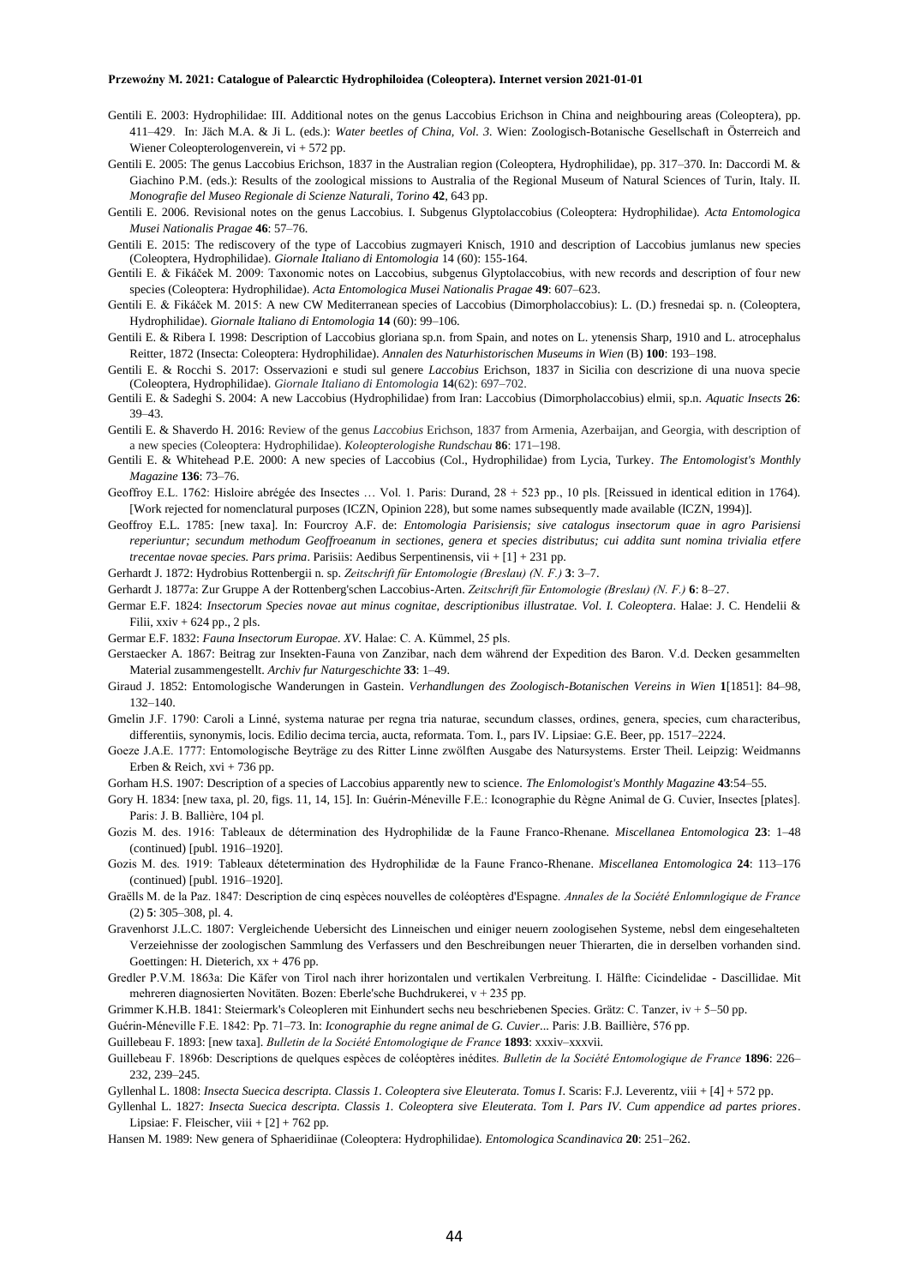- Gentili E. 2003: Hydrophilidae: III. Additional notes on the genus Laccobius Erichson in China and neighbouring areas (Coleoptera), pp. 411–429. In: Jäch M.A. & Ji L. (eds.): *Water beetles of China, Vol. 3.* Wien: Zoologisch-Botanische Gesellschaft in Österreich and Wiener Coleopterologenverein, vi + 572 pp.
- Gentili E. 2005: The genus Laccobius Erichson, 1837 in the Australian region (Coleoptera, Hydrophilidae), pp. 317–370. In: Daccordi M. & Giachino P.M. (eds.): Results of the zoological missions to Australia of the Regional Museum of Natural Sciences of Turin, Italy. II. *Monografie del Museo Regionale di Scienze Naturali, Torino* **42**, 643 pp.
- Gentili E. 2006. Revisional notes on the genus Laccobius. I. Subgenus Glyptolaccobius (Coleoptera: Hydrophilidae). *Acta Entomologica Musei Nationalis Pragae* **46**: 57–76.
- Gentili E. 2015: The rediscovery of the type of Laccobius zugmayeri Knisch, 1910 and description of Laccobius jumlanus new species (Coleoptera, Hydrophilidae). *Giornale Italiano di Entomologia* 14 (60): 155-164.
- Gentili E. & Fikáček M. 2009: Taxonomic notes on Laccobius, subgenus Glyptolaccobius, with new records and description of four new species (Coleoptera: Hydrophilidae). *Acta Entomologica Musei Nationalis Pragae* **49**: 607–623.
- Gentili E. & Fikáček M. 2015: A new CW Mediterranean species of Laccobius (Dimorpholaccobius): L. (D.) fresnedai sp. n. (Coleoptera, Hydrophilidae). *Giornale Italiano di Entomologia* **14** (60): 99–106.
- Gentili E. & Ribera I. 1998: Description of Laccobius gloriana sp.n. from Spain, and notes on L. ytenensis Sharp, 1910 and L. atrocephalus Reitter, 1872 (Insecta: Coleoptera: Hydrophilidae). *Annalen des Naturhistorischen Museums in Wien* (B) **100**: 193–198.
- Gentili E. & Rocchi S. 2017: Osservazioni e studi sul genere *Laccobius* Erichson, 1837 in Sicilia con descrizione di una nuova specie (Coleoptera, Hydrophilidae). *Giornale Italiano di Entomologia* **14**(62): 697–702.
- Gentili E. & Sadeghi S. 2004: A new Laccobius (Hydrophilidae) from Iran: Laccobius (Dimorpholaccobius) elmii, sp.n. *Aquatic Insects* **26**: 39–43.
- Gentili E. & Shaverdo H. 2016: Review of the genus *Laccobius* Erichson, 1837 from Armenia, Azerbaijan, and Georgia, with description of a new species (Coleoptera: Hydrophilidae). *Koleopterologishe Rundschau* **86**: 171–198.
- Gentili E. & Whitehead P.E. 2000: A new species of Laccobius (Col., Hydrophilidae) from Lycia, Turkey. *The Entomologist's Monthly Magazine* **136**: 73–76.
- Geoffroy E.L. 1762: Hisloire abrégée des Insectes … Vol. 1. Paris: Durand, 28 + 523 pp., 10 pls. [Reissued in identical edition in 1764). [Work rejected for nomenclatural purposes (ICZN, Opinion 228), but some names subsequently made available (ICZN, 1994)].
- Geoffroy E.L. 1785: [new taxa]. In: Fourcroy A.F. de: *Entomologia Parisiensis; sive catalogus insectorum quae in agro Parisiensi reperiuntur; secundum methodum Geoffroeanum in sectiones, genera et species distributus; cui addita sunt nomina trivialia etfere trecentae novae species. Pars prima*. Parisiis: Aedibus Serpentinensis, vii + [1] + 231 pp.
- Gerhardt J. 1872: Hydrobius Rottenbergii n. sp. *Zeitschrift für Entomologie (Breslau) (N. F.)* **3**: 3–7.
- Gerhardt J. 1877a: Zur Gruppe A der Rottenberg'schen Laccobius-Arten. *Zeitschrift für Entomologie (Breslau) (N. F.)* **6**: 8–27.
- Germar E.F. 1824: *Insectorum Species novae aut minus cognitae, descriptionibus illustratae. Vol. I. Coleoptera*. Halae: J. C. Hendelii & Filii, xxiv + 624 pp., 2 pls.
- Germar E.F. 1832: *Fauna Insectorum Europae. XV.* Halae: C. A. Kümmel, 25 pls.
- Gerstaecker A. 1867: Beitrag zur Insekten-Fauna von Zanzibar, nach dem während der Expedition des Baron. V.d. Decken gesammelten Material zusammengestellt. *Archiv fur Naturgeschichte* **33**: 1–49.
- Giraud J. 1852: Entomologische Wanderungen in Gastein. *Verhandlungen des Zoologisch-Botanischen Vereins in Wien* **1**[1851]: 84–98, 132–140.
- Gmelin J.F. 1790: Caroli a Linné, systema naturae per regna tria naturae, secundum classes, ordines, genera, species, cum characteribus, differentiis, synonymis, locis. Edilio decima tercia, aucta, reformata. Tom. I., pars IV. Lipsiae: G.E. Beer, pp. 1517–2224.
- Goeze J.A.E. 1777: Entomologische Beyträge zu des Ritter Linne zwölften Ausgabe des Natursystems. Erster Theil. Leipzig: Weidmanns Erben & Reich,  $xvi + 736$  pp.
- Gorham H.S. 1907: Description of a species of Laccobius apparently new to science. *The Enlomologist's Monthly Magazine* **43**:54–55.
- Gory H. 1834: [new taxa, pl. 20, figs. 11, 14, 15]. In: Guérin-Méneville F.E.: Iconographie du Règne Animal de G. Cuvier, Insectes [plates]. Paris: J. B. Ballière, 104 pl.
- Gozis M. des. 1916: Tableaux de détermination des Hydrophilidæ de la Faune Franco-Rhenane. *Miscellanea Entomologica* **23**: 1–48 (continued) [publ. 1916–1920].
- Gozis M. des. 1919: Tableaux détetermination des Hydrophilidæ de la Faune Franco-Rhenane. *Miscellanea Entomologica* **24**: 113–176 (continued) [publ. 1916–1920].
- Graëlls M. de la Paz. 1847: Description de cinq espèces nouvelles de coléoptères d'Espagne. *Annales de la Société Enlomnlogique de France* (2) **5**: 305–308, pl. 4.
- Gravenhorst J.L.C. 1807: Vergleichende Uebersicht des Linneischen und einiger neuern zoologisehen Systeme, nebsl dem eingesehalteten Verzeiehnisse der zoologischen Sammlung des Verfassers und den Beschreibungen neuer Thierarten, die in derselben vorhanden sind. Goettingen: H. Dieterich,  $xx + 476$  pp.
- Gredler P.V.M. 1863a: Die Käfer von Tirol nach ihrer horizontalen und vertikalen Verbreitung. I. Hälfte: Cicindelidae Dascillidae. Mit mehreren diagnosierten Novitäten. Bozen: Eberle'sche Buchdrukerei, v + 235 pp.
- Grimmer K.H.B. 1841: Steiermark's Coleopleren mit Einhundert sechs neu beschriebenen Species. Grätz: C. Tanzer, iv + 5–50 pp.
- Guérin-Méneville F.E. 1842: Pp. 71–73. In: *Iconographie du regne animal de G. Cuvier*... Paris: J.B. Baillière, 576 pp.
- Guillebeau F. 1893: [new taxa]. *Bulletin de la Société Entomologique de France* **1893**: xxxiv–xxxvii.
- Guillebeau F. 1896b: Descriptions de quelques espèces de coléoptères inédites. *Bulletin de la Société Entomologique de France* **1896**: 226– 232, 239–245.
- Gyllenhal L. 1808: *Insecta Suecica descripta. Classis 1. Coleoptera sive Eleuterata. Tomus I*. Scaris: F.J. Leverentz, viii + [4] + 572 pp.
- Gyllenhal L. 1827: *Insecta Suecica descripta. Classis 1. Coleoptera sive Eleuterata. Tom I. Pars IV. Cum appendice ad partes priores*. Lipsiae: F. Fleischer, viii  $+[2]+762$  pp.
- Hansen M. 1989: New genera of Sphaeridiinae (Coleoptera: Hydrophilidae). *Entomologica Scandinavica* **20**: 251–262.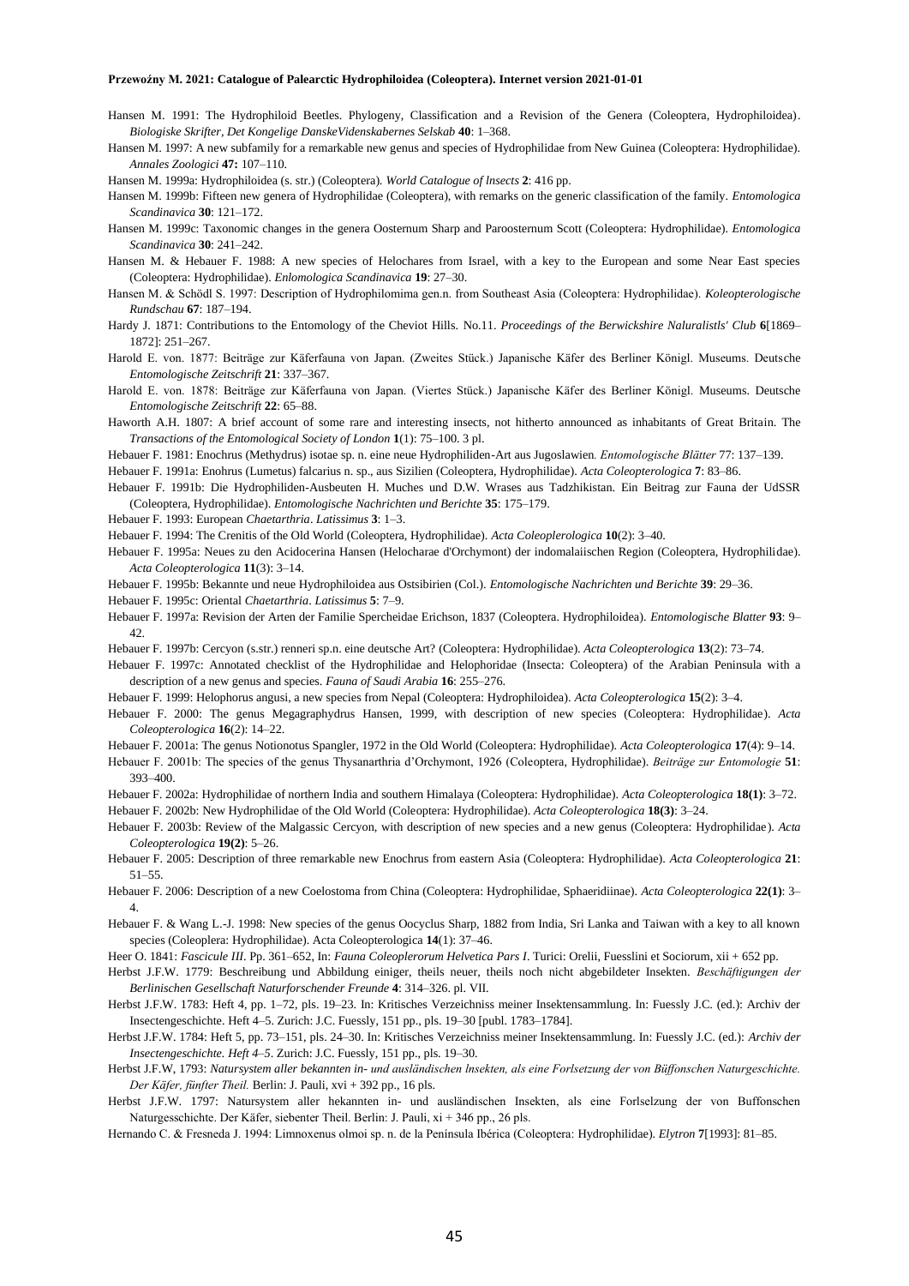- Hansen M. 1991: The Hydrophiloid Beetles. Phylogeny, Classification and a Revision of the Genera (Coleoptera, Hydrophiloidea). *Biologiske Skrifter, Det Kongelige DanskeVidenskabernes Selskab* **40**: 1–368.
- Hansen M. 1997: A new subfamily for a remarkable new genus and species of Hydrophilidae from New Guinea (Coleoptera: Hydrophilidae). *Annales Zoologici* **47:** 107–110.

Hansen M. 1999a: Hydrophiloidea (s. str.) (Coleoptera). *World Catalogue of lnsects* **2**: 416 pp.

- Hansen M. 1999b: Fifteen new genera of Hydrophilidae (Coleoptera), with remarks on the generic classification of the family. *Entomologica Scandinavica* **30**: 121–172.
- Hansen M. 1999c: Taxonomic changes in the genera Oosternum Sharp and Paroosternum Scott (Coleoptera: Hydrophilidae). *Entomologica Scandinavica* **30**: 241–242.
- Hansen M. & Hebauer F. 1988: A new species of Helochares from Israel, with a key to the European and some Near East species (Coleoptera: Hydrophilidae). *Enlomologica Scandinavica* **19**: 27–30.
- Hansen M. & Schödl S. 1997: Description of Hydrophilomima gen.n. from Southeast Asia (Coleoptera: Hydrophilidae). *Koleopterologische Rundschau* **67**: 187–194.
- Hardy J. 1871: Contributions to the Entomology of the Cheviot Hills. No.11. *Proceedings of the Berwickshire Naluralistls' Club* **6**[1869– 1872]: 251–267.
- Harold E. von. 1877: Beiträge zur Käferfauna von Japan. (Zweites Stück.) Japanische Käfer des Berliner Königl. Museums. Deutsche *Entomologische Zeitschrift* **21**: 337–367.
- Harold E. von. 1878: Beiträge zur Käferfauna von Japan. (Viertes Stück.) Japanische Käfer des Berliner Königl. Museums. Deutsche *Entomologische Zeitschrift* **22**: 65–88.
- Haworth A.H. 1807: A brief account of some rare and interesting insects, not hitherto announced as inhabitants of Great Britain. The *Transactions of the Entomological Society of London* **1**(1): 75–100. 3 pl.
- Hebauer F. 1981: Enochrus (Methydrus) isotae sp. n. eine neue Hydrophiliden-Art aus Jugoslawien*. Entomologische Blätter* 77: 137–139.

Hebauer F. 1991a: Enohrus (Lumetus) falcarius n. sp., aus Sizilien (Coleoptera, Hydrophilidae). *Acta Coleopterologica* **7**: 83–86.

- Hebauer F. 1991b: Die Hydrophiliden-Ausbeuten H. Muches und D.W. Wrases aus Tadzhikistan. Ein Beitrag zur Fauna der UdSSR (Coleoptera, Hydrophilidae). *Entomologische Nachrichten und Berichte* **35**: 175–179.
- Hebauer F. 1993: European *Chaetarthria*. *Latissimus* **3**: 1–3.
- Hebauer F. 1994: The Crenitis of the Old World (Coleoptera, Hydrophilidae). *Acta Coleoplerologica* **10**(2): 3–40.
- Hebauer F. 1995a: Neues zu den Acidocerina Hansen (Helocharae d'Orchymont) der indomalaiischen Region (Coleoptera, Hydrophilidae). *Acta Coleopterologica* **11**(3): 3–14.
- Hebauer F. 1995b: Bekannte und neue Hydrophiloidea aus Ostsibirien (Col.). *Entomologische Nachrichten und Berichte* **39**: 29–36.
- Hebauer F. 1995c: Oriental *Chaetarthria*. *Latissimus* **5**: 7–9.

393–400.

- Hebauer F. 1997a: Revision der Arten der Familie Spercheidae Erichson, 1837 (Coleoptera. Hydrophiloidea). *Entomologische Blatter* **93**: 9– 42.
- Hebauer F. 1997b: Cercyon (s.str.) renneri sp.n. eine deutsche Art? (Coleoptera: Hydrophilidae). *Acta Coleopterologica* **13**(2): 73–74.
- Hebauer F. 1997c: Annotated checklist of the Hydrophilidae and Helophoridae (Insecta: Coleoptera) of the Arabian Peninsula with a description of a new genus and species. *Fauna of Saudi Arabia* **16**: 255–276.
- Hebauer F. 1999: Helophorus angusi, a new species from Nepal (Coleoptera: Hydrophiloidea). *Acta Coleopterologica* **15**(2): 3–4.
- Hebauer F. 2000: The genus Megagraphydrus Hansen, 1999, with description of new species (Coleoptera: Hydrophilidae). *Acta Coleopterologica* **16**(2): 14–22.
- Hebauer F. 2001a: The genus Notionotus Spangler, 1972 in the Old World (Coleoptera: Hydrophilidae). *Acta Coleopterologica* **17**(4): 9–14. Hebauer F. 2001b: The species of the genus Thysanarthria d'Orchymont, 1926 (Coleoptera, Hydrophilidae). *Beiträge zur Entomologie* **51**:
- Hebauer F. 2002a: Hydrophilidae of northern India and southern Himalaya (Coleoptera: Hydrophilidae). *Acta Coleopterologica* **18(1)**: 3–72.
- Hebauer F. 2002b: New Hydrophilidae of the Old World (Coleoptera: Hydrophilidae). *Acta Coleopterologica* **18(3)**: 3–24.
- Hebauer F. 2003b: Review of the Malgassic Cercyon, with description of new species and a new genus (Coleoptera: Hydrophilidae). *Acta Coleopterologica* **19(2)**: 5–26.
- Hebauer F. 2005: Description of three remarkable new Enochrus from eastern Asia (Coleoptera: Hydrophilidae). *Acta Coleopterologica* **21**: 51–55.
- Hebauer F. 2006: Description of a new Coelostoma from China (Coleoptera: Hydrophilidae, Sphaeridiinae). *Acta Coleopterologica* **22(1)**: 3– 4.
- Hebauer F. & Wang L.-J. 1998: New species of the genus Oocyclus Sharp, 1882 from India, Sri Lanka and Taiwan with a key to all known species (Coleoplera: Hydrophilidae). Acta Coleopterologica **14**(1): 37–46.
- Heer O. 1841: *Fascicule III*. Pp. 361–652, In: *Fauna Coleoplerorum Helvetica Pars I*. Turici: Orelii, Fuesslini et Sociorum, xii + 652 pp.
- Herbst J.F.W. 1779: Beschreibung und Abbildung einiger, theils neuer, theils noch nicht abgebildeter Insekten. *Beschäftigungen der Berlinischen Gesellschaft Naturforschender Freunde* **4**: 314–326. pl. VII.
- Herbst J.F.W. 1783: Heft 4, pp. 1–72, pls. 19–23. In: Kritisches Verzeichniss meiner Insektensammlung. In: Fuessly J.C. (ed.): Archiv der Insectengeschichte. Heft 4–5. Zurich: J.C. Fuessly, 151 pp., pls. 19–30 [publ. 1783–1784].
- Herbst J.F.W. 1784: Heft 5, pp. 73–151, pls. 24–30. In: Kritisches Verzeichniss meiner Insektensammlung. In: Fuessly J.C. (ed.): *Archiv der Insectengeschichte. Heft 4–5*. Zurich: J.C. Fuessly, 151 pp., pls. 19–30.
- Herbst J.F.W, 1793: *Natursystem aller bekannten in- und ausländischen lnsekten, als eine Forlsetzung der von Büffonschen Naturgeschichte. Der Käfer, fünfter Theil.* Berlin: J. Pauli, xvi + 392 pp., 16 pls.
- Herbst J.F.W. 1797: Natursystem aller hekannten in- und ausländischen Insekten, als eine Forlselzung der von Buffonschen Naturgesschichte. Der Käfer, siebenter Theil. Berlin: J. Pauli, xi + 346 pp., 26 pls.
- Hernando C. & Fresneda J. 1994: Limnoxenus olmoi sp. n. de la Península Ibérica (Coleoptera: Hydrophilidae). *Elytron* **7**[1993]: 81–85.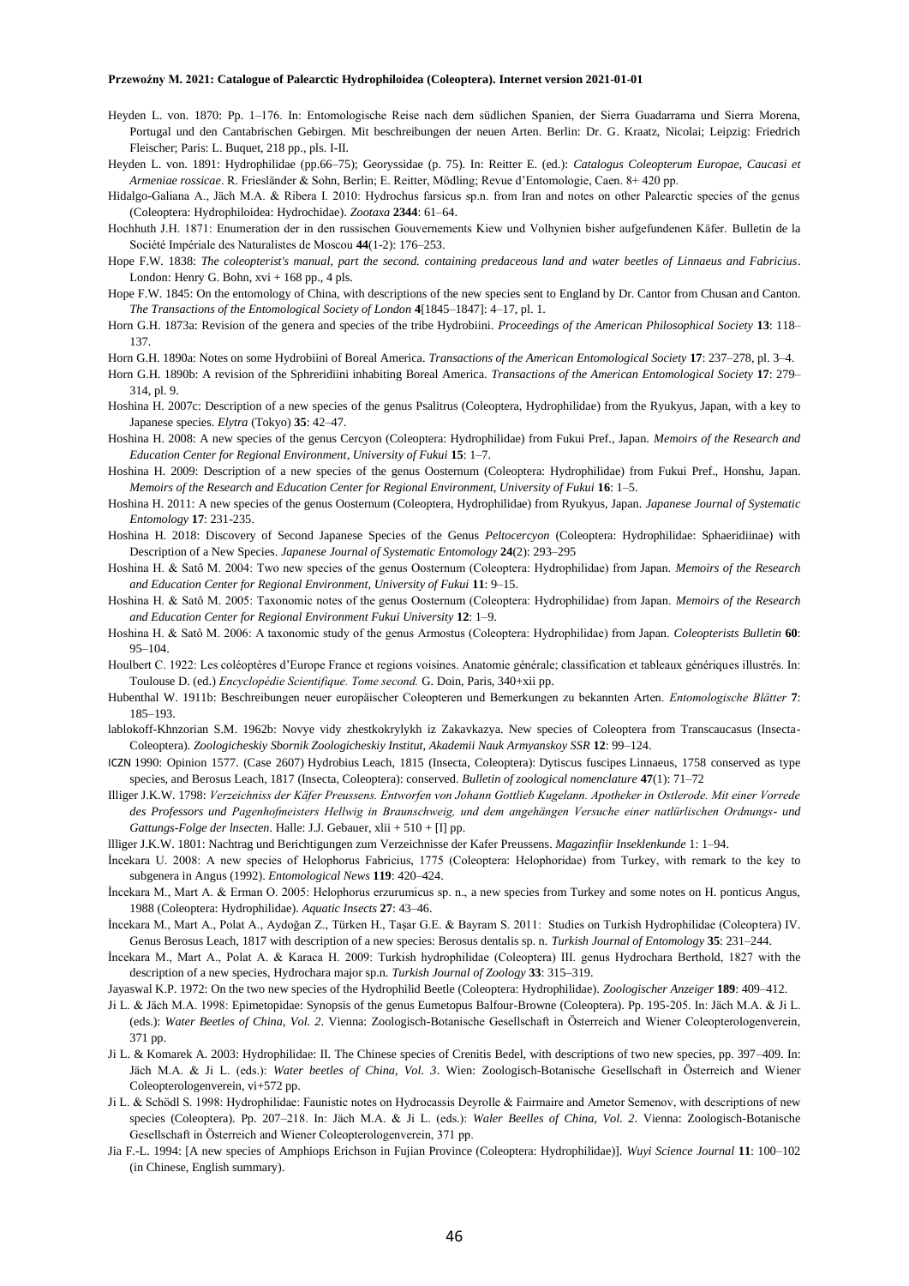- Heyden L. von. 1870: Pp. 1–176. In: Entomologische Reise nach dem südlichen Spanien, der Sierra Guadarrama und Sierra Morena, Portugal und den Cantabrischen Gebirgen. Mit beschreibungen der neuen Arten. Berlin: Dr. G. Kraatz, Nicolai; Leipzig: Friedrich Fleischer; Paris: L. Buquet, 218 pp., pls. I-II.
- Heyden L. von. 1891: Hydrophilidae (pp.66–75); Georyssidae (p. 75). In: Reitter E. (ed.): *Catalogus Coleopterum Europae, Caucasi et Armeniae rossicae*. R. Friesländer & Sohn, Berlin; E. Reitter, Mödling; Revue d'Entomologie, Caen. 8+ 420 pp.

Hidalgo-Galiana A., Jäch M.A. & Ribera I. 2010: Hydrochus farsicus sp.n. from Iran and notes on other Palearctic species of the genus (Coleoptera: Hydrophiloidea: Hydrochidae). *Zootaxa* **2344**: 61–64.

- Hochhuth J.H. 1871: Enumeration der in den russischen Gouvernements Kiew und Volhynien bisher aufgefundenen Käfer. Bulletin de la Société Impériale des Naturalistes de Moscou **44**(1-2): 176–253.
- Hope F.W. 1838: *The coleopterist's manual, part the second. containing predaceous land and water beetles of Linnaeus and Fabricius*. London: Henry G. Bohn,  $xvi + 168$  pp., 4 pls.
- Hope F.W. 1845: On the entomology of China, with descriptions of the new species sent to England by Dr. Cantor from Chusan and Canton. *The Transactions of the Entomological Society of London* **4**[1845–1847]: 4–17, pl. 1.
- Horn G.H. 1873a: Revision of the genera and species of the tribe Hydrobiini. *Proceedings of the American Philosophical Society* **13**: 118– 137.
- Horn G.H. 1890a: Notes on some Hydrobiini of Boreal America. *Transactions of the American Entomological Society* **17**: 237–278, pl. 3–4.
- Horn G.H. 1890b: A revision of the Sphreridiini inhabiting Boreal America. *Transactions of the American Entomological Society* **17**: 279– 314, pl. 9.
- Hoshina H. 2007c: Description of a new species of the genus Psalitrus (Coleoptera, Hydrophilidae) from the Ryukyus, Japan, with a key to Japanese species. *Elytra* (Tokyo) **35**: 42–47.
- Hoshina H. 2008: A new species of the genus Cercyon (Coleoptera: Hydrophilidae) from Fukui Pref., Japan. *Memoirs of the Research and Education Center for Regional Environment, University of Fukui* **15**: 1–7.
- Hoshina H. 2009: Description of a new species of the genus Oosternum (Coleoptera: Hydrophilidae) from Fukui Pref., Honshu, Japan. *Memoirs of the Research and Education Center for Regional Environment, University of Fukui* **16**: 1–5.
- Hoshina H. 2011: A new species of the genus Oosternum (Coleoptera, Hydrophilidae) from Ryukyus, Japan. *Japanese Journal of Systematic Entomology* **17**: 231-235.
- Hoshina H. 2018: Discovery of Second Japanese Species of the Genus *Peltocercyon* (Coleoptera: Hydrophilidae: Sphaeridiinae) with Description of a New Species. *Japanese Journal of Systematic Entomology* **24**(2): 293–295
- Hoshina H. & Satô M. 2004: Two new species of the genus Oosternum (Coleoptera: Hydrophilidae) from Japan. *Memoirs of the Research and Education Center for Regional Environment, University of Fukui* **11**: 9–15.
- Hoshina H. & Satô M. 2005: Taxonomic notes of the genus Oosternum (Coleoptera: Hydrophilidae) from Japan. *Memoirs of the Research and Education Center for Regional Environment Fukui University* **12**: 1–9.
- Hoshina H. & Satô M. 2006: A taxonomic study of the genus Armostus (Coleoptera: Hydrophilidae) from Japan. *Coleopterists Bulletin* **60**: 95–104.
- Houlbert C. 1922: Les coléoptères d'Europe France et regions voisines. Anatomie générale; classification et tableaux génériques illustrés. In: Toulouse D. (ed.) *Encyclopédie Scientifique. Tome second.* G. Doin, Paris, 340+xii pp.
- Hubenthal W. 1911b: Beschreibungen neuer europäischer Coleopteren und Bemerkungen zu bekannten Arten. *Entomologische Blätter* **7**: 185–193.
- lablokoff-Khnzorian S.M. 1962b: Novye vidy zhestkokrylykh iz Zakavkazya. New species of Coleoptera from Transcaucasus (Insecta-Coleoptera). *Zoologicheskiy Sbornik Zoologicheskiy Institut, Akademii Nauk Armyanskoy SSR* **12**: 99–124.
- ICZN 1990: Opinion 1577. (Case 2607) Hydrobius Leach, 1815 (Insecta, Coleoptera): Dytiscus fuscipes Linnaeus, 1758 conserved as type species, and Berosus Leach, 1817 (Insecta, Coleoptera): conserved. *Bulletin of zoological nomenclature* **47**(1): 71–72
- Illiger J.K.W. 1798: *Verzeichniss der Käfer Preussens. Entworfen von Johann Gottlieb Kugelann. Apotheker in Ostlerode. Mit einer Vorrede des Professors und Pagenhofmeisters Hellwig in Braunschweig, und dem angehängen Versuche einer natlürlischen Ordnungs- und Gattungs-Folge der lnsecten*. Halle: J.J. Gebauer, xlii + 510 + [I] pp.
- llliger J.K.W. 1801: Nachtrag und Berichtigungen zum Verzeichnisse der Kafer Preussens. *Magazinfiir Inseklenkunde* 1: 1–94.
- İncekara U. 2008: A new species of Helophorus Fabricius, 1775 (Coleoptera: Helophoridae) from Turkey, with remark to the key to subgenera in Angus (1992). *Entomological News* **119**: 420–424.
- İncekara M., Mart A. & Erman O. 2005: Helophorus erzurumicus sp. n., a new species from Turkey and some notes on H. ponticus Angus, 1988 (Coleoptera: Hydrophilidae). *Aquatic Insects* **27**: 43–46.
- İncekara M., Mart A., Polat A., Aydoğan Z., Türken H., Taşar G.E. & Bayram S. 2011: Studies on Turkish Hydrophilidae (Coleoptera) IV. Genus Berosus Leach, 1817 with description of a new species: Berosus dentalis sp. n. *Turkish Journal of Entomology* **35**: 231–244.
- İncekara M., Mart A., Polat A. & Karaca H. 2009: Turkish hydrophilidae (Coleoptera) III. genus Hydrochara Berthold, 1827 with the description of a new species, Hydrochara major sp.n. *Turkish Journal of Zoology* **33**: 315–319.
- Jayaswal K.P. 1972: On the two new species of the Hydrophilid Beetle (Coleoptera: Hydrophilidae). *Zoologischer Anzeiger* **189**: 409–412.
- Ji L. & Jäch M.A. 1998: Epimetopidae: Synopsis of the genus Eumetopus Balfour-Browne (Coleoptera). Pp. 195-205. In: Jäch M.A. & Ji L. (eds.): *Water Beetles of China*, *Vol. 2*. Vienna: Zoologisch-Botanische Gesellschaft in Österreich and Wiener Coleopterologenverein, 371 pp.
- Ji L. & Komarek A. 2003: Hydrophilidae: II. The Chinese species of Crenitis Bedel, with descriptions of two new species, pp. 397–409. In: Jäch M.A. & Ji L. (eds.): *Water beetles of China, Vol. 3*. Wien: Zoologisch-Botanische Gesellschaft in Österreich and Wiener Coleopterologenverein, vi+572 pp.
- Ji L. & Schödl S. 1998: Hydrophilidae: Faunistic notes on Hydrocassis Deyrolle & Fairmaire and Ametor Semenov, with descriptions of new species (Coleoptera). Pp. 207–218. In: Jäch M.A. & Ji L. (eds.): *Waler Beelles of China, Vol. 2*. Vienna: Zoologisch-Botanische Gesellschaft in Österreich and Wiener Coleopterologenverein, 371 pp.
- Jia F.-L. 1994: [A new species of Amphiops Erichson in Fujian Province (Coleoptera: Hydrophilidae)]. *Wuyi Science Journal* **11**: 100–102 (in Chinese, English summary).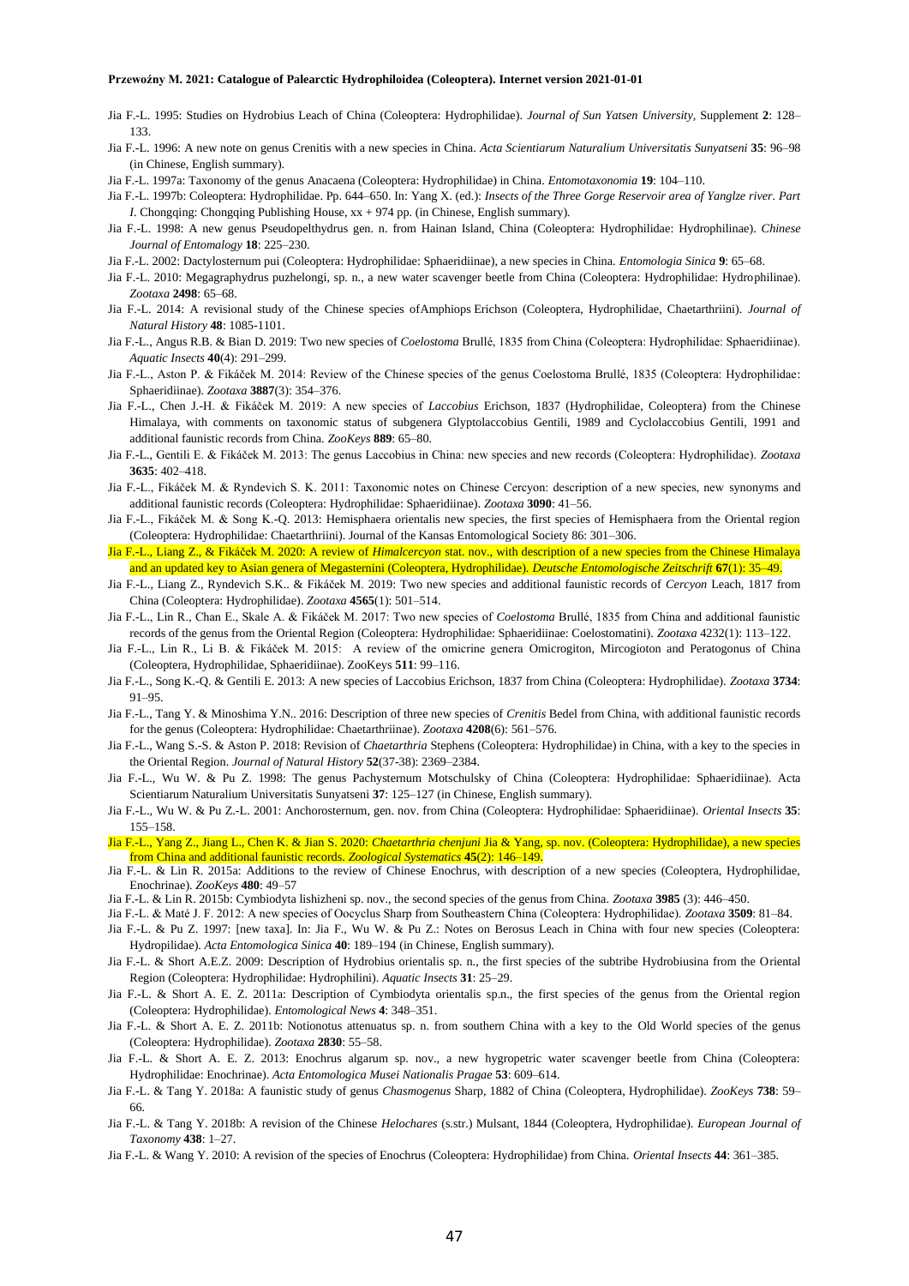- Jia F.-L. 1995: Studies on Hydrobius Leach of China (Coleoptera: Hydrophilidae). *Journal of Sun Yatsen University*, Supplement **2**: 128– 133.
- Jia F.-L. 1996: A new note on genus Crenitis with a new species in China. *Acta Scientiarum Naturalium Universitatis Sunyatseni* **35**: 96–98 (in Chinese, English summary).
- Jia F.-L. 1997a: Taxonomy of the genus Anacaena (Coleoptera: Hydrophilidae) in China. *Entomotaxonomia* **19**: 104–110.
- Jia F.-L. 1997b: Coleoptera: Hydrophilidae. Pp. 644–650. In: Yang X. (ed.): *Insects of the Three Gorge Reservoir area of Yanglze river. Part I*. Chongqing: Chongqing Publishing House,  $xx + 974$  pp. (in Chinese, English summary).
- Jia F.-L. 1998: A new genus Pseudopelthydrus gen. n. from Hainan Island, China (Coleoptera: Hydrophilidae: Hydrophilinae). *Chinese Journal of Entomalogy* **18**: 225–230.
- Jia F.-L. 2002: Dactylosternum pui (Coleoptera: Hydrophilidae: Sphaeridiinae), a new species in China. *Entomologia Sinica* **9**: 65–68.
- Jia F.-L. 2010: Megagraphydrus puzhelongi, sp. n., a new water scavenger beetle from China (Coleoptera: Hydrophilidae: Hydrophilinae). *Zootaxa* **2498**: 65–68.
- Jia F.-L. 2014: A revisional study of the Chinese species ofAmphiops Erichson (Coleoptera, Hydrophilidae, Chaetarthriini). *Journal of Natural History* **48**: 1085-1101.
- Jia F.-L., Angus R.B. & Bian D. 2019: Two new species of *Coelostoma* Brullé, 1835 from China (Coleoptera: Hydrophilidae: Sphaeridiinae). *Aquatic Insects* **40**(4): 291–299.
- Jia F.-L., Aston P. & Fikáček M. 2014: Review of the Chinese species of the genus Coelostoma Brullé, 1835 (Coleoptera: Hydrophilidae: Sphaeridiinae). *Zootaxa* **3887**(3): 354–376.
- Jia F.-L., Chen J.-H. & Fikáček M. 2019: A new species of *Laccobius* Erichson, 1837 (Hydrophilidae, Coleoptera) from the Chinese Himalaya, with comments on taxonomic status of subgenera Glyptolaccobius Gentili, 1989 and Cyclolaccobius Gentili, 1991 and additional faunistic records from China. *ZooKeys* **889**: 65–80.
- Jia F.-L., Gentili E. & Fikáček M. 2013: The genus Laccobius in China: new species and new records (Coleoptera: Hydrophilidae). *Zootaxa* **3635**: 402–418.
- Jia F.-L., Fikáček M. & Ryndevich S. K. 2011: Taxonomic notes on Chinese Cercyon: description of a new species, new synonyms and additional faunistic records (Coleoptera: Hydrophilidae: Sphaeridiinae). *Zootaxa* **3090**: 41–56.
- Jia F.-L., Fikáček M. & Song K.-Q. 2013: Hemisphaera orientalis new species, the first species of Hemisphaera from the Oriental region (Coleoptera: Hydrophilidae: Chaetarthriini). Journal of the Kansas Entomological Society 86: 301–306.
- Jia F.-L., Liang Z., & Fikáček M. 2020: A review of *Himalcercyon* stat. nov., with description of a new species from the Chinese Himalaya and an updated key to Asian genera of Megasternini (Coleoptera, Hydrophilidae). *Deutsche Entomologische Zeitschrift* **67**(1): 35–49.
- Jia F.-L., Liang Z., Ryndevich S.K.. & Fikáček M. 2019: Two new species and additional faunistic records of *Cercyon* Leach, 1817 from China (Coleoptera: Hydrophilidae). *Zootaxa* **4565**(1): 501–514.
- Jia F.-L., Lin R., Chan E., Skale A. & Fikáček M. 2017: Two new species of *Coelostoma* Brullé, 1835 from China and additional faunistic records of the genus from the Oriental Region (Coleoptera: Hydrophilidae: Sphaeridiinae: Coelostomatini). *Zootaxa* 4232(1): 113–122.
- Jia F.-L., Lin R., Li B. & Fikáček M. 2015: A review of the omicrine genera Omicrogiton, Mircogioton and Peratogonus of China (Coleoptera, Hydrophilidae, Sphaeridiinae). ZooKeys **511**: 99–116.
- Jia F.-L., Song K.-Q. & Gentili E. 2013: A new species of Laccobius Erichson, 1837 from China (Coleoptera: Hydrophilidae). *Zootaxa* **3734**: 91–95.
- Jia F.-L., Tang Y. & Minoshima Y.N.. 2016: Description of three new species of *Crenitis* Bedel from China, with additional faunistic records for the genus (Coleoptera: Hydrophilidae: Chaetarthriinae). *Zootaxa* **4208**(6): 561–576.
- Jia F.-L., Wang S.-S. & Aston P. 2018: Revision of *Chaetarthria* Stephens (Coleoptera: Hydrophilidae) in China, with a key to the species in the Oriental Region. *Journal of Natural History* **52**(37-38): 2369–2384.
- Jia F.-L., Wu W. & Pu Z. 1998: The genus Pachysternum Motschulsky of China (Coleoptera: Hydrophilidae: Sphaeridiinae). Acta Scientiarum Naturalium Universitatis Sunyatseni **37**: 125–127 (in Chinese, English summary).
- Jia F.-L., Wu W. & Pu Z.-L. 2001: Anchorosternum, gen. nov. from China (Coleoptera: Hydrophilidae: Sphaeridiinae). *Oriental Insects* **35**: 155–158.
- Jia F.-L., Yang Z., Jiang L., Chen K. & Jian S. 2020: *Chaetarthria chenjuni* Jia & Yang, sp. nov. (Coleoptera: Hydrophilidae), a new species from China and additional faunistic records. *Zoological Systematics* **45**(2): 146–149.
- Jia F.-L. & Lin R. 2015a: Additions to the review of Chinese Enochrus, with description of a new species (Coleoptera, Hydrophilidae, Enochrinae). *ZooKeys* **480**: 49–57
- Jia F.-L. & Lin R. 2015b: Cymbiodyta lishizheni sp. nov., the second species of the genus from China. *Zootaxa* **3985** (3): 446–450.
- Jia F.-L. & Maté J. F. 2012: A new species of Oocyclus Sharp from Southeastern China (Coleoptera: Hydrophilidae). *Zootaxa* **3509**: 81–84.
- Jia F.-L. & Pu Z. 1997: [new taxa]. In: Jia F., Wu W. & Pu Z.: Notes on Berosus Leach in China with four new species (Coleoptera: Hydropilidae). *Acta Entomologica Sinica* **40**: 189–194 (in Chinese, English summary).
- Jia F.-L. & Short A.E.Z. 2009: Description of Hydrobius orientalis sp. n., the first species of the subtribe Hydrobiusina from the Oriental Region (Coleoptera: Hydrophilidae: Hydrophilini). *Aquatic Insects* **31**: 25–29.
- Jia F.-L. & Short A. E. Z. 2011a: Description of Cymbiodyta orientalis sp.n., the first species of the genus from the Oriental region (Coleoptera: Hydrophilidae). *Entomological News* **4**: 348–351.
- Jia F.-L. & Short A. E. Z. 2011b: Notionotus attenuatus sp. n. from southern China with a key to the Old World species of the genus (Coleoptera: Hydrophilidae). *Zootaxa* **2830**: 55–58.
- Jia F.-L. & Short A. E. Z. 2013: Enochrus algarum sp. nov., a new hygropetric water scavenger beetle from China (Coleoptera: Hydrophilidae: Enochrinae). *Acta Entomologica Musei Nationalis Pragae* **53**: 609–614.
- Jia F.-L. & Tang Y. 2018a: A faunistic study of genus *Chasmogenus* Sharp, 1882 of China (Coleoptera, Hydrophilidae). *ZooKeys* **738**: 59– 66.
- Jia F.-L. & Tang Y. 2018b: A revision of the Chinese *Helochares* (s.str.) Mulsant, 1844 (Coleoptera, Hydrophilidae). *European Journal of Taxonomy* **438**: 1–27.
- Jia F.-L. & Wang Y. 2010: A revision of the species of Enochrus (Coleoptera: Hydrophilidae) from China. *Oriental Insects* **44**: 361–385.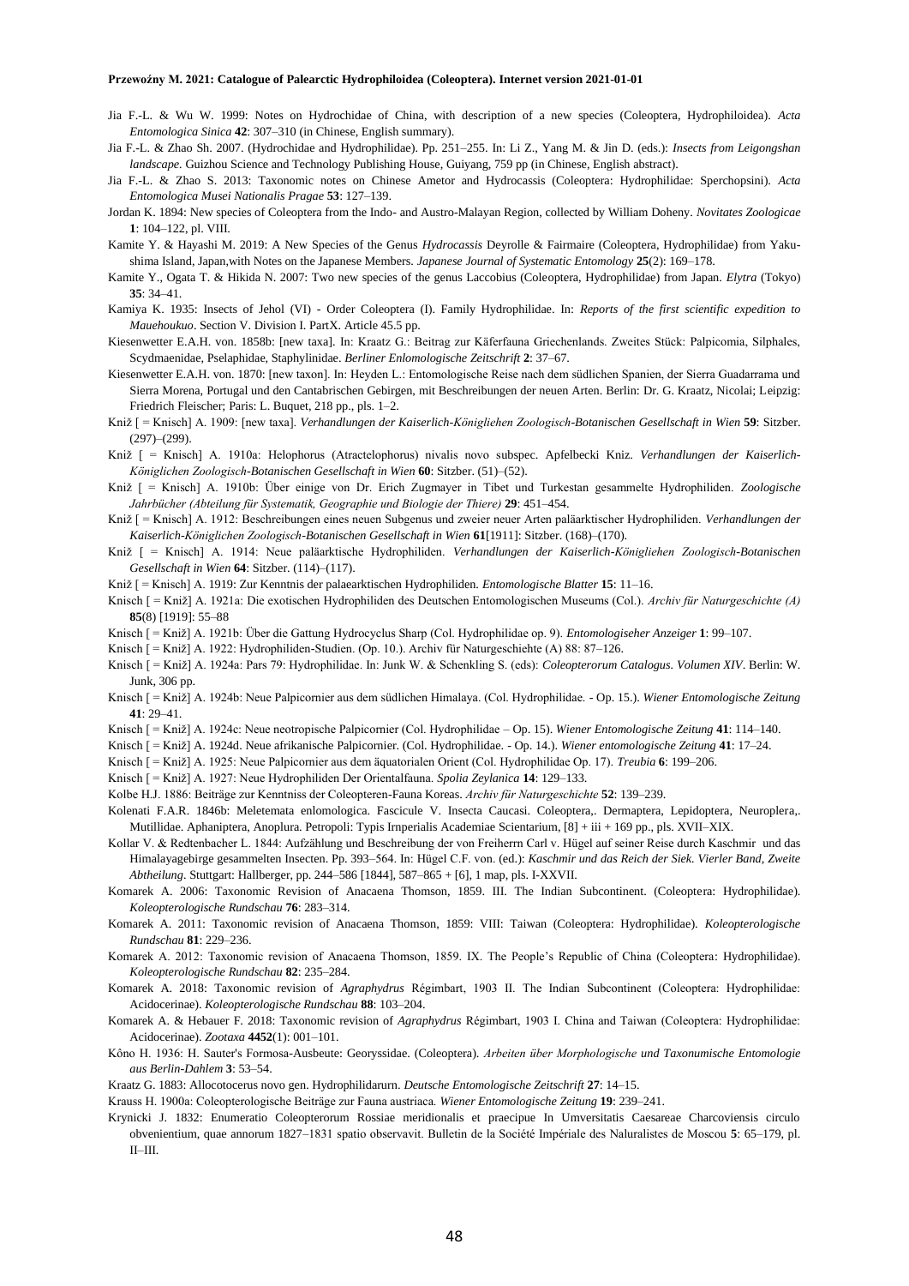- Jia F.-L. & Wu W. 1999: Notes on Hydrochidae of China, with description of a new species (Coleoptera, Hydrophiloidea). *Acta Entomologica Sinica* **42**: 307–310 (in Chinese, English summary).
- Jia F.-L. & Zhao Sh. 2007. (Hydrochidae and Hydrophilidae). Pp. 251–255. In: Li Z., Yang M. & Jin D. (eds.): *Insects from Leigongshan landscape.* Guizhou Science and Technology Publishing House, Guiyang, 759 pp (in Chinese, English abstract).
- Jia F.-L. & Zhao S. 2013: Taxonomic notes on Chinese Ametor and Hydrocassis (Coleoptera: Hydrophilidae: Sperchopsini). *Acta Entomologica Musei Nationalis Pragae* **53**: 127–139.
- Jordan K. 1894: New species of Coleoptera from the Indo- and Austro-Malayan Region, collected by William Doheny. *Novitates Zoologicae* **1**: 104–122, pl. VIII.
- Kamite Y. & Hayashi M. 2019: A New Species of the Genus *Hydrocassis* Deyrolle & Fairmaire (Coleoptera, Hydrophilidae) from Yakushima Island, Japan,with Notes on the Japanese Members. *Japanese Journal of Systematic Entomology* **25**(2): 169–178.
- Kamite Y., Ogata T. & Hikida N. 2007: Two new species of the genus Laccobius (Coleoptera, Hydrophilidae) from Japan. *Elytra* (Tokyo) **35**: 34–41.
- Kamiya K. 1935: Insects of Jehol (VI) Order Coleoptera (I). Family Hydrophilidae. In: *Reports of the first scientific expedition to Mauehoukuo*. Section V. Division I. PartX. Article 45.5 pp.
- Kiesenwetter E.A.H. von. 1858b: [new taxa]. In: Kraatz G.: Beitrag zur Käferfauna Griechenlands. Zweites Stück: Palpicomia, Silphales, Scydmaenidae, Pselaphidae, Staphylinidae. *Berliner Enlomologische Zeitschrift* **2**: 37–67.
- Kiesenwetter E.A.H. von. 1870: [new taxon]. In: Heyden L.: Entomologische Reise nach dem südlichen Spanien, der Sierra Guadarrama und Sierra Morena, Portugal und den Cantabrischen Gebirgen, mit Beschreibungen der neuen Arten. Berlin: Dr. G. Kraatz, Nicolai; Leipzig: Friedrich Fleischer; Paris: L. Buquet, 218 pp., pls. 1–2.
- Kniž [ = Knisch] A. 1909: [new taxa]. *Verhandlungen der Kaiserlich-Königliehen Zoologisch-Botanischen Gesellschaft in Wien* **59**: Sitzber.  $(297)–(299)$ .
- Kniž [ = Knisch] A. 1910a: Helophorus (Atractelophorus) nivalis novo subspec. Apfelbecki Kniz. *Verhandlungen der Kaiserlich-Königlichen Zoologisch-Botanischen Gesellschaft in Wien* **60**: Sitzber. (51)–(52).
- Kniž [ = Knisch] A. 1910b: Über einige von Dr. Erich Zugmayer in Tibet und Turkestan gesammelte Hydrophiliden. *Zoologische Jahrbücher (Abteilung für Systematik, Geographie und Biologie der Thiere)* **29**: 451–454.
- Kniž [ = Knisch] A. 1912: Beschreibungen eines neuen Subgenus und zweier neuer Arten paläarktischer Hydrophiliden. *Verhandlungen der Kaiserlich-Königlichen Zoologisch-Botanischen Gesellschaft in Wien* **61**[1911]: Sitzber. (168)–(170).
- Kniž [ = Knisch] A. 1914: Neue paläarktische Hydrophiliden. *Verhandlungen der Kaiserlich-Königliehen Zoologisch-Botanischen Gesellschaft in Wien* **64**: Sitzber. (114)–(117).

Kniž [ = Knisch] A. 1919: Zur Kenntnis der palaearktischen Hydrophiliden. *Entomologische Blatter* **15**: 11–16.

- Knisch [ = Kniž] A. 1921a: Die exotischen Hydrophiliden des Deutschen Entomologischen Museums (Col.). *Archiv für Naturgeschichte (A)* **85**(8) [1919]: 55–88
- Knisch [ = Kniž] A. 1921b: Über die Gattung Hydrocyclus Sharp (Col. Hydrophilidae op. 9). *Entomologiseher Anzeiger* **1**: 99–107.
- Knisch [ = Kniž] A. 1922: Hydrophiliden-Studien. (Op. 10.). Archiv für Naturgeschiehte (A) 88: 87–126.
- Knisch [ = Kniž] A. 1924a: Pars 79: Hydrophilidae. In: Junk W. & Schenkling S. (eds): *Coleopterorum Catalogus. Volumen XIV*. Berlin: W. Junk, 306 pp.
- Knisch [ = Kniž] A. 1924b: Neue Palpicornier aus dem südlichen Himalaya. (Col. Hydrophilidae. Op. 15.). *Wiener Entomologische Zeitung* **41**: 29–41.
- Knisch [ = Kniž] A. 1924c: Neue neotropische Palpicornier (Col. Hydrophilidae Op. 15). *Wiener Entomologische Zeitung* **41**: 114–140.
- Knisch [ = Kniž] A. 1924d. Neue afrikanische Palpicornier. (Col. Hydrophilidae. Op. 14.). *Wiener entomologische Zeitung* **41**: 17–24.
- Knisch [ = Kniž] A. 1925: Neue Palpicornier aus dem äquatorialen Orient (Col. Hydrophilidae Op. 17). *Treubia* **6**: 199–206.
- Knisch [ = Kniž] A. 1927: Neue Hydrophiliden Der Orientalfauna. *Spolia Zeylanica* **14**: 129–133.
- Kolbe H.J. 1886: Beiträge zur Kenntniss der Coleopteren-Fauna Koreas. *Archiv für Naturgeschichte* **52**: 139–239.
- Kolenati F.A.R. 1846b: Meletemata enlomologica. Fascicule V. Insecta Caucasi. Coleoptera,. Dermaptera, Lepidoptera, Neuroplera,. Mutillidae. Aphaniptera, Anoplura. Petropoli: Typis Irnperialis Academiae Scientarium, [8] + iii + 169 pp., pls. XVII–XIX.
- Kollar V. & Redtenbacher L. 1844: Aufzählung und Beschreibung der von Freiherrn Carl v. Hügel auf seiner Reise durch Kaschmir und das Himalayagebirge gesammelten Insecten. Pp. 393–564. In: Hügel C.F. von. (ed.): *Kaschmir und das Reich der Siek. Vierler Band, Zweite Abtheilung*. Stuttgart: Hallberger, pp. 244–586 [1844], 587–865 + [6], 1 map, pls. I-XXVII.

Komarek A. 2006: Taxonomic Revision of Anacaena Thomson, 1859. III. The Indian Subcontinent. (Coleoptera: Hydrophilidae). *Koleopterologische Rundschau* **76**: 283–314.

Komarek A. 2011: Taxonomic revision of Anacaena Thomson, 1859: VIII: Taiwan (Coleoptera: Hydrophilidae). *Koleopterologische Rundschau* **81**: 229–236.

Komarek A. 2012: Taxonomic revision of Anacaena Thomson, 1859. IX. The People's Republic of China (Coleoptera: Hydrophilidae). *Koleopterologische Rundschau* **82**: 235–284.

Komarek A. 2018: Taxonomic revision of *Agraphydrus* Régimbart, 1903 II. The Indian Subcontinent (Coleoptera: Hydrophilidae: Acidocerinae). *Koleopterologische Rundschau* **88**: 103–204.

Komarek A. & Hebauer F. 2018: Taxonomic revision of *Agraphydrus* Régimbart, 1903 I. China and Taiwan (Coleoptera: Hydrophilidae: Acidocerinae). *Zootaxa* **4452**(1): 001–101.

Kôno H. 1936: H. Sauter's Formosa-Ausbeute: Georyssidae. (Coleoptera). *Arbeiten über Morphologische und Taxonumische Entomologie aus Berlin-Dahlem* **3**: 53–54.

Kraatz G. 1883: Allocotocerus novo gen. Hydrophilidarurn. *Deutsche Entomologische Zeitschrift* **27**: 14–15.

Krauss H. 1900a: Coleopterologische Beiträge zur Fauna austriaca. *Wiener Entomologische Zeitung* **19**: 239–241.

Krynicki J. 1832: Enumeratio Coleopterorum Rossiae meridionalis et praecipue In Umversitatis Caesareae Charcoviensis circulo obvenientium, quae annorum 1827–1831 spatio observavit. Bulletin de la Société Impériale des Naluralistes de Moscou **5**: 65–179, pl. II–III.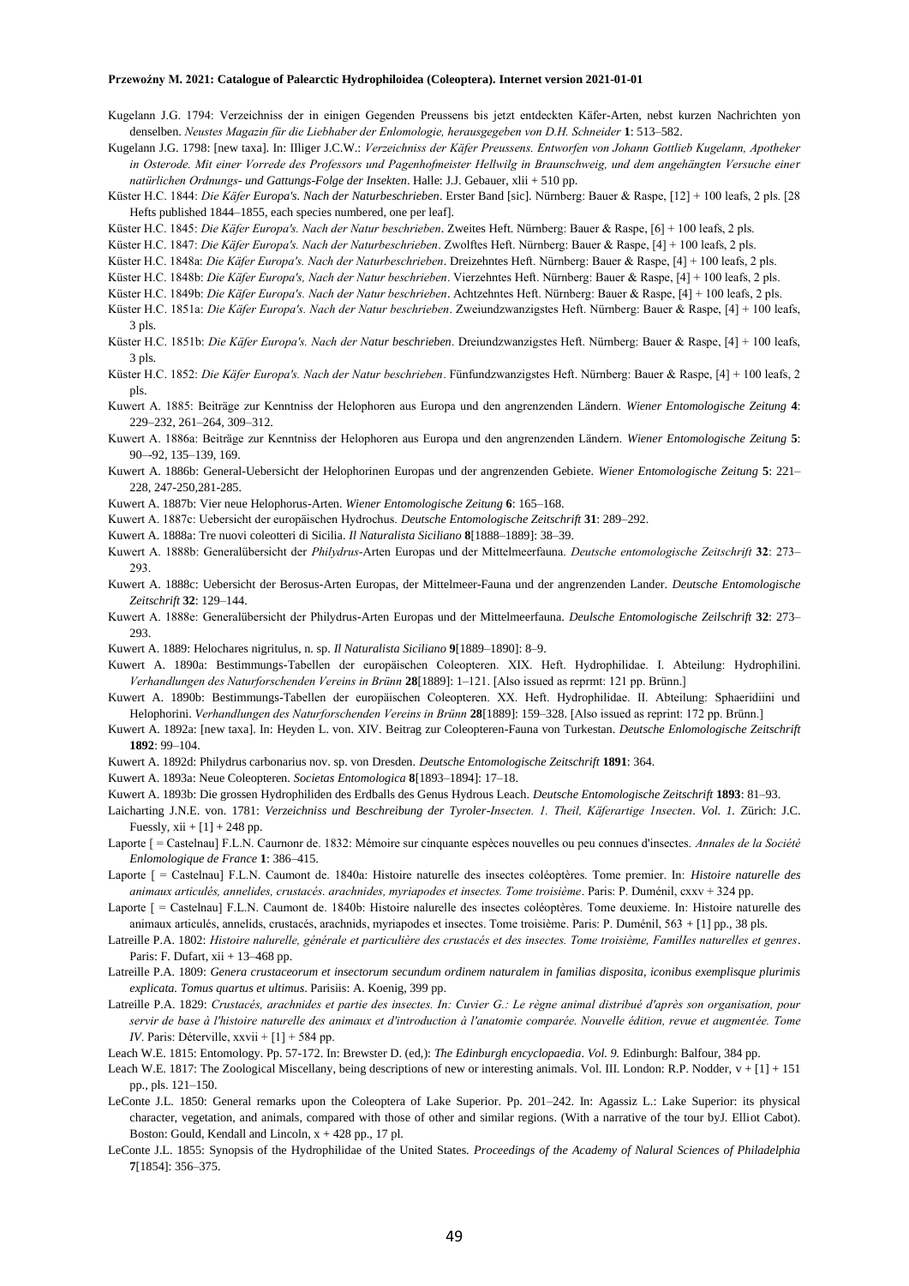- Kugelann J.G. 1794: Verzeichniss der in einigen Gegenden Preussens bis jetzt entdeckten Käfer-Arten, nebst kurzen Nachrichten yon denselben. *Neustes Magazin für die Liebhaber der Enlomologie, herausgegeben von D.H. Schneider* **1**: 513–582.
- Kugelann J.G. 1798: [new taxa]. In: IIliger J.C.W.: *Verzeichniss der Käfer Preussens. Entworfen von Johann Gottlieb Kugelann, Apotheker in Osterode. Mit einer Vorrede des Professors und Pagenhofmeister Hellwilg in Braunschweig, und dem angehängten Versuche einer natürlichen Ordnungs- und Gattungs-Folge der Insekten*. Halle: J.J. Gebauer, xlii + 510 pp.
- Küster H.C. 1844: *Die Käfer Europa's. Nach der Naturbeschrieben*. Erster Band [sic]. Nürnberg: Bauer & Raspe, [12] + 100 leafs, 2 pls. [28 Hefts published 1844–1855, each species numbered, one per leaf].
- Küster H.C. 1845: *Die Käfer Europa's. Nach der Natur beschrieben*. Zweites Heft. Nürnberg: Bauer & Raspe, [6] + 100 leafs, 2 pls.
- Küster H.C. 1847: *Die Käfer Europa's. Nach der Naturbeschrieben*. Zwolftes Heft. Nürnberg: Bauer & Raspe, [4] + 100 leafs, 2 pls.
- Küster H.C. 1848a: *Die Käfer Europa's. Nach der Naturbeschrieben*. Dreizehntes Heft. Nürnberg: Bauer & Raspe, [4] + 100 leafs, 2 pls.
- Küster H.C. 1848b: *Die Käfer Europa's, Nach der Natur beschrieben*. Vierzehntes Heft. Nürnberg: Bauer & Raspe, [4] + 100 leafs, 2 pls.
- Küster H.C. 1849b: *Die Käfer Europa's. Nach der Natur beschrieben*. Achtzehntes Heft. Nürnberg: Bauer & Raspe, [4] + 100 leafs, 2 pls.
- Küster H.C. 1851a: *Die Käfer Europa's. Nach der Natur beschrieben*. Zweiundzwanzigstes Heft. Nürnberg: Bauer & Raspe, [4] + 100 leafs, 3 pls.
- Küster H.C. 1851b: *Die Käfer Europa's. Nach der Natur beschrieben*. Dreiundzwanzigstes Heft. Nürnberg: Bauer & Raspe, [4] + 100 leafs, 3 pls.
- Küster H.C. 1852: *Die Käfer Europa's. Nach der Natur beschrieben*. Fünfundzwanzigstes Heft. Nürnberg: Bauer & Raspe, [4] + 100 leafs, 2 pls.
- Kuwert A. 1885: Beiträge zur Kenntniss der Helophoren aus Europa und den angrenzenden Ländern. *Wiener Entomologische Zeitung* **4**: 229–232, 261–264, 309–312.
- Kuwert A. 1886a: Beiträge zur Kenntniss der Helophoren aus Europa und den angrenzenden Ländern. *Wiener Entomologische Zeitung* **5**: 90–-92, 135–139, 169.
- Kuwert A. 1886b: General-Uebersicht der Helophorinen Europas und der angrenzenden Gebiete. *Wiener Entomologische Zeitung* **5**: 221– 228, 247-250,281-285.
- Kuwert A. 1887b: Vier neue Helophorus-Arten. *Wiener Entomologische Zeitung* **6**: 165–168.
- Kuwert A. 1887c: Uebersicht der europäischen Hydrochus. *Deutsche Entomologische Zeitschrift* **31**: 289–292.
- Kuwert A. 1888a: Tre nuovi coleotteri di Sicilia. *Il Naturalista Siciliano* **8**[1888–1889]: 38–39.
- Kuwert A. 1888b: Generalübersicht der *Philydrus*-Arten Europas und der Mittelmeerfauna. *Deutsche entomologische Zeitschrift* **32**: 273– 293.
- Kuwert A. 1888c: Uebersicht der Berosus-Arten Europas, der Mittelmeer-Fauna und der angrenzenden Lander. *Deutsche Entomologische Zeitschrift* **32**: 129–144.
- Kuwert A. 1888e: Generalübersicht der Philydrus-Arten Europas und der Mittelmeerfauna. *Deulsche Entomologische Zeilschrift* **32**: 273– 293.
- Kuwert A. 1889: Helochares nigritulus, n. sp. *Il Naturalista Siciliano* **9**[1889–1890]: 8–9.
- Kuwert A. 1890a: Bestimmungs-Tabellen der europäischen Coleopteren. XIX. Heft. Hydrophilidae. I. Abteilung: Hydrophilini. *Verhandlungen des Naturforschenden Vereins in Brünn* **28**[1889]: 1–121. [Also issued as reprmt: 121 pp. Brünn.]
- Kuwert A. 1890b: Bestimmungs-Tabellen der europäischen Coleopteren. XX. Heft. Hydrophilidae. II. Abteilung: Sphaeridiini und Helophorini. *Verhandlungen des Naturforschenden Vereins in Brünn* **28**[1889]: 159–328. [Also issued as reprint: 172 pp. Brünn.]
- Kuwert A. 1892a: [new taxa]. In: Heyden L. von. XIV. Beitrag zur Coleopteren-Fauna von Turkestan. *Deutsche Enlomologische Zeitschrift* **1892**: 99–104.
- Kuwert A. 1892d: Philydrus carbonarius nov. sp. von Dresden. *Deutsche Entomologische Zeitschrift* **1891**: 364.
- Kuwert A. 1893a: Neue Coleopteren. *Societas Entomologica* **8**[1893–1894]: 17–18.
- Kuwert A. 1893b: Die grossen Hydrophiliden des Erdballs des Genus Hydrous Leach. *Deutsche Entomologische Zeitschrift* **1893**: 81–93.
- Laicharting J.N.E. von. 1781: *Verzeichniss und Beschreibung der Tyroler-Insecten. 1. Theil, Käferartige 1nsecten*. *Vol. 1.* Zürich: J.C. Fuessly,  $xii + [1] + 248$  pp.
- Laporte [ = Castelnau] F.L.N. Caurnonr de. 1832: Mémoire sur cinquante espèces nouvelles ou peu connues d'insectes. *Annales de la Société Enlomologique de France* **1**: 386–415.
- Laporte [ = Castelnau] F.L.N. Caumont de. 1840a: Histoire naturelle des insectes coléoptères. Tome premier. In: *Histoire naturelle des animaux articulés, annelides, crustacés. arachnides, myriapodes et insectes. Tome troisième*. Paris: P. Duménil, cxxv + 324 pp.
- Laporte [ = Castelnau] F.L.N. Caumont de. 1840b: Histoire nalurelle des insectes coléoptères. Tome deuxieme. In: Histoire naturelle des animaux articulés, annelids, crustacés, arachnids, myriapodes et insectes. Tome troisième. Paris: P. Duménil, 563 + [1] pp., 38 pls.
- Latreille P.A. 1802: *Histoire nalurelle, générale et particulière des crustacés et des insectes. Tome troisième, FamilIes naturelles et genres*. Paris: F. Dufart,  $xii + 13-468$  pp.
- Latreille P.A. 1809: *Genera crustaceorum et insectorum secundum ordinem naturalem in familias disposita, iconibus exemplisque plurimis explicata. Tomus quartus et ultimus*. Parisiis: A. Koenig, 399 pp.
- Latreille P.A. 1829: *Crustacés, arachnides et partie des insectes. In: Cuvier G.: Le règne animal distribué d'après son organisation, pour servir de base à l'histoire naturelle des animaux et d'introduction à l'anatomie comparée. Nouvelle édition, revue et augmentée. Tome IV*. Paris: Déterville, xxvii + [1] + 584 pp.
- Leach W.E. 1815: Entomology. Pp. 57-172. In: Brewster D. (ed,): *The Edinburgh encyclopaedia*. *Vol. 9.* Edinburgh: Balfour, 384 pp.
- Leach W.E. 1817: The Zoological Miscellany, being descriptions of new or interesting animals. Vol. III. London: R.P. Nodder, v + [1] + 151 pp., pls. 121–150.
- LeConte J.L. 1850: General remarks upon the Coleoptera of Lake Superior. Pp. 201–242. In: Agassiz L.: Lake Superior: its physical character, vegetation, and animals, compared with those of other and similar regions. (With a narrative of the tour byJ. Elliot Cabot). Boston: Gould, Kendall and Lincoln,  $x + 428$  pp., 17 pl.
- LeConte J.L. 1855: Synopsis of the Hydrophilidae of the United States. *Proceedings of the Academy of Nalural Sciences of Philadelphia* **7**[1854]: 356–375.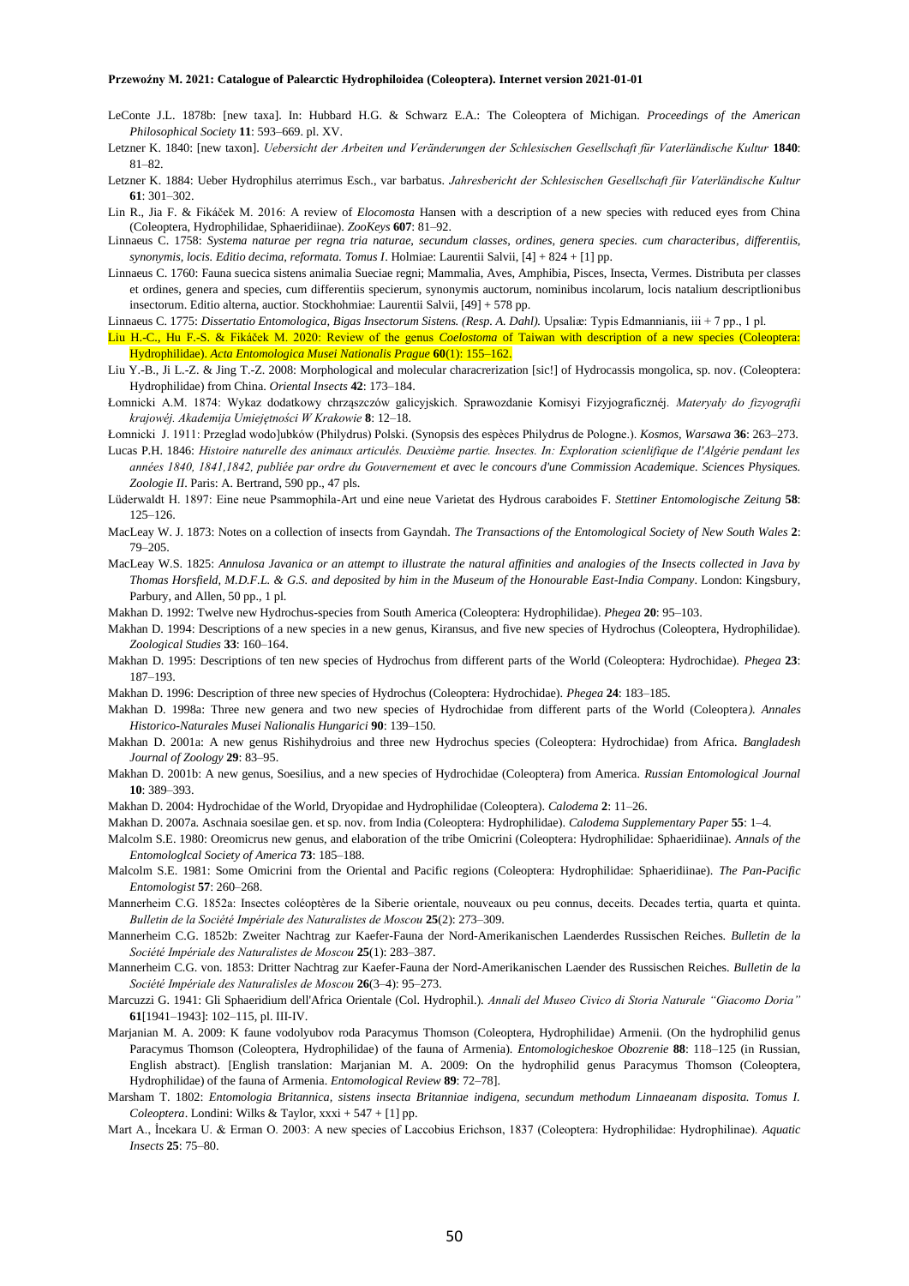- LeConte J.L. 1878b: [new taxa]. In: Hubbard H.G. & Schwarz E.A.: The Coleoptera of Michigan. *Proceedings of the American Philosophical Society* **11**: 593–669. pl. XV.
- Letzner K. 1840: [new taxon]. *Uebersicht der Arbeiten und Veränderungen der Schlesischen Gesellschaft für Vaterländische Kultur* **1840**: 81–82.
- Letzner K. 1884: Ueber Hydrophilus aterrimus Esch., var barbatus. *Jahresbericht der Schlesischen Gesellschaft für Vaterländische Kultur* **61**: 301–302.
- Lin R., Jia F. & Fikáček M. 2016: A review of *Elocomosta* Hansen with a description of a new species with reduced eyes from China (Coleoptera, Hydrophilidae, Sphaeridiinae). *ZooKeys* **607**: 81–92.
- Linnaeus C. 1758: *Systema naturae per regna tria naturae, secundum classes, ordines, genera species. cum characteribus, differentiis, synonymis, locis. Editio decima, reformata. Tomus I*. Holmiae: Laurentii Salvii, [4] + 824 + [1] pp.
- Linnaeus C. 1760: Fauna suecica sistens animalia Sueciae regni; Mammalia, Aves, Amphibia, Pisces, Insecta, Vermes. Distributa per classes et ordines, genera and species, cum differentiis specierum, synonymis auctorum, nominibus incolarum, locis natalium descriptlionibus insectorum. Editio alterna, auctior. Stockhohmiae: Laurentii Salvii, [49] + 578 pp.
- Linnaeus C. 1775: *Dissertatio Entomologica, Bigas Insectorum Sistens. (Resp. A. Dahl).* Upsaliæ: Typis Edmannianis, iii + 7 pp., 1 pl.
- Liu H.-C., Hu F.-S. & Fikáček M. 2020: Review of the genus *Coelostoma* of Taiwan with description of a new species (Coleoptera: Hydrophilidae). *Acta Entomologica Musei Nationalis Prague* **60**(1): 155–162.
- Liu Y.-B., Ji L.-Z. & Jing T.-Z. 2008: Morphological and molecular characrerization [sic!] of Hydrocassis mongolica, sp. nov. (Coleoptera: Hydrophilidae) from China. *Oriental Insects* **42**: 173–184.
- Łomnicki A.M. 1874: Wykaz dodatkowy chrząszczów galicyjskich. Sprawozdanie Komisyi Fizyjograficznéj. *Materyały do fizyografii krajowéj. Akademija Umiejętności W Krakowie* **8**: 12–18.
- Łomnicki J. 1911: Przeglad wodo]ubków (Philydrus) Polski. (Synopsis des espèces Philydrus de Pologne.). *Kosmos, Warsawa* **36**: 263–273.
- Lucas P.H. 1846: *Histoire naturelle des animaux articulés. Deuxième partie. Insectes. In: Exploration scienlifique de l'Algérie pendant les années 1840, 1841,1842, publiée par ordre du Gouvernement et avec le concours d'une Commission Academique. Sciences Physiques. Zoologie II*. Paris: A. Bertrand, 590 pp., 47 pls.
- Lüderwaldt H. 1897: Eine neue Psammophila-Art und eine neue Varietat des Hydrous caraboides F. *Stettiner Entomologische Zeitung* **58**: 125–126.
- MacLeay W. J. 1873: Notes on a collection of insects from Gayndah. *The Transactions of the Entomological Society of New South Wales* **2**: 79–205.
- MacLeay W.S. 1825: *Annulosa Javanica or an attempt to illustrate the natural affinities and analogies of the Insects collected in Java by Thomas Horsfield, M.D.F.L. & G.S. and deposited by him in the Museum of the Honourable East-India Company*. London: Kingsbury, Parbury, and Allen, 50 pp., 1 pl.

Makhan D. 1992: Twelve new Hydrochus-species from South America (Coleoptera: Hydrophilidae). *Phegea* **20**: 95–103.

- Makhan D. 1994: Descriptions of a new species in a new genus, Kiransus, and five new species of Hydrochus (Coleoptera, Hydrophilidae). *Zoological Studies* **33**: 160–164.
- Makhan D. 1995: Descriptions of ten new species of Hydrochus from different parts of the World (Coleoptera: Hydrochidae). *Phegea* **23**: 187–193.
- Makhan D. 1996: Description of three new species of Hydrochus (Coleoptera: Hydrochidae). *Phegea* **24**: 183–185.
- Makhan D. 1998a: Three new genera and two new species of Hydrochidae from different parts of the World (Coleoptera*). Annales Historico-Naturales Musei Nalionalis Hungarici* **90**: 139–150.
- Makhan D. 2001a: A new genus Rishihydroius and three new Hydrochus species (Coleoptera: Hydrochidae) from Africa. *Bangladesh Journal of Zoology* **29**: 83–95.
- Makhan D. 2001b: A new genus, Soesilius, and a new species of Hydrochidae (Coleoptera) from America. *Russian Entomological Journal* **10**: 389–393.

Makhan D. 2004: Hydrochidae of the World, Dryopidae and Hydrophilidae (Coleoptera). *Calodema* **2**: 11–26.

- Makhan D. 2007a. Aschnaia soesilae gen. et sp. nov. from India (Coleoptera: Hydrophilidae). *Calodema Supplementary Paper* **55**: 1–4.
- Malcolm S.E. 1980: Oreomicrus new genus, and elaboration of the tribe Omicrini (Coleoptera: Hydrophilidae: Sphaeridiinae). *Annals of the Entomologlcal Society of America* **73**: 185–188.
- Malcolm S.E. 1981: Some Omicrini from the Oriental and Pacific regions (Coleoptera: Hydrophilidae: Sphaeridiinae). *The Pan-Pacific Entomologist* **57**: 260–268.
- Mannerheim C.G. 1852a: Insectes coléoptères de la Siberie orientale, nouveaux ou peu connus, deceits. Decades tertia, quarta et quinta. *Bulletin de la Société Impériale des Naturalistes de Moscou* **25**(2): 273–309.
- Mannerheim C.G. 1852b: Zweiter Nachtrag zur Kaefer-Fauna der Nord-Amerikanischen Laenderdes Russischen Reiches. *Bulletin de la Société Impériale des Naturalistes de Moscou* **25**(1): 283–387.
- Mannerheim C.G. von. 1853: Dritter Nachtrag zur Kaefer-Fauna der Nord-Amerikanischen Laender des Russischen Reiches. *Bulletin de la Société Impériale des Naturalisles de Moscou* **26**(3–4): 95–273.
- Marcuzzi G. 1941: Gli Sphaeridium dell'Africa Orientale (Col. Hydrophil.). *Annali del Museo Civico di Storia Naturale "Giacomo Doria"* **61**[1941–1943]: 102–115, pl. III-IV.
- Marjanian M. A. 2009: K faune vodolyubov roda Paracymus Thomson (Coleoptera, Hydrophilidae) Armenii. (On the hydrophilid genus Paracymus Thomson (Coleoptera, Hydrophilidae) of the fauna of Armenia). *Entomologicheskoe Obozrenie* **88**: 118–125 (in Russian, English abstract). [English translation: Marjanian M. A. 2009: On the hydrophilid genus Paracymus Thomson (Coleoptera, Hydrophilidae) of the fauna of Armenia. *Entomological Review* **89**: 72–78].
- Marsham T. 1802: *Entomologia Britannica, sistens insecta Britanniae indigena, secundum methodum Linnaeanam disposita. Tomus I. Coleoptera*. Londini: Wilks & Taylor, xxxi + 547 + [1] pp.
- Mart A., İncekara U. & Erman O. 2003: A new species of Laccobius Erichson, 1837 (Coleoptera: Hydrophilidae: Hydrophilinae). *Aquatic Insects* **25**: 75–80.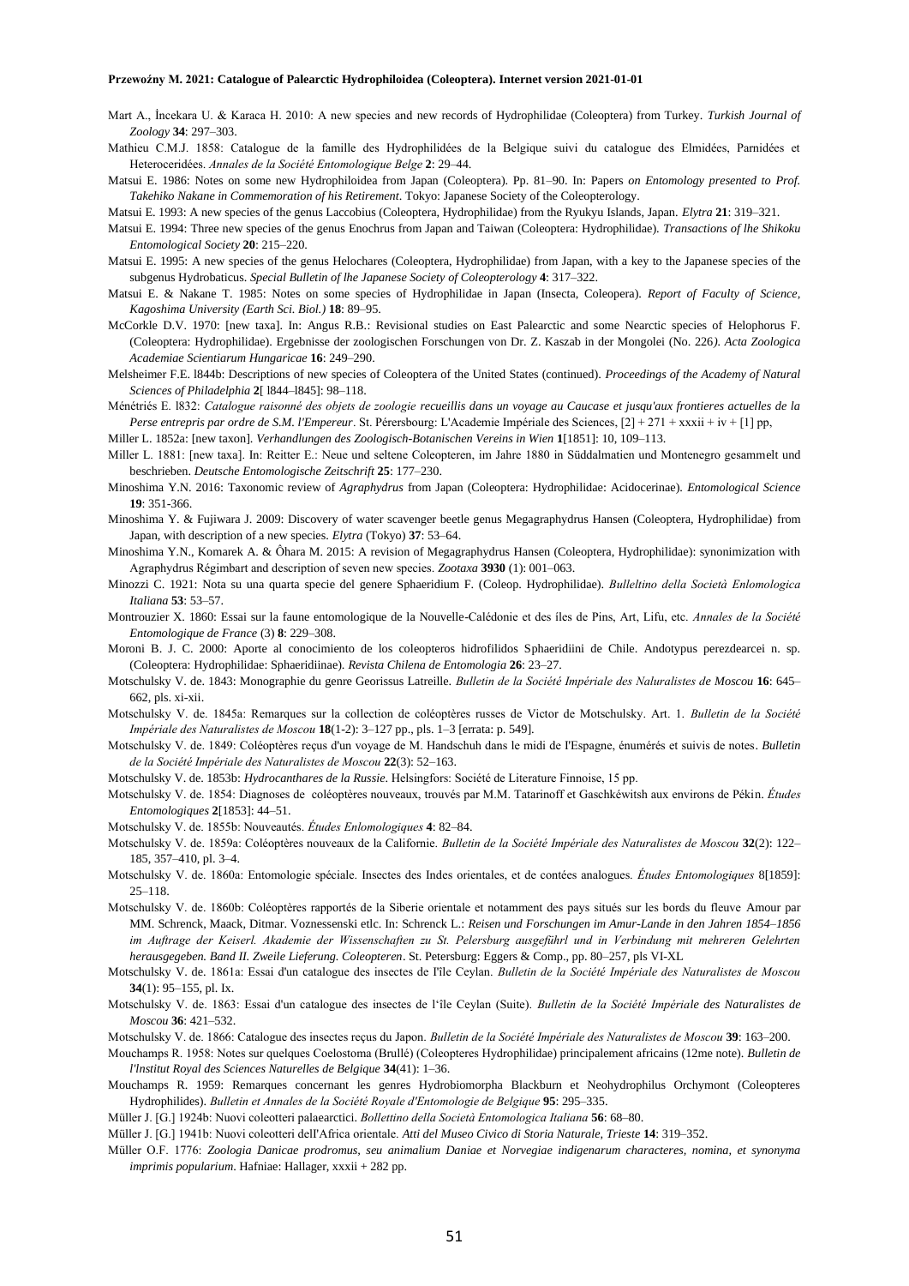- Mart A., İncekara U. & Karaca H. 2010: A new species and new records of Hydrophilidae (Coleoptera) from Turkey. *Turkish Journal of Zoology* **34**: 297–303.
- Mathieu C.M.J. 1858: Catalogue de la famille des Hydrophilidées de la Belgique suivi du catalogue des Elmidées, Parnidées et Heteroceridées. *Annales de la Société Entomologique Belge* **2**: 29–44.
- Matsui E. 1986: Notes on some new Hydrophiloidea from Japan (Coleoptera). Pp. 81–90. In: Papers *on Entomology presented to Prof. Takehiko Nakane in Commemoration of his Retirement*. Tokyo: Japanese Society of the Coleopterology.
- Matsui E. 1993: A new species of the genus Laccobius (Coleoptera, Hydrophilidae) from the Ryukyu Islands, Japan. *Elytra* **21**: 319–321.
- Matsui E. 1994: Three new species of the genus Enochrus from Japan and Taiwan (Coleoptera: Hydrophilidae). *Transactions of lhe Shikoku Entomological Society* **20**: 215–220.
- Matsui E. 1995: A new species of the genus Helochares (Coleoptera, Hydrophilidae) from Japan, with a key to the Japanese species of the subgenus Hydrobaticus. *Special Bulletin of lhe Japanese Society of Coleopterology* **4**: 317–322.
- Matsui E. & Nakane T. 1985: Notes on some species of Hydrophilidae in Japan (Insecta, Coleopera). *Report of Faculty of Science, Kagoshima University (Earth Sci. Biol.)* **18**: 89–95.
- McCorkle D.V. 1970: [new taxa]. In: Angus R.B.: Revisional studies on East Palearctic and some Nearctic species of Helophorus F. (Coleoptera: Hydrophilidae). Ergebnisse der zoologischen Forschungen von Dr. Z. Kaszab in der Mongolei (No. 226*). Acta Zoologica Academiae Scientiarum Hungaricae* **16**: 249–290.
- Melsheimer F.E. l844b: Descriptions of new species of Coleoptera of the United States (continued). *Proceedings of the Academy of Natural Sciences of Philadelphia* **2**[ l844–l845]: 98–118.
- Ménétriés E. l832: *Catalogue raisonné des objets de zoologie recueillis dans un voyage au Caucase et jusqu'aux frontieres actuelles de la Perse entrepris par ordre de S.M. l'Empereur*. St. Pérersbourg: L'Academie Impériale des Sciences, [2] + 271 + xxxii + iv + [1] pp,

Miller L. 1852a: [new taxon]. *Verhandlungen des Zoologisch-Botanischen Vereins in Wien* **1**[1851]: 10, 109–113.

- Miller L. 1881: [new taxa]. In: Reitter E.: Neue und seltene Coleopteren, im Jahre 1880 in Süddalmatien und Montenegro gesammelt und beschrieben. *Deutsche Entomologische Zeitschrift* **25**: 177–230.
- Minoshima Y.N. 2016: Taxonomic review of *Agraphydrus* from Japan (Coleoptera: Hydrophilidae: Acidocerinae). *Entomological Science* **19**: 351-366.
- Minoshima Y. & Fujiwara J. 2009: Discovery of water scavenger beetle genus Megagraphydrus Hansen (Coleoptera, Hydrophilidae) from Japan, with description of a new species. *Elytra* (Tokyo) **37**: 53–64.
- Minoshima Y.N., Komarek A. & Ôhara M. 2015: A revision of Megagraphydrus Hansen (Coleoptera, Hydrophilidae): synonimization with Agraphydrus Régimbart and description of seven new species. *Zootaxa* **3930** (1): 001–063.
- Minozzi C. 1921: Nota su una quarta specie del genere Sphaeridium F. (Coleop. Hydrophilidae). *Bulleltino della Società Enlomologica Italiana* **53**: 53–57.
- Montrouzier X. 1860: Essai sur la faune entomologique de la Nouvelle-Calédonie et des íles de Pins, Art, Lifu, etc. *Annales de la Société Entomologique de France* (3) **8**: 229–308.
- Moroni B. J. C. 2000: Aporte al conocimiento de los coleopteros hidrofilidos Sphaeridiini de Chile. Andotypus perezdearcei n. sp. (Coleoptera: Hydrophilidae: Sphaeridiinae). *Revista Chilena de Entomologia* **26**: 23–27.
- Motschulsky V. de. 1843: Monographie du genre Georissus Latreille. *Bulletin de la Société Impériale des Naluralistes de Moscou* **16**: 645– 662, pls. xi-xii.
- Motschulsky V. de. 1845a: Remarques sur la collection de coléoptères russes de Victor de Motschulsky. Art. 1. *Bulletin de la Société Impériale des Naturalistes de Moscou* **18**(1-2): 3–127 pp., pls. 1–3 [errata: p. 549].
- Motschulsky V. de. 1849: Coléoptères reçus d'un voyage de M. Handschuh dans le midi de I'Espagne, énumérés et suivis de notes. *Bulletin de la Société Impériale des Naturalistes de Moscou* **22**(3): 52–163.
- Motschulsky V. de. 1853b: *Hydrocanthares de la Russie*. Helsingfors: Société de Literature Finnoise, 15 pp.
- Motschulsky V. de. 1854: Diagnoses de coléoptères nouveaux, trouvés par M.M. Tatarinoff et Gaschkéwitsh aux environs de Pékin. *Études Entomologiques* **2**[1853]: 44–51.
- Motschulsky V. de. 1855b: Nouveautés. *Études Enlomologiques* **4**: 82–84.
- Motschulsky V. de. 1859a: Coléoptères nouveaux de la Californie. *Bulletin de la Société Impériale des Naturalistes de Moscou* **32**(2): 122– 185, 357–410, pl. 3–4.
- Motschulsky V. de. 1860a: Entomologie spéciale. Insectes des Indes orientales, et de contées analogues. *Études Entomologiques* 8[1859]: 25–118.
- Motschulsky V. de. 1860b: Coléoptères rapportés de la Siberie orientale et notamment des pays situés sur les bords du fleuve Amour par MM. Schrenck, Maack, Ditmar. Voznessenski etlc. In: Schrenck L.: *Reisen und Forschungen im Amur-Lande in den Jahren 1854–1856 im Auftrage der Keiserl. Akademie der Wissenschaften zu St. Pelersburg ausgeführl und in Verbindung mit mehreren Gelehrten herausgegeben. Band II. Zweile Lieferung. Coleopteren*. St. Petersburg: Eggers & Comp., pp. 80–257, pls VI-XL
- Motschulsky V. de. 1861a: Essai d'un catalogue des insectes de I'île Ceylan. *Bulletin de la Société Impériale des Naturalistes de Moscou* **34**(1): 95–155, pl. Ix.
- Motschulsky V. de. 1863: Essai d'un catalogue des insectes de l'île Ceylan (Suite). *Bulletin de la Société Impériale des Naturalistes de Moscou* **36**: 421–532.
- Motschulsky V. de. 1866: Catalogue des insectes reçus du Japon. *Bulletin de la Société Impériale des Naturalistes de Moscou* **39**: 163–200.
- Mouchamps R. 1958: Notes sur quelques Coelostoma (Brullé) (Coleopteres Hydrophilidae) principalement africains (12me note). *Bulletin de l'lnstitut Royal des Sciences Naturelles de Belgique* **34**(41): 1–36.
- Mouchamps R. 1959: Remarques concernant les genres Hydrobiomorpha Blackburn et Neohydrophilus Orchymont (Coleopteres Hydrophilides). *Bulletin et Annales de la Société Royale d'Entomologie de Belgique* **95**: 295–335.
- Müller J. [G.] 1924b: Nuovi coleotteri palaearctici. *Bollettino della Società Entomologica Italiana* **56**: 68–80.
- Müller J. [G.] 1941b: Nuovi coleotteri delI'Africa orientale. *Atti del Museo Civico di Storia Naturale, Trieste* **14**: 319*–*352.
- Müller O.F. 1776: *Zoologia Danicae prodromus, seu animalium Daniae et Norvegiae indigenarum characteres, nomina, et synonyma imprimis popularium*. Hafniae: Hallager, xxxii + 282 pp.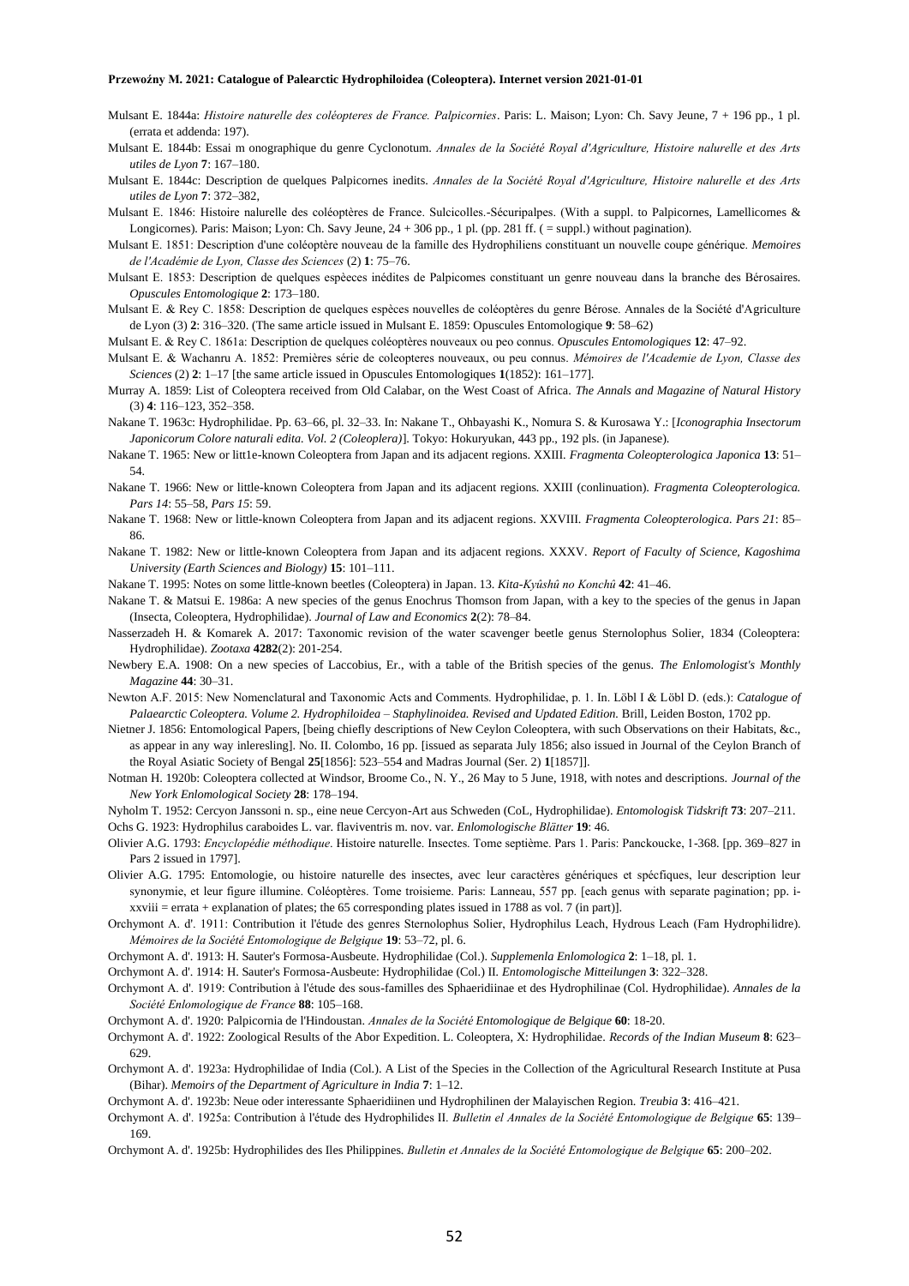- Mulsant E. 1844a: *Histoire naturelle des coléopteres de France. Palpicornies*. Paris: L. Maison; Lyon: Ch. Savy Jeune, 7 + 196 pp., 1 pl. (errata et addenda: 197).
- Mulsant E. 1844b: Essai m onographique du genre Cyclonotum. *Annales de la Société Royal d'Agriculture, Histoire nalurelle et des Arts utiles de Lyon* **7**: 167–180.
- Mulsant E. 1844c: Description de quelques Palpicornes inedits. *Annales de la Société Royal d'Agriculture, Histoire nalurelle et des Arts utiles de Lyon* **7**: 372–382,
- Mulsant E. 1846: Histoire nalurelle des coléoptères de France. Sulcicolles.-Sécuripalpes. (With a suppl. to Palpicornes, Lamellicornes & Longicornes). Paris: Maison; Lyon: Ch. Savy Jeune, 24 + 306 pp., 1 pl. (pp. 281 ff. ( = suppl.) without pagination).
- Mulsant E. 1851: Description d'une coléoptère nouveau de la famille des Hydrophiliens constituant un nouvelle coupe générique. *Memoires de l'Académie de Lyon, Classe des Sciences* (2) **1**: 75–76.
- Mulsant E. 1853: Description de quelques espèeces inédites de Palpicomes constituant un genre nouveau dans la branche des Bérosaires. *Opuscules Entomologique* **2**: 173–180.
- Mulsant E. & Rey C. 1858: Description de quelques espèces nouvelles de coléoptères du genre Bérose. Annales de la Société d'Agriculture de Lyon (3) **2**: 316–320. (The same article issued in Mulsant E. 1859: Opuscules Entomologique **9**: 58–62)
- Mulsant E. & Rey C. 1861a: Description de quelques coléoptères nouveaux ou peo connus. *Opuscules Entomologiques* **12**: 47–92.
- Mulsant E. & Wachanru A. 1852: Premières série de coleopteres nouveaux, ou peu connus. *Mémoires de l'Academie de Lyon, Classe des Sciences* (2) **2**: 1–17 [the same article issued in Opuscules Entomologiques **1**(1852): 161–177].
- Murray A. 1859: List of Coleoptera received from Old Calabar, on the West Coast of Africa. *The Annals and Magazine of Natural History* (3) **4**: 116–123, 352–358.
- Nakane T. 1963c: Hydrophilidae. Pp. 63–66, pl. 32–33. In: Nakane T., Ohbayashi K., Nomura S. & Kurosawa Y.: [*Iconographia Insectorum Japonicorum Colore naturali edita. Vol. 2 (Coleoplera)*]. Tokyo: Hokuryukan, 443 pp., 192 pls. (in Japanese).
- Nakane T. 1965: New or litt1e-known Coleoptera from Japan and its adjacent regions. XXIII. *Fragmenta Coleopterologica Japonica* 13: 51– 54.
- Nakane T. 1966: New or little-known Coleoptera from Japan and its adjacent regions. XXIII (conlinuation). *Fragmenta Coleopterologica. Pars 14*: 55–58, *Pars 15*: 59.
- Nakane T. 1968: New or little-known Coleoptera from Japan and its adjacent regions. XXVIII. *Fragmenta Coleopterologica. Pars 21*: 85– 86.
- Nakane T. 1982: New or little-known Coleoptera from Japan and its adjacent regions. XXXV. *Report of Faculty of Science, Kagoshima University (Earth Sciences and Biology)* **15**: 101–111.
- Nakane T. 1995: Notes on some little-known beetles (Coleoptera) in Japan. 13. *Kita-Kyûshû no Konchû* **42**: 41–46.
- Nakane T. & Matsui E. 1986a: A new species of the genus Enochrus Thomson from Japan, with a key to the species of the genus in Japan (Insecta, Coleoptera, Hydrophilidae). *Journal of Law and Economics* **2**(2): 78–84.
- Nasserzadeh H. & Komarek A. 2017: Taxonomic revision of the water scavenger beetle genus Sternolophus Solier, 1834 (Coleoptera: Hydrophilidae). *Zootaxa* **4282**(2): 201-254.
- Newbery E.A. 1908: On a new species of Laccobius, Er., with a table of the British species of the genus. *The Enlomologist's Monthly Magazine* **44**: 30–31.
- Newton A.F. 2015: New Nomenclatural and Taxonomic Acts and Comments. Hydrophilidae, p. 1. In. Löbl I & Löbl D. (eds.): *Catalogue of Palaearctic Coleoptera. Volume 2. Hydrophiloidea – Staphylinoidea. Revised and Updated Edition.* Brill, Leiden Boston, 1702 pp.
- Nietner J. 1856: Entomological Papers, [being chiefly descriptions of New Ceylon Coleoptera, with such Observations on their Habitats, &c., as appear in any way inleresling]. No. II. Colombo, 16 pp. [issued as separata July 1856; also issued in Journal of the Ceylon Branch of the Royal Asiatic Society of Bengal **25**[1856]: 523–554 and Madras Journal (Ser. 2) **1**[1857]].
- Notman H. 1920b: Coleoptera collected at Windsor, Broome Co., N. Y., 26 May to 5 June, 1918, with notes and descriptions. *Journal of the New York Enlomological Society* **28**: 178–194.
- Nyholm T. 1952: Cercyon Janssoni n. sp., eine neue Cercyon-Art aus Schweden (CoL, Hydrophilidae). *Entomologisk Tidskrift* **73**: 207–211. Ochs G. 1923: Hydrophilus caraboides L. var. flaviventris m. nov. var. *Enlomologische Blätter* **19**: 46.
- Olivier A.G. 1793: *Encyclopédie méthodique*. Histoire naturelle. Insectes. Tome septième. Pars 1. Paris: Panckoucke, 1-368. [pp. 369–827 in Pars 2 issued in 1797].
- Olivier A.G. 1795: Entomologie, ou histoire naturelle des insectes, avec leur caractères génériques et spécfiques, leur description leur synonymie, et leur figure illumine. Coléoptères. Tome troisieme. Paris: Lanneau, 557 pp. [each genus with separate pagination; pp. ixxviii = errata + explanation of plates; the 65 corresponding plates issued in 1788 as vol. 7 (in part)].
- Orchymont A. d'. 1911: Contribution it l'étude des genres Sternolophus Solier, Hydrophilus Leach, Hydrous Leach (Fam Hydrophilidre). *Mémoires de la Société Entomologique de Belgique* **19**: 53–72, pl. 6.
- Orchymont A. d'. 1913: H. Sauter's Formosa-Ausbeute. Hydrophilidae (Col.). *Supplemenla Enlomologica* **2**: 1–18, pl. 1.
- Orchymont A. d'. 1914: H. Sauter's Formosa-Ausbeute: Hydrophilidae (Col.) II*. Entomologische Mitteilungen* **3**: 322–328.
- Orchymont A. d'. 1919: Contribution à l'étude des sous-familles des Sphaeridiinae et des Hydrophilinae (Col. Hydrophilidae). *Annales de la Société Enlomologique de France* **88**: 105–168.
- Orchymont A. d'. 1920: Palpicornia de l'Hindoustan. *Annales de la Société Entomologique de Belgique* **60**: 18-20.
- Orchymont A. d'. 1922: Zoological Results of the Abor Expedition. L. Coleoptera, X: Hydrophilidae. *Records of the Indian Museum* **8**: 623– 629.
- Orchymont A. d'. 1923a: Hydrophilidae of India (Col.). A List of the Species in the Collection of the Agricultural Research Institute at Pusa (Bihar). *Memoirs of the Department of Agriculture in India* **7**: 1–12.
- Orchymont A. d'. 1923b: Neue oder interessante Sphaeridiinen und Hydrophilinen der Malayischen Region. *Treubia* **3**: 416–421.
- Orchymont A. d'. 1925a: Contribution à l'étude des Hydrophilides II. *Bulletin el Annales de la Société Entomologique de Belgique* **65**: 139– 169.
- Orchymont A. d'. 1925b: Hydrophilides des Iles Philippines. *Bulletin et Annales de la Société Entomologique de Belgique* **65**: 200–202.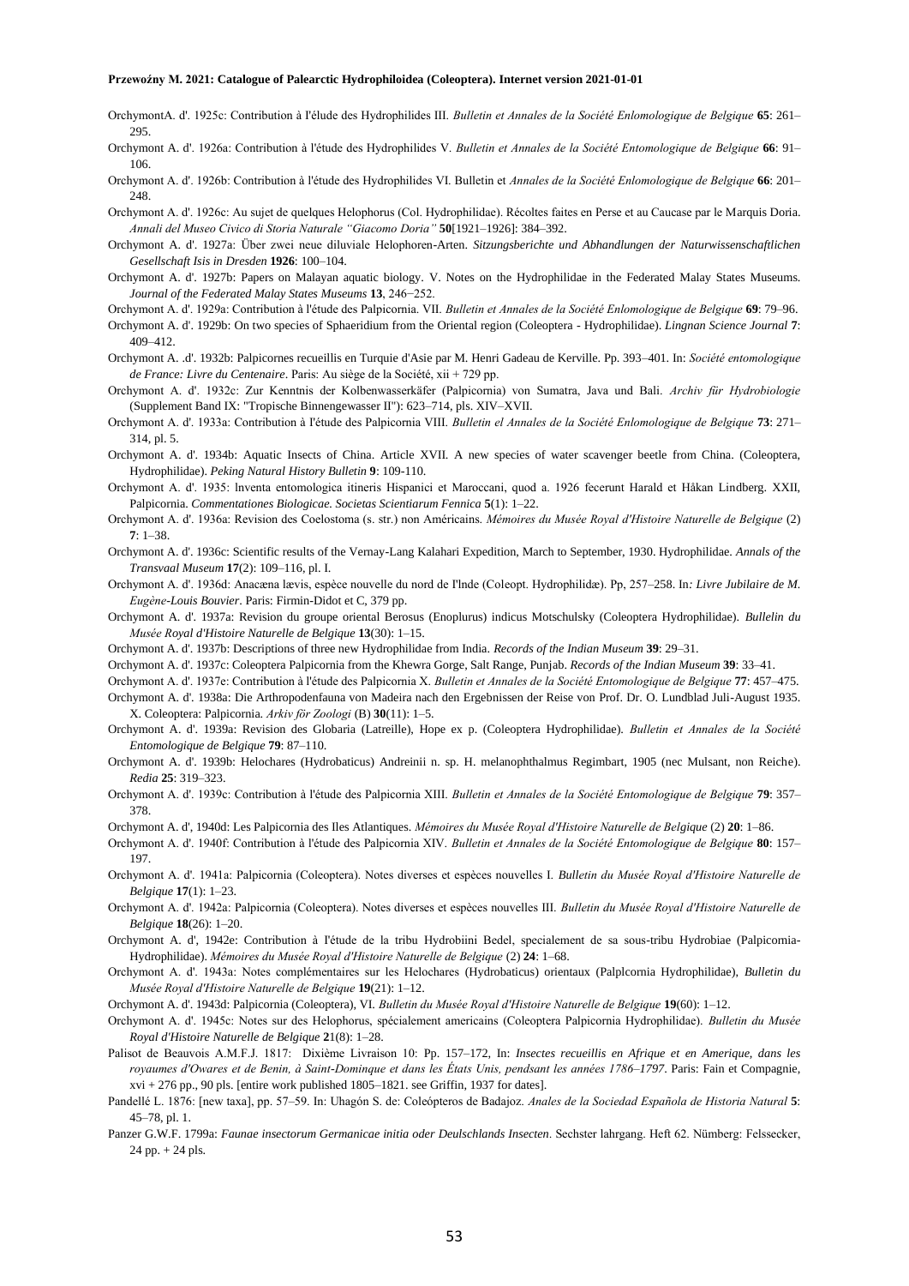- OrchymontA. d'. 1925c: Contribution à I'élude des Hydrophilides III. *Bulletin et Annales de la Société Enlomologique de Belgique* **65**: 261– 295.
- Orchymont A. d'. 1926a: Contribution à l'étude des Hydrophilides V. *Bulletin et Annales de la Société Entomologique de Belgique* **66**: 91– 106.
- Orchymont A. d'. 1926b: Contribution à l'étude des Hydrophilides VI. Bulletin et *Annales de la Société Enlomologique de Belgique* **66**: 201– 248.
- Orchymont A. d'. 1926c: Au sujet de quelques Helophorus (Col. Hydrophilidae). Récoltes faites en Perse et au Caucase par le Marquis Doria. *Annali del Museo Civico di Storia Naturale "Giacomo Doria"* **50**[1921–1926]: 384–392.
- Orchymont A. d'. 1927a: Über zwei neue diluviale Helophoren-Arten. *Sitzungsberichte und Abhandlungen der Naturwissenschaftlichen Gesellschaft Isis in Dresden* **1926**: 100–104.
- Orchymont A. d'. 1927b: Papers on Malayan aquatic biology. V. Notes on the Hydrophilidae in the Federated Malay States Museums. *Journal of the Federated Malay States Museums* **13**, 246−252.
- Orchymont A. d'. 1929a: Contribution à l'étude des Palpicornia. VII. *Bulletin et Annales de la Société Enlomologique de Belgique* **69**: 79–96.
- Orchymont A. d'. 1929b: On two species of Sphaeridium from the Oriental region (Coleoptera Hydrophilidae). *Lingnan Science Journal* **7**: 409–412.
- Orchymont A. .d'. 1932b: Palpicornes recueillis en Turquie d'Asie par M. Henri Gadeau de Kerville. Pp. 393–401. In: *Société entomologique de France: Livre du Centenaire*. Paris: Au siège de la Société, xii + 729 pp.
- Orchymont A. d'. 1932c: Zur Kenntnis der Kolbenwasserkäfer (Palpicornia) von Sumatra, Java und Bali. *Archiv für Hydrobiologie* (Supplement Band IX: "Tropische Binnengewasser II"): 623–714, pls. XIV–XVII.
- Orchymont A. d'. 1933a: Contribution à I'étude des Palpicornia VIII. *Bulletin el Annales de la Société Enlomologique de Belgique* **73**: 271– 314, pl. 5.
- Orchymont A. d'. 1934b: Aquatic Insects of China. Article XVII. A new species of water scavenger beetle from China. (Coleoptera, Hydrophilidae). *Peking Natural History Bulletin* **9**: 109-110.
- Orchymont A. d'. 1935: lnventa entomologica itineris Hispanici et Maroccani, quod a. 1926 fecerunt Harald et Håkan Lindberg. XXII, Palpicornia. *Commentationes Biologicae. Societas Scientiarum Fennica* **5**(1): 1–22.
- Orchymont A. d'. 1936a: Revision des Coelostoma (s. str.) non Américains. *Mémoires du Musée Royal d'Histoire Naturelle de Belgique* (2) **7**: 1–38.
- Orchymont A. d'. 1936c: Scientific results of the Vernay-Lang Kalahari Expedition, March to September, 1930. Hydrophilidae. *Annals of the Transvaal Museum* **17**(2): 109–116, pl. I.
- Orchymont A. d'. 1936d: Anacæna lævis, espèce nouvelle du nord de I'lnde (Coleopt. Hydrophilidæ). Pp, 257–258. In*: Livre Jubilaire de M. Eugène-Louis Bouvier*. Paris: Firmin-Didot et C, 379 pp.
- Orchymont A. d'. 1937a: Revision du groupe oriental Berosus (Enoplurus) indicus Motschulsky (Coleoptera Hydrophilidae). *Bullelin du Musée Royal d'Histoire Naturelle de Belgique* **13**(30): 1–15.
- Orchymont A. d'. 1937b: Descriptions of three new Hydrophilidae from India. *Records of the Indian Museum* **39**: 29–31.
- Orchymont A. d'. 1937c: Coleoptera Palpicornia from the Khewra Gorge, Salt Range, Punjab. *Records of the Indian Museum* **39**: 33–41.
- Orchymont A. d'. 1937e: Contribution à l'étude des Palpicornia X. *Bulletin et Annales de la Société Entomologique de Belgique* **77**: 457–475.
- Orchymont A. d'. 1938a: Die Arthropodenfauna von Madeira nach den Ergebnissen der Reise von Prof. Dr. O. Lundblad Juli-August 1935. X. Coleoptera: Palpicornia. *Arkiv för Zoologi* (B) **30**(11): 1–5.
- Orchymont A. d'. 1939a: Revision des Globaria (Latreille), Hope ex p. (Coleoptera Hydrophilidae). *Bulletin et Annales de la Société Entomologique de Belgique* **79**: 87–110.
- Orchymont A. d'. 1939b: Helochares (Hydrobaticus) Andreinii n. sp. H. melanophthalmus Regimbart, 1905 (nec Mulsant, non Reiche). *Redia* **25**: 319–323.
- Orchymont A. d'. 1939c: Contribution à l'étude des Palpicornia XIII. *Bulletin et Annales de la Société Entomologique de Belgique* **79**: 357– 378.
- Orchymont A. d', 1940d: Les Palpicornia des Iles Atlantiques. *Mémoires du Musée Royal d'Histoire Naturelle de Belgique* (2) **20**: 1–86.
- Orchymont A. d'. 1940f: Contribution à l'étude des Palpicornia XIV. *Bulletin et Annales de la Société Entomologique de Belgique* **80**: 157– 197.
- Orchymont A. d'. 1941a: Palpicornia (Coleoptera). Notes diverses et espèces nouvelles I. *Bulletin du Musée Royal d'Histoire Naturelle de Belgique* **17**(1): 1–23.
- Orchymont A. d'. 1942a: Palpicornia (Coleoptera). Notes diverses et espèces nouvelles III. *Bulletin du Musée Royal d'Histoire Naturelle de Belgique* **18**(26): 1–20.
- Orchymont A. d', 1942e: Contribution à I'étude de la tribu Hydrobiini Bedel, specialement de sa sous-tribu Hydrobiae (Palpicornia-Hydrophilidae). *Mémoires du Musée Royal d'Histoire Naturelle de Belgique* (2) **24**: 1–68.
- Orchymont A. d'. 1943a: Notes complémentaires sur les Helochares (Hydrobaticus) orientaux (Palplcornia Hydrophilidae), *Bulletin du Musée Royal d'Histoire Naturelle de Belgique* **19**(21): 1–12.
- Orchymont A. d'. 1943d: Palpicornia (Coleoptera), VI. *Bulletin du Musée Royal d'Histoire Naturelle de Belgique* **19**(60): 1–12.
- Orchymont A. d'. 1945c: Notes sur des Helophorus, spécialement americains (Coleoptera Palpicornia Hydrophilidae). *Bulletin du Musée Royal d'Histoire Naturelle de Belgique* **2**1(8): 1–28.
- Palisot de Beauvois A.M.F.J. 1817: Dixième Livraison 10: Pp. 157–172, In: *Insectes recueillis en Afrique et en Amerique, dans les royaumes d'Owares et de Benin, à Saint-Dominque et dans les États Unis, pendsant les années 1786–1797*. Paris: Fain et Compagnie,  $xvi + 276$  pp., 90 pls. [entire work published  $1805-1821$ , see Griffin, 1937 for dates].
- Pandellé L. 1876: [new taxa], pp. 57–59. In: Uhagón S. de: Coleópteros de Badajoz. *Anales de la Sociedad Española de Historia Natural* **5**: 45–78, pl. 1.
- Panzer G.W.F. 1799a: *Faunae insectorum Germanicae initia oder Deulschlands Insecten*. Sechster lahrgang. Heft 62. Nümberg: Felssecker, 24 pp. + 24 pls.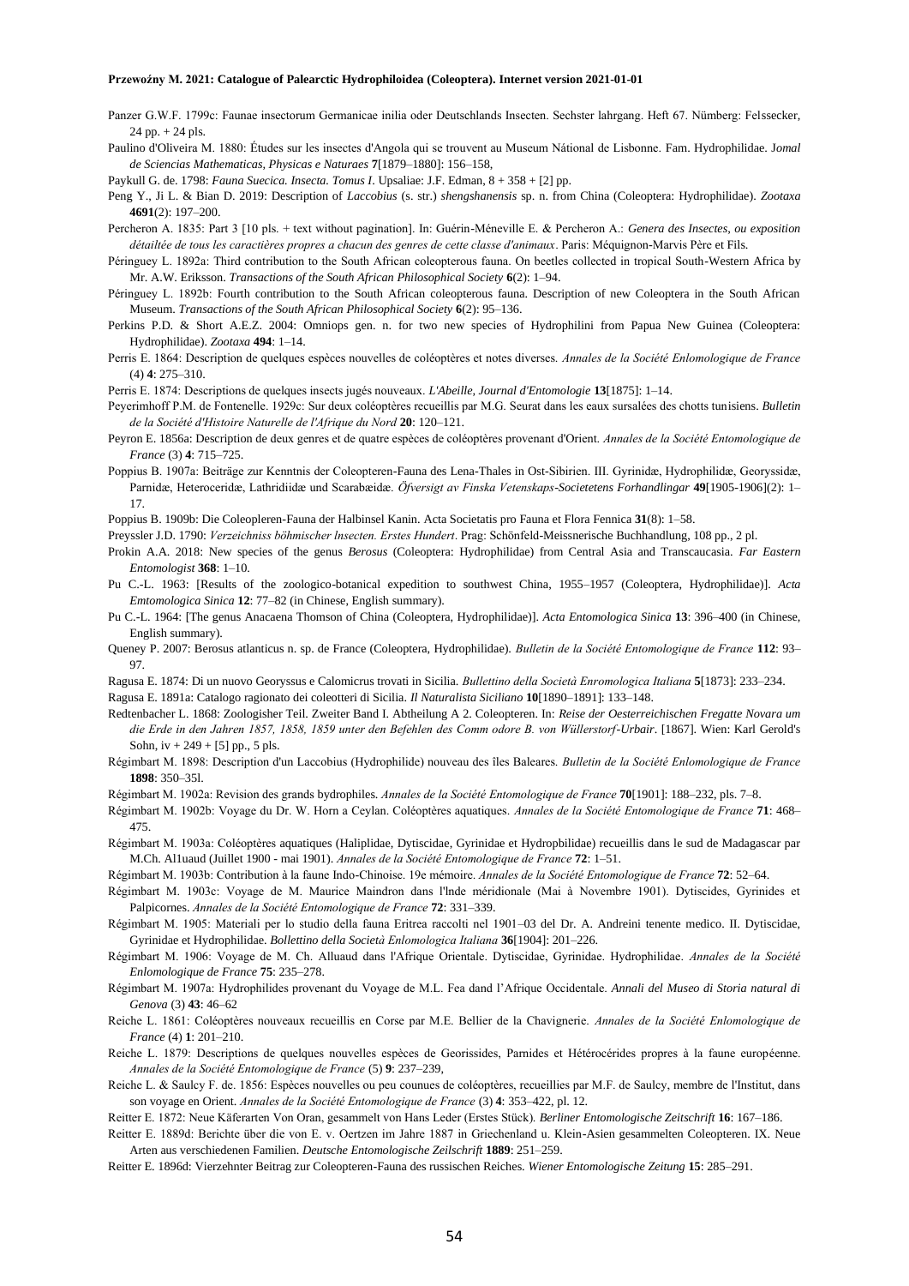Panzer G.W.F. 1799c: Faunae insectorum Germanicae inilia oder Deutschlands Insecten. Sechster lahrgang. Heft 67. Nümberg: Felssecker,  $24$  pp.  $+ 24$  pls.

Paulino d'Oliveira M. 1880: Études sur les insectes d'Angola qui se trouvent au Museum Nátional de Lisbonne. Fam. Hydrophilidae. J*omal de Sciencias Mathematicas, Physicas e Naturaes* **7**[1879–1880]: 156–158,

Paykull G. de. 1798: *Fauna Suecica. Insecta. Tomus I*. Upsaliae: J.F. Edman, 8 + 358 + [2] pp.

- Peng Y., Ji L. & Bian D. 2019: Description of *Laccobius* (s. str.) *shengshanensis* sp. n. from China (Coleoptera: Hydrophilidae). *Zootaxa* **4691**(2): 197–200.
- Percheron A. 1835: Part 3 [10 pls. + text without pagination]. In: Guérin-Méneville E. & Percheron A.: *Genera des Insectes, ou exposition détailtée de tous les caractières propres a chacun des genres de cette classe d'animaux*. Paris: Méquignon-Marvis Père et Fils.
- Péringuey L. 1892a: Third contribution to the South African coleopterous fauna. On beetles collected in tropical South-Western Africa by Mr. A.W. Eriksson. *Transactions of the South African Philosophical Society* **6**(2): 1–94.
- Péringuey L. 1892b: Fourth contribution to the South African coleopterous fauna. Description of new Coleoptera in the South African Museum. *Transactions of the South African Philosophical Society* **6**(2): 95–136.
- Perkins P.D. & Short A.E.Z. 2004: Omniops gen. n. for two new species of Hydrophilini from Papua New Guinea (Coleoptera: Hydrophilidae). *Zootaxa* **494**: 1–14.
- Perris E. 1864: Description de quelques espèces nouvelles de coléoptères et notes diverses. *Annales de la Société Enlomologique de France* (4) **4**: 275–310.
- Perris E. 1874: Descriptions de quelques insects jugés nouveaux. *L'Abeille, Journal d'Entomologie* **13**[1875]: 1–14.
- Peyerimhoff P.M. de Fontenelle. 1929c: Sur deux coléoptères recueillis par M.G. Seurat dans les eaux sursalées des chotts tunisiens. *Bulletin de la Société d'Histoire Naturelle de l'Afrique du Nord* **20**: 120–121.
- Peyron E. 1856a: Description de deux genres et de quatre espèces de coléoptères provenant d'Orient. *Annales de la Société Entomologique de France* (3) **4**: 715–725.
- Poppius B. 1907a: Beiträge zur Kenntnis der Coleopteren-Fauna des Lena-Thales in Ost-Sibirien. III. Gyrinidæ, Hydrophilidæ, Georyssidæ, Parnidæ, Heteroceridæ, Lathridiidæ und Scarabæidæ. *Öfversigt av Finska Vetenskaps-Societetens Forhandlingar* **49**[1905-1906](2): 1– 17.
- Poppius B. 1909b: Die Coleopleren-Fauna der Halbinsel Kanin. Acta Societatis pro Fauna et Flora Fennica **31**(8): 1–58.

Preyssler J.D. 1790: *Verzeichniss böhmischer lnsecten. Erstes Hundert*. Prag: Schönfeld-Meissnerische Buchhandlung, 108 pp., 2 pl.

- Prokin A.A. 2018: New species of the genus *Berosus* (Coleoptera: Hydrophilidae) from Central Asia and Transcaucasia. *Far Eastern Entomologist* **368**: 1–10.
- Pu C.-L. 1963: [Results of the zoologico-botanical expedition to southwest China, 1955–1957 (Coleoptera, Hydrophilidae)]. *Acta Emtomologica Sinica* **12**: 77–82 (in Chinese, English summary).
- Pu C.-L. 1964: [The genus Anacaena Thomson of China (Coleoptera, Hydrophilidae)]. *Acta Entomologica Sinica* **13**: 396–400 (in Chinese, English summary).
- Queney P. 2007: Berosus atlanticus n. sp. de France (Coleoptera, Hydrophilidae). *Bulletin de la Société Entomologique de France* **112**: 93– 97.
- Ragusa E. 1874: Di un nuovo Georyssus e Calomicrus trovati in Sicilia. *Bullettino della Società Enromologica Italiana* **5**[1873]: 233–234.

Ragusa E. 1891a: Catalogo ragionato dei coleotteri di Sicilia. *Il Naturalista Siciliano* **10**[1890–1891]: 133–148.

- Redtenbacher L. 1868: Zoologisher Teil. Zweiter Band I. Abtheilung A 2. Coleopteren. In: *Reise der Oesterreichischen Fregatte Novara um die Erde in den Jahren 1857, 1858, 1859 unter den Befehlen des Comm odore B. von Wüllerstorf-Urbair*. [1867]. Wien: Karl Gerold's Sohn,  $iv + 249 + [5]$  pp., 5 pls.
- Régimbart M. 1898: Description d'un Laccobius (Hydrophilide) nouveau des îles Baleares. *Bulletin de la Société Enlomologique de France* **1898**: 350–35l.
- Régimbart M. 1902a: Revision des grands bydrophiles. *Annales de la Société Entomologique de France* **70**[1901]: 188–232, pls. 7–8.
- Régimbart M. 1902b: Voyage du Dr. W. Horn a Ceylan. Coléoptères aquatiques. *Annales de la Société Entomologique de France* **71**: 468– 475.
- Régimbart M. 1903a: Coléoptères aquatiques (Haliplidae, Dytiscidae, Gyrinidae et Hydropbilidae) recueillis dans le sud de Madagascar par M.Ch. Al1uaud (Juillet 1900 - mai 1901). *Annales de la Société Entomologique de France* **72**: 1–51.
- Régimbart M. 1903b: Contribution à la faune Indo-Chinoise. 19e mémoire. *Annales de la Société Entomologique de France* **72**: 52–64.
- Régimbart M. 1903c: Voyage de M. Maurice Maindron dans l'lnde méridionale (Mai à Novembre 1901). Dytiscides, Gyrinides et Palpicornes. *Annales de la Société Entomologique de France* **72**: 331–339.
- Régimbart M. 1905: Materiali per lo studio della fauna Eritrea raccolti nel 1901–03 del Dr. A. Andreini tenente medico. II. Dytiscidae, Gyrinidae et Hydrophilidae. *Bollettino della Società Enlomologica Italiana* **36**[1904]: 201–226.
- Régimbart M. 1906: Voyage de M. Ch. Alluaud dans l'Afrique Orientale. Dytiscidae, Gyrinidae. Hydrophilidae. *Annales de la Société Enlomologique de France* **75**: 235–278.
- Régimbart M. 1907a: Hydrophilides provenant du Voyage de M.L. Fea dand l'Afrique Occidentale. *Annali del Museo di Storia natural di Genova* (3) **43**: 46–62
- Reiche L. 1861: Coléoptères nouveaux recueillis en Corse par M.E. Bellier de la Chavignerie. *Annales de la Société Enlomologique de France* (4) **1**: 201–210.
- Reiche L. 1879: Descriptions de quelques nouvelles espèces de Georissides, Parnides et Hétérocérides propres à la faune européenne. *Annales de la Société Entomologique de France* (5) **9**: 237–239,
- Reiche L. & Saulcy F. de. 1856: Espèces nouvelles ou peu counues de coléoptères, recueillies par M.F. de Saulcy, membre de l'Institut, dans son voyage en Orient. *Annales de la Société Entomologique de France* (3) **4**: 353–422, pl. 12.
- Reitter E. 1872: Neue Käferarten Von Oran, gesammelt von Hans Leder (Erstes Stück). *Berliner Entomologische Zeitschrift* **16**: 167–186.
- Reitter E. 1889d: Berichte über die von E. v. Oertzen im Jahre 1887 in Griechenland u. Klein-Asien gesammelten Coleopteren. IX. Neue Arten aus verschiedenen Familien. *Deutsche Entomologische Zeilschrift* **1889**: 251–259.
- Reitter E. 1896d: Vierzehnter Beitrag zur Coleopteren-Fauna des russischen Reiches. *Wiener Entomologische Zeitung* **15**: 285–291.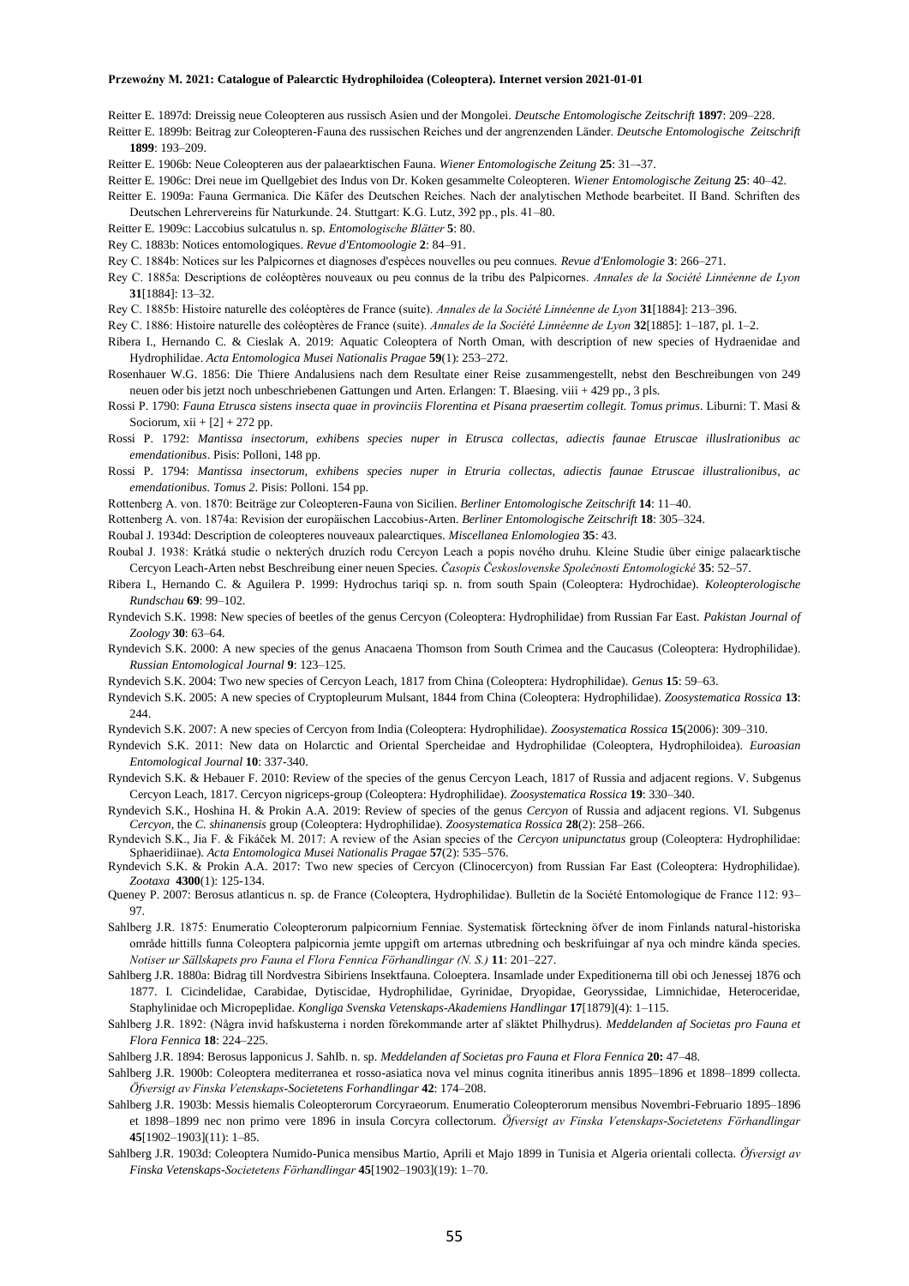Reitter E. 1897d: Dreissig neue Coleopteren aus russisch Asien und der Mongolei. *Deutsche Entomologische Zeitschrift* **1897**: 209–228.

- Reitter E. 1899b: Beitrag zur Coleopteren-Fauna des russischen Reiches und der angrenzenden Länder. *Deutsche Entomologische Zeitschrift*  **1899**: 193–209.
- Reitter E. 1906b: Neue Coleopteren aus der palaearktischen Fauna. *Wiener Entomologische Zeitung* **25**: 31–-37.
- Reitter E. 1906c: Drei neue im Quellgebiet des Indus von Dr. Koken gesammelte Coleopteren. *Wiener Entomologische Zeitung* **25**: 40–42.
- Reitter E. 1909a: Fauna Germanica. Die Käfer des Deutschen Reiches. Nach der analytischen Methode bearbeitet. II Band. Schriften des Deutschen Lehrervereins für Naturkunde. 24. Stuttgart: K.G. Lutz, 392 pp., pls. 41–80.
- Reitter E. 1909c: Laccobius sulcatulus n. sp. *Entomologische Blätter* **5**: 80.
- Rey C. 1883b: Notices entomologiques. *Revue d'Entomoologie* **2**: 84–91.
- Rey C. 1884b: Notices sur les Palpicornes et diagnoses d'espèces nouvelles ou peu connues. *Revue d'Enlomologie* **3**: 266–271.
- Rey C. 1885a: Descriptions de coléoptères nouveaux ou peu connus de la tribu des Palpicornes. *Annales de la Société Linnéenne de Lyon* **31**[1884]: 13–32.
- Rey C. 1885b: Histoire naturelle des coléoptères de France (suite). *Annales de la Société Linnéenne de Lyon* **31**[1884]: 213–396.
- Rey C. 1886: Histoire naturelle des coléoptères de France (suite). *Annales de la Société Linnéenne de Lyon* **32**[1885]: 1–187, pl. 1–2.
- Ribera I., Hernando C. & Cieslak A. 2019: Aquatic Coleoptera of North Oman, with description of new species of Hydraenidae and Hydrophilidae. *Acta Entomologica Musei Nationalis Pragae* **59**(1): 253–272.
- Rosenhauer W.G. 1856: Die Thiere Andalusiens nach dem Resultate einer Reise zusammengestellt, nebst den Beschreibungen von 249 neuen oder bis jetzt noch unbeschriebenen Gattungen und Arten. Erlangen: T. Blaesing. viii + 429 pp., 3 pls.
- Rossi P. 1790: *Fauna Etrusca sistens insecta quae in provinciis Florentina et Pisana praesertim collegit. Tomus primus*. Liburni: T. Masi & Sociorum,  $xii + [2] + 272$  pp.
- Rossi P. 1792: *Mantissa insectorum, exhibens species nuper in Etrusca collectas, adiectis faunae Etruscae illuslrationibus ac emendationibus*. Pisis: Polloni, 148 pp.
- Rossi P. 1794: *Mantissa insectorum, exhibens species nuper in Etruria collectas, adiectis faunae Etruscae illustralionibus, ac emendationibus. Tomus 2*. Pisis: Polloni. 154 pp.
- Rottenberg A. von. 1870: Beiträge zur Coleopteren-Fauna von Sicilien. *Berliner Entomologische Zeitschrift* **14**: 11–40.
- Rottenberg A. von. 1874a: Revision der europäischen Laccobius-Arten. *Berliner Entomologische Zeitschrift* **18**: 305–324.
- Roubal J. 1934d: Description de coleopteres nouveaux palearctiques. *Miscellanea Enlomologiea* **35**: 43.
- Roubal J. 1938: Krátká studie o nekterých druzích rodu Cercyon Leach a popis nového druhu. Kleine Studie über einige palaearktische Cercyon Leach-Arten nebst Beschreibung einer neuen Species. *Časopis Československe Společnosti Entomologické* **35**: 52–57.
- Ribera I., Hernando C. & Aguilera P. 1999: Hydrochus tariqi sp. n. from south Spain (Coleoptera: Hydrochidae). *Koleopterologische Rundschau* **69**: 99–102.
- Ryndevich S.K. 1998: New species of beetles of the genus Cercyon (Coleoptera: Hydrophilidae) from Russian Far East. *Pakistan Journal of Zoology* **30**: 63–64.
- Ryndevich S.K. 2000: A new species of the genus Anacaena Thomson from South Crimea and the Caucasus (Coleoptera: Hydrophilidae). *Russian Entomological Journal* **9**: 123–125.
- Ryndevich S.K. 2004: Two new species of Cercyon Leach, 1817 from China (Coleoptera: Hydrophilidae). *Genus* **15**: 59–63.
- Ryndevich S.K. 2005: A new species of Cryptopleurum Mulsant, 1844 from China (Coleoptera: Hydrophilidae). *Zoosystematica Rossica* **13**: 244.
- Ryndevich S.K. 2007: A new species of Cercyon from India (Coleoptera: Hydrophilidae). *Zoosystematica Rossica* **15**(2006): 309–310.
- Ryndevich S.K. 2011: New data on Holarctic and Oriental Spercheidae and Hydrophilidae (Coleoptera, Hydrophiloidea). *Euroasian Entomological Journal* **10**: 337-340.
- Ryndevich S.K. & Hebauer F. 2010: Review of the species of the genus Cercyon Leach, 1817 of Russia and adjacent regions. V. Subgenus Cercyon Leach, 1817. Cercyon nigriceps-group (Coleoptera: Hydrophilidae). *Zoosystematica Rossica* **19**: 330–340.
- Ryndevich S.K., Hoshina H. & Prokin A.A. 2019: Review of species of the genus *Cercyon* of Russia and adjacent regions. VI. Subgenus *Cercyon*, the *C. shinanensis* group (Coleoptera: Hydrophilidae). *Zoosystematica Rossica* **28**(2): 258–266.
- Ryndevich S.K., Jia F. & Fikáček M. 2017: A review of the Asian species of the *Cercyon unipunctatus* group (Coleoptera: Hydrophilidae: Sphaeridiinae). *Acta Entomologica Musei Nationalis Pragae* **57**(2): 535–576.
- Ryndevich S.K. & Prokin A.A. 2017: Two new species of Cercyon (Clinocercyon) from Russian Far East (Coleoptera: Hydrophilidae). *Zootaxa* **4300**(1): 125-134.
- Queney P. 2007: Berosus atlanticus n. sp. de France (Coleoptera, Hydrophilidae). Bulletin de la Société Entomologique de France 112: 93– 97.
- Sahlberg J.R. 1875: Enumeratio Coleopterorum palpicornium Fenniae. Systematisk förteckning öfver de inom Finlands natural-historiska område hittills funna Coleoptera palpicornia jemte uppgift om arternas utbredning och beskrifuingar af nya och mindre kända species. *Notiser ur Sällskapets pro Fauna el Flora Fennica Förhandlingar (N. S.)* **11**: 201–227.
- Sahlberg J.R. 1880a: Bidrag till Nordvestra Sibiriens Insektfauna. Coloeptera. Insamlade under Expeditionerna till obi och Jenessej 1876 och 1877. I. Cicindelidae, Carabidae, Dytiscidae, Hydrophilidae, Gyrinidae, Dryopidae, Georyssidae, Limnichidae, Heteroceridae, Staphylinidae och Micropeplidae. *Kongliga Svenska Vetenskaps-Akademiens Handlingar* **17**[1879](4): 1–115.
- Sahlberg J.R. 1892: (Några invid hafskusterna i norden förekommande arter af släktet Philhydrus). *Meddelanden af Societas pro Fauna et Flora Fennica* **18**: 224–225.
- Sahlberg J.R. 1894: Berosus lapponicus J. SahIb. n. sp. *Meddelanden af Societas pro Fauna et Flora Fennica* **20:** 47–48.
- Sahlberg J.R. 1900b: Coleoptera mediterranea et rosso-asiatica nova vel minus cognita itineribus annis 1895–1896 et 1898–1899 collecta. *Öfversigt av Finska Vetenskaps-Societetens Forhandlingar* **42**: 174–208.
- Sahlberg J.R. 1903b: Messis hiemalis Coleopterorum Corcyraeorum. Enumeratio Coleopterorum mensibus Novembri-Februario 1895–1896 et 1898–1899 nec non primo vere 1896 in insula Corcyra collectorum. *Öfversigt av Finska Vetenskaps-Societetens Förhandlingar* **45**[1902–1903](11): 1–85.
- Sahlberg J.R. 1903d: Coleoptera Numido-Punica mensibus Martio, Aprili et Majo 1899 in Tunisia et Algeria orientali collecta. *Öfversigt av Finska Vetenskaps-Societetens Förhandlingar* **45**[1902–1903](19): 1–70.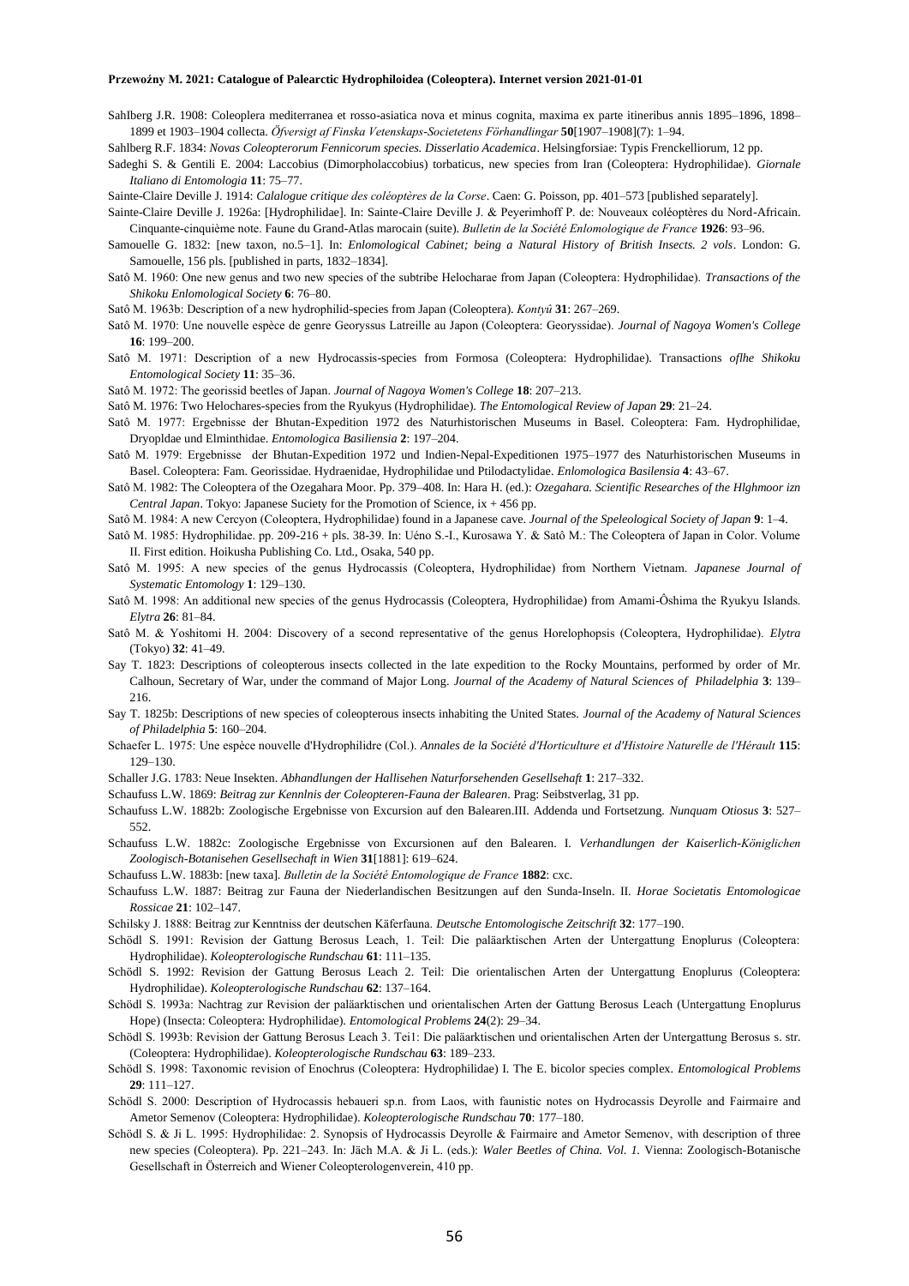- SahIberg J.R. 1908: Coleoplera mediterranea et rosso-asiatica nova et minus cognita, maxima ex parte itineribus annis 1895–1896, 1898– 1899 et 1903–1904 collecta. *Öfversigt af Finska Vetenskaps-Societetens Förhandlingar* **50**[1907–1908](7): 1–94.
- Sahlberg R.F. 1834: *Novas Coleopterorum Fennicorum species. Disserlatio Academica*. Helsingforsiae: Typis Frenckelliorum, 12 pp.
- Sadeghi S. & Gentili E. 2004: Laccobius (Dimorpholaccobius) torbaticus, new species from Iran (Coleoptera: Hydrophilidae). *Giornale Italiano di Entomologia* **11**: 75–77.

Sainte-Claire Deville J. 1914: *Calalogue critique des coléoptères de la Corse*. Caen: G. Poisson, pp. 401–573 [published separately].

- Sainte-Claire Deville J. 1926a: [Hydrophilidae]. In: Sainte-Claire Deville J. & Peyerimhoff P. de: Nouveaux coléoptères du Nord-Africain. Cinquante-cinquième note. Faune du Grand-Atlas marocain (suite). *Bulletin de la Société Enlomologique de France* **1926**: 93–96.
- Samouelle G. 1832: [new taxon, no.5–1]. In: *Enlomological Cabinet; being a Natural History of British Insects. 2 vols*. London: G. Samouelle, 156 pls. [published in parts, 1832–1834].
- Satô M. 1960: One new genus and two new species of the subtribe Helocharae from Japan (Coleoptera: Hydrophilidae). *Transactions of the Shikoku Enlomological Society* **6**: 76–80.
- Satô M. 1963b: Description of a new hydrophilid-species from Japan (Coleoptera). *Kontyû* **31**: 267–269.
- Satô M. 1970: Une nouvelle espèce de genre Georyssus Latreille au Japon (Coleoptera: Georyssidae). *Journal of Nagoya Women's College*  **16**: 199–200.
- Satô M. 1971: Description of a new Hydrocassis-species from Formosa (Coleoptera: Hydrophilidae). Transactions *oflhe Shikoku Entomological Society* **11**: 35–36.
- Satô M. 1972: The georissid beetles of Japan. *Journal of Nagoya Women's College* **18**: 207–213.
- Satô M. 1976: Two Helochares-species from the Ryukyus (Hydrophilidae). *The Entomological Review of Japan* **29**: 21–24.
- Satô M. 1977: Ergebnisse der Bhutan-Expedition 1972 des Naturhistorischen Museums in Basel. Coleoptera: Fam. Hydrophilidae, Dryopldae und Elminthidae. *Entomologica Basiliensia* **2**: 197–204.
- Satô M. 1979: Ergebnisse der Bhutan-Expedition 1972 und Indien-Nepal-Expeditionen 1975–1977 des Naturhistorischen Museums in Basel. Coleoptera: Fam. Georissidae. Hydraenidae, Hydrophilidae und Ptilodactylidae. *Enlomologica Basilensia* **4**: 43–67.
- Satô M. 1982: The Coleoptera of the Ozegahara Moor. Pp. 379–408. In: Hara H. (ed.): *Ozegahara. Scientific Researches of the Hlghmoor izn Central Japan*. Tokyo: Japanese Suciety for the Promotion of Science, ix + 456 pp.
- Satô M. 1984: A new Cercyon (Coleoptera, Hydrophilidae) found in a Japanese cave. *Journal of the Speleological Society of Japan* **9**: 1–4.
- Satô M. 1985: Hydrophilidae. pp. 209-216 + pls. 38-39. In: Uéno S.-I., Kurosawa Y. & Satô M.: The Coleoptera of Japan in Color. Volume II. First edition. Hoikusha Publishing Co. Ltd., Osaka, 540 pp.
- Satô M. 1995: A new species of the genus Hydrocassis (Coleoptera, Hydrophilidae) from Northern Vietnam. *Japanese Journal of Systematic Entomology* **1**: 129–130.
- Satô M. 1998: An additional new species of the genus Hydrocassis (Coleoptera, Hydrophilidae) from Amami-Ôshima the Ryukyu Islands. *Elytra* **26**: 81–84.
- Satô M. & Yoshitomi H. 2004: Discovery of a second representative of the genus Horelophopsis (Coleoptera, Hydrophilidae). *Elytra* (Tokyo) **32**: 41–49.
- Say T. 1823: Descriptions of coleopterous insects collected in the late expedition to the Rocky Mountains, performed by order of Mr. Calhoun, Secretary of War, under the command of Major Long. *Journal of the Academy of Natural Sciences of Philadelphia* **3**: 139– 216.
- Say T. 1825b: Descriptions of new species of coleopterous insects inhabiting the United States. *Journal of the Academy of Natural Sciences of Philadelphia* **5**: 160–204.
- Schaefer L. 1975: Une espèce nouvelle d'Hydrophilidre (Col.). *Annales de la Société d'Horticulture et d'Histoire Naturelle de l'Hérault* **115**: 129–130.
- Schaller J.G. 1783: Neue Insekten. *Abhandlungen der Hallisehen Naturforsehenden Gesellsehaft* **1**: 217–332.
- Schaufuss L.W. 1869: *Beitrag zur Kennlnis der Coleopteren-Fauna der Balearen*. Prag: Seibstverlag, 31 pp.
- Schaufuss L.W. 1882b: Zoologische Ergebnisse von Excursion auf den Balearen.III. Addenda und Fortsetzung. *Nunquam Otiosus* **3**: 527– 552.
- Schaufuss L.W. 1882c: Zoologische Ergebnisse von Excursionen auf den Balearen. I. *Verhandlungen der Kaiserlich-Königlichen Zoologisch-Botanisehen Gesellsechaft in Wien* **31**[1881]: 619–624.
- Schaufuss L.W. 1883b: [new taxa]. *Bulletin de la Société Entomologique de France* **1882**: cxc.
- Schaufuss L.W. 1887: Beitrag zur Fauna der Niederlandischen Besitzungen auf den Sunda-Inseln. II. *Horae Societatis Entomologicae Rossicae* **21**: 102–147.
- Schilsky J. 1888: Beitrag zur Kenntniss der deutschen Käferfauna. *Deutsche Entomologische Zeitschrift* **32**: 177–190.
- Schödl S. 1991: Revision der Gattung Berosus Leach, 1. Teil: Die paläarktischen Arten der Untergattung Enoplurus (Coleoptera: Hydrophilidae). *Koleopterologische Rundschau* **61**: 111–135.
- Schödl S. 1992: Revision der Gattung Berosus Leach 2. Teil: Die orientalischen Arten der Untergattung Enoplurus (Coleoptera: Hydrophilidae). *Koleopterologische Rundschau* **62**: 137–164.
- Schödl S. 1993a: Nachtrag zur Revision der paläarktischen und orientalischen Arten der Gattung Berosus Leach (Untergattung Enoplurus Hope) (Insecta: Coleoptera: Hydrophilidae). *Entomological Problems* **24**(2): 29–34.
- Schödl S. 1993b: Revision der Gattung Berosus Leach 3. Tei1: Die paläarktischen und orientalischen Arten der Untergattung Berosus s. str. (Coleoptera: Hydrophilidae). *Koleopterologische Rundschau* **63**: 189–233.
- Schödl S. 1998: Taxonomic revision of Enochrus (Coleoptera: Hydrophilidae) I. The E. bicolor species complex. *Entomological Problems* **29**: 111–127.
- Schödl S. 2000: Description of Hydrocassis hebaueri sp.n. from Laos, with faunistic notes on Hydrocassis Deyrolle and Fairmaire and Ametor Semenov (Coleoptera: Hydrophilidae). *Koleopterologische Rundschau* **70**: 177–180.
- Schödl S. & Ji L. 1995: Hydrophilidae: 2. Synopsis of Hydrocassis Deyrolle & Fairmaire and Ametor Semenov, with description of three new species (Coleoptera). Pp. 221–243. In: Jäch M.A. & Ji L. (eds.): *Waler Beetles of China. Vol. 1.* Vienna: Zoologisch-Botanische Gesellschaft in Österreich and Wiener Coleopterologenverein, 410 pp.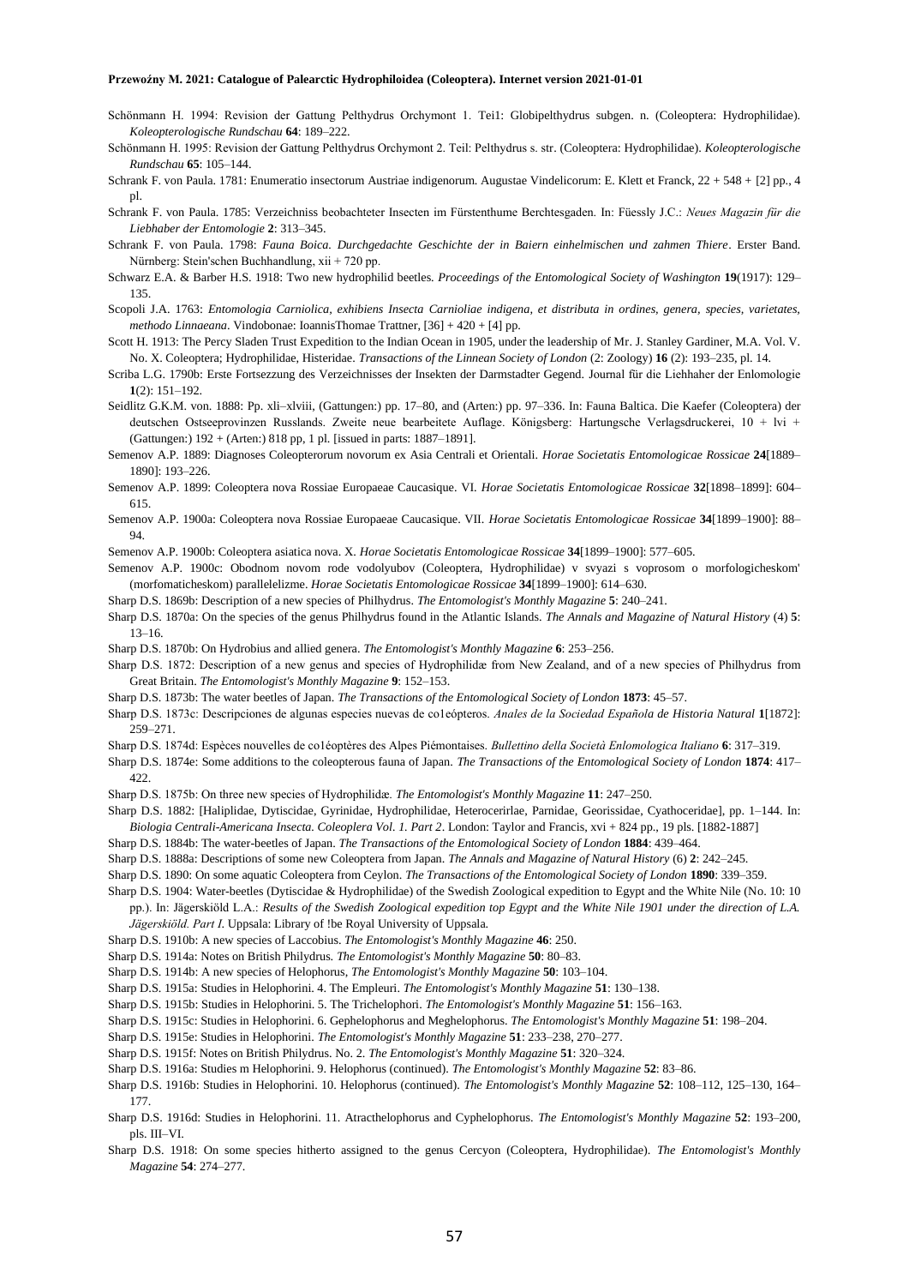- Schönmann H. 1994: Revision der Gattung Pelthydrus Orchymont 1. Tei1: Globipelthydrus subgen. n. (Coleoptera: Hydrophilidae). *Koleopterologische Rundschau* **64**: 189–222.
- Schönmann H. 1995: Revision der Gattung Pelthydrus Orchymont 2. Teil: Pelthydrus s. str. (Coleoptera: Hydrophilidae). *Koleopterologische Rundschau* **65**: 105–144.
- Schrank F. von Paula. 1781: Enumeratio insectorum Austriae indigenorum. Augustae Vindelicorum: E. Klett et Franck, 22 + 548 + [2] pp., 4 pl.
- Schrank F. von Paula. 1785: Verzeichniss beobachteter Insecten im Fürstenthume Berchtesgaden. In: Füessly J.C.: *Neues Magazin für die Liebhaber der Entomologie* **2**: 313–345.
- Schrank F. von Paula. 1798: *Fauna Boica. Durchgedachte Geschichte der in Baiern einhelmischen und zahmen Thiere*. Erster Band. Nürnberg: Stein'schen Buchhandlung, xii + 720 pp.
- Schwarz E.A. & Barber H.S. 1918: Two new hydrophilid beetles. *Proceedings of the Entomological Society of Washington* 19(1917): 129– 135.
- Scopoli J.A. 1763: *Entomologia Carniolica, exhibiens Insecta Carnioliae indigena, et distributa in ordines, genera, species, varietates, methodo Linnaeana*. Vindobonae: IoannisThomae Trattner, [36] + 420 + [4] pp.
- Scott H. 1913: The Percy Sladen Trust Expedition to the Indian Ocean in 1905, under the leadership of Mr. J. Stanley Gardiner, M.A. Vol. V. No. X. Coleoptera; Hydrophilidae, Histeridae. *Transactions of the Linnean Society of London* (2: Zoology) **16** (2): 193–235, pl. 14.
- Scriba L.G. 1790b: Erste Fortsezzung des Verzeichnisses der Insekten der Darmstadter Gegend. Journal für die Liehhaher der Enlomologie **1**(2): 151–192.
- Seidlitz G.K.M. von. 1888: Pp. xli–xlviii, (Gattungen:) pp. 17–80, and (Arten:) pp. 97–336. In: Fauna Baltica. Die Kaefer (Coleoptera) der deutschen Ostseeprovinzen Russlands. Zweite neue bearbeitete Auflage. Königsberg: Hartungsche Verlagsdruckerei, 10 + lvi + (Gattungen:) 192 + (Arten:) 818 pp, 1 pl. [issued in parts: 1887–1891].
- Semenov A.P. 1889: Diagnoses Coleopterorum novorum ex Asia Centrali et Orientali. *Horae Societatis Entomologicae Rossicae* **24**[1889– 1890]: 193–226.
- Semenov A.P. 1899: Coleoptera nova Rossiae Europaeae Caucasique. VI. *Horae Societatis Entomologicae Rossicae* **32**[1898–1899]: 604– 615.
- Semenov A.P. 1900a: Coleoptera nova Rossiae Europaeae Caucasique. VII. *Horae Societatis Entomologicae Rossicae* **34**[1899–1900]: 88– 94.

Semenov A.P. 1900b: Coleoptera asiatica nova. X. *Horae Societatis Entomologicae Rossicae* **34**[1899–1900]: 577–605.

- Semenov A.P. 1900c: Obodnom novom rode vodolyubov (Coleoptera, Hydrophilidae) v svyazi s voprosom o morfologicheskom' (morfomaticheskom) parallelelizme. *Horae Societatis Entomologicae Rossicae* **34**[1899–1900]: 614–630.
- Sharp D.S. 1869b: Description of a new species of Philhydrus. *The Entomologist's Monthly Magazine* **5**: 240–241.
- Sharp D.S. 1870a: On the species of the genus Philhydrus found in the Atlantic Islands. *The Annals and Magazine of Natural History* (4) **5**: 13–16.
- Sharp D.S. 1870b: On Hydrobius and allied genera. *The Entomologist's Monthly Magazine* **6**: 253–256.
- Sharp D.S. 1872: Description of a new genus and species of Hydrophilidæ from New Zealand, and of a new species of Philhydrus from Great Britain. *The Entomologist's Monthly Magazine* **9**: 152–153.
- Sharp D.S. 1873b: The water beetles of Japan. *The Transactions of the Entomological Society of London* **1873**: 45–57.
- Sharp D.S. 1873c: Descripciones de algunas especies nuevas de co1eópteros. *Anales de la Sociedad Española de Historia Natural* **1**[1872]: 259–271.
- Sharp D.S. 1874d: Espèces nouvelles de co1éoptères des Alpes Piémontaises. *Bullettino della Società Enlomologica Italiano* **6**: 317–319.
- Sharp D.S. 1874e: Some additions to the coleopterous fauna of Japan. *The Transactions of the Entomological Society of London* **1874**: 417– 422
- Sharp D.S. 1875b: On three new species of Hydrophilidæ. *The Entomologist's Monthly Magazine* **11**: 247–250.
- Sharp D.S. 1882: [Haliplidae, Dytiscidae, Gyrinidae, Hydrophilidae, Heterocerirlae, Parnidae, Georissidae, Cyathoceridae], pp. 1–144. In: *Biologia Centrali-Americana Insecta. Coleoplera Vol. 1. Part 2*. London: Taylor and Francis, xvi + 824 pp., 19 pls. [1882-1887]
- Sharp D.S. 1884b: The water-beetles of Japan. *The Transactions of the Entomological Society of London* **1884**: 439–464.
- Sharp D.S. 1888a: Descriptions of some new Coleoptera from Japan. *The Annals and Magazine of Natural History* (6) **2**: 242–245.
- Sharp D.S. 1890: On some aquatic Coleoptera from Ceylon. *The Transactions of the Entomological Society of London* **1890**: 339–359.
- Sharp D.S. 1904: Water-beetles (Dytiscidae & Hydrophilidae) of the Swedish Zoological expedition to Egypt and the White Nile (No. 10: 10 pp.). In: Jägerskiöld L.A.: *Results of the Swedish Zoological expedition top Egypt and the White Nile 1901 under the direction of L.A.* 
	- *Jägerskiöld. Part I*. Uppsala: Library of !be Royal University of Uppsala.
- Sharp D.S. 1910b: A new species of Laccobius. *The Entomologist's Monthly Magazine* **46**: 250.
- Sharp D.S. 1914a: Notes on British Philydrus. *The Entomologist's Monthly Magazine* **50**: 80–83.
- Sharp D.S. 1914b: A new species of Helophorus, *The Entomologist's Monthly Magazine* **50**: 103–104.
- Sharp D.S. 1915a: Studies in Helophorini. 4. The Empleuri. *The Entomologist's Monthly Magazine* **51**: 130–138.
- Sharp D.S. 1915b: Studies in Helophorini. 5. The Trichelophori. *The Entomologist's Monthly Magazine* **51**: 156–163.
- Sharp D.S. 1915c: Studies in Helophorini. 6. Gephelophorus and Meghelophorus. *The Entomologist's Monthly Magazine* **51**: 198–204.
- Sharp D.S. 1915e: Studies in Helophorini. *The Entomologist's Monthly Magazine* **51**: 233–238, 270–277.
- Sharp D.S. 1915f: Notes on British Philydrus. No. 2. *The Entomologist's Monthly Magazine* **51**: 320–324.
- Sharp D.S. 1916a: Studies m Helophorini. 9. Helophorus (continued). *The Entomologist's Monthly Magazine* **52**: 83–86.
- Sharp D.S. 1916b: Studies in Helophorini. 10. Helophorus (continued). *The Entomologist's Monthly Magazine* **52**: 108–112, 125–130, 164– 177.
- Sharp D.S. 1916d: Studies in Helophorini. 11. Atracthelophorus and Cyphelophorus. *The Entomologist's Monthly Magazine* **52**: 193–200, pls. III–VI.
- Sharp D.S. 1918: On some species hitherto assigned to the genus Cercyon (Coleoptera, Hydrophilidae). *The Entomologist's Monthly Magazine* **54**: 274–277.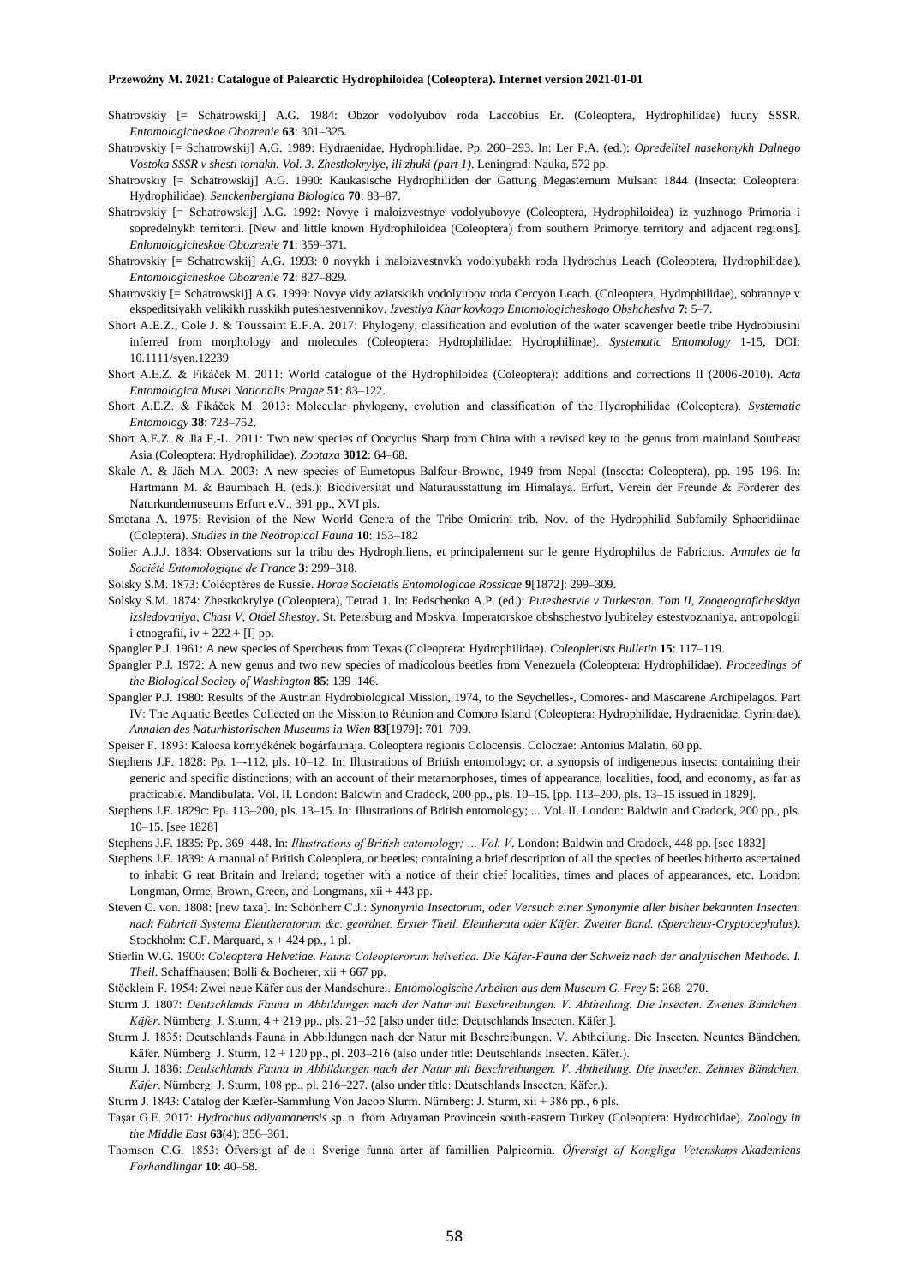- Shatrovskiy [= Schatrowskij] A.G. 1984: Obzor vodolyubov roda Laccobius Er. (Coleoptera, Hydrophilidae) fuuny SSSR. *Entomologicheskoe Obozrenie* **63**: 301–325.
- Shatrovskiy [= Schatrowskij] A.G. 1989: Hydraenidae, Hydrophilidae. Pp. 260–293. In: Ler P.A. (ed.): *Opredelitel nasekomykh Dalnego Vostoka SSSR v shesti tomakh. Vol. 3. Zhestkokrylye, ili zhuki (part 1)*. Leningrad: Nauka, 572 pp.
- Shatrovskiy [= Schatrowskij] A.G. 1990: Kaukasische Hydrophiliden der Gattung Megasternum Mulsant 1844 (Insecta: Coleoptera: Hydrophilidae). *Senckenbergiana Biologica* **70**: 83–87.
- Shatrovskiy [= Schatrowskij] A.G. 1992: Novye i maloizvestnye vodolyubovye (Coleoptera, Hydrophiloidea) iz yuzhnogo Primoria i sopredelnykh territorii. [New and little known Hydrophiloidea (Coleoptera) from southern Primorye territory and adjacent regions]. *Enlomologicheskoe Obozrenie* **71**: 359–371.
- Shatrovskiy [= Schatrowskij] A.G. 1993: 0 novykh i maloizvestnykh vodolyubakh roda Hydrochus Leach (Coleoptera, Hydrophilidae). *Entomologicheskoe Obozrenie* **72**: 827–829.
- Shatrovskiy [= Schatrowskij] A.G. 1999: Novye vidy aziatskikh vodolyubov roda Cercyon Leach. (Coleoptera, Hydrophilidae), sobrannye v ekspeditsiyakh velikikh russkikh puteshestvennikov. *Izvestiya Khar'kovkogo Entomologicheskogo Obshcheslva* **7**: 5–7.
- Short A.E.Z., Cole J. & Toussaint E.F.A. 2017: Phylogeny, classification and evolution of the water scavenger beetle tribe Hydrobiusini inferred from morphology and molecules (Coleoptera: Hydrophilidae: Hydrophilinae). *Systematic Entomology* 1-15, DOI: 10.1111/syen.12239
- Short A.E.Z. & Fikáček M. 2011: World catalogue of the Hydrophiloidea (Coleoptera): additions and corrections II (2006-2010). *Acta Entomologica Musei Nationalis Pragae* **51**: 83–122.
- Short A.E.Z. & Fikáček M. 2013: Molecular phylogeny, evolution and classification of the Hydrophilidae (Coleoptera). *Systematic Entomology* **38**: 723–752.
- Short A.E.Z. & Jia F.-L. 2011: Two new species of Oocyclus Sharp from China with a revised key to the genus from mainland Southeast Asia (Coleoptera: Hydrophilidae). *Zootaxa* **3012**: 64–68.
- Skale A. & Jäch M.A. 2003: A new species of Eumetopus Balfour-Browne, 1949 from Nepal (Insecta: Coleoptera), pp. 195–196. In: Hartmann M. & Baumbach H. (eds.): Biodiversität und Naturausstattung im Himalaya. Erfurt, Verein der Freunde & Förderer des Naturkundemuseums Erfurt e.V., 391 pp., XVI pls.
- Smetana A. 1975: Revision of the New World Genera of the Tribe Omicrini trib. Nov. of the Hydrophilid Subfamily Sphaeridiinae (Coleptera). *Studies in the Neotropical Fauna* **10**: 153–182
- Solier A.J.J. 1834: Observations sur la tribu des Hydrophiliens, et principalement sur le genre Hydrophilus de Fabricius. *Annales de la Société Entomologique de France* **3**: 299–318.
- Solsky S.M. 1873: Coléoptères de Russie. *Horae Societatis Entomologicae Rossicae* **9**[1872]: 299–309.
- Solsky S.M. 1874: Zhestkokrylye (Coleoptera), Tetrad 1. In: Fedschenko A.P. (ed.): *Puteshestvie v Turkestan. Tom II, Zoogeograficheskiya izsledovaniya, Chast V, Otdel Shestoy*. St. Petersburg and Moskva: Imperatorskoe obshschestvo lyubiteley estestvoznaniya, antropologii i etnografii,  $iv + 222 + [I]$  pp.
- Spangler P.J. 1961: A new species of Spercheus from Texas (Coleoptera: Hydrophilidae). *Coleoplerists Bulletin* **15**: 117–119.
- Spangler P.J. 1972: A new genus and two new species of madicolous beetles from Venezuela (Coleoptera: Hydrophilidae). *Proceedings of the Biological Society of Washington* **85**: 139–146.
- Spangler P.J. 1980: Results of the Austrian Hydrobiological Mission, 1974, to the Seychelles-, Comores- and Mascarene Archipelagos. Part IV: The Aquatic Beetles Collected on the Mission to Réunion and Comoro Island (Coleoptera: Hydrophilidae, Hydraenidae, Gyrinidae). *Annalen des Naturhistorischen Museums in Wien* **83**[1979]: 701–709.
- Speiser F. 1893: Kalocsa környékének bogárfaunaja. Coleoptera regionis Colocensis. Coloczae: Antonius Malatin, 60 pp.
- Stephens J.F. 1828: Pp. 1–-112, pls. 10–12. In: Illustrations of British entomology; or, a synopsis of indigeneous insects: containing their generic and specific distinctions; with an account of their metamorphoses, times of appearance, localities, food, and economy, as far as practicable. Mandibulata. Vol. II. London: Baldwin and Cradock, 200 pp., pls. 10–15. [pp. 113–200, pls. 13–15 issued in 1829].
- Stephens J.F. 1829c: Pp. 113–200, pls. 13–15. In: Illustrations of British entomology; ... Vol. II. London: Baldwin and Cradock, 200 pp., pls. 10–15. [see 1828]
- Stephens J.F. 1835: Pp. 369–448. In: *Illustrations of British entomology; … Vol. V*. London: Baldwin and Cradock, 448 pp. [see 1832]
- Stephens J.F. 1839: A manual of British Coleoplera, or beetles; containing a brief description of all the species of beetles hitherto ascertained to inhabit G reat Britain and Ireland; together with a notice of their chief localities, times and places of appearances, etc. London: Longman, Orme, Brown, Green, and Longmans, xii + 443 pp.
- Steven C. von. 1808: [new taxa]. In: Schönherr C.J.: *Synonymia Insectorum, oder Versuch einer Synonymie aller bisher bekannten Insecten. nach Fabricii Systema Eleutheratorum &c. geordnet. Erster Theil. Eleutherata oder Käfer. Zweiter Band. (Spercheus-Cryptocephalus)*. Stockholm: C.F. Marquard, x + 424 pp., 1 pl.
- Stierlin W.G. 1900: *Coleoptera Helvetiae. Fauna Coleopterorum helvetica. Die Käfer-Fauna der Schweiz nach der analytischen Methode. I. Theil*. Schaffhausen: Bolli & Bocherer, xii + 667 pp.
- Stöcklein F. 1954: Zwei neue Käfer aus der Mandschurei. *Entomologische Arbeiten aus dem Museum G. Frey* **5**: 268–270.
- Sturm J. 1807: *Deutschlands Fauna in Abbildungen nach der Natur mit Beschreibungen. V. Abtheilung. Die Insecten. Zweites Bändchen. Käfer*. Nürnberg: J. Sturm, 4 + 219 pp., pls. 21–52 [also under title: Deutschlands Insecten. Käfer.].
- Sturm J. 1835: Deutschlands Fauna in Abbildungen nach der Natur mit Beschreibungen. V. Abtheilung. Die Insecten. Neuntes Bändchen. Käfer. Nürnberg: J. Sturm, 12 + 120 pp., pl. 203–216 (also under title: Deutschlands Insecten. Käfer.).
- Sturm J. 1836: *Deulschlands Fauna in Abbildungen nach der Natur mit Beschreibungen. V. Abtheilung. Die Inseclen. Zehntes Bändchen. Käfer*. Nürnberg: J. Sturm, 108 pp., pl. 216–227. (also under title: Deutschlands Insecten, Käfer.).

Sturm J. 1843: Catalog der Kæfer-Sammlung Von Jacob Slurm. Nürnberg: J. Sturm, xii + 386 pp., 6 pls.

- Taşar G.E. 2017: *Hydrochus adiyamanensis* sp. n. from Adıyaman Provincein south-eastern Turkey (Coleoptera: Hydrochidae). *Zoology in the Middle East* **63**(4): 356–361.
- Thomson C.G. 1853: Öfversigt af de i Sverige funna arter af famillien Palpicornia. *Öfversigt af Kongliga Vetenskaps-Akademiens Förhandlingar* **10**: 40–58.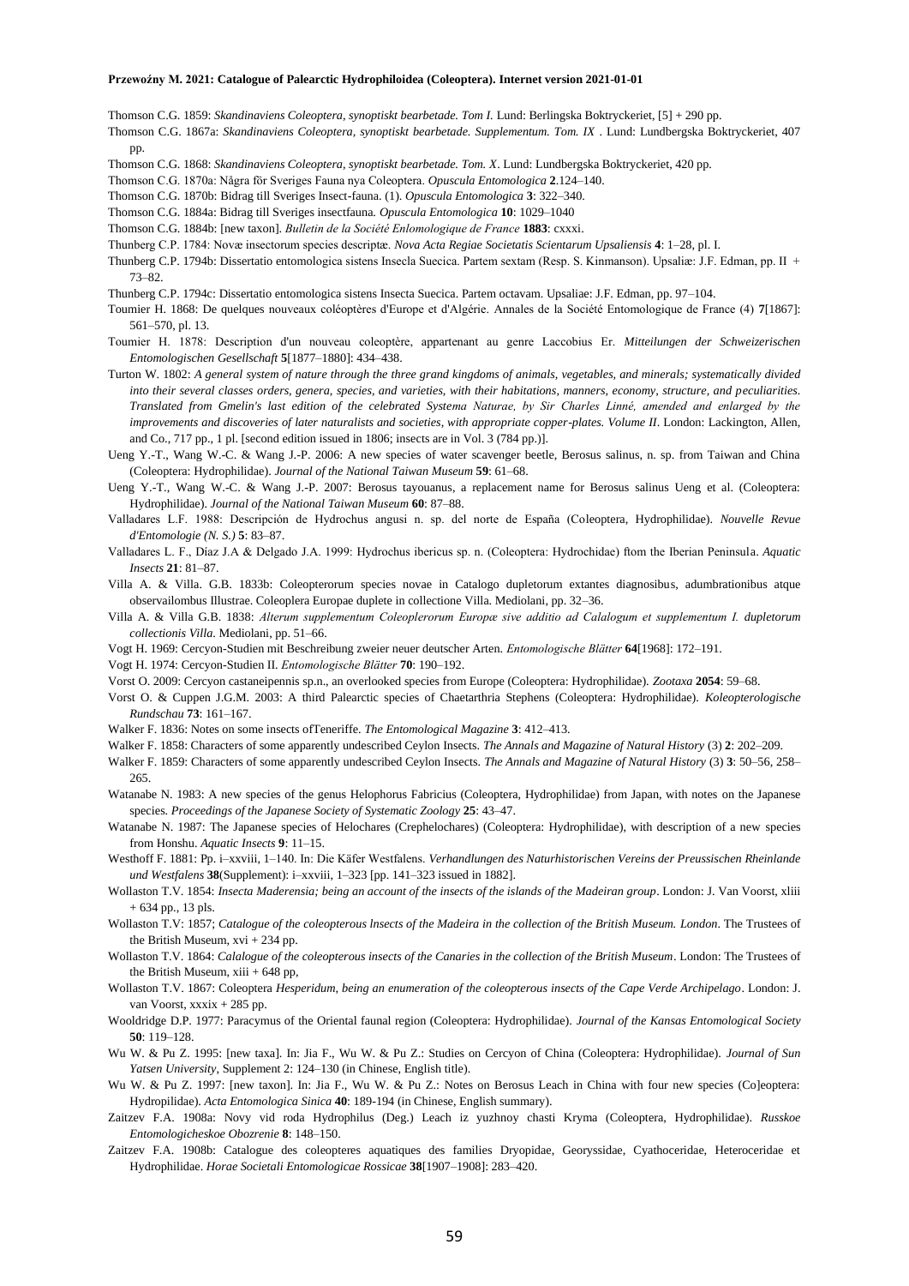Thomson C.G. 1859: *Skandinaviens Coleoptera, synoptiskt bearbetade. Tom I.* Lund: Berlingska Boktryckeriet, [5] + 290 pp.

Thomson C.G. 1867a: *Skandinaviens Coleoptera, synoptiskt bearbetade. Supplementum. Tom. IX* . Lund: Lundbergska Boktryckeriet, 407 pp.

Thomson C.G. 1868: *Skandinaviens Coleoptera, synoptiskt bearbetade. Tom. X*. Lund: Lundbergska Boktryckeriet, 420 pp.

Thomson C.G. 1870a: Några för Sveriges Fauna nya Coleoptera. *Opuscula Entomologica* **2**.124–140.

Thomson C.G. 1870b: Bidrag till Sveriges Insect-fauna. (1). *Opuscula Entomologica* **3**: 322–340.

- Thomson C.G. 1884a: Bidrag till Sveriges insectfauna. *Opuscula Entomologica* **10**: 1029–1040
- Thomson C.G. 1884b: [new taxon]. *Bulletin de la Société Enlomologique de France* **1883**: cxxxi.

Thunberg C.P. 1784: Novæ insectorum species descriptæ. *Nova Acta Regiae Societatis Scientarum Upsaliensis* **4**: 1–28, pl. I.

Thunberg C.P. 1794b: Dissertatio entomologica sistens Insecla Suecica. Partem sextam (Resp. S. Kinmanson). Upsaliæ: J.F. Edman, pp. II + 73–82.

Thunberg C.P. 1794c: Dissertatio entomologica sistens Insecta Suecica. Partem octavam. Upsaliae: J.F. Edman, pp. 97–104.

- Toumier H. 1868: De quelques nouveaux coléoptères d'Europe et d'Algérie. Annales de la Société Entomologique de France (4) **7**[1867]: 561–570, pl. 13.
- Toumier H. 1878: Description d'un nouveau coleoptère, appartenant au genre Laccobius Er. *Mitteilungen der Schweizerischen Entomologischen Gesellschaft* **5**[1877–1880]: 434–438.
- Turton W. 1802: *A general system of nature through the three grand kingdoms of animals, vegetables, and minerals; systematically divided into their several classes orders, genera, species, and varieties, with their habitations, manners, economy, structure, and peculiarities. Translated from Gmelin's last edition of the celebrated Systema Naturae, by Sir Charles Linné, amended and enlarged by the improvements and discoveries of later naturalists and societies, with appropriate copper-plates. Volume II*. London: Lackington, Allen, and Co., 717 pp., 1 pl. [second edition issued in 1806; insects are in Vol. 3 (784 pp.)].
- Ueng Y.-T., Wang W.-C. & Wang J.-P. 2006: A new species of water scavenger beetle, Berosus salinus, n. sp. from Taiwan and China (Coleoptera: Hydrophilidae). *Journal of the National Taiwan Museum* **59**: 61–68.
- Ueng Y.-T., Wang W.-C. & Wang J.-P. 2007: Berosus tayouanus, a replacement name for Berosus salinus Ueng et al. (Coleoptera: Hydrophilidae). *Journal of the National Taiwan Museum* **60**: 87–88.
- Valladares L.F. 1988: Descripción de Hydrochus angusi n. sp. del norte de España (Coleoptera, Hydrophilidae). *Nouvelle Revue d'Entomologie (N. S.)* **5**: 83–87.
- Valladares L. F., Díaz J.A & Delgado J.A. 1999: Hydrochus ibericus sp. n. (Coleoptera: Hydrochidae) ftom the Iberian Peninsula. *Aquatic Insects* **21**: 81–87.
- Villa A. & Villa. G.B. 1833b: Coleopterorum species novae in Catalogo dupletorum extantes diagnosibus, adumbrationibus atque observailombus Illustrae. Coleoplera Europae duplete in collectione Villa. Mediolani, pp. 32–36.
- Villa A. & Villa G.B. 1838: *Alterum supplementum Coleoplerorum Europæ sive additio ad Calalogum et supplementum I. dupletorum collectionis Villa*. Mediolani, pp. 51–66.
- Vogt H. 1969: Cercyon-Studien mit Beschreibung zweier neuer deutscher Arten. *Entomologische Blätter* **64**[1968]: 172–191.
- Vogt H. 1974: Cercyon-Studien II. *Entomologische Blätter* **70**: 190–192.
- Vorst O. 2009: Cercyon castaneipennis sp.n., an overlooked species from Europe (Coleoptera: Hydrophilidae). *Zootaxa* **2054**: 59–68.
- Vorst O. & Cuppen J.G.M. 2003: A third Palearctic species of Chaetarthria Stephens (Coleoptera: Hydrophilidae). *Koleopterologische Rundschau* **73**: 161–167.
- Walker F. 1836: Notes on some insects ofTeneriffe. *The Entomological Magazine* **3**: 412–413.
- Walker F. 1858: Characters of some apparently undescribed Ceylon Insects. *The Annals and Magazine of Natural History* (3) **2**: 202–209. Walker F. 1859: Characters of some apparently undescribed Ceylon Insects. *The Annals and Magazine of Natural History* (3) **3**: 50–56, 258–

265.

- Watanabe N. 1983: A new species of the genus Helophorus Fabricius (Coleoptera, Hydrophilidae) from Japan, with notes on the Japanese species. *Proceedings of the Japanese Society of Systematic Zoology* **25**: 43–47.
- Watanabe N. 1987: The Japanese species of Helochares (Crephelochares) (Coleoptera: Hydrophilidae), with description of a new species from Honshu. *Aquatic Insects* **9**: 11–15.
- Westhoff F. 1881: Pp. i–xxviii, 1–140. In: Die Käfer Westfalens. *Verhandlungen des Naturhistorischen Vereins der Preussischen Rheinlande und Westfalens* **38**(Supplement): i–xxviii, 1–323 [pp. 141–323 issued in 1882].
- Wollaston T.V. 1854: *Insecta Maderensia; being an account of the insects of the islands of the Madeiran group*. London: J. Van Voorst, xliii + 634 pp., 13 pls.
- Wollaston T.V: 1857; *Catalogue of the coleopterous lnsects of the Madeira in the collection of the British Museum. London*. The Trustees of the British Museum, xvi + 234 pp.
- Wollaston T.V. 1864: *Calalogue of the coleopterous insects of the Canaries in the collection of the British Museum*. London: The Trustees of the British Museum, xiii + 648 pp,
- Wollaston T.V. 1867: Coleoptera *Hesperidum, being an enumeration of the coleopterous insects of the Cape Verde Archipelago*. London: J. van Voorst, xxxix + 285 pp.
- Wooldridge D.P. 1977: Paracymus of the Oriental faunal region (Coleoptera: Hydrophilidae). *Journal of the Kansas Entomological Society* **50**: 119–128.
- Wu W. & Pu Z. 1995: [new taxa]. In: Jia F., Wu W. & Pu Z.: Studies on Cercyon of China (Coleoptera: Hydrophilidae). *Journal of Sun Yatsen University*, Supplement 2: 124–130 (in Chinese, English title).
- Wu W. & Pu Z. 1997: [new taxon]. In: Jia F., Wu W. & Pu Z.: Notes on Berosus Leach in China with four new species (Co]eoptera: Hydropilidae). *Acta Entomologica Sinica* **40**: 189-194 (in Chinese, English summary).
- Zaitzev F.A. 1908a: Novy vid roda Hydrophilus (Deg.) Leach iz yuzhnoy chasti Kryma (Coleoptera, Hydrophilidae). *Russkoe Entomologicheskoe Obozrenie* **8**: 148–150.
- Zaitzev F.A. 1908b: Catalogue des coleopteres aquatiques des families Dryopidae, Georyssidae, Cyathoceridae, Heteroceridae et Hydrophilidae. *Horae Societali Entomologicae Rossicae* **38**[1907–1908]: 283–420.